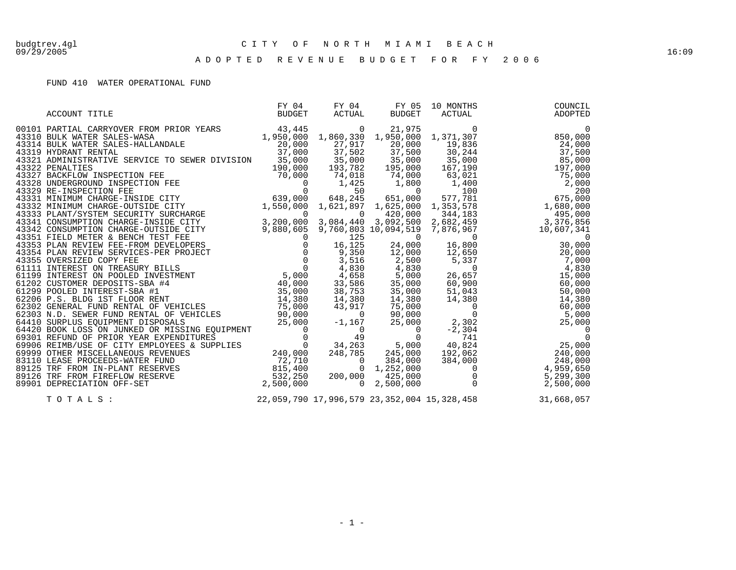#### 09/29/2005 16:09 A D O P T E D R E V E N U E B U D G E T F O R F Y 2 0 0 6

### FUND 410 WATER OPERATIONAL FUND

| ACCOUNT TITLE | BUDGET | ACTUAL | BUDGET | FY 04 FY 04 FY 05 10 MONTHS<br>BUDGET ACTUAL BUDGET ACTUAL<br>ACTUAL | COUNCIL<br>ADOPTED |
|---------------|--------|--------|--------|----------------------------------------------------------------------|--------------------|
|               |        |        |        |                                                                      |                    |
|               |        |        |        |                                                                      |                    |
|               |        |        |        |                                                                      |                    |
|               |        |        |        |                                                                      |                    |
|               |        |        |        |                                                                      |                    |
|               |        |        |        |                                                                      |                    |
|               |        |        |        |                                                                      |                    |
|               |        |        |        |                                                                      |                    |
|               |        |        |        |                                                                      |                    |
|               |        |        |        |                                                                      |                    |
| TOTALS:       |        |        |        | 22,059,790 17,996,579 23,352,004 15,328,458                          | 31,668,057         |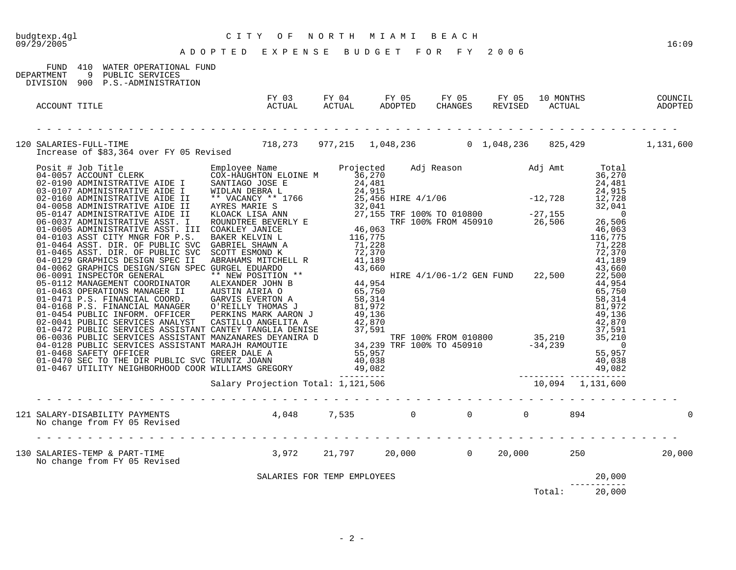|                                                                                                                           |                                                                                                         |  |  |                               | 16:09 |
|---------------------------------------------------------------------------------------------------------------------------|---------------------------------------------------------------------------------------------------------|--|--|-------------------------------|-------|
| FUND 410 WATER OPERATIONAL FUND<br>DEPARTMENT<br>9 PUBLIC SERVICES<br>DIVISION 900 P.S.-ADMINISTRATION                    |                                                                                                         |  |  |                               |       |
| ACCOUNT TITLE                                                                                                             | FY 03 FY 04 FY 05 FY 05 FY 05 10 MONTHS COUNCIL<br>ACTUAL ACTUAL ADOPTED CHANGES REVISED ACTUAL ADOPTED |  |  |                               |       |
| 120 SALARIES-FULL-TIME 718,273 977,215 1,048,236 0 1,048,236 825,429 1,131,600<br>Increase of \$83,364 over FY 05 Revised |                                                                                                         |  |  |                               |       |
|                                                                                                                           |                                                                                                         |  |  |                               |       |
|                                                                                                                           |                                                                                                         |  |  |                               |       |
|                                                                                                                           |                                                                                                         |  |  |                               |       |
|                                                                                                                           |                                                                                                         |  |  |                               |       |
|                                                                                                                           |                                                                                                         |  |  |                               |       |
|                                                                                                                           |                                                                                                         |  |  |                               |       |
|                                                                                                                           |                                                                                                         |  |  |                               |       |
| 130 SALARIES-TEMP & PART-TIME<br>No change from FY 05 Revised 13,972 21,797 20,000 0 20,000 250 250 20,000                |                                                                                                         |  |  |                               |       |
|                                                                                                                           | SALARIES FOR TEMP EMPLOYEES                                                                             |  |  | 20,000                        |       |
|                                                                                                                           |                                                                                                         |  |  | ------------<br>Total: 20,000 |       |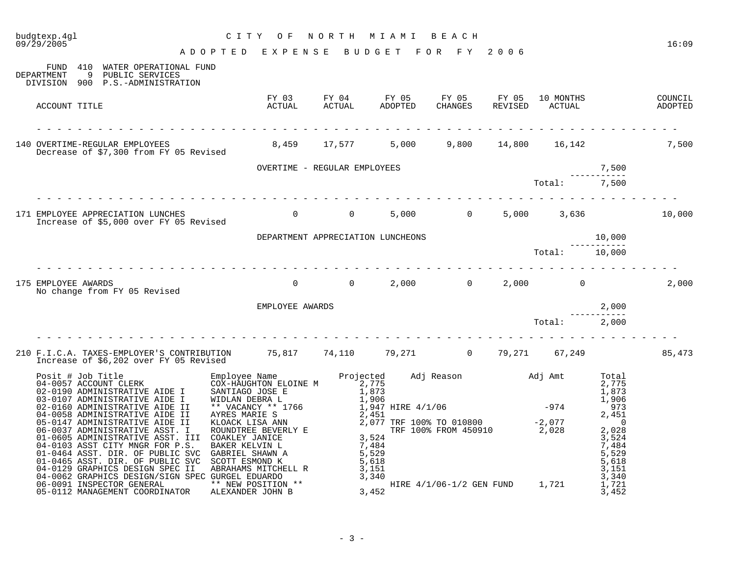| CITY OF NORTH MIAMI BEACH<br>ADOPTED EXPENSE BUDGET FOR FY 2006<br>FUND 410 WATER OPERATIONAL FUND<br>DEPARTMENT<br>9 PUBLIC SERVICES<br>DIVISION 900 P.S.-ADMINISTRATION<br>10 MONTHS COUNCIL<br>ACTUAL ADOPTED<br>ACCOUNT TITLE<br>140 OVERTIME-REGULAR EMPLOYEES<br>Decrease of \$7,300 from FY 05 Revised<br>8,459 17,577 5,000 9,800 14,800 16,142 7,500<br>OVERTIME - REGULAR EMPLOYEES<br>Tot<br>7,500<br>7,500<br>Total:<br>5,000 0 5,000 3,636<br>171 EMPLOYEE APPRECIATION LUNCHES<br>Increase of \$5,000 over FY 05 Revised<br>$\overline{0}$<br>$\overline{0}$<br>175 EMPLOYEE AWARDS<br>$0$ , $0$ , $0$ , $0$ , $0$ , $0$ , $0$ , $0$ , $0$ , $0$ , $0$ , $0$ , $0$ , $0$ , $0$ , $0$ , $0$ , $0$ , $0$ , $0$ , $0$ , $0$ , $0$ , $0$ , $0$ , $0$ , $0$ , $0$ , $0$ , $0$ , $0$ , $0$ , $0$ , $0$ , $0$ , $0$ , $0$ ,<br>No change from FY 05 Revised<br>EMPLOYEE AWARDS<br>2,000<br>Total: 2,000<br>210 F.I.C.A. TAXES-EMPLOYER'S CONTRIBUTION 75,817 74,110 79,271 0 79,271 67,249<br>Increase of \$6,202 over FY 05 Revised | budgtexp.4ql<br>09/29/2005 |  |  |  | 16:09  |
|---------------------------------------------------------------------------------------------------------------------------------------------------------------------------------------------------------------------------------------------------------------------------------------------------------------------------------------------------------------------------------------------------------------------------------------------------------------------------------------------------------------------------------------------------------------------------------------------------------------------------------------------------------------------------------------------------------------------------------------------------------------------------------------------------------------------------------------------------------------------------------------------------------------------------------------------------------------------------------------------------------------------------------------------|----------------------------|--|--|--|--------|
|                                                                                                                                                                                                                                                                                                                                                                                                                                                                                                                                                                                                                                                                                                                                                                                                                                                                                                                                                                                                                                             |                            |  |  |  |        |
|                                                                                                                                                                                                                                                                                                                                                                                                                                                                                                                                                                                                                                                                                                                                                                                                                                                                                                                                                                                                                                             |                            |  |  |  |        |
|                                                                                                                                                                                                                                                                                                                                                                                                                                                                                                                                                                                                                                                                                                                                                                                                                                                                                                                                                                                                                                             |                            |  |  |  |        |
|                                                                                                                                                                                                                                                                                                                                                                                                                                                                                                                                                                                                                                                                                                                                                                                                                                                                                                                                                                                                                                             |                            |  |  |  |        |
|                                                                                                                                                                                                                                                                                                                                                                                                                                                                                                                                                                                                                                                                                                                                                                                                                                                                                                                                                                                                                                             |                            |  |  |  |        |
|                                                                                                                                                                                                                                                                                                                                                                                                                                                                                                                                                                                                                                                                                                                                                                                                                                                                                                                                                                                                                                             |                            |  |  |  |        |
|                                                                                                                                                                                                                                                                                                                                                                                                                                                                                                                                                                                                                                                                                                                                                                                                                                                                                                                                                                                                                                             |                            |  |  |  | 10,000 |
|                                                                                                                                                                                                                                                                                                                                                                                                                                                                                                                                                                                                                                                                                                                                                                                                                                                                                                                                                                                                                                             |                            |  |  |  |        |
|                                                                                                                                                                                                                                                                                                                                                                                                                                                                                                                                                                                                                                                                                                                                                                                                                                                                                                                                                                                                                                             |                            |  |  |  |        |
|                                                                                                                                                                                                                                                                                                                                                                                                                                                                                                                                                                                                                                                                                                                                                                                                                                                                                                                                                                                                                                             |                            |  |  |  | 2,000  |
|                                                                                                                                                                                                                                                                                                                                                                                                                                                                                                                                                                                                                                                                                                                                                                                                                                                                                                                                                                                                                                             |                            |  |  |  |        |
|                                                                                                                                                                                                                                                                                                                                                                                                                                                                                                                                                                                                                                                                                                                                                                                                                                                                                                                                                                                                                                             |                            |  |  |  |        |
|                                                                                                                                                                                                                                                                                                                                                                                                                                                                                                                                                                                                                                                                                                                                                                                                                                                                                                                                                                                                                                             |                            |  |  |  | 85,473 |
|                                                                                                                                                                                                                                                                                                                                                                                                                                                                                                                                                                                                                                                                                                                                                                                                                                                                                                                                                                                                                                             |                            |  |  |  |        |
|                                                                                                                                                                                                                                                                                                                                                                                                                                                                                                                                                                                                                                                                                                                                                                                                                                                                                                                                                                                                                                             |                            |  |  |  |        |
|                                                                                                                                                                                                                                                                                                                                                                                                                                                                                                                                                                                                                                                                                                                                                                                                                                                                                                                                                                                                                                             |                            |  |  |  |        |
|                                                                                                                                                                                                                                                                                                                                                                                                                                                                                                                                                                                                                                                                                                                                                                                                                                                                                                                                                                                                                                             |                            |  |  |  |        |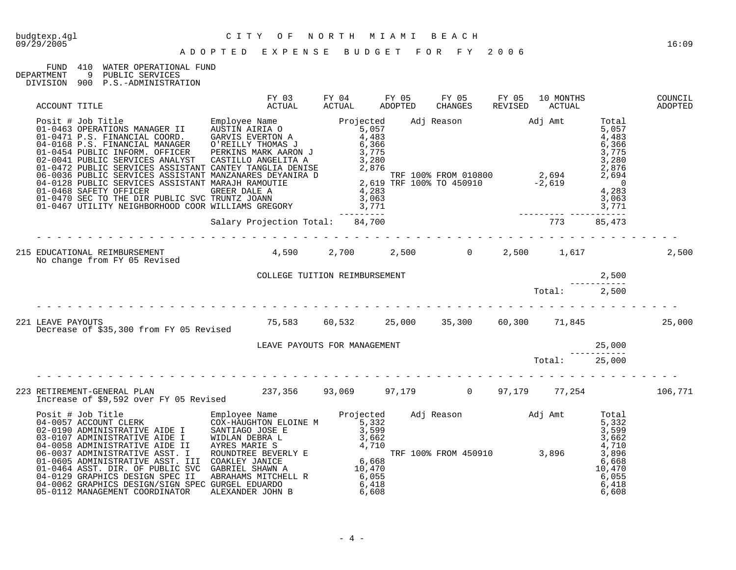## FUND 410 WATER OPERATIONAL FUND<br>DEPARTMENT 9 PUBLIC SERVICES

9 PUBLIC SERVICES DIVISION 900 P.S.-ADMINISTRATION

| ACCOUNT TITLE                                                                                                                                                                                                                                                                                                                       | FY 03<br>ACTUAL                                                                                                            |  | FY 05<br>CHANGES | FY 05 | 10 MONTHS<br>REVISED ACTUAL | COUNCIL<br>ADOPTED |
|-------------------------------------------------------------------------------------------------------------------------------------------------------------------------------------------------------------------------------------------------------------------------------------------------------------------------------------|----------------------------------------------------------------------------------------------------------------------------|--|------------------|-------|-----------------------------|--------------------|
| $\begin{tabular}{@{}c@{}}\nACCOW1 T1 T1 L&\nC11-04451 OF ERLT10NS MAMAGER &\nC12-0471 P.S.S. FINANGCH &\nC12-0471 P.S.S. FINANGCH &\nC12-0481 FUNINGICAL CONROL &\nC12-0481 FINANGCH &\nC12-0481 FINANGCH &\nC12-0481 FINANGCH &\nC12-0481 FINANGCH &\nC12-0481 FINANGCH &\nC12-0481 FINANGCH &\nC12-0481 FINANGCH &\nC12-0481 FIN$ |                                                                                                                            |  |                  |       |                             |                    |
|                                                                                                                                                                                                                                                                                                                                     |                                                                                                                            |  |                  |       |                             |                    |
|                                                                                                                                                                                                                                                                                                                                     |                                                                                                                            |  |                  |       |                             | 2,500              |
|                                                                                                                                                                                                                                                                                                                                     |                                                                                                                            |  |                  |       |                             |                    |
|                                                                                                                                                                                                                                                                                                                                     | COLLEGE TUITION REIMBURSEMENT $\begin{array}{cccc}\n & & & & \\  & & & & \\ \hline\n & 2,500 & & \\  & & & \\ \end{array}$ |  |                  |       |                             |                    |
| 221 LEAVE PAYOUTS<br>Decrease of \$35.300 from FY 05 Revised 15,583 60,532 15,000 135,300 60,300 11,845 1,845 25,000                                                                                                                                                                                                                |                                                                                                                            |  |                  |       |                             |                    |
|                                                                                                                                                                                                                                                                                                                                     |                                                                                                                            |  |                  |       |                             |                    |
|                                                                                                                                                                                                                                                                                                                                     |                                                                                                                            |  |                  |       |                             |                    |
|                                                                                                                                                                                                                                                                                                                                     |                                                                                                                            |  |                  |       |                             |                    |
|                                                                                                                                                                                                                                                                                                                                     |                                                                                                                            |  |                  |       |                             |                    |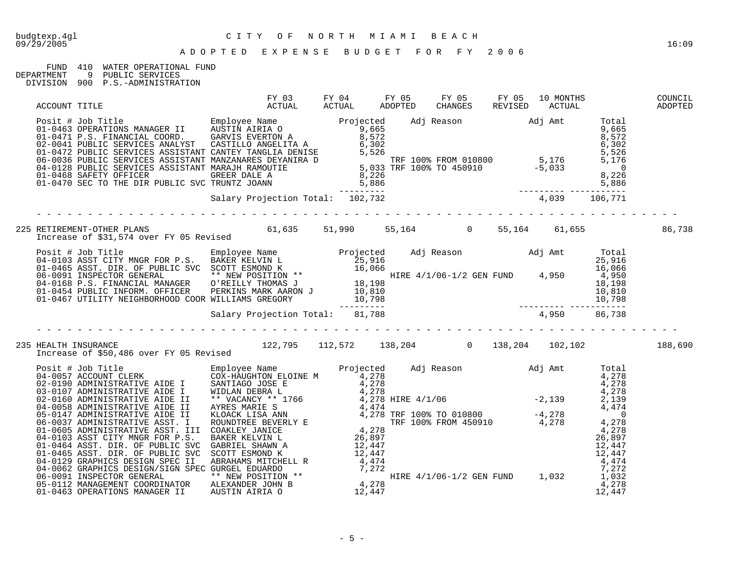#### FUND 410 WATER OPERATIONAL FUND<br>DEPARTMENT 9 PUBLIC SERVICES 9 PUBLIC SERVICES

DIVISION 900 P.S.-ADMINISTRATION

| ACCOUNT TITLE |                                                                                                                                                                                                                                       |  |  |  |  |
|---------------|---------------------------------------------------------------------------------------------------------------------------------------------------------------------------------------------------------------------------------------|--|--|--|--|
|               |                                                                                                                                                                                                                                       |  |  |  |  |
|               |                                                                                                                                                                                                                                       |  |  |  |  |
|               |                                                                                                                                                                                                                                       |  |  |  |  |
|               | 225 RETIREMENT-OTHER PLANS                    51,990    55,164       0   55,164    61,655         86,738<br>Increase of \$31,574 over FY 05 Revised                                                                                   |  |  |  |  |
|               | 901 1003 ASST CITY MNGR FOR P.S. BAKER KELVIN L<br>04-0103 ASST CITY MNGR FOR P.S. BAKER KELVIN L<br>01-0465 ASST. DIR. OF PUBLIC SVC SCOTT ESMOND K<br>06-0091 INSPECTIOR GENERAL MANAGER<br>04-0168 P.S. FINANCIAL MANAGER O'REILLY |  |  |  |  |
|               |                                                                                                                                                                                                                                       |  |  |  |  |
|               |                                                                                                                                                                                                                                       |  |  |  |  |
|               | 235 HEALTH INSURANCE<br>188,690 Increase of \$50,486 over FY 05 Revised 122,795 112,572 138,204 102,204 102,102                                                                                                                       |  |  |  |  |
|               |                                                                                                                                                                                                                                       |  |  |  |  |
|               |                                                                                                                                                                                                                                       |  |  |  |  |
|               |                                                                                                                                                                                                                                       |  |  |  |  |
|               |                                                                                                                                                                                                                                       |  |  |  |  |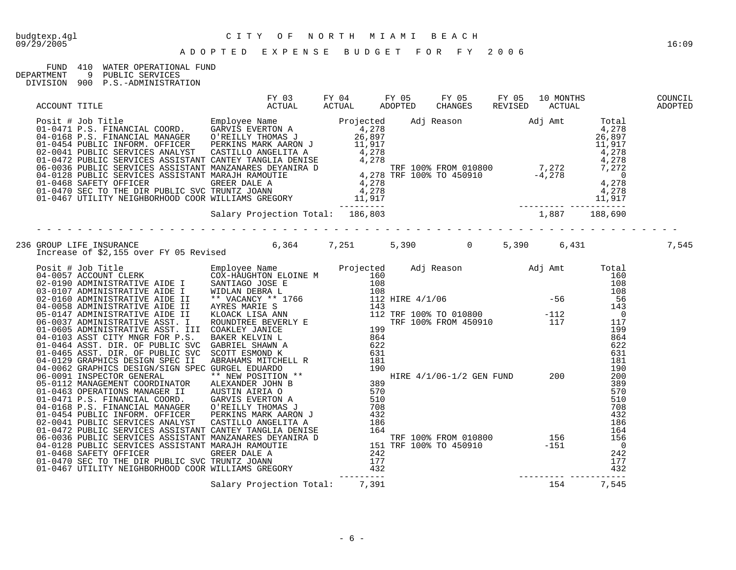## FUND 410 WATER OPERATIONAL FUND<br>DEPARTMENT 9 PUBLIC SERVICES

9 PUBLIC SERVICES DIVISION 900 P.S.-ADMINISTRATION

| ACCOUNT TITLE |                                                                                                                                                                                                                                     |  | FY 03 FY 04 FY 05 FY 05 FY 05 10 MONTHS<br>ACTUAL ACTUAL ADOPTED CHANGES REVISED ACTUAL |  | COUNCIL<br>ADOPTED |
|---------------|-------------------------------------------------------------------------------------------------------------------------------------------------------------------------------------------------------------------------------------|--|-----------------------------------------------------------------------------------------|--|--------------------|
|               | Posit # Job Title Employee Name Projected Adj Reason Adj Amt Total<br>01-0471 P.S. FINANCIAL COORD. EMPLOYE EXERTON A 4,278<br>01-0454 PUBLIC INFORM. OFFICER PERKINS MARK AARON 1 (4,278<br>01-0454 PUBLIC SERVICES ANALYST CANTEY |  |                                                                                         |  |                    |
|               |                                                                                                                                                                                                                                     |  |                                                                                         |  |                    |
|               |                                                                                                                                                                                                                                     |  |                                                                                         |  |                    |
|               |                                                                                                                                                                                                                                     |  |                                                                                         |  |                    |
|               |                                                                                                                                                                                                                                     |  |                                                                                         |  |                    |
|               |                                                                                                                                                                                                                                     |  |                                                                                         |  |                    |
|               |                                                                                                                                                                                                                                     |  |                                                                                         |  |                    |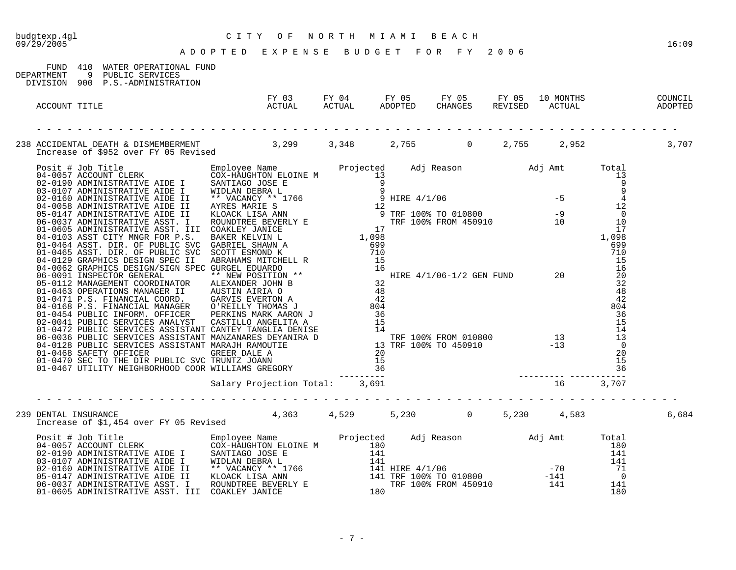| CITY OF NORTH MIAMI BEACH<br>ADOPTED EXPENSE BUDGET FOR FY 2006<br>budgtexp.4gl<br>09/29/2005                            |                                                                                                         |  |  | 16:09 |
|--------------------------------------------------------------------------------------------------------------------------|---------------------------------------------------------------------------------------------------------|--|--|-------|
| FUND 410 WATER OPERATIONAL FUND<br>DEPARTMENT 9 PUBLIC SERVICES<br>DIVISION 900 P.S.-ADMINISTRATION                      |                                                                                                         |  |  |       |
| ACCOUNT TITLE                                                                                                            | FY 03 FY 04 FY 05 FY 05 FY 05 10 MONTHS COUNCIL<br>ACTUAL ACTUAL ADOPTED CHANGES REVISED ACTUAL ADOPTED |  |  |       |
| 238 ACCIDENTAL DEATH & DISMEMBERMENT<br>Increase of \$952 over FY 05 Revised 3,299 3,348 2,755 0 2,755 2,952 2,952 3,707 |                                                                                                         |  |  |       |
|                                                                                                                          |                                                                                                         |  |  |       |
|                                                                                                                          |                                                                                                         |  |  |       |
| 239 DENTAL INSURANCE<br>Increase of \$1,454 over FY 05 Revised 4,363 4,529 5,230 0 5,230 4,583                           |                                                                                                         |  |  | 6,684 |
|                                                                                                                          |                                                                                                         |  |  |       |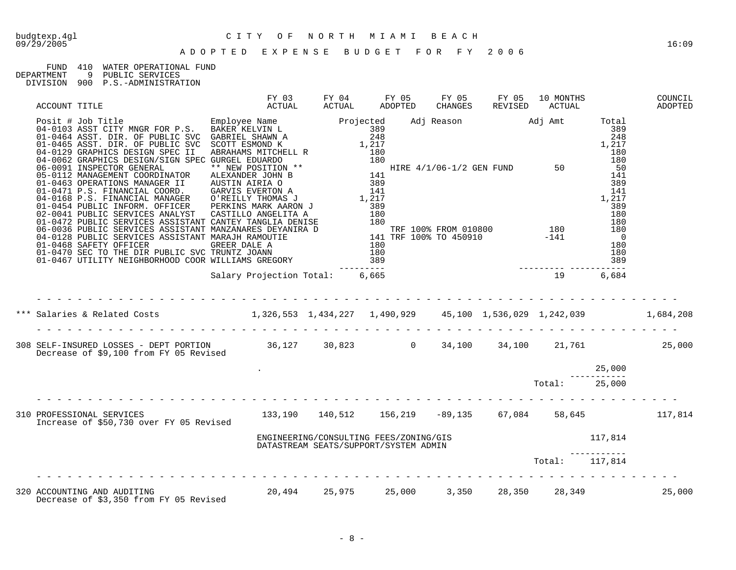### 09/29/2005 16:09

# budgtexp.4gl C I T Y O F N O R T H M I A M I B E A C H

#### A D O P T E D E X P E N S E B U D G E T F O R F Y 2 0 0 6

## FUND 410 WATER OPERATIONAL FUND DEPARTMENT 9 PUBLIC SERVICES

DEPARTMENT 9 PUBLIC SERVICES

DIVISION 900 P.S.-ADMINISTRATION

|                                                                                                                                                                                                                                     |  |  |  |                                                                                 | COUNCIL<br>ADOPTED |
|-------------------------------------------------------------------------------------------------------------------------------------------------------------------------------------------------------------------------------------|--|--|--|---------------------------------------------------------------------------------|--------------------|
| ACCOUNT TITLE<br>FOSI-1 400 Title (MCR FOR P.S. EMPLOYE NAMILY ACTUAL ADOPTED CHANGES REVISED ACTUAL<br>04-0103 ASST CITY MWGR FOR P.S. EMPLOYE NAMILY PROJECTS (Adj Reason Adj Amt Total<br>01-0465 ASST. DIR. OF DUBLIC SVC SCRIP |  |  |  |                                                                                 |                    |
|                                                                                                                                                                                                                                     |  |  |  |                                                                                 |                    |
| *** Salaries & Related Costs 1,326,553 1,434,227 1,490,929 45,100 1,536,029 1,242,039 1,684,208                                                                                                                                     |  |  |  |                                                                                 |                    |
| 308 SELF-INSURED LOSSES - DEPT PORTION 36,127 30,823 0 34,100 34,100 21,761 25,000<br>Decrease of \$9,100 from FY 05 Revised                                                                                                        |  |  |  |                                                                                 |                    |
|                                                                                                                                                                                                                                     |  |  |  |                                                                                 |                    |
|                                                                                                                                                                                                                                     |  |  |  |                                                                                 |                    |
| 310 PROFESSIONAL SERVICES 21 22 23,190 140,512 156,219 -89,135 67,084 58,645 117,814<br>Increase of \$50,730 over FY 05 Revised                                                                                                     |  |  |  |                                                                                 |                    |
|                                                                                                                                                                                                                                     |  |  |  | ENGINEERING/CONSULTING FEES/ZONING/GIS<br>DATASTREAM SEATS/SUPPORT/SYSTEM ADMIN |                    |
|                                                                                                                                                                                                                                     |  |  |  | Total: 117,814                                                                  |                    |
| 320 ACCOUNTING AND AUDITING                  20,494    25,975    25,000    3,350    28,350    28,349<br>Decrease of \$3,350 from FY 05 Revised        20,494    25,975    25,000    3,350    28,350    28,349                       |  |  |  |                                                                                 | 25,000             |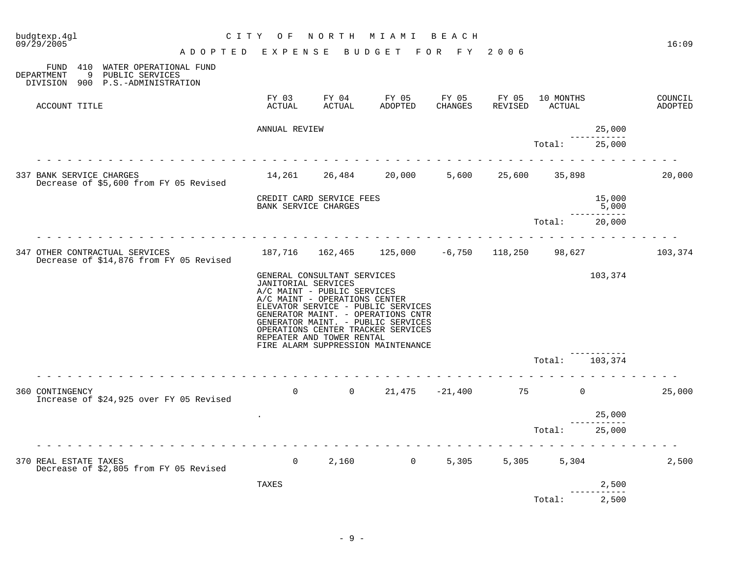| budgtexp.4gl<br>09/29/2005                                                                             | C I T Y                            | O F                  | N O R T H                                                                                                                | M I A M I                                                                                                                                                                                  | BEACH |                             |                       | 16:09              |
|--------------------------------------------------------------------------------------------------------|------------------------------------|----------------------|--------------------------------------------------------------------------------------------------------------------------|--------------------------------------------------------------------------------------------------------------------------------------------------------------------------------------------|-------|-----------------------------|-----------------------|--------------------|
|                                                                                                        | ADOPTED EXPENSE BUDGET FOR FY 2006 |                      |                                                                                                                          |                                                                                                                                                                                            |       |                             |                       |                    |
| FUND 410 WATER OPERATIONAL FUND<br>9 PUBLIC SERVICES<br>DEPARTMENT<br>DIVISION 900 P.S.-ADMINISTRATION |                                    |                      |                                                                                                                          |                                                                                                                                                                                            |       |                             |                       |                    |
| ACCOUNT TITLE                                                                                          |                                    |                      |                                                                                                                          | FY 03 FY 04 FY 05 FY 05 FY 05<br>ACTUAL ACTUAL ADOPTED CHANGES REVISED                                                                                                                     |       | 10 MONTHS<br>REVISED ACTUAL |                       | COUNCIL<br>ADOPTED |
|                                                                                                        |                                    | ANNUAL REVIEW        |                                                                                                                          |                                                                                                                                                                                            |       |                             | 25,000                |                    |
|                                                                                                        |                                    |                      |                                                                                                                          |                                                                                                                                                                                            |       | Total:                      | 25,000                |                    |
| 337 BANK SERVICE CHARGES<br>Decrease of \$5,600 from FY 05 Revised                                     |                                    |                      |                                                                                                                          | 14,261 26,484 20,000                                                                                                                                                                       |       | 5,600 25,600 35,898         |                       | 20,000             |
|                                                                                                        |                                    | BANK SERVICE CHARGES | CREDIT CARD SERVICE FEES                                                                                                 |                                                                                                                                                                                            |       |                             | 15,000<br>5,000       |                    |
|                                                                                                        |                                    |                      |                                                                                                                          |                                                                                                                                                                                            |       | Total:                      | --------<br>20,000    |                    |
| 347 OTHER CONTRACTUAL SERVICES<br>Decrease of \$14,876 from FY 05 Revised                              |                                    |                      |                                                                                                                          | 187,716  162,465  125,000  -6,750  118,250  98,627                                                                                                                                         |       |                             |                       | 103,374            |
|                                                                                                        |                                    | JANITORIAL SERVICES  | GENERAL CONSULTANT SERVICES<br>A/C MAINT - PUBLIC SERVICES<br>A/C MAINT - OPERATIONS CENTER<br>REPEATER AND TOWER RENTAL | ELEVATOR SERVICE - PUBLIC SERVICES<br>GENERATOR MAINT. - OPERATIONS CNTR<br>GENERATOR MAINT. - PUBLIC SERVICES<br>OPERATIONS CENTER TRACKER SERVICES<br>FIRE ALARM SUPPRESSION MAINTENANCE |       |                             | 103,374               |                    |
|                                                                                                        |                                    |                      |                                                                                                                          |                                                                                                                                                                                            |       | Total:                      | 103,374               |                    |
| 360 CONTINGENCY<br>Increase of \$24,925 over FY 05 Revised                                             |                                    |                      |                                                                                                                          | 0 0 21,475 -21,400 75 0                                                                                                                                                                    |       |                             |                       | 25,000             |
|                                                                                                        |                                    |                      |                                                                                                                          |                                                                                                                                                                                            |       |                             | 25,000<br>----------- |                    |
|                                                                                                        |                                    |                      |                                                                                                                          |                                                                                                                                                                                            |       | Total: 25,000               |                       |                    |
| 370 REAL ESTATE TAXES<br>Decrease of \$2,805 from FY 05 Revised                                        |                                    | $\Omega$             |                                                                                                                          | $2,160$ 0                                                                                                                                                                                  | 5,305 | 5,305 5,304                 |                       | 2,500              |
|                                                                                                        |                                    | TAXES                |                                                                                                                          |                                                                                                                                                                                            |       |                             | 2,500                 |                    |
|                                                                                                        |                                    |                      |                                                                                                                          |                                                                                                                                                                                            |       | Total:                      | 2,500                 |                    |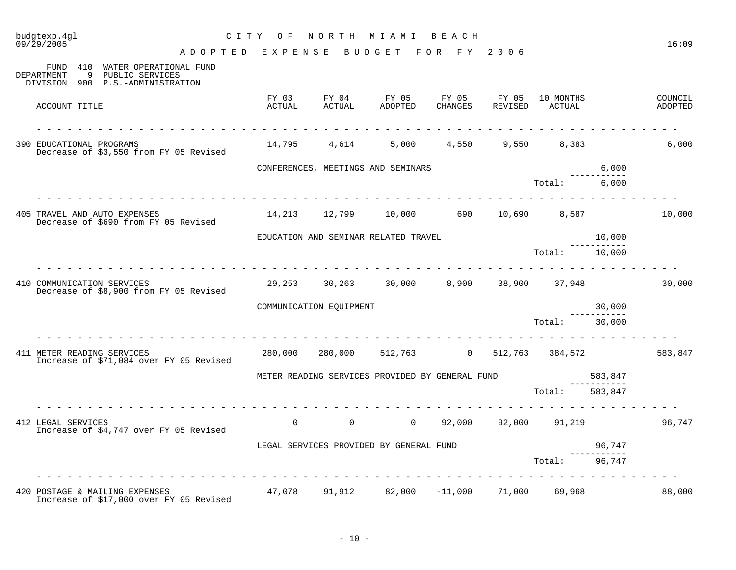| budgtexp.4gl<br>09/29/2005                                                                                  | CITY OF                             |                                                        | NORTH MIAMI BEACH                 |                  |                  |                     |             | 16:09              |
|-------------------------------------------------------------------------------------------------------------|-------------------------------------|--------------------------------------------------------|-----------------------------------|------------------|------------------|---------------------|-------------|--------------------|
|                                                                                                             | A DOPTED EXPENSE BUDGET FOR FY 2006 |                                                        |                                   |                  |                  |                     |             |                    |
| FUND 410 WATER OPERATIONAL FUND<br>DEPARTMENT<br>- 9<br>PUBLIC SERVICES<br>DIVISION 900 P.S.-ADMINISTRATION |                                     |                                                        |                                   |                  |                  |                     |             |                    |
| ACCOUNT TITLE                                                                                               | FY 03<br>ACTUAL                     | FY 04<br>ACTUAL                                        | FY 05<br>ADOPTED                  | FY 05<br>CHANGES | FY 05<br>REVISED | 10 MONTHS<br>ACTUAL |             | COUNCIL<br>ADOPTED |
| 390 EDUCATIONAL PROGRAMS<br>Decrease of \$3,550 from FY 05 Revised                                          |                                     | 14,795 4,614                                           | 5,000                             |                  |                  | 4,550 9,550 8,383   |             | 6,000              |
|                                                                                                             |                                     | CONFERENCES, MEETINGS AND SEMINARS                     |                                   |                  |                  |                     | 6,000       |                    |
|                                                                                                             |                                     |                                                        |                                   |                  |                  | Total:              | 6,000       |                    |
| 405 TRAVEL AND AUTO EXPENSES<br>Decrease of \$690 from FY 05 Revised                                        |                                     | 14,213 12,799 10,000 690 10,690 8,587                  |                                   |                  |                  |                     |             | 10,000             |
|                                                                                                             |                                     | EDUCATION AND SEMINAR RELATED TRAVEL                   |                                   |                  |                  |                     | 10,000      |                    |
|                                                                                                             |                                     |                                                        |                                   |                  |                  | Total: 10,000       | ----------- |                    |
| 410 COMMUNICATION SERVICES<br>Decrease of \$8,900 from FY 05 Revised                                        |                                     | 29,253 30,263 30,000                                   |                                   |                  |                  | 8,900 38,900 37,948 |             | 30,000             |
|                                                                                                             |                                     | COMMUNICATION EQUIPMENT                                |                                   |                  |                  |                     | 30,000      |                    |
|                                                                                                             |                                     |                                                        |                                   |                  |                  | Total:              | 30,000      |                    |
| 411 METER READING SERVICES<br>Increase of \$71,084 over FY 05 Revised                                       | 280,000                             |                                                        | 280,000 512,763 0 512,763 384,572 |                  |                  |                     |             | 583,847            |
|                                                                                                             |                                     | METER READING SERVICES PROVIDED BY GENERAL FUND        |                                   |                  |                  |                     | 583,847     |                    |
|                                                                                                             |                                     |                                                        |                                   |                  |                  | Total:              | 583,847     |                    |
| 412 LEGAL SERVICES<br>Increase of \$4,747 over FY 05 Revised                                                |                                     | $\overline{0}$<br>$\overline{0}$                       | $\overline{0}$                    |                  | 92,000 92,000    |                     | 91,219      | 96,747             |
|                                                                                                             |                                     | LEGAL SERVICES PROVIDED BY GENERAL FUND                |                                   |                  |                  |                     | 96,747      |                    |
|                                                                                                             |                                     |                                                        |                                   |                  |                  | Total:              | 96,747      |                    |
| 420 POSTAGE & MAILING EXPENSES<br>Increase of \$17,000 over FY 05 Revised                                   |                                     | $47,078$ $91,912$ $82,000$ $-11,000$ $71,000$ $69,968$ |                                   |                  |                  |                     |             | 88,000             |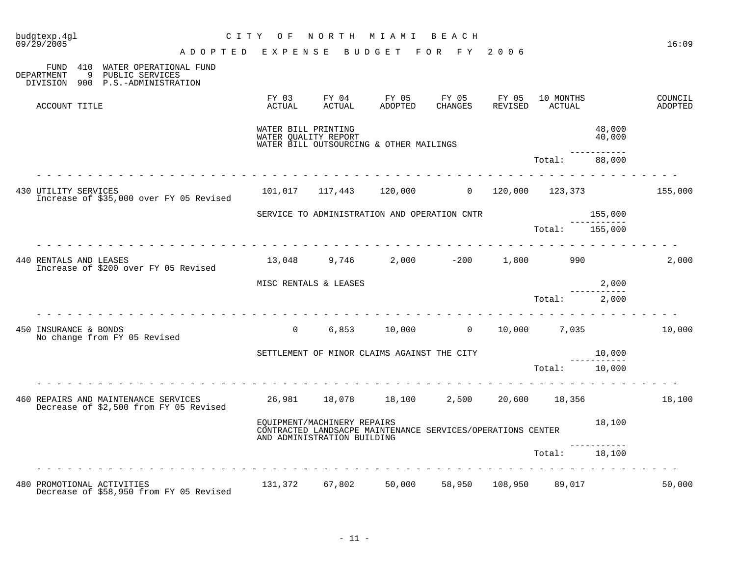| budgtexp.4gl<br>09/29/2005                                                                                          |                                                                                                                     | CITY OF                                     | NORTH                                                      | M I A M I                                                   | BEACH   |                |                     |                        | 16:09              |
|---------------------------------------------------------------------------------------------------------------------|---------------------------------------------------------------------------------------------------------------------|---------------------------------------------|------------------------------------------------------------|-------------------------------------------------------------|---------|----------------|---------------------|------------------------|--------------------|
|                                                                                                                     | A D O P T E D E X P E N S E B U D G E T F O R F Y 2006                                                              |                                             |                                                            |                                                             |         |                |                     |                        |                    |
| 410 WATER OPERATIONAL FUND<br>FUND<br>9<br><b>DEPARTMENT</b><br>PUBLIC SERVICES<br>DIVISION 900 P.S.-ADMINISTRATION |                                                                                                                     |                                             |                                                            |                                                             |         |                |                     |                        |                    |
| ACCOUNT TITLE                                                                                                       |                                                                                                                     | ACTUAL                                      | ACTUAL                                                     | FY 03 FY 04 FY 05 FY 05 FY 05<br>ADOPTED                    | CHANGES | REVISED        | 10 MONTHS<br>ACTUAL |                        | COUNCIL<br>ADOPTED |
|                                                                                                                     |                                                                                                                     | WATER BILL PRINTING<br>WATER QUALITY REPORT |                                                            | WATER BILL OUTSOURCING & OTHER MAILINGS                     |         |                |                     | 48,000<br>40,000       |                    |
|                                                                                                                     |                                                                                                                     |                                             |                                                            |                                                             |         |                | Total:              | 88,000                 |                    |
| 430 UTILITY SERVICES<br>Increase of \$35,000 over FY 05 Revised                                                     |                                                                                                                     |                                             |                                                            | $101,017$ $117,443$ $120,000$ 00 $120,000$ $123,373$        |         |                |                     |                        | 155,000            |
|                                                                                                                     |                                                                                                                     |                                             |                                                            | SERVICE TO ADMINISTRATION AND OPERATION CNTR                |         |                |                     | 155,000                |                    |
|                                                                                                                     |                                                                                                                     |                                             |                                                            |                                                             |         |                | Total: 155,000      |                        |                    |
| 440 RENTALS AND LEASES<br>Increase of \$200 over FY 05 Revised                                                      |                                                                                                                     |                                             | 13,048 9,746                                               |                                                             |         |                |                     |                        | 2,000              |
|                                                                                                                     |                                                                                                                     | MISC RENTALS & LEASES                       |                                                            |                                                             |         |                |                     | 2,000                  |                    |
|                                                                                                                     |                                                                                                                     |                                             |                                                            |                                                             |         |                | Total: 2,000        |                        |                    |
| 450 INSURANCE & BONDS<br>No change from FY 05 Revised                                                               |                                                                                                                     | $\Omega$                                    |                                                            | $6,853$ $10,000$ 0 $10,000$ 7,035                           |         |                |                     |                        | 10,000             |
|                                                                                                                     |                                                                                                                     |                                             |                                                            | SETTLEMENT OF MINOR CLAIMS AGAINST THE CITY                 |         |                |                     | 10,000<br>------------ |                    |
|                                                                                                                     |                                                                                                                     |                                             |                                                            |                                                             |         |                | Total: 10,000       |                        |                    |
| 460 REPAIRS AND MAINTENANCE SERVICES<br>Decrease of \$2,500 from FY 05 Revised                                      | $\begin{array}{cccccccccccccccccc} \bot & \bot & \bot & \bot & \bot & \bot & \bot & \bot & \bot & \bot \end{array}$ |                                             |                                                            | 26,981 18,078 18,100 2,500 20,600 18,356                    |         |                |                     |                        | 18,100             |
|                                                                                                                     |                                                                                                                     |                                             | EQUIPMENT/MACHINERY REPAIRS<br>AND ADMINISTRATION BUILDING | CONTRACTED LANDSACPE MAINTENANCE SERVICES/OPERATIONS CENTER |         |                |                     | 18,100                 |                    |
|                                                                                                                     |                                                                                                                     |                                             |                                                            |                                                             |         |                | Total:              | 18,100                 |                    |
| 480 PROMOTIONAL ACTIVITIES<br>Decrease of \$58,950 from FY 05 Revised                                               |                                                                                                                     |                                             |                                                            | 131,372 67,802 50,000                                       |         | 58,950 108,950 | 89,017              |                        | 50,000             |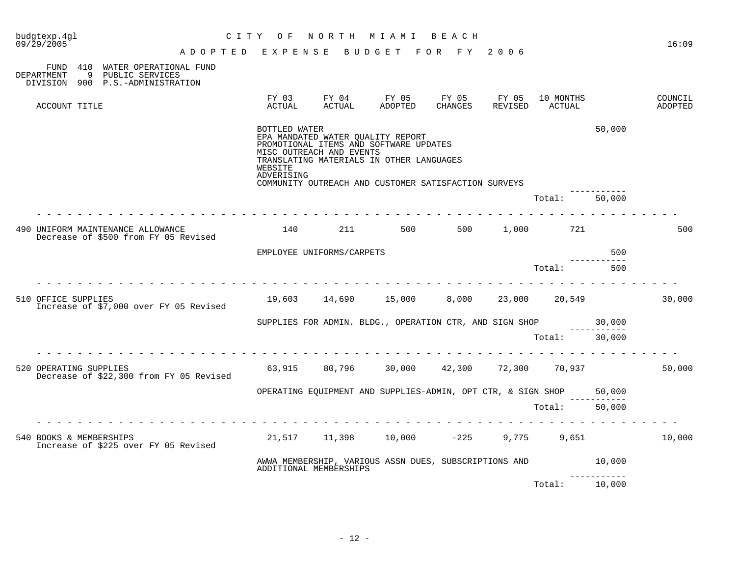| budgtexp.4gl<br>09/29/2005                                                                                | CITY OF                                | NORTH                                                                                                                                                                                                       | M I A M I          | веасн            |                             |                     |        | 16:09                     |
|-----------------------------------------------------------------------------------------------------------|----------------------------------------|-------------------------------------------------------------------------------------------------------------------------------------------------------------------------------------------------------------|--------------------|------------------|-----------------------------|---------------------|--------|---------------------------|
|                                                                                                           | A D O P T E D E X P E N S E            |                                                                                                                                                                                                             | BUDGET FOR FY 2006 |                  |                             |                     |        |                           |
| FUND 410 WATER OPERATIONAL FUND<br>9<br>DEPARTMENT<br>PUBLIC SERVICES<br>DIVISION 900 P.S.-ADMINISTRATION |                                        |                                                                                                                                                                                                             |                    |                  |                             |                     |        |                           |
| ACCOUNT TITLE                                                                                             | FY 03<br>ACTUAL                        | FY 04<br>ACTUAL                                                                                                                                                                                             | FY 05<br>ADOPTED   | FY 05<br>CHANGES | FY 05<br>REVISED            | 10 MONTHS<br>ACTUAL |        | COUNCIL<br><b>ADOPTED</b> |
|                                                                                                           | BOTTLED WATER<br>WEBSITE<br>ADVERISING | EPA MANDATED WATER QUALITY REPORT<br>PROMOTIONAL ITEMS AND SOFTWARE UPDATES<br>MISC OUTREACH AND EVENTS<br>TRANSLATING MATERIALS IN OTHER LANGUAGES<br>COMMUNITY OUTREACH AND CUSTOMER SATISFACTION SURVEYS |                    |                  |                             |                     | 50,000 |                           |
|                                                                                                           |                                        |                                                                                                                                                                                                             |                    |                  |                             | Total:              | 50,000 |                           |
| 490 UNIFORM MAINTENANCE ALLOWANCE<br>Decrease of \$500 from FY 05 Revised                                 |                                        | 140<br>211                                                                                                                                                                                                  | 500                | 500              | 1,000                       | 721                 |        | 500                       |
|                                                                                                           |                                        | EMPLOYEE UNIFORMS/CARPETS                                                                                                                                                                                   |                    |                  |                             |                     | 500    |                           |
|                                                                                                           |                                        |                                                                                                                                                                                                             |                    |                  |                             | Total:              | 500    |                           |
| 510 OFFICE SUPPLIES<br>Increase of \$7,000 over FY 05 Revised                                             |                                        | 19,603 14,690 15,000                                                                                                                                                                                        |                    | 8,000            |                             | 23,000 20,549       |        | 30,000                    |
|                                                                                                           |                                        | SUPPLIES FOR ADMIN. BLDG., OPERATION CTR, AND SIGN SHOP                                                                                                                                                     |                    |                  |                             |                     | 30,000 |                           |
|                                                                                                           |                                        |                                                                                                                                                                                                             |                    |                  |                             | Total:              | 30,000 |                           |
| 520 OPERATING SUPPLIES<br>Decrease of \$22,300 from FY 05 Revised                                         | 63,915                                 | 80,796                                                                                                                                                                                                      |                    |                  | 30,000 42,300 72,300 70,937 |                     |        | 50,000                    |
|                                                                                                           |                                        | OPERATING EQUIPMENT AND SUPPLIES-ADMIN, OPT CTR, & SIGN SHOP 50,000                                                                                                                                         |                    |                  |                             |                     |        |                           |
|                                                                                                           |                                        |                                                                                                                                                                                                             |                    |                  |                             | Total:              | 50,000 |                           |
| 540 BOOKS & MEMBERSHIPS<br>Increase of \$225 over FY 05 Revised                                           |                                        | 21,517 11,398 10,000                                                                                                                                                                                        |                    | $-225$           |                             | 9,775 9,651         |        | 10,000                    |
|                                                                                                           |                                        | AWWA MEMBERSHIP, VARIOUS ASSN DUES, SUBSCRIPTIONS AND<br>ADDITIONAL MEMBERSHIPS                                                                                                                             |                    |                  |                             |                     | 10,000 |                           |
|                                                                                                           |                                        |                                                                                                                                                                                                             |                    |                  |                             | Total:              | 10,000 |                           |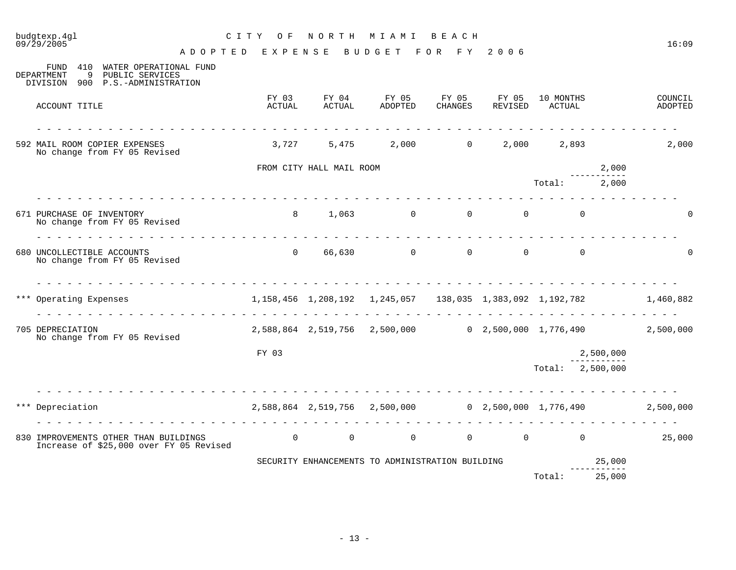| budgtexp.4ql<br>09/29/2005                                                                                                                                                                                                                                                                                                                                                                                                                                                                                                                            | C I T Y<br>O F                                                  | NORTH                    | M I A M I                                           | BEACH          |                  |                                         |           | 16:09              |
|-------------------------------------------------------------------------------------------------------------------------------------------------------------------------------------------------------------------------------------------------------------------------------------------------------------------------------------------------------------------------------------------------------------------------------------------------------------------------------------------------------------------------------------------------------|-----------------------------------------------------------------|--------------------------|-----------------------------------------------------|----------------|------------------|-----------------------------------------|-----------|--------------------|
|                                                                                                                                                                                                                                                                                                                                                                                                                                                                                                                                                       | A D O P T E D E X P E N S E B U D G E T F O R F Y 2006          |                          |                                                     |                |                  |                                         |           |                    |
| 410<br>WATER OPERATIONAL FUND<br>FUND<br><b>DEPARTMENT</b><br>9<br>PUBLIC SERVICES<br>DIVISION 900 P.S.-ADMINISTRATION                                                                                                                                                                                                                                                                                                                                                                                                                                |                                                                 |                          |                                                     |                |                  |                                         |           |                    |
| ACCOUNT TITLE                                                                                                                                                                                                                                                                                                                                                                                                                                                                                                                                         | FY 03<br>ACTUAL                                                 |                          | FY 04 FY 05 FY 05<br>ACTUAL ADOPTED CHANGES         | <b>CHANGES</b> | FY 05<br>REVISED | 10 MONTHS<br>ACTUAL                     |           | COUNCIL<br>ADOPTED |
| <u>.</u><br>592 MAIL ROOM COPIER EXPENSES<br>No change from FY 05 Revised                                                                                                                                                                                                                                                                                                                                                                                                                                                                             |                                                                 |                          | $3,727$ $5,475$ $2,000$ $0$ $2,000$ $2,893$         |                |                  |                                         |           | 2,000              |
|                                                                                                                                                                                                                                                                                                                                                                                                                                                                                                                                                       |                                                                 | FROM CITY HALL MAIL ROOM |                                                     |                |                  | $- - - - - - -$                         | 2,000     |                    |
|                                                                                                                                                                                                                                                                                                                                                                                                                                                                                                                                                       |                                                                 |                          |                                                     |                |                  | Total: 2,000                            |           |                    |
| 671 PURCHASE OF INVENTORY<br>No change from FY 05 Revised<br>$\begin{array}{cccccccccccccccccc} \multicolumn{2}{c}{} & \multicolumn{2}{c}{} & \multicolumn{2}{c}{} & \multicolumn{2}{c}{} & \multicolumn{2}{c}{} & \multicolumn{2}{c}{} & \multicolumn{2}{c}{} & \multicolumn{2}{c}{} & \multicolumn{2}{c}{} & \multicolumn{2}{c}{} & \multicolumn{2}{c}{} & \multicolumn{2}{c}{} & \multicolumn{2}{c}{} & \multicolumn{2}{c}{} & \multicolumn{2}{c}{} & \multicolumn{2}{c}{} & \multicolumn{2}{c}{} & \multicolumn{2}{c}{} & \multicolumn{2}{c}{} &$ |                                                                 |                          | 8 1,063 0 0 0                                       |                |                  | $\Omega$                                |           |                    |
| 680 UNCOLLECTIBLE ACCOUNTS<br>No change from FY 05 Revised                                                                                                                                                                                                                                                                                                                                                                                                                                                                                            | $\Omega$                                                        |                          | 66,630 0 0                                          |                |                  | $\Omega$<br>$\Omega$                    |           |                    |
| .<br>*** Operating Expenses 6 1, 158, 456 1, 208, 192 1, 245, 057 138, 035 1, 383, 092 1, 192, 782<br><u>a a a a a a a a a a a a a a a a a</u>                                                                                                                                                                                                                                                                                                                                                                                                        |                                                                 |                          | <u>.</u>                                            |                |                  | .                                       |           | 1,460,882          |
| 705 DEPRECIATION<br>No change from FY 05 Revised                                                                                                                                                                                                                                                                                                                                                                                                                                                                                                      |                                                                 |                          | 2,588,864 2,519,756 2,500,000 0 2,500,000 1,776,490 |                |                  |                                         |           | 2,500,000          |
|                                                                                                                                                                                                                                                                                                                                                                                                                                                                                                                                                       | FY 03                                                           |                          |                                                     |                |                  |                                         | 2,500,000 |                    |
|                                                                                                                                                                                                                                                                                                                                                                                                                                                                                                                                                       |                                                                 |                          |                                                     |                |                  | Total: 2,500,000                        |           |                    |
| Depreciation                                                                                                                                                                                                                                                                                                                                                                                                                                                                                                                                          | $2,588,864$ $2,519,756$ $2,500,000$ $0$ $2,500,000$ $1,776,490$ |                          |                                                     |                |                  |                                         |           | 2,500,000          |
| 830 IMPROVEMENTS OTHER THAN BUILDINGS<br>Increase of \$25,000 over FY 05 Revised                                                                                                                                                                                                                                                                                                                                                                                                                                                                      | $\overline{a}$                                                  |                          | $\Omega$                                            | $\Omega$       |                  | $\begin{matrix} 0 & 0 & 0 \end{matrix}$ |           | 25,000             |
|                                                                                                                                                                                                                                                                                                                                                                                                                                                                                                                                                       |                                                                 |                          | SECURITY ENHANCEMENTS TO ADMINISTRATION BUILDING    |                |                  |                                         | 25,000    |                    |
|                                                                                                                                                                                                                                                                                                                                                                                                                                                                                                                                                       |                                                                 |                          |                                                     |                |                  | Total: 25,000                           |           |                    |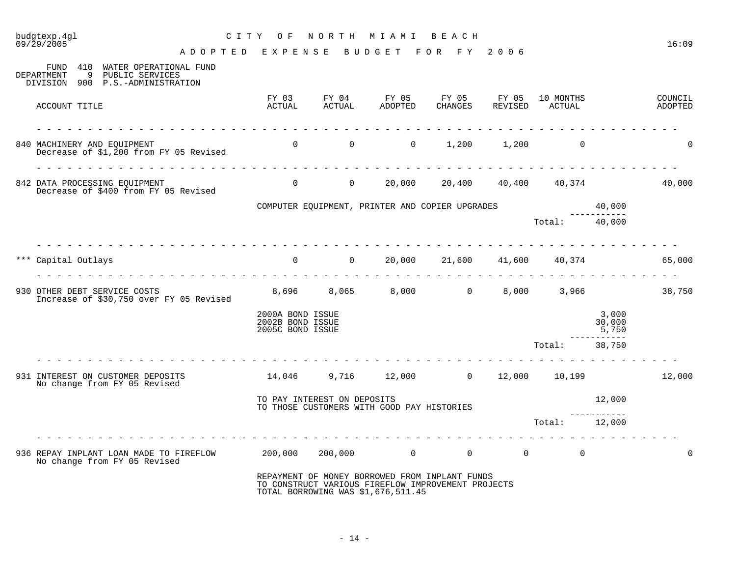| budgtexp.4gl<br>09/29/2005                                                                  | C I T Y<br>O F                                                                                                                                                                                                                                                                                                                                                                                                                                                                         | NORTH                            | MIAMI BEACH                                                                                                                                |                             |                |                                  |                          | 16:09              |
|---------------------------------------------------------------------------------------------|----------------------------------------------------------------------------------------------------------------------------------------------------------------------------------------------------------------------------------------------------------------------------------------------------------------------------------------------------------------------------------------------------------------------------------------------------------------------------------------|----------------------------------|--------------------------------------------------------------------------------------------------------------------------------------------|-----------------------------|----------------|----------------------------------|--------------------------|--------------------|
| FUND 410 WATER OPERATIONAL FUND<br>9<br><b>DEPARTMENT</b><br>PUBLIC SERVICES                | ADOPTED EXPENSE                                                                                                                                                                                                                                                                                                                                                                                                                                                                        |                                  | BUDGET FOR FY 2006                                                                                                                         |                             |                |                                  |                          |                    |
| DIVISION 900 P.S.-ADMINISTRATION<br>ACCOUNT TITLE                                           | FY 03<br>ACTUAL                                                                                                                                                                                                                                                                                                                                                                                                                                                                        | FY 04<br>ACTUAL                  | FY 05<br>ADOPTED                                                                                                                           | FY 05 FY 05<br>CHANGES      | REVISED        | 10 MONTHS<br>ACTUAL              |                          | COUNCIL<br>ADOPTED |
| 840 MACHINERY AND EQUIPMENT<br>Decrease of \$1,200 from FY 05 Revised                       |                                                                                                                                                                                                                                                                                                                                                                                                                                                                                        | $\overline{0}$<br>$\overline{0}$ | $\overline{0}$                                                                                                                             | 1,200                       |                | 1,200<br>$\overline{0}$          |                          |                    |
| 842 DATA PROCESSING EQUIPMENT<br>Decrease of \$400 from FY 05 Revised                       |                                                                                                                                                                                                                                                                                                                                                                                                                                                                                        | $\begin{matrix}0&0\end{matrix}$  |                                                                                                                                            | 20,000 20,400 40,400 40,374 |                |                                  |                          | 40,000             |
|                                                                                             |                                                                                                                                                                                                                                                                                                                                                                                                                                                                                        |                                  | COMPUTER EQUIPMENT, PRINTER AND COPIER UPGRADES                                                                                            |                             |                |                                  | 40,000                   |                    |
|                                                                                             |                                                                                                                                                                                                                                                                                                                                                                                                                                                                                        |                                  |                                                                                                                                            |                             |                | Total: 40,000                    |                          |                    |
| *** Capital Outlays                                                                         | $0$ 0 20,000 21,600 41,600 40,374                                                                                                                                                                                                                                                                                                                                                                                                                                                      |                                  |                                                                                                                                            |                             |                |                                  |                          | 65,000             |
|                                                                                             |                                                                                                                                                                                                                                                                                                                                                                                                                                                                                        |                                  |                                                                                                                                            |                             |                |                                  |                          |                    |
| 930 OTHER DEBT SERVICE COSTS<br>Increase of \$30,750 over FY 05 Revised                     |                                                                                                                                                                                                                                                                                                                                                                                                                                                                                        |                                  | 8,696 8,065 8,000 0                                                                                                                        |                             |                | 8,000 3,966                      |                          | 38,750             |
|                                                                                             | 2000A BOND ISSUE<br>2002B BOND ISSUE<br>2005C BOND ISSUE                                                                                                                                                                                                                                                                                                                                                                                                                               |                                  |                                                                                                                                            |                             |                |                                  | 3,000<br>30,000<br>5,750 |                    |
|                                                                                             |                                                                                                                                                                                                                                                                                                                                                                                                                                                                                        |                                  |                                                                                                                                            |                             |                | Total:                           | 38,750                   |                    |
| 931 INTEREST ON CUSTOMER DEPOSITS<br>No change from FY 05 Revised                           | $\frac{1}{2} \left( \begin{array}{ccc} 1 & 1 & 1 \\ 1 & 1 & 1 \end{array} \right) = \left( \begin{array}{ccc} 1 & 1 & 1 \\ 1 & 1 & 1 \end{array} \right) = \left( \begin{array}{ccc} 1 & 1 & 1 \\ 1 & 1 & 1 \end{array} \right) = \left( \begin{array}{ccc} 1 & 1 & 1 \\ 1 & 1 & 1 \end{array} \right) = \left( \begin{array}{ccc} 1 & 1 & 1 \\ 1 & 1 & 1 \end{array} \right) = \left( \begin{array}{ccc} 1 & 1 & 1 \\ 1 & 1 & 1 \end{array} \$<br>14,046 9,716 12,000 0 12,000 10,199 |                                  |                                                                                                                                            |                             |                |                                  |                          | 12,000             |
|                                                                                             |                                                                                                                                                                                                                                                                                                                                                                                                                                                                                        | TO PAY INTEREST ON DEPOSITS      | TO THOSE CUSTOMERS WITH GOOD PAY HISTORIES                                                                                                 |                             |                |                                  | 12,000                   |                    |
|                                                                                             |                                                                                                                                                                                                                                                                                                                                                                                                                                                                                        |                                  |                                                                                                                                            |                             |                | Total:                           | ------------<br>12,000   |                    |
| 936 REPAY INPLANT LOAN MADE TO FIREFLOW 200,000 200,000 0 0<br>No change from FY 05 Revised |                                                                                                                                                                                                                                                                                                                                                                                                                                                                                        |                                  |                                                                                                                                            |                             | $\overline{0}$ | $\overline{0}$<br>$\overline{0}$ |                          | $\Omega$           |
|                                                                                             |                                                                                                                                                                                                                                                                                                                                                                                                                                                                                        |                                  | REPAYMENT OF MONEY BORROWED FROM INPLANT FUNDS<br>TO CONSTRUCT VARIOUS FIREFLOW IMPROVEMENT PROJECTS<br>TOTAL BORROWING WAS \$1,676,511.45 |                             |                |                                  |                          |                    |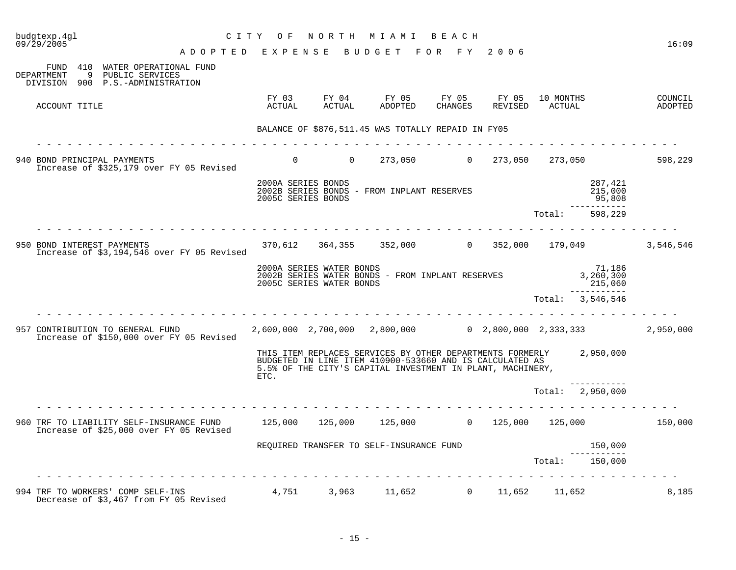| budgtexp.4gl<br>09/29/2005 |                            | C I T Y                                                                                                                                             | O F                                      | NORTH                                                | M I A M I                                                                                                                                                                                     | ведсн            |                  |                     |                                   | 16:09              |
|----------------------------|----------------------------|-----------------------------------------------------------------------------------------------------------------------------------------------------|------------------------------------------|------------------------------------------------------|-----------------------------------------------------------------------------------------------------------------------------------------------------------------------------------------------|------------------|------------------|---------------------|-----------------------------------|--------------------|
|                            |                            | ADOPTED EXPENSE BUDGET FOR FY 2006                                                                                                                  |                                          |                                                      |                                                                                                                                                                                               |                  |                  |                     |                                   |                    |
| DEPARTMENT<br>DIVISION     |                            | FUND 410 WATER OPERATIONAL FUND<br>9 PUBLIC SERVICES<br>900 P.S.-ADMINISTRATION                                                                     |                                          |                                                      |                                                                                                                                                                                               |                  |                  |                     |                                   |                    |
|                            | ACCOUNT TITLE              |                                                                                                                                                     | ACTUAL                                   | FY 03 FY 04<br>ACTUAL                                | FY 05<br>ADOPTED                                                                                                                                                                              | FY 05<br>CHANGES | FY 05<br>REVISED | 10 MONTHS<br>ACTUAL |                                   | COUNCIL<br>ADOPTED |
|                            |                            |                                                                                                                                                     |                                          |                                                      | BALANCE OF \$876,511.45 WAS TOTALLY REPAID IN FY05                                                                                                                                            |                  |                  |                     |                                   |                    |
|                            |                            | .                                                                                                                                                   |                                          |                                                      |                                                                                                                                                                                               |                  |                  |                     |                                   |                    |
|                            |                            | 940 BOND PRINCIPAL PAYMENTS<br>Increase of \$325,179 over FY 05 Revised                                                                             | $0 \qquad \qquad$                        | $\overline{0}$                                       |                                                                                                                                                                                               |                  |                  |                     | 273,050 0 273,050 273,050 598,229 |                    |
|                            |                            |                                                                                                                                                     | 2000A SERIES BONDS<br>2005C SERIES BONDS |                                                      | 2002B SERIES BONDS - FROM INPLANT RESERVES                                                                                                                                                    |                  |                  |                     | 287,421<br>215,000<br>95,808      |                    |
|                            |                            |                                                                                                                                                     |                                          |                                                      |                                                                                                                                                                                               |                  |                  | Total:              | -----------<br>598,229            |                    |
|                            | 950 BOND INTEREST PAYMENTS | Increase of \$3,194,546 over FY 05 Revised                                                                                                          |                                          |                                                      | 370,612 364,355 352,000 0 352,000 179,049                                                                                                                                                     |                  |                  |                     |                                   | 3,546,546          |
|                            |                            |                                                                                                                                                     |                                          | 2000A SERIES WATER BONDS<br>2005C SERIES WATER BONDS | 2002B SERIES WATER BONDS - FROM INPLANT RESERVES                                                                                                                                              |                  |                  |                     | 71,186<br>3,260,300<br>215,060    |                    |
|                            |                            |                                                                                                                                                     |                                          |                                                      |                                                                                                                                                                                               |                  |                  |                     | .<br>Total: 3,546,546             |                    |
|                            |                            | 957 CONTRIBUTION TO GENERAL FUND<br>Increase of \$150,000 over FY 05 Revised                                                                        |                                          |                                                      | $2,600,000$ $2,700,000$ $2,800,000$ $0$ $2,800,000$ $2,333,333$                                                                                                                               |                  |                  |                     |                                   | 2,950,000          |
|                            |                            |                                                                                                                                                     | ETC.                                     |                                                      | THIS ITEM REPLACES SERVICES BY OTHER DEPARTMENTS FORMERLY 2,950,000<br>BUDGETED IN LINE ITEM 410900-533660 AND IS CALCULATED AS<br>5.5% OF THE CITY'S CAPITAL INVESTMENT IN PLANT, MACHINERY, |                  |                  |                     |                                   |                    |
|                            |                            |                                                                                                                                                     |                                          |                                                      |                                                                                                                                                                                               |                  |                  |                     | Total: 2,950,000                  |                    |
|                            |                            | 960 TRF TO LIABILITY SELF-INSURANCE FUND 125,000 125,000 125,000 125,000 125,000 125,000 125,000 150,000<br>Increase of \$25,000 over FY 05 Revised |                                          |                                                      |                                                                                                                                                                                               |                  |                  |                     |                                   |                    |
|                            |                            |                                                                                                                                                     |                                          |                                                      | REQUIRED TRANSFER TO SELF-INSURANCE FUND                                                                                                                                                      |                  |                  |                     | 150,000                           |                    |
|                            |                            |                                                                                                                                                     |                                          |                                                      |                                                                                                                                                                                               |                  |                  | Total:              | 150,000                           |                    |
|                            |                            | 994 TRF TO WORKERS' COMP SELF-INS<br>Decrease of \$3,467 from FY 05 Revised                                                                         |                                          |                                                      | $4,751$ $3,963$ $11,652$ $0$ $11,652$ $11,652$                                                                                                                                                |                  |                  |                     |                                   | 8,185              |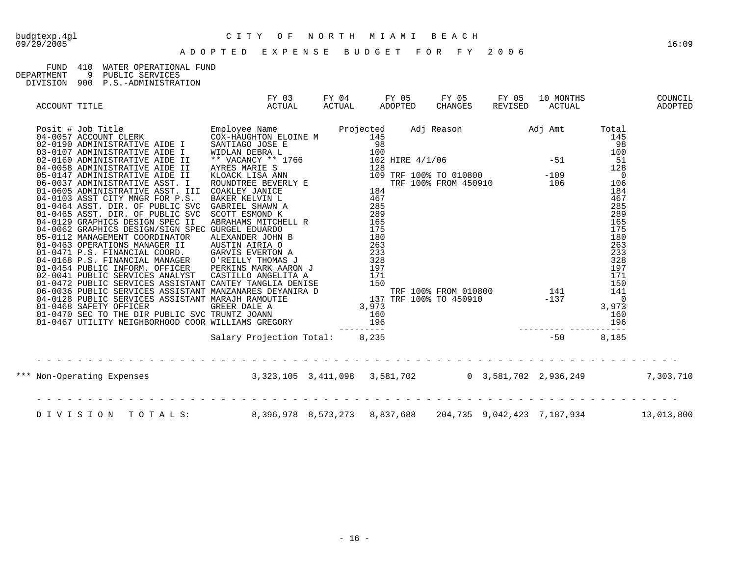## FUND 410 WATER OPERATIONAL FUND<br>DEPARTMENT 9 PUBLIC SERVICES

DEPARTMENT 9 PUBLIC SERVICES

DIVISION 900 P.S.-ADMINISTRATION

| ACCOUNT TITLE | FY 03<br>ACTUAL                                                                          | ACTUAL | FY 04 FY 05 FY 05<br>ADOPTED CHANGES | FY 05 | 10 MONTHS | COUNCIL<br>REVISED ACTUAL ADOPTED |
|---------------|------------------------------------------------------------------------------------------|--------|--------------------------------------|-------|-----------|-----------------------------------|
|               |                                                                                          |        |                                      |       |           |                                   |
|               |                                                                                          |        |                                      |       |           |                                   |
|               |                                                                                          |        |                                      |       |           |                                   |
|               |                                                                                          |        |                                      |       |           |                                   |
|               |                                                                                          |        |                                      |       |           |                                   |
|               | *** Non-Operating Expenses 3,323,105 3,411,098 3,581,702 0 3,581,702 2,936,249 7,303,710 |        |                                      |       |           |                                   |
|               | DIVISION TOTALS: 8,396,978 8,573,273 8,837,688 204,735 9,042,423 7,187,934 13,013,800    |        |                                      |       |           |                                   |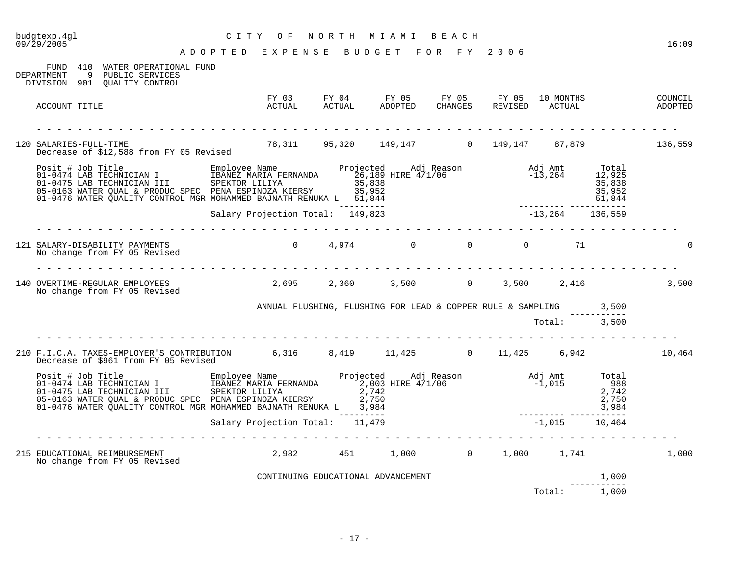| budgtexp.4gl<br>09/29/2005                                                                                                                                                                                                                                                                                 | CITY OF                                                                                                                                                                                                                                        | NORTH | MIAMI BEACH                                                                                           |              |              |                      | 16:09 |
|------------------------------------------------------------------------------------------------------------------------------------------------------------------------------------------------------------------------------------------------------------------------------------------------------------|------------------------------------------------------------------------------------------------------------------------------------------------------------------------------------------------------------------------------------------------|-------|-------------------------------------------------------------------------------------------------------|--------------|--------------|----------------------|-------|
| FUND 410 WATER OPERATIONAL FUND<br>DEPARTMENT<br>9 PUBLIC SERVICES<br>DIVISION 901 QUALITY CONTROL                                                                                                                                                                                                         | ADOPTED EXPENSE BUDGET FOR FY 2006                                                                                                                                                                                                             |       |                                                                                                       |              |              |                      |       |
| ACCOUNT TITLE                                                                                                                                                                                                                                                                                              |                                                                                                                                                                                                                                                |       | FY 03 FY 04 FY 05 FY 05 FY 05 10 MONTHS COUNCIL COUNCIL ACTUAL ADOPTED CHANGES REVISED ACTUAL ADOPTED |              |              |                      |       |
|                                                                                                                                                                                                                                                                                                            |                                                                                                                                                                                                                                                |       |                                                                                                       |              |              |                      |       |
| SALARIES-FULL-TIME<br>Decrease of \$12,588 from FY 05 Revised 78,311 95,320 149,147 0 149,147 87,879 136,559<br>120 SALARIES-FULL-TIME                                                                                                                                                                     |                                                                                                                                                                                                                                                |       |                                                                                                       |              |              |                      |       |
| Posit # Job Title Employee Name Projected Adj Reason adj Amt Total<br>01-0474 LAB TECHNICIAN I IBANEZ MARIA FERNANDA 26,189 HIRE 4/1/06 -13,264 12,925<br>01-0475 LAB TECHNICIAN III SPEKTOR LILIYA 35,838<br>05,838 35,838 35,838 3<br>01-0476 WATER QUALITY CONTROL MGR MOHAMMED BAJNATH RENUKA L 51,844 |                                                                                                                                                                                                                                                |       |                                                                                                       |              |              |                      |       |
|                                                                                                                                                                                                                                                                                                            |                                                                                                                                                                                                                                                |       |                                                                                                       |              |              |                      |       |
| 121 SALARY-DISABILITY PAYMENTS<br>No change from FY 05 Revised                                                                                                                                                                                                                                             |                                                                                                                                                                                                                                                |       | $0 \t 4,974 \t 0 \t 0 \t 0$                                                                           |              | 71           |                      |       |
| 140 OVERTIME-REGULAR EMPLOYEES 2,695 2,360 3,500 0 3,500 2,416<br>No change from FY 05 Revised                                                                                                                                                                                                             |                                                                                                                                                                                                                                                |       |                                                                                                       |              |              |                      | 3,500 |
|                                                                                                                                                                                                                                                                                                            | ANNUAL FLUSHING, FLUSHING FOR LEAD & COPPER RULE & SAMPLING 3,500                                                                                                                                                                              |       |                                                                                                       |              |              |                      |       |
|                                                                                                                                                                                                                                                                                                            |                                                                                                                                                                                                                                                |       |                                                                                                       | Total: 3,500 |              |                      |       |
| 210 F.I.C.A. TAXES-EMPLOYER'S CONTRIBUTION 6,316 8,419 11,425 0 11,425 6,942 10,464<br>Decrease of \$961 from FY 05 Revised                                                                                                                                                                                |                                                                                                                                                                                                                                                |       |                                                                                                       |              |              |                      |       |
| Posit # Job Title Employee Name Projected Adj Reason Adj Amt Total<br>01-0474 LAB TECHNICIAN I I IBANEZ MARIA FERNANDA 2,003 HIRE 4/1/06 -1,015 -1,015 988<br>01-0475 LAB TECHNICIAN III SPEKTOR LILIYA 2,742<br>05-0163 WATER QUAL                                                                        | SPEKTOR LILIYA $2,742$<br>PENA ESPINOZA KIERSY 2,750<br>MOHAMMED BAJNATH RENUKA L 3,984<br>Salary Projection Total: 11,479<br>$3,984$<br>Salary Projection Total: 11,479<br>Calary Contract Cali 2,015<br>Calary Contract Cali 2,015<br>Calary |       |                                                                                                       |              |              |                      |       |
|                                                                                                                                                                                                                                                                                                            |                                                                                                                                                                                                                                                |       |                                                                                                       |              |              |                      |       |
| 215 EDUCATIONAL REIMBURSEMENT<br>No change from FY 05 Revised                                                                                                                                                                                                                                              | 2,982 451 1,000 0 1,000 1,741                                                                                                                                                                                                                  |       |                                                                                                       |              |              |                      | 1,000 |
|                                                                                                                                                                                                                                                                                                            | CONTINUING EDUCATIONAL ADVANCEMENT                                                                                                                                                                                                             |       |                                                                                                       |              |              | 1,000<br>----------- |       |
|                                                                                                                                                                                                                                                                                                            |                                                                                                                                                                                                                                                |       |                                                                                                       |              | Total: 1,000 |                      |       |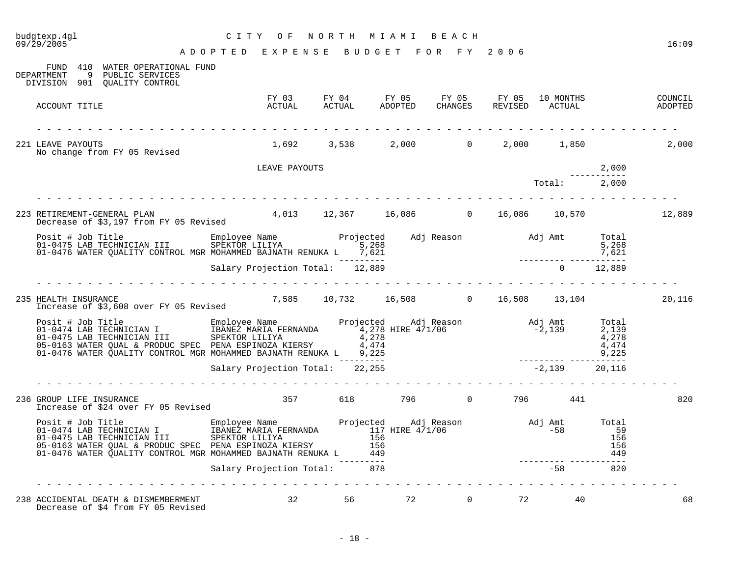| 09/29/2005                                                                                                                                                                                                                              | A D O P T E D E X P E N S E B U D G E T |       |                                         | FOR FY   | 2006 |              |                                                 | 16:09              |
|-----------------------------------------------------------------------------------------------------------------------------------------------------------------------------------------------------------------------------------------|-----------------------------------------|-------|-----------------------------------------|----------|------|--------------|-------------------------------------------------|--------------------|
| FUND 410 WATER OPERATIONAL FUND<br><b>DEPARTMENT</b><br>9 PUBLIC SERVICES<br>DIVISION 901 QUALITY CONTROL                                                                                                                               |                                         |       |                                         |          |      |              |                                                 |                    |
| ACCOUNT TITLE                                                                                                                                                                                                                           |                                         |       |                                         |          |      |              |                                                 | COUNCIL<br>ADOPTED |
| 221 LEAVE PAYOUTS                                                                                                                                                                                                                       |                                         |       | $1,692$ $3,538$ $2,000$ 0 $2,000$ 1,850 |          |      |              |                                                 | 2,000              |
| No change from FY 05 Revised                                                                                                                                                                                                            |                                         |       |                                         |          |      |              |                                                 |                    |
|                                                                                                                                                                                                                                         | LEAVE PAYOUTS                           |       |                                         |          |      | Total: 2,000 | 2,000                                           |                    |
|                                                                                                                                                                                                                                         |                                         |       |                                         |          |      |              |                                                 |                    |
| 223 RETIREMENT-GENERAL PLAN 4,013 12,367 16,086 0 16,086 10,570 17,889 12,889 Decrease of \$3,197 from FY 05 Revised                                                                                                                    |                                         |       |                                         |          |      |              |                                                 |                    |
| Posit # Job Title Employee Name Projected Adj Reason Adj Amt Total<br>11 SPEKTOR LILIYA 5,268 5,268 5,268 5,268<br>11-0476 WATER QUALITY CONTROL MGR MOHAMMED BAJNATH RENUKA L 7,621<br>27,621 -------- Salary Projection Total: 12,889 |                                         |       |                                         |          |      |              |                                                 |                    |
|                                                                                                                                                                                                                                         |                                         |       |                                         |          |      |              |                                                 |                    |
|                                                                                                                                                                                                                                         |                                         |       |                                         |          |      |              |                                                 |                    |
| 235 HEALTH INSURANCE<br>HEALTH INSURANCE<br>Increase of \$3,608 over FY 05 Revised                                                                                                                                                      | 7,585 10,732 16,508 0 16,508 13,104     |       |                                         |          |      |              |                                                 | 20,116             |
| Posit # Job Title Employee Name Projected Adj Reason Adj Amt Total<br>01-0474 LAB TECHNICIAN II SPEKTOR LILIYA 4,278 HIRE 4/1/06 -0475 LAB TECHNICIAN II SPEKTOR LILIYA<br>05-0475 MATER QUALI & PRODUC SPEC PENN ESPINOZA KIERSY       |                                         |       |                                         |          |      |              |                                                 |                    |
|                                                                                                                                                                                                                                         |                                         |       |                                         |          |      |              |                                                 |                    |
| 236 GROUP LIFE INSURANCE<br>Increase of \$24 over FY 05 Revised                                                                                                                                                                         |                                         |       | 357 618 796 0 796 441                   |          |      |              |                                                 | 820                |
| Posit # Job Title and The Employee Name Projected Adj Reason and Jamt<br>01-0474 LAB TECHNICIAN I II SPEKTOR LILIYA 117 HIRE 4/1/06 -58<br>05-0163 WATER QUAL & PRODUC SPEC PENA ESPINOZA KIERSY 156<br>05-0163 WATER QUALITY CONTRO    |                                         |       | $156$<br>$449$<br>$-$ ------<br>878     |          |      |              | Total<br>59<br>156<br>156<br>449<br>$- - - - -$ |                    |
|                                                                                                                                                                                                                                         | Salary Projection Total: 878            |       |                                         |          |      | $-58$        | 820                                             |                    |
| 238 ACCIDENTAL DEATH & DISMEMBERMENT                                                                                                                                                                                                    | 32                                      | 56 10 | 72                                      | $\Omega$ | 72   | 40           |                                                 | 68                 |

Decrease of \$4 from FY 05 Revised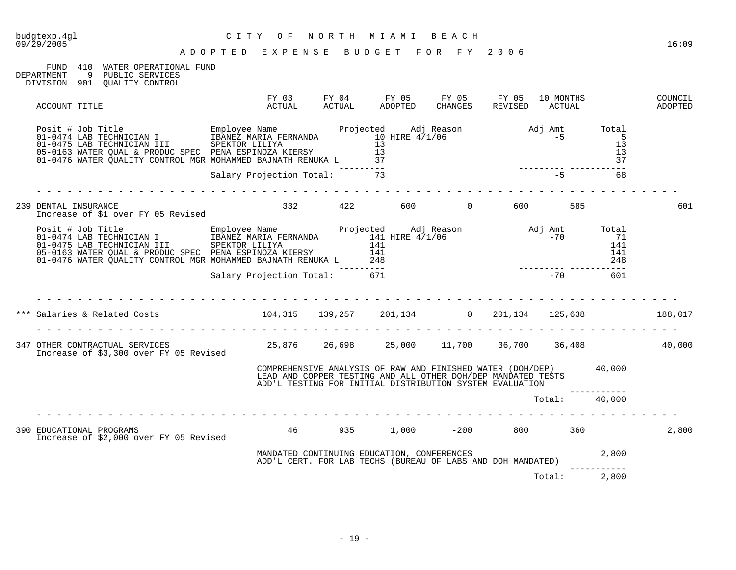| budgtexp.4gl<br>CITY OF NORTH MIAMI BEACH<br>ADOPTED EXPENSE BUDGET FOR FY 2006<br>09/29/2005                                                                                                                                  | CITY OF                   | NORTH MIAMI BEACH                                                                                                                                                                             |  |               | 16:09              |
|--------------------------------------------------------------------------------------------------------------------------------------------------------------------------------------------------------------------------------|---------------------------|-----------------------------------------------------------------------------------------------------------------------------------------------------------------------------------------------|--|---------------|--------------------|
| FUND 410 WATER OPERATIONAL FUND<br>DEPARTMENT<br>9 PUBLIC SERVICES<br>DIVISION 901 OUALITY CONTROL                                                                                                                             |                           |                                                                                                                                                                                               |  |               |                    |
| ACCOUNT TITLE                                                                                                                                                                                                                  |                           | FY 03 FY 04 FY 05 FY 05 FY 05 10 MONTHS<br>ACTUAL ACTUAL ADOPTED CHANGES REVISED ACTUAL                                                                                                       |  | 10 MONTHS     | COUNCIL<br>ADOPTED |
| Posit # Job Title Employee Name Projected Adj Reason Adj Amt Total COMPA LAB TECHNICIAN I IBANEZ MARIA FERNANDA 10 HIRE 4/1/06 -5 5 5 5 5 5 5 5 5 5 5 5 5 5 5 5 6 10 -0476 WATER QUALITY CONTROL MGR MOHAMMED BAJNATH RENUKA L |                           |                                                                                                                                                                                               |  |               |                    |
|                                                                                                                                                                                                                                |                           |                                                                                                                                                                                               |  |               |                    |
| 239 DENTAL INSURANCE<br>Increase of \$1 over FY 05 Revised                                                                                                                                                                     |                           | 332 422 600 0 600 585                                                                                                                                                                         |  |               | 601                |
|                                                                                                                                                                                                                                |                           |                                                                                                                                                                                               |  |               |                    |
|                                                                                                                                                                                                                                |                           |                                                                                                                                                                                               |  |               |                    |
| Salaries & Related Costs 104,315 139,257 201,134 0 201,134 125,638 188,017                                                                                                                                                     |                           |                                                                                                                                                                                               |  |               |                    |
| 347 OTHER CONTRACTUAL SERVICES [140], 000 25,876 26,698 25,000 25,000 25,700 36,700 36,408<br>Increase of \$3,300 over FY 05 Revised                                                                                           |                           |                                                                                                                                                                                               |  |               |                    |
|                                                                                                                                                                                                                                |                           | COMPREHENSIVE ANALYSIS OF RAW AND FINISHED WATER (DOH/DEP) 40,000<br>LEAD AND COPPER TESTING AND ALL OTHER DOH/DEP MANDATED TESTS<br>ADD'L TESTING FOR INITIAL DISTRIBUTION SYSTEM EVALUATION |  |               |                    |
|                                                                                                                                                                                                                                |                           |                                                                                                                                                                                               |  | Total: 40,000 |                    |
| 390 EDUCATIONAL PROGRAMS<br>Increase of \$2,000 over FY 05 Revised                                                                                                                                                             | 46 935 1,000 -200 800 360 |                                                                                                                                                                                               |  |               | 2,800              |
|                                                                                                                                                                                                                                |                           | MANDATED CONTINUING EDUCATION, CONFERENCES<br>ADD'L CERT. FOR LAB TECHS (BUREAU OF LABS AND DOH MANDATED) 2,800                                                                               |  |               |                    |
|                                                                                                                                                                                                                                |                           |                                                                                                                                                                                               |  | Total: 2,800  |                    |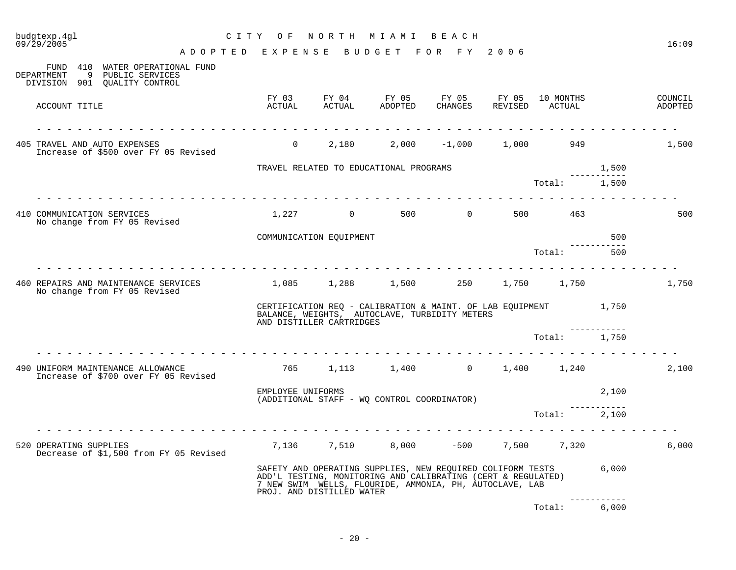| budgtexp.4gl<br>09/29/2005                                                                      | CITY OF NORTH MIAMI BEACH                     |                           |                                                                                                                                                                                             |  |              |            | 16:09              |
|-------------------------------------------------------------------------------------------------|-----------------------------------------------|---------------------------|---------------------------------------------------------------------------------------------------------------------------------------------------------------------------------------------|--|--------------|------------|--------------------|
| ADOPTED EXPENSE BUDGET FOR FY 2006                                                              |                                               |                           |                                                                                                                                                                                             |  |              |            |                    |
| FUND 410 WATER OPERATIONAL FUND<br>DEPARTMENT 9 PUBLIC SERVICES<br>DIVISION 901 OUALITY CONTROL |                                               |                           |                                                                                                                                                                                             |  |              |            |                    |
| ACCOUNT TITLE                                                                                   |                                               |                           | FY 03 FY 04 FY 05 FY 05 FY 05 10 MONTHS<br>ACTUAL ACTUAL ADOPTED CHANGES REVISED ACTUAL                                                                                                     |  |              |            | COUNCIL<br>ADOPTED |
| 405 TRAVEL AND AUTO EXPENSES<br>Increase of \$500 over FY 05 Revised                            |                                               |                           | $0$ 2,180 2,000 -1,000 1,000 949                                                                                                                                                            |  |              |            | 1,500              |
|                                                                                                 |                                               |                           | TRAVEL RELATED TO EDUCATIONAL PROGRAMS                                                                                                                                                      |  |              | 1,500      |                    |
|                                                                                                 |                                               |                           |                                                                                                                                                                                             |  | Total: 1,500 | ---------- |                    |
| 410 COMMUNICATION SERVICES<br>No change from FY 05 Revised                                      |                                               |                           | $1,227$ 0 500 0 500 463                                                                                                                                                                     |  |              |            | 500                |
|                                                                                                 |                                               | COMMUNICATION EQUIPMENT   |                                                                                                                                                                                             |  |              | 500        |                    |
|                                                                                                 |                                               |                           |                                                                                                                                                                                             |  | Total:       | 500        |                    |
| 460 REPAIRS AND MAINTENANCE SERVICES<br>No change from FY 05 Revised                            | $1,085$ $1,288$ $1,500$ $250$ $1,750$ $1,750$ |                           |                                                                                                                                                                                             |  |              |            | 1,750              |
|                                                                                                 |                                               | AND DISTILLER CARTRIDGES  | CERTIFICATION REQ - CALIBRATION & MAINT. OF LAB EQUIPMENT 1,750<br>BALANCE, WEIGHTS, AUTOCLAVE, TURBIDITY METERS                                                                            |  |              |            |                    |
|                                                                                                 |                                               |                           |                                                                                                                                                                                             |  | Total: 1,750 |            |                    |
| .<br>490 UNIFORM MAINTENANCE ALLOWANCE<br>Increase of \$700 over FY 05 Revised                  |                                               |                           | 765 1,113 1,400 0 1,400 1,240                                                                                                                                                               |  |              |            | 2,100              |
|                                                                                                 | EMPLOYEE UNIFORMS                             |                           | (ADDITIONAL STAFF - WQ CONTROL COORDINATOR)                                                                                                                                                 |  |              | 2,100      |                    |
|                                                                                                 |                                               |                           |                                                                                                                                                                                             |  | Total: 2,100 |            |                    |
| .<br>520 OPERATING SUPPLIES<br>Decrease of \$1,500 from FY 05 Revised                           |                                               |                           | $7,136$ $7,510$ $8,000$ $-500$ $7,500$ $7,320$                                                                                                                                              |  |              |            | 6,000              |
|                                                                                                 |                                               | PROJ. AND DISTILLED WATER | SAFETY AND OPERATING SUPPLIES, NEW REQUIRED COLIFORM TESTS 6,000<br>ADD'L TESTING, MONITORING AND CALIBRATING (CERT & REGULATED)<br>7 NEW SWIM WELLS, FLOURIDE, AMMONIA, PH, AUTOCLAVE, LAB |  |              |            |                    |
|                                                                                                 |                                               |                           |                                                                                                                                                                                             |  | Total:       | 6,000      |                    |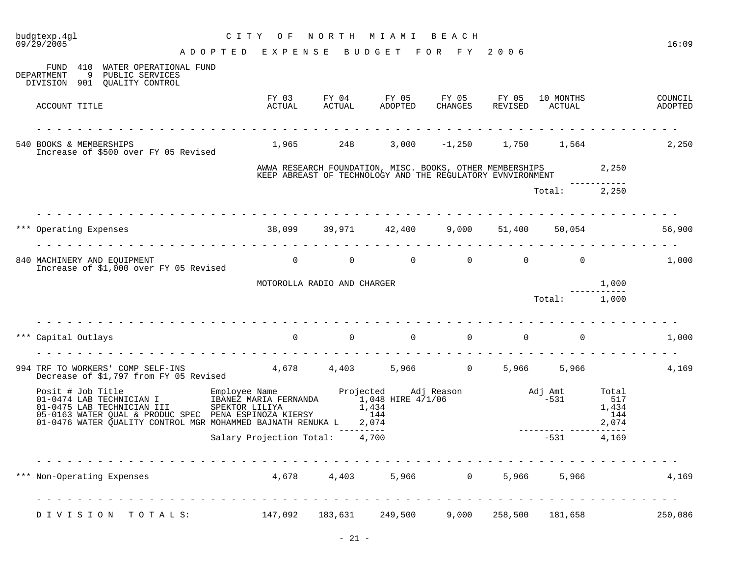| budgtexp.4gl<br>09/29/2005                                                                                                                                                                                                                                                                         | C I T Y<br>O F                     |                             | NORTH MIAMI BEACH                                                                                                            |                |                  |                                  |                                       | 16:09              |
|----------------------------------------------------------------------------------------------------------------------------------------------------------------------------------------------------------------------------------------------------------------------------------------------------|------------------------------------|-----------------------------|------------------------------------------------------------------------------------------------------------------------------|----------------|------------------|----------------------------------|---------------------------------------|--------------------|
|                                                                                                                                                                                                                                                                                                    | ADOPTED EXPENSE BUDGET FOR FY 2006 |                             |                                                                                                                              |                |                  |                                  |                                       |                    |
| FUND 410<br>WATER OPERATIONAL FUND<br>9 PUBLIC SERVICES<br>DEPARTMENT<br>DIVISION 901 QUALITY CONTROL                                                                                                                                                                                              |                                    |                             |                                                                                                                              |                |                  |                                  |                                       |                    |
| ACCOUNT TITLE                                                                                                                                                                                                                                                                                      |                                    |                             | FY 03 FY 04 FY 05 FY 05 FY 05<br>ACTUAL ACTUAL ADOPTED CHANGES REVISED                                                       | <b>CHANGES</b> |                  | 10 MONTHS<br>REVISED ACTUAL      |                                       | COUNCIL<br>ADOPTED |
| 540 BOOKS & MEMBERSHIPS<br>Increase of \$500 over FY 05 Revised                                                                                                                                                                                                                                    | 1,965 248                          |                             |                                                                                                                              |                |                  | $3,000$ $-1,250$ $1,750$ $1,564$ |                                       | 2,250              |
|                                                                                                                                                                                                                                                                                                    |                                    |                             | AWWA RESEARCH FOUNDATION, MISC. BOOKS, OTHER MEMBERSHIPS 2,250<br>KEEP ABREAST OF TECHNOLOGY AND THE REGULATORY EVNVIRONMENT |                |                  |                                  |                                       |                    |
|                                                                                                                                                                                                                                                                                                    |                                    |                             |                                                                                                                              |                |                  |                                  |                                       |                    |
|                                                                                                                                                                                                                                                                                                    |                                    |                             |                                                                                                                              |                |                  | Total: 2,250                     |                                       |                    |
| *** Operating Expenses                                                                                                                                                                                                                                                                             |                                    |                             | 38,099 39,971 42,400                                                                                                         |                | $9,000$ $51,400$ | 50,054                           |                                       | 56,900             |
| <u> 1964 - 1964 - 1965 - 1966 - 1966 - 19</u>                                                                                                                                                                                                                                                      |                                    |                             |                                                                                                                              |                |                  |                                  |                                       |                    |
| 840 MACHINERY AND EQUIPMENT<br>Increase of \$1,000 over FY 05 Revised                                                                                                                                                                                                                              |                                    | $\overline{0}$              | $\begin{array}{ccccccccccccccccccccc} 0 & & & 0 & & & 0 & & & 0 & & & 0 \end{array}$                                         |                |                  |                                  |                                       | 1,000              |
|                                                                                                                                                                                                                                                                                                    |                                    | MOTOROLLA RADIO AND CHARGER |                                                                                                                              |                |                  |                                  | 1,000                                 |                    |
|                                                                                                                                                                                                                                                                                                    |                                    |                             |                                                                                                                              |                |                  | Total:                           | 1,000                                 |                    |
|                                                                                                                                                                                                                                                                                                    |                                    |                             |                                                                                                                              |                |                  |                                  |                                       |                    |
| *** Capital Outlays                                                                                                                                                                                                                                                                                |                                    |                             |                                                                                                                              |                |                  | $\Omega$                         |                                       | 1,000              |
|                                                                                                                                                                                                                                                                                                    |                                    |                             |                                                                                                                              |                |                  |                                  |                                       |                    |
| 994 TRF TO WORKERS' COMP SELF-INS 4,678 4,403 5,966 0<br>Decrease of \$1,797 from FY 05 Revised                                                                                                                                                                                                    |                                    |                             |                                                                                                                              |                |                  | 5,966 5,966                      |                                       | 4,169              |
| Posit # Job Title Employee Name Projected Adj Reason Adj Amt (1-0474 LAB TECHNICIAN I IBANEZ MARIA FERNANDA 1,048 HIRE 4/1/06 -531<br>01-0475 LAB TECHNICIAN III SPEKTOR LILIYA 1,434 -531<br>05-0163 WATER QUAL & PRODUC SPEC PENA<br>01-0476 WATER QUALITY CONTROL MGR MOHAMMED BAJNATH RENUKA L |                                    |                             | 2,074                                                                                                                        |                |                  |                                  | Total<br>517<br>1,434<br>144<br>2,074 |                    |
|                                                                                                                                                                                                                                                                                                    | Salary Projection Total: 4,700     |                             | --------                                                                                                                     |                |                  | $-531$                           | ------<br>4,169                       |                    |
| *** Non-Operating Expenses                                                                                                                                                                                                                                                                         |                                    | 4,678 4,403                 | 5,966                                                                                                                        | 0              | 5,966            | 5,966                            |                                       | 4,169              |
| DIVISION TOTALS:                                                                                                                                                                                                                                                                                   | 147,092                            | 183,631                     | 249,500                                                                                                                      | 9,000          | 258,500          | 181,658                          |                                       | 250,086            |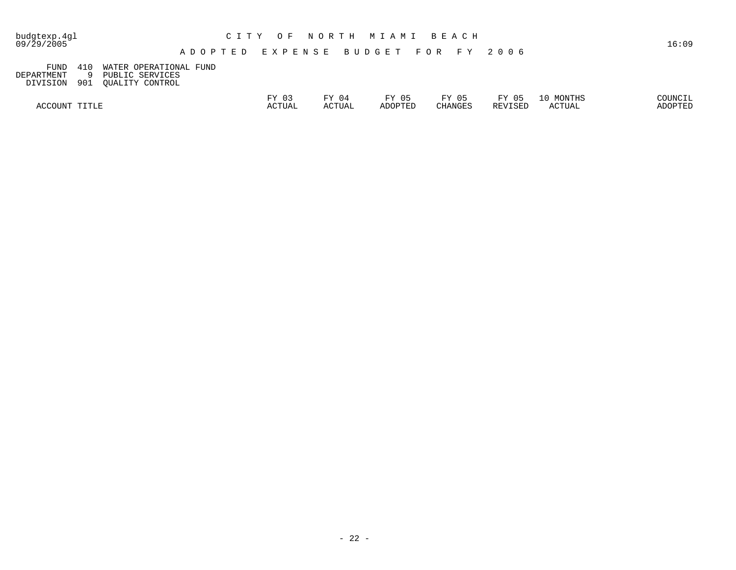| budgtexp.4gl<br>09/29/2005 |                                              |                                                              | C I T Y                                                       | O F             |                 | NORTH MIAMI BEACH |                         |                  |                     | 16:09              |
|----------------------------|----------------------------------------------|--------------------------------------------------------------|---------------------------------------------------------------|-----------------|-----------------|-------------------|-------------------------|------------------|---------------------|--------------------|
|                            |                                              |                                                              | A D O P T E D    E X P E N S E    B U D G E T    F O R    F Y |                 |                 |                   |                         | 2006             |                     |                    |
|                            | 410<br>FUND<br>DEPARTMENT<br>901<br>DIVISION | WATER OPERATIONAL FUND<br>PUBLIC SERVICES<br>OUALITY CONTROL |                                                               |                 |                 |                   |                         |                  |                     |                    |
|                            | ACCOUNT TITLE                                |                                                              |                                                               | FY 03<br>ACTUAL | FY 04<br>ACTUAL | FY 05<br>ADOPTED  | FY 05<br><b>CHANGES</b> | FY 05<br>REVISED | 10 MONTHS<br>ACTUAL | COUNCIL<br>ADOPTED |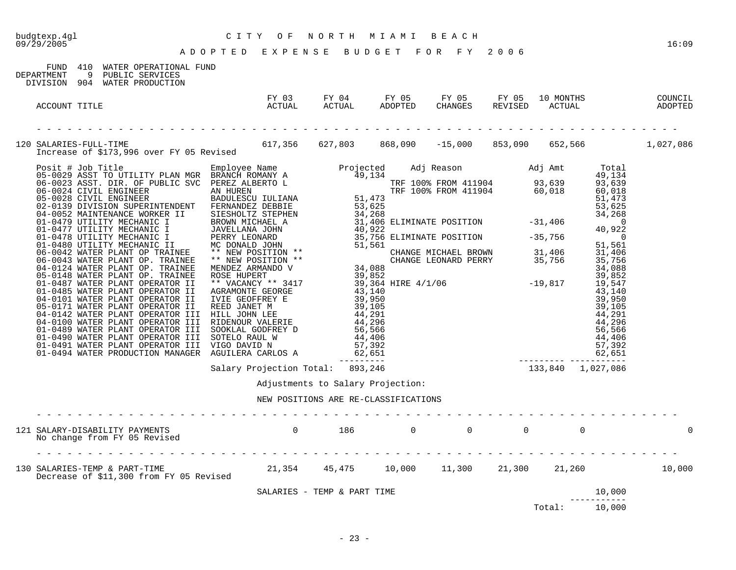09/29/2005 16:09

# budgtexp.4gl C I T Y O F N O R T H M I A M I B E A C H

A D O P T E D E X P E N S E B U D G E T F O R F Y 2 0 0 6

| 410<br>FUND<br>WATER OPERATIONAL FUND<br>DEPARTMENT<br>9<br>PUBLIC SERVICES                                                  |                                                                           |                                  |                                  |                       |   |
|------------------------------------------------------------------------------------------------------------------------------|---------------------------------------------------------------------------|----------------------------------|----------------------------------|-----------------------|---|
| DIVISION 904 WATER PRODUCTION<br>ACCOUNT TITLE                                                                               |                                                                           |                                  |                                  |                       |   |
| 120 SALARIES-FULL-TIME 617,356 627,803 868,090 -15,000 853,090 652,566 1,027,086<br>Increase of \$173,996 over FY 05 Revised |                                                                           |                                  |                                  |                       |   |
|                                                                                                                              |                                                                           |                                  |                                  |                       |   |
|                                                                                                                              |                                                                           |                                  |                                  |                       |   |
|                                                                                                                              | Adjustments to Salary Projection:<br>NEW POSITIONS ARE RE-CLASSIFICATIONS |                                  |                                  |                       |   |
| 121 SALARY-DISABILITY PAYMENTS 0 186<br>No change from FY 05 Revised                                                         |                                                                           | $\overline{0}$<br>$\overline{0}$ | $\overline{0}$<br>$\overline{0}$ |                       | 0 |
| 130 SALARIES-TEMP & PART-TIME 21,354 45,475 10,000 11,300 21,300 21,260 10,000 11,300 10,000                                 |                                                                           |                                  |                                  |                       |   |
|                                                                                                                              | SALARIES - TEMP & PART TIME                                               |                                  |                                  | 10,000                |   |
|                                                                                                                              |                                                                           |                                  | Total:                           | -----------<br>10,000 |   |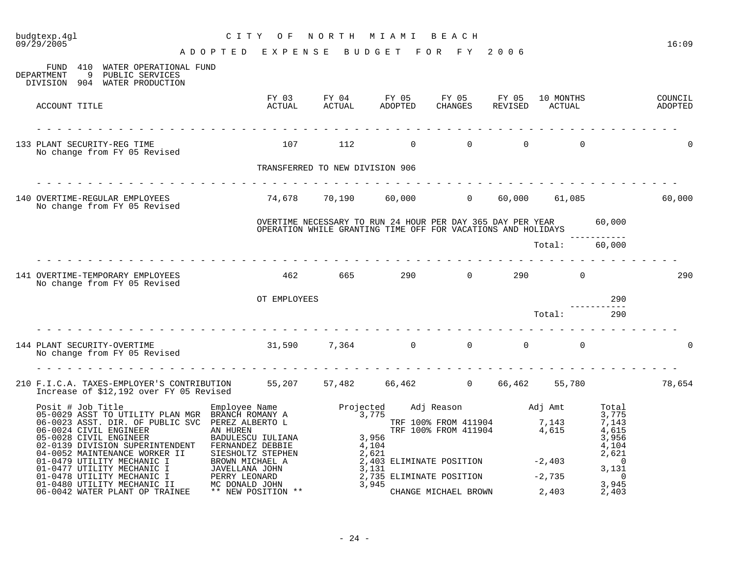| budgtexp.4gl<br>09/29/2005                                                                                                        | C I T Y<br>O F                                 |                                 | NORTH MIAMI BEACH |                                                                                                                                   |                                     |     | 16:09  |
|-----------------------------------------------------------------------------------------------------------------------------------|------------------------------------------------|---------------------------------|-------------------|-----------------------------------------------------------------------------------------------------------------------------------|-------------------------------------|-----|--------|
|                                                                                                                                   | ADOPTED EXPENSE BUDGET FOR FY 2006             |                                 |                   |                                                                                                                                   |                                     |     |        |
| FUND 410 WATER OPERATIONAL FUND<br>DEPARTMENT<br>9 PUBLIC SERVICES<br>DIVISION 904 WATER PRODUCTION                               |                                                |                                 |                   |                                                                                                                                   |                                     |     |        |
| ACCOUNT TITLE                                                                                                                     | FY 03<br>ACTUAL                                |                                 |                   |                                                                                                                                   |                                     |     |        |
| 133 PLANT SECURITY-REG TIME<br>No change from FY 05 Revised                                                                       | 107                                            | 112                             | $\overline{0}$    |                                                                                                                                   | $\begin{matrix}0&0&0\end{matrix}$ 0 |     |        |
|                                                                                                                                   |                                                | TRANSFERRED TO NEW DIVISION 906 |                   |                                                                                                                                   |                                     |     |        |
| 140 OVERTIME-REGULAR EMPLOYEES<br>No change from FY 05 Revised                                                                    | $74,678$ $70,190$ $60,000$ 0 $60,000$ $61,085$ |                                 |                   |                                                                                                                                   |                                     |     | 60,000 |
|                                                                                                                                   |                                                |                                 |                   | OVERTIME NECESSARY TO RUN 24 HOUR PER DAY 365 DAY PER YEAR 60,000<br>OPERATION WHILE GRANTING TIME OFF FOR VACATIONS AND HOLIDAYS |                                     |     |        |
|                                                                                                                                   |                                                |                                 |                   |                                                                                                                                   | Total: 60,000                       |     |        |
| 141 OVERTIME-TEMPORARY EMPLOYEES<br>No change from FY 05 Revised                                                                  |                                                |                                 |                   | 462 665 290 0 290 0                                                                                                               |                                     |     | 290    |
|                                                                                                                                   | OT EMPLOYEES                                   |                                 |                   |                                                                                                                                   |                                     | 290 |        |
|                                                                                                                                   |                                                |                                 |                   |                                                                                                                                   | Total:                              | 290 |        |
| 144 PLANT SECURITY-OVERTIME<br>No change from FY 05 Revised                                                                       | $31,590$ $7,364$ 0 0 0 0                       |                                 |                   |                                                                                                                                   |                                     |     |        |
|                                                                                                                                   |                                                |                                 |                   |                                                                                                                                   |                                     |     |        |
| 210 F.I.C.A. TAXES-EMPLOYER'S CONTRIBUTION 55,207 57,482 66,462 0 66,462 55,780 78,654<br>Increase of \$12,192 over FY 05 Revised |                                                |                                 |                   |                                                                                                                                   |                                     |     |        |
|                                                                                                                                   |                                                |                                 |                   |                                                                                                                                   |                                     |     |        |
|                                                                                                                                   |                                                |                                 |                   |                                                                                                                                   |                                     |     |        |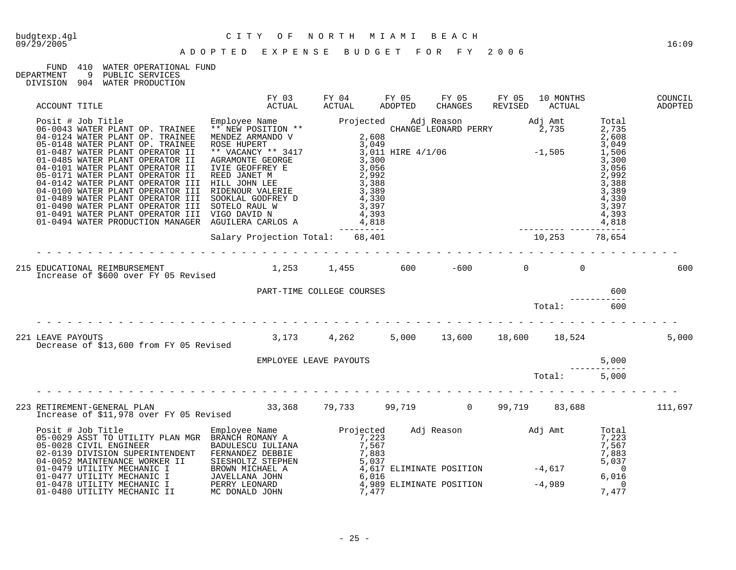#### FUND 410 WATER OPERATIONAL FUND<br>DEPARTMENT 9 PUBLIC SERVICES DEPARTMENT 9 PUBLIC SERVICES

| ACCOUNT TITLE                                                                                                                                                                                                                                                                                                                                                                                     | FY 03<br><sup>n</sup> otiial                       | FY 04<br>ACTUAL        | FY 05<br>ADOPTED | FY 05<br><b>CHANGES</b>                                         | FY 05<br>REVISED | 10 MONTHS<br>ACTUAL |       | COUNCIL<br>ADOPTED |
|---------------------------------------------------------------------------------------------------------------------------------------------------------------------------------------------------------------------------------------------------------------------------------------------------------------------------------------------------------------------------------------------------|----------------------------------------------------|------------------------|------------------|-----------------------------------------------------------------|------------------|---------------------|-------|--------------------|
| $\begin{tabular}{l c c c c} \multicolumn{1}{c}{\textbf{A: 0.047} & \multicolumn{1}{c}{\textbf{A: 0.05} & \multicolumn{1}{c}{\textbf{A: 0.06} & \multicolumn{1}{c}{\textbf{A: 0.07} & \multicolumn{1}{c}{\textbf{A: 0.07} & \multicolumn{1}{c}{\textbf{A: 0.08} & \multicolumn{1}{c}{\textbf{A: 0.08} & \multicolumn{1}{c}{\textbf{A: 0.08} & \multicolumn{1}{c}{\textbf{A: 0.08} & \multicolumn{$ |                                                    |                        |                  |                                                                 |                  |                     |       |                    |
|                                                                                                                                                                                                                                                                                                                                                                                                   |                                                    |                        |                  |                                                                 |                  |                     |       |                    |
| 215 EDUCATIONAL REIMBURSEMENT<br>Increase of \$600 over FY 05 Revised                                                                                                                                                                                                                                                                                                                             | $1,253$ $1,455$ 600 $-600$ 0                       |                        |                  |                                                                 |                  | $\overline{0}$      |       | 600                |
|                                                                                                                                                                                                                                                                                                                                                                                                   | PART-TIME COLLEGE COURSES                          |                        |                  | $\begin{minipage}{.4\linewidth} \textbf{Total:} \end{minipage}$ |                  |                     | 600   |                    |
|                                                                                                                                                                                                                                                                                                                                                                                                   |                                                    |                        |                  |                                                                 |                  |                     | 600   |                    |
| 221 LEAVE PAYOUTS<br>Decrease of \$13,600 from FY 05 Revised                                                                                                                                                                                                                                                                                                                                      | $3,173$ $4,262$ $5,000$ $13,600$ $18,600$ $18,524$ |                        |                  |                                                                 |                  |                     |       | 5,000              |
|                                                                                                                                                                                                                                                                                                                                                                                                   |                                                    | EMPLOYEE LEAVE PAYOUTS |                  |                                                                 |                  |                     | 5,000 |                    |
|                                                                                                                                                                                                                                                                                                                                                                                                   |                                                    |                        |                  |                                                                 |                  | Total: 5,000        |       |                    |
|                                                                                                                                                                                                                                                                                                                                                                                                   |                                                    |                        |                  |                                                                 |                  |                     |       |                    |
| 9<br>Posit # Job Title Total Employee Name Projected Adj Reason Adj Amt Total 25-0029 ASST TO UTILITY PLAN MGR BRANCH ROMANY A<br>05-0029 ASST TO UTILITY PLAN MGR BRANCH ROMANY A<br>02-0139 DIVISION SUPERINTENDENT FERNAND                                                                                                                                                                     |                                                    |                        |                  |                                                                 |                  |                     |       |                    |
|                                                                                                                                                                                                                                                                                                                                                                                                   |                                                    |                        |                  |                                                                 |                  |                     |       |                    |
|                                                                                                                                                                                                                                                                                                                                                                                                   |                                                    |                        |                  |                                                                 |                  |                     |       |                    |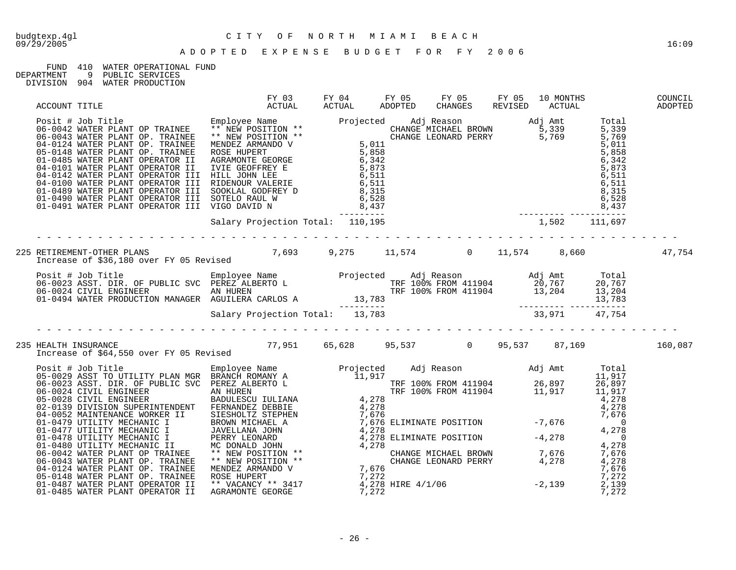## FUND 410 WATER OPERATIONAL FUND<br>DEPARTMENT 9 PUBLIC SERVICES

9 PUBLIC SERVICES

| ACCOUNT TITLE |                                                                                                                                                                                                                                                                                                                                                                                                                   |  |  |  |  |
|---------------|-------------------------------------------------------------------------------------------------------------------------------------------------------------------------------------------------------------------------------------------------------------------------------------------------------------------------------------------------------------------------------------------------------------------|--|--|--|--|
|               | $\begin{tabular}{@{}c@{}}\nAC-00161 & $1116\\ \n06-0042 & WATER DLMNT OD TRANIRE & *NEN POSTITION & *\\ \n06-0042 & WATER DLMNT OD. TRANREE & *NEN POSTITION & *\\ \n06-0124 & WATER DLMNT OD. TRANREE & *NEN POSTITION & *\\ \n06-0124 & WATER DLMNT OD. TRANRE & *NEN POSTITION & *\\ \n07-0448 & WATER PLMNT OD. TRANRE & *NEN POSTEND & *\\ \n08-0144 & WATER PLMNT OD. TRANRE & ROSER HIDEREND & *\\ \n09-0$ |  |  |  |  |
|               |                                                                                                                                                                                                                                                                                                                                                                                                                   |  |  |  |  |
|               |                                                                                                                                                                                                                                                                                                                                                                                                                   |  |  |  |  |
|               | Posit # Job Title Employee Name Projected Adj Reason Adj Amt Total<br>06-0023 ASST. DIR. OF PUBLIC SVC PEREZ ALBERTO L<br>06-0024 CIVIL ENGINEER AN HUREN TRF 100% FROM 411904 20,767 20,767<br>01-0494 WATER PRODUCTION MANAGER AGU                                                                                                                                                                              |  |  |  |  |
|               |                                                                                                                                                                                                                                                                                                                                                                                                                   |  |  |  |  |
|               | 235 HEALTH INSURANCE<br>160,087 169,087 160,087 160,087 160,087 160,087 160,087 1 160,087 1 1 160,087<br>Increase of \$64,550 over FY 05 Revised                                                                                                                                                                                                                                                                  |  |  |  |  |
|               |                                                                                                                                                                                                                                                                                                                                                                                                                   |  |  |  |  |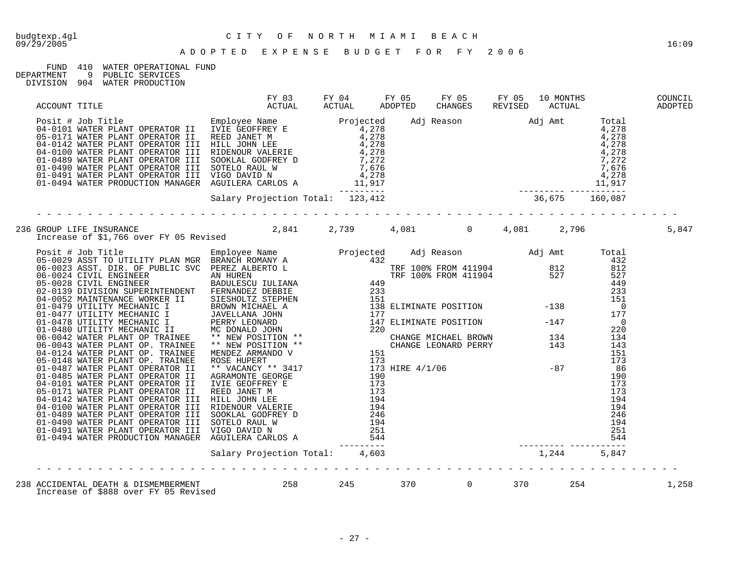#### FUND 410 WATER OPERATIONAL FUND<br>DEPARTMENT 9 PUBLIC SERVICES 9 PUBLIC SERVICES

| ACCOUNT TITLE                                                                                                                                                                                                                                                                                                                                                                                                                                                          | FY 03 FY 04 FY 05 FY 05 FY 05 10 MONTHS COUNCIL<br>ACTUAL ACTUAL ADOPTED CHANGES REVISED ACTUAL ADOPTED |  |  |  |       |
|------------------------------------------------------------------------------------------------------------------------------------------------------------------------------------------------------------------------------------------------------------------------------------------------------------------------------------------------------------------------------------------------------------------------------------------------------------------------|---------------------------------------------------------------------------------------------------------|--|--|--|-------|
|                                                                                                                                                                                                                                                                                                                                                                                                                                                                        |                                                                                                         |  |  |  |       |
|                                                                                                                                                                                                                                                                                                                                                                                                                                                                        |                                                                                                         |  |  |  |       |
| 236 GROUP LIFE INSURANCE 2,841 2,739 4,081 0 4,081 2,796<br>Increase of \$1,766 over FY 05 Revised 2,841 2,739 4,081                                                                                                                                                                                                                                                                                                                                                   |                                                                                                         |  |  |  | 5,847 |
| $\begin{tabular}{ c c c c c c c c c c c c c c} \hline &R\cos\alpha\sin\beta\sin\beta\cos\gamma &R\sin\beta\sin\gamma &R\sin\beta\sin\gamma &R\sin\beta\sin\gamma &R\sin\beta\sin\gamma &R\sin\beta\sin\gamma &R\sin\beta\sin\gamma &R\sin\beta\sin\gamma &R\sin\beta\sin\gamma &R\sin\beta\sin\gamma &R\sin\beta\sin\gamma &R\sin\beta\sin\gamma &R\sin\beta\sin\gamma &R\sin\beta\sin\gamma &R\sin\beta\sin\gamma &R\sin\beta\sin\gamma &R\sin\beta\sin\gamma &R\sin$ |                                                                                                         |  |  |  |       |
|                                                                                                                                                                                                                                                                                                                                                                                                                                                                        |                                                                                                         |  |  |  |       |
|                                                                                                                                                                                                                                                                                                                                                                                                                                                                        |                                                                                                         |  |  |  | 1,258 |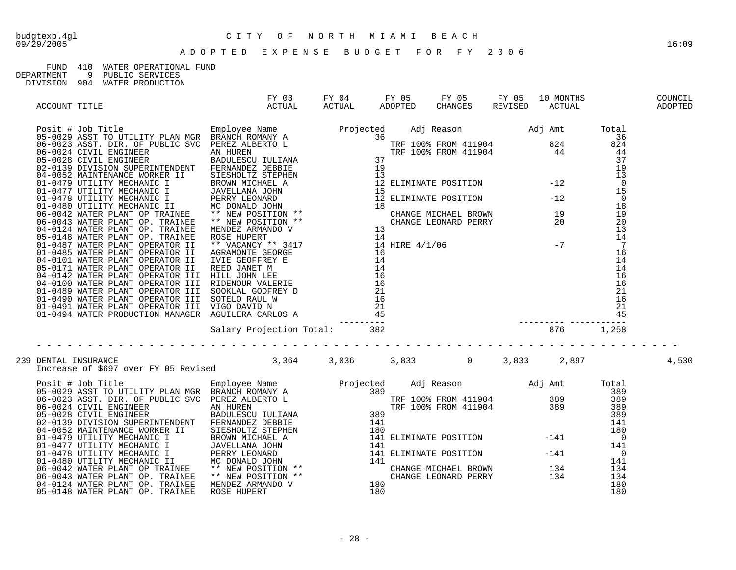### FUND 410 WATER OPERATIONAL FUND

| DEPARTMENT |  | PUBLIC SERVICES |  |
|------------|--|-----------------|--|
|            |  |                 |  |

| ACCOUNT TITLE        |                                                                                          | FY 03 FY 04 FY 05 FY 05 FY 05 10 MONTHS COUNCIL<br>ACTUAL ACTUAL ADOPTED CHANGES REVISED ACTUAL ADOPTED |  |  |  |       |
|----------------------|------------------------------------------------------------------------------------------|---------------------------------------------------------------------------------------------------------|--|--|--|-------|
|                      |                                                                                          |                                                                                                         |  |  |  |       |
|                      |                                                                                          |                                                                                                         |  |  |  |       |
|                      |                                                                                          |                                                                                                         |  |  |  |       |
| 239 DENTAL INSURANCE | DENTAL INSURANCE<br>Increase of \$697 over FY 05 Revised 3,364 3,036 3,833 0 3,833 2,897 |                                                                                                         |  |  |  | 4,530 |
|                      |                                                                                          |                                                                                                         |  |  |  |       |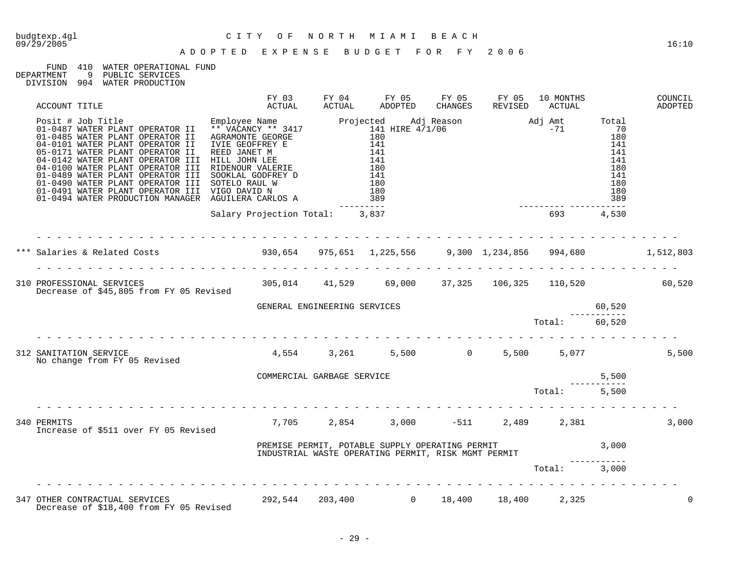09/29/2005 16:10

## FUND 410 WATER OPERATIONAL FUND<br>DEPARTMENT 9 PUBLIC SERVICES

DEPARTMENT 9 PUBLIC SERVICES

| DIVISION 904 |  | WATER PRODUCTION |
|--------------|--|------------------|
|              |  |                  |

|                                                                                                           | FY 03                           | FY 04                        | FY 05                                                                                                  | FY 05 | FY 05 | 10 MONTHS            |        | COUNCIL<br>ADOPTED |
|-----------------------------------------------------------------------------------------------------------|---------------------------------|------------------------------|--------------------------------------------------------------------------------------------------------|-------|-------|----------------------|--------|--------------------|
|                                                                                                           |                                 |                              |                                                                                                        |       |       |                      |        |                    |
|                                                                                                           | Salary Projection Total: 3,837  |                              |                                                                                                        |       |       | ------ ------<br>693 | 4,530  |                    |
| *** Salaries & Related Costs (1,512,803) 930,654 975,651 1,225,556 9,300 1,234,856 994,680 1,512,803      |                                 |                              |                                                                                                        |       |       |                      |        |                    |
|                                                                                                           |                                 |                              |                                                                                                        |       |       |                      |        |                    |
|                                                                                                           |                                 | GENERAL ENGINEERING SERVICES |                                                                                                        |       |       |                      | 60,520 |                    |
|                                                                                                           |                                 |                              |                                                                                                        |       |       | Total: 60,520        |        |                    |
| 312 SANITATION SERVICE<br>No change from FY 05 Revised                                                    | 4,554 3,261 5,500 0 5,500 5,077 |                              |                                                                                                        |       |       |                      |        | 5,500              |
|                                                                                                           | COMMERCIAL GARBAGE SERVICE      |                              |                                                                                                        |       |       |                      | 5,500  |                    |
| .                                                                                                         |                                 |                              |                                                                                                        |       |       | Total: 5,500         |        |                    |
| 340 PERMITS<br>Increase of \$511 over FY 05 Revised                                                       |                                 |                              | $7,705$ $2,854$ $3,000$ $-511$ $2,489$ $2,381$                                                         |       |       |                      |        | 3,000              |
|                                                                                                           |                                 |                              | PREMISE PERMIT, POTABLE SUPPLY OPERATING PERMIT<br>INDUSTRIAL WASTE OPERATING PERMIT, RISK MGMT PERMIT |       |       |                      |        |                    |
|                                                                                                           |                                 |                              |                                                                                                        |       |       | Total: 3,000         |        |                    |
| 347 OTHER CONTRACTUAL SERVICES 202,544 203,400 0 18,400 18,400<br>Decrease of \$18,400 from FY 05 Revised |                                 |                              |                                                                                                        |       |       | 2,325                |        | $\Omega$           |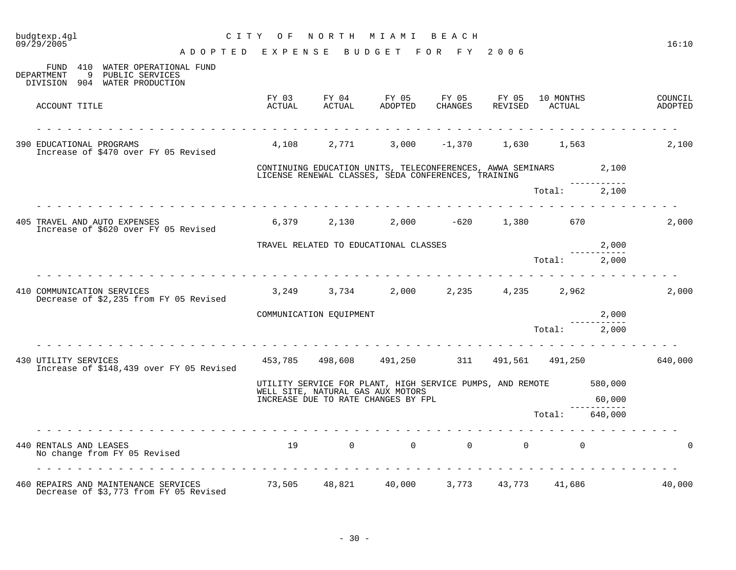| budgtexp.4gl<br>09/29/2005                                                                          |                 |                         | CITY OF NORTH MIAMI BEACH                                                                                               |  |                                         |             | 16:10              |
|-----------------------------------------------------------------------------------------------------|-----------------|-------------------------|-------------------------------------------------------------------------------------------------------------------------|--|-----------------------------------------|-------------|--------------------|
| ADOPTED EXPENSE BUDGET FOR FY 2006                                                                  |                 |                         |                                                                                                                         |  |                                         |             |                    |
| FUND 410 WATER OPERATIONAL FUND<br>DEPARTMENT<br>9 PUBLIC SERVICES<br>DIVISION 904 WATER PRODUCTION |                 |                         |                                                                                                                         |  |                                         |             |                    |
| ACCOUNT TITLE                                                                                       | FY 03<br>ACTUAL |                         | FY 04 FY 05 FY 05 FY 05<br>ACTUAL ADOPTED CHANGES REVISED                                                               |  | 10 MONTHS<br>ACTUAL                     |             | COUNCIL<br>ADOPTED |
| 390 EDUCATIONAL PROGRAMS<br>Increase of \$470 over FY 05 Revised                                    |                 |                         | $4,108$ $2,771$ $3,000$ $-1,370$ $1,630$ $1,563$                                                                        |  |                                         |             | 2,100              |
|                                                                                                     |                 |                         | CONTINUING EDUCATION UNITS, TELECONFERENCES, AWWA SEMINARS 2,100<br>LICENSE RENEWAL CLASSES, SEDA CONFERENCES, TRAINING |  |                                         |             |                    |
|                                                                                                     |                 |                         |                                                                                                                         |  | Total: 2,100                            |             |                    |
| 405 TRAVEL AND AUTO EXPENSES<br>Increase of \$620 over FY 05 Revised                                |                 |                         | $6,379$ $2,130$ $2,000$ $-620$ $1,380$ $670$                                                                            |  |                                         |             | 2,000              |
|                                                                                                     |                 |                         | TRAVEL RELATED TO EDUCATIONAL CLASSES                                                                                   |  |                                         | 2,000       |                    |
|                                                                                                     |                 |                         |                                                                                                                         |  | Total: 2,000                            | ----------- |                    |
| 410 COMMUNICATION SERVICES<br>Decrease of \$2,235 from FY 05 Revised                                |                 |                         | $3,249$ $3,734$ $2,000$ $2,235$ $4,235$ $2,962$                                                                         |  |                                         |             | 2,000              |
|                                                                                                     |                 | COMMUNICATION EQUIPMENT |                                                                                                                         |  |                                         | 2,000       |                    |
|                                                                                                     |                 |                         |                                                                                                                         |  | Total:                                  | 2,000       |                    |
| 430 UTILITY SERVICES<br>Increase of \$148,439 over FY 05 Revised                                    |                 |                         | 453,785 498,608 491,250 311 491,561 491,250                                                                             |  |                                         |             | 640,000            |
|                                                                                                     |                 |                         | UTILITY SERVICE FOR PLANT, HIGH SERVICE PUMPS, AND REMOTE 580,000<br>WELL SITE, NATURAL GAS AUX MOTORS                  |  |                                         |             |                    |
|                                                                                                     |                 |                         | INCREASE DUE TO RATE CHANGES BY FPL                                                                                     |  |                                         | 60,000      |                    |
|                                                                                                     |                 |                         |                                                                                                                         |  | Total:                                  | 640,000     |                    |
| 440 RENTALS AND LEASES<br>No change from FY 05 Revised                                              |                 |                         | 19 0 0                                                                                                                  |  | $\begin{matrix} 0 & 0 & 0 \end{matrix}$ |             | 0                  |
| 460 REPAIRS AND MAINTENANCE SERVICES 73,505 48,821 40,000<br>Decrease of \$3,773 from FY 05 Revised |                 |                         |                                                                                                                         |  | 3,773 43,773 41,686                     |             | 40,000             |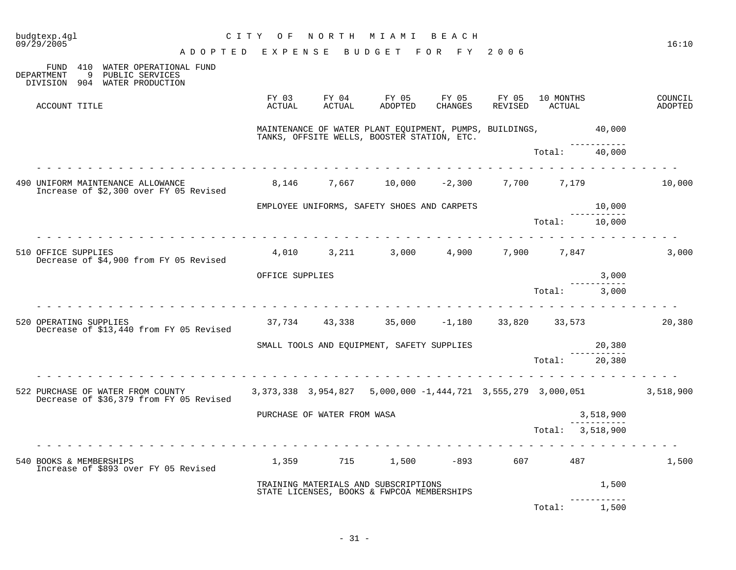| 09/29/2005 | budgtexp.4gl           |                                                                                                                                                     | CITY OF<br>ADOPTED EXPENSE BUDGET FOR FY 2006 |                             | NORTH MIAMI BEACH                                                                                             |         |                  |                       | 16:10              |
|------------|------------------------|-----------------------------------------------------------------------------------------------------------------------------------------------------|-----------------------------------------------|-----------------------------|---------------------------------------------------------------------------------------------------------------|---------|------------------|-----------------------|--------------------|
| DEPARTMENT |                        | FUND 410 WATER OPERATIONAL FUND<br>9 PUBLIC SERVICES<br>DIVISION 904 WATER PRODUCTION                                                               |                                               |                             |                                                                                                               |         |                  |                       |                    |
|            | ACCOUNT TITLE          |                                                                                                                                                     | ACTUAL                                        | ACTUAL                      | FY 03 FY 04 FY 05 FY 05 FY 05 10 MONTHS<br>ADOPTED                                                            | CHANGES | REVISED ACTUAL   |                       | COUNCIL<br>ADOPTED |
|            |                        |                                                                                                                                                     |                                               |                             | MAINTENANCE OF WATER PLANT EQUIPMENT, PUMPS, BUILDINGS, 40,000<br>TANKS, OFFSITE WELLS, BOOSTER STATION, ETC. |         |                  | ------------          |                    |
|            |                        |                                                                                                                                                     |                                               |                             |                                                                                                               |         | Total: 40,000    |                       |                    |
|            |                        | 490 UNIFORM MAINTENANCE ALLOWANCE<br>Increase of \$2,300 over FY 05 Revised                                                                         |                                               |                             | 8,146   7,667   10,000  -2,300   7,700   7,179                                                                |         |                  |                       | 10,000             |
|            |                        |                                                                                                                                                     |                                               |                             | EMPLOYEE UNIFORMS, SAFETY SHOES AND CARPETS                                                                   |         |                  | 10,000<br>----------- |                    |
|            |                        | . <u>.</u> .                                                                                                                                        |                                               |                             |                                                                                                               |         | Total: 10,000    |                       |                    |
|            | 510 OFFICE SUPPLIES    | Decrease of \$4,900 from FY 05 Revised                                                                                                              |                                               |                             | $4,010$ $3,211$ $3,000$ $4,900$ $7,900$ $7,847$                                                               |         |                  |                       | 3,000              |
|            |                        |                                                                                                                                                     | OFFICE SUPPLIES                               |                             |                                                                                                               |         |                  | 3,000                 |                    |
|            |                        |                                                                                                                                                     |                                               |                             |                                                                                                               |         | Total:           | 3,000                 |                    |
|            | 520 OPERATING SUPPLIES | Decrease of \$13,440 from FY 05 Revised                                                                                                             |                                               |                             | $37,734$ $43,338$ $35,000$ $-1,180$ $33,820$ $33,573$                                                         |         |                  |                       | 20,380             |
|            |                        |                                                                                                                                                     |                                               |                             | SMALL TOOLS AND EQUIPMENT, SAFETY SUPPLIES                                                                    |         |                  | 20,380<br>___________ |                    |
|            |                        |                                                                                                                                                     |                                               |                             |                                                                                                               |         | Total: 20,380    |                       |                    |
|            |                        | 3,518,900 522 PURCHASE OF WATER FROM COUNTY 3,373,338 3,954,827 5,000,000 -1,444,721 3,555,279 3,000,051<br>Decrease of \$36,379 from FY 05 Revised |                                               |                             |                                                                                                               |         |                  |                       |                    |
|            |                        |                                                                                                                                                     |                                               | PURCHASE OF WATER FROM WASA |                                                                                                               |         |                  | 3,518,900             |                    |
|            |                        |                                                                                                                                                     |                                               |                             |                                                                                                               |         | Total: 3,518,900 |                       |                    |
|            |                        | 540 BOOKS & MEMBERSHIPS<br>Increase of \$893 over FY 05 Revised                                                                                     |                                               |                             | $1,359$ $715$ $1,500$ $-893$ $607$ $487$                                                                      |         |                  |                       | 1,500              |
|            |                        |                                                                                                                                                     |                                               |                             | TRAINING MATERIALS AND SUBSCRIPTIONS<br>STATE LICENSES, BOOKS & FWPCOA MEMBERSHIPS                            |         |                  | 1,500                 |                    |
|            |                        |                                                                                                                                                     |                                               |                             |                                                                                                               |         | Total: 1,500     |                       |                    |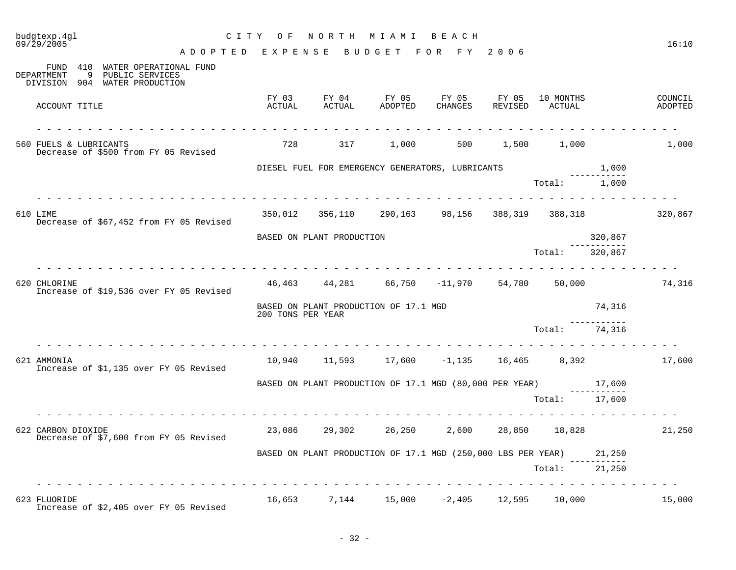| budgtexp.4gl<br>09/29/2005 |                                                                                     | CITY OF           |                           | NORTH MIAMI BEACH                                                   |                        |         |                     |         | 16:10              |
|----------------------------|-------------------------------------------------------------------------------------|-------------------|---------------------------|---------------------------------------------------------------------|------------------------|---------|---------------------|---------|--------------------|
|                            | ADOPTED EXPENSE                                                                     |                   |                           | B U D G E T                                                         | FOR FY 2006            |         |                     |         |                    |
| DEPARTMENT<br>9            | FUND 410 WATER OPERATIONAL FUND<br>PUBLIC SERVICES<br>DIVISION 904 WATER PRODUCTION |                   |                           |                                                                     |                        |         |                     |         |                    |
| ACCOUNT TITLE              |                                                                                     | FY 03<br>ACTUAL   | FY 04<br>ACTUAL           | FY 05<br>ADOPTED                                                    | FY 05 FY 05<br>CHANGES | REVISED | 10 MONTHS<br>ACTUAL |         | COUNCIL<br>ADOPTED |
| 560 FUELS & LUBRICANTS     | Decrease of \$500 from FY 05 Revised                                                | 728               | 317                       | 1,000                                                               |                        |         | 500 1,500 1,000     |         | 1,000              |
|                            |                                                                                     |                   |                           | DIESEL FUEL FOR EMERGENCY GENERATORS, LUBRICANTS                    |                        |         |                     | 1,000   |                    |
|                            |                                                                                     |                   |                           |                                                                     |                        |         | Total: 1,000        |         |                    |
| 610 LIME                   | Decrease of \$67,452 from FY 05 Revised                                             |                   |                           | 350,012 356,110 290,163 98,156 388,319 388,318                      |                        |         |                     |         | 320,867            |
|                            |                                                                                     |                   | BASED ON PLANT PRODUCTION |                                                                     |                        |         |                     | 320,867 |                    |
|                            |                                                                                     |                   |                           |                                                                     | .                      |         | Total:              | 320,867 |                    |
| 620 CHLORINE               | Increase of \$19,536 over FY 05 Revised                                             |                   |                           | 46,463  44,281  66,750   -11,970  54,780  50,000                    |                        |         |                     |         | 74,316             |
|                            |                                                                                     | 200 TONS PER YEAR |                           | BASED ON PLANT PRODUCTION OF 17.1 MGD                               |                        |         |                     | 74,316  |                    |
|                            |                                                                                     |                   |                           |                                                                     |                        |         | Total:              | 74,316  |                    |
| 621 AMMONIA                | Increase of \$1,135 over FY 05 Revised                                              |                   |                           | $10,940$ $11,593$ $17,600$ $-1,135$ $16,465$ $8,392$                |                        |         |                     |         | 17,600             |
|                            |                                                                                     |                   |                           | BASED ON PLANT PRODUCTION OF 17.1 MGD (80,000 PER YEAR) 17,600      |                        |         | ------              |         |                    |
|                            |                                                                                     |                   |                           |                                                                     |                        |         | Total: 17,600       |         |                    |
| 622 CARBON DIOXIDE         | Decrease of \$7,600 from FY 05 Revised                                              |                   |                           | 23,086 29,302 26,250                                                |                        |         | 2,600 28,850 18,828 |         | 21,250             |
|                            |                                                                                     |                   |                           | BASED ON PLANT PRODUCTION OF 17.1 MGD (250,000 LBS PER YEAR) 21,250 |                        |         |                     |         |                    |
|                            |                                                                                     |                   |                           |                                                                     |                        |         | Total: 21,250       |         |                    |
| 623 FLUORIDE               | Increase of \$2,405 over FY 05 Revised                                              |                   |                           | $16,653$ $7,144$ $15,000$ $-2,405$ $12,595$ $10,000$                |                        |         |                     |         | 15,000             |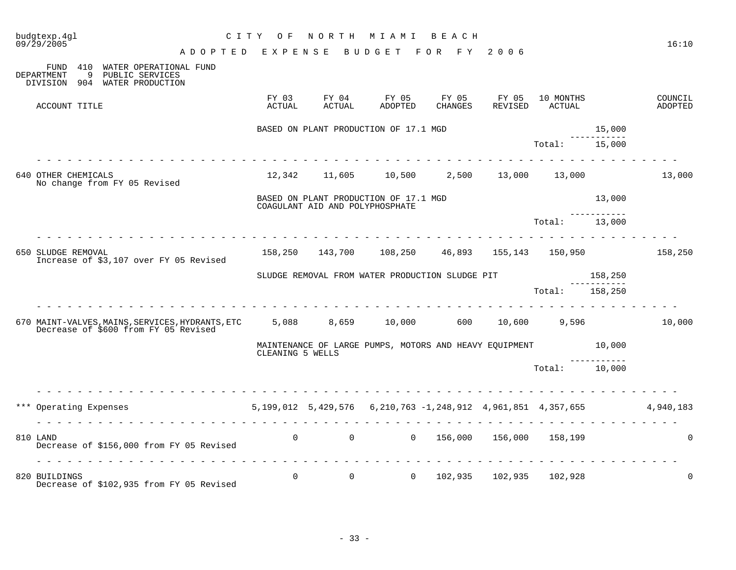| budgtexp.4gl<br>09/29/2005                                                                                                        | C I T Y<br>O F   |                                   | NORTH MIAMI                                            | B E A C H        |                  |                                      |         | 16:10              |
|-----------------------------------------------------------------------------------------------------------------------------------|------------------|-----------------------------------|--------------------------------------------------------|------------------|------------------|--------------------------------------|---------|--------------------|
| ADOPTED EXPENSE                                                                                                                   |                  |                                   | B U D G E T                                            | FOR FY 2006      |                  |                                      |         |                    |
| FUND 410 WATER OPERATIONAL FUND<br>9<br>PUBLIC SERVICES<br>DEPARTMENT<br>DIVISION 904 WATER PRODUCTION                            |                  |                                   |                                                        |                  |                  |                                      |         |                    |
| ACCOUNT TITLE                                                                                                                     | FY 03<br>ACTUAL  | FY 04<br>ACTUAL                   | FY 05<br>ADOPTED                                       | FY 05<br>CHANGES | FY 05<br>REVISED | 10 MONTHS<br>ACTUAL                  |         | COUNCIL<br>ADOPTED |
|                                                                                                                                   |                  |                                   | BASED ON PLANT PRODUCTION OF 17.1 MGD                  |                  |                  |                                      | 15,000  |                    |
| <u>.</u>                                                                                                                          |                  |                                   |                                                        |                  |                  | Total:                               | 15,000  |                    |
| 640 OTHER CHEMICALS<br>No change from FY 05 Revised                                                                               |                  |                                   | $12,342$ $11,605$ $10,500$ $2,500$ $13,000$ $13,000$   |                  |                  |                                      |         | 13,000             |
|                                                                                                                                   |                  | COAGULANT AID AND POLYPHOSPHATE   | BASED ON PLANT PRODUCTION OF 17.1 MGD                  |                  |                  |                                      | 13,000  |                    |
|                                                                                                                                   |                  |                                   |                                                        |                  |                  | Total: 13,000                        |         |                    |
| 650 SLUDGE REMOVAL                                                                                                                |                  |                                   | 158,250 143,700 108,250 46,893 155,143 150,950 158,250 |                  |                  |                                      |         |                    |
| Increase of \$3,107 over FY 05 Revised                                                                                            |                  |                                   |                                                        |                  |                  |                                      |         |                    |
|                                                                                                                                   |                  |                                   |                                                        |                  |                  |                                      |         |                    |
|                                                                                                                                   |                  |                                   | SLUDGE REMOVAL FROM WATER PRODUCTION SLUDGE PIT        |                  |                  |                                      | 158,250 |                    |
|                                                                                                                                   |                  |                                   |                                                        |                  |                  | Total: 158,250                       |         |                    |
| 670 MAINT-VALVES, MAINS, SERVICES, HYDRANTS, ETC 5, 088 8, 659 10, 000 600 10, 600 9, 596<br>Decrease of \$600 from FY 05 Revised |                  |                                   |                                                        |                  |                  |                                      |         | 10,000             |
|                                                                                                                                   | CLEANING 5 WELLS |                                   | MAINTENANCE OF LARGE PUMPS, MOTORS AND HEAVY EQUIPMENT |                  |                  |                                      | 10,000  |                    |
|                                                                                                                                   |                  |                                   |                                                        |                  |                  | Total: 10,000                        |         |                    |
| .                                                                                                                                 |                  |                                   |                                                        |                  |                  |                                      |         |                    |
| *** Operating Expenses 6.199,012 5,429,576 6,210,763 -1,248,912 4,961,851 4,357,655                                               |                  |                                   |                                                        |                  |                  |                                      |         | 4,940,183          |
|                                                                                                                                   |                  |                                   |                                                        |                  |                  | <u>a a a a a a a a a a a a a a a</u> |         |                    |
| 810 LAND<br>Decrease of \$156,000 from FY 05 Revised                                                                              |                  | $0 \qquad \qquad 0 \qquad \qquad$ |                                                        |                  |                  | 0 156,000 156,000 158,199            |         | $\Omega$           |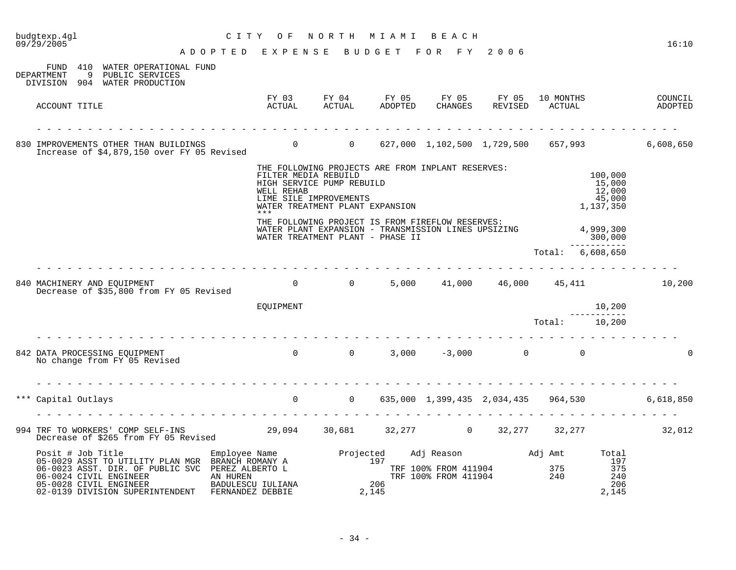| budgtexp.4gl<br>09/29/2005                                                                                                                                                                                                                                                        | C I T Y<br>O F                                                                                                                                                                           |              | NORTH MIAMI BEACH                                                      |                                          | 16:10                                             |
|-----------------------------------------------------------------------------------------------------------------------------------------------------------------------------------------------------------------------------------------------------------------------------------|------------------------------------------------------------------------------------------------------------------------------------------------------------------------------------------|--------------|------------------------------------------------------------------------|------------------------------------------|---------------------------------------------------|
|                                                                                                                                                                                                                                                                                   | ADOPTED EXPENSE                                                                                                                                                                          |              | BUDGET FOR FY 2006                                                     |                                          |                                                   |
| FUND 410 WATER OPERATIONAL FUND<br>9<br>DEPARTMENT<br>PUBLIC SERVICES<br>DIVISION 904 WATER PRODUCTION                                                                                                                                                                            |                                                                                                                                                                                          |              |                                                                        |                                          |                                                   |
| ACCOUNT TITLE                                                                                                                                                                                                                                                                     |                                                                                                                                                                                          |              | FY 03 FY 04 FY 05 FY 05 FY 05<br>ACTUAL ACTUAL ADOPTED CHANGES REVISED | 10 MONTHS<br>ACTUAL                      | COUNCIL<br>ADOPTED                                |
| 830 IMPROVEMENTS OTHER THAN BUILDINGS<br>Increase of \$4,879,150 over FY 05 Revised 60 0 0 627,000 1,102,500 1,729,500 657,993 6,608,650                                                                                                                                          |                                                                                                                                                                                          |              |                                                                        |                                          |                                                   |
|                                                                                                                                                                                                                                                                                   | THE FOLLOWING PROJECTS ARE FROM INPLANT RESERVES:<br>FILTER MEDIA REBUILD<br>HIGH SERVICE PUMP REBUILD<br>WELL REHAB<br>LIME SILE IMPROVEMENTS<br>WATER TREATMENT PLANT EXPANSION<br>*** |              |                                                                        | 100,000<br>15,000<br>12,000<br>1,137,350 | 45,000                                            |
|                                                                                                                                                                                                                                                                                   | THE FOLLOWING PROJECT IS FROM FIREFLOW RESERVES:<br>WATER PLANT EXPANSION - TRANSMISSION LINES UPSIZING<br>WATER TREATMENT PLANT - PHASE II                                              |              |                                                                        | 4,999,300<br>300,000<br>------------     |                                                   |
|                                                                                                                                                                                                                                                                                   |                                                                                                                                                                                          |              |                                                                        | Total: 6,608,650                         |                                                   |
| 840 MACHINERY AND EQUIPMENT 10,200<br>Decrease of \$35.800 from FY 05 Revised 10 0 10 0 10,000 11,000 16,000 15,411 10,200                                                                                                                                                        |                                                                                                                                                                                          |              |                                                                        |                                          |                                                   |
|                                                                                                                                                                                                                                                                                   | EQUIPMENT                                                                                                                                                                                |              |                                                                        | 10,200                                   |                                                   |
|                                                                                                                                                                                                                                                                                   |                                                                                                                                                                                          |              |                                                                        | -----------<br>Total: 10,200             |                                                   |
| 842 DATA PROCESSING EQUIPMENT<br>No change from FY 05 Revised                                                                                                                                                                                                                     | $0$ 0 3,000 -3,000 0 0                                                                                                                                                                   |              |                                                                        |                                          |                                                   |
| *** Capital Outlays                                                                                                                                                                                                                                                               |                                                                                                                                                                                          |              |                                                                        |                                          | 0 0 635,000 1,399,435 2,034,435 964,530 6,618,850 |
| 994 TRF TO WORKERS' COMP SELF-INS<br>Decrease of \$265 from FV 05 Revised 29,094 30,681 32,277 0 32,277 32,277 32,277 32,012<br>Decrease of \$265 from FY 05 Revised                                                                                                              |                                                                                                                                                                                          |              |                                                                        |                                          |                                                   |
| Posit # Job Title<br>05-0029 ASST TO UTILITY PLAN MGR BRANCH ROMANY A Projected<br>06-0023 ASST. DIR. OF PUBLIC SVC PEREZ ALBERTO L TRE<br>2N HIREN AN HIREN TRE<br>06-0024 CIVIL ENGINEER<br>05-0028 CIVIL ENGINEER<br>05-0028 CIVIL ENGINEER<br>02-0139 DIVISION SUPERINTENDENT | AN HUREN<br>BADULESCU IULIANA<br>FERNANDEZ DEBBIE                                                                                                                                        | 206<br>2,145 | TRF 100% FROM 411904 375<br>TRF 100% FROM 411904 240                   | Adj Reason<br>Madj Amt<br>Total          | $\frac{197}{375}$<br>240<br>206<br>2,145          |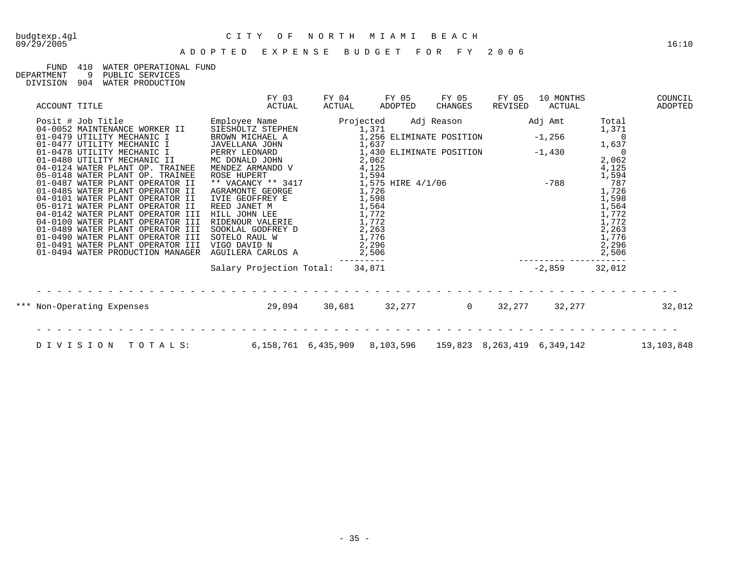## 09/29/2005 16:10

# budgtexp.4gl C I T Y O F N O R T H M I A M I B E A C H

## FUND 410 WATER OPERATIONAL FUND<br>DEPARTMENT 9 PUBLIC SERVICES

9 PUBLIC SERVICES DIVISION 904 WATER PRODUCTION

| ACCOUNT TITLE                                                                                                                                                                                                                                                                                                                                                                                                                                                                                                                                                                                                         | FY 03<br>ACTUAL                                                                                                                                                                                                                                                                                                                                              | FY 04<br>ACTUAL | FY 05<br>ADOPTED | FY 05<br>CHANGES                                                                                                                                                                                                                                                             | FY 05<br>REVISED | 10 MONTHS<br>ACTUAL |                                                                                                                                                                                                        | COUNCIL<br>ADOPTED |
|-----------------------------------------------------------------------------------------------------------------------------------------------------------------------------------------------------------------------------------------------------------------------------------------------------------------------------------------------------------------------------------------------------------------------------------------------------------------------------------------------------------------------------------------------------------------------------------------------------------------------|--------------------------------------------------------------------------------------------------------------------------------------------------------------------------------------------------------------------------------------------------------------------------------------------------------------------------------------------------------------|-----------------|------------------|------------------------------------------------------------------------------------------------------------------------------------------------------------------------------------------------------------------------------------------------------------------------------|------------------|---------------------|--------------------------------------------------------------------------------------------------------------------------------------------------------------------------------------------------------|--------------------|
| Posit # Job Title<br>04-0052 MAINTENANCE WORKER II<br>01-0479 UTILITY MECHANIC I<br>01-0477 UTILITY MECHANIC I<br>01-0478 UTILITY MECHANIC I<br>01-0480 UTILITY MECHANIC II<br>04-0124 WATER PLANT OP. TRAINEE<br>05-0148 WATER PLANT OP. TRAINEE<br>01-0487 WATER PLANT OPERATOR II<br>01-0485 WATER PLANT OPERATOR II<br>04-0101 WATER PLANT OPERATOR II<br>05-0171 WATER PLANT OPERATOR II<br>04-0142 WATER PLANT OPERATOR III<br>04-0100 WATER PLANT OPERATOR III<br>01-0489 WATER PLANT OPERATOR III<br>01-0490 WATER PLANT OPERATOR III<br>01-0491 WATER PLANT OPERATOR III<br>01-0494 WATER PRODUCTION MANAGER | Employee Name<br>SIĒSHOLTZ STEPHEN<br>BROWN MICHAEL A<br>JAVELLANA JOHN<br>JAVELLANA JOHN<br>PERRY LEONARD<br>MC DONALD JOHN<br>MENDEZ ARMANDO V<br>ROSE HUPERT<br>** VACANCY ** 3417<br>AGRAMONTE GEORGE<br>IVIE GEOFFREY E<br>REED JANET M<br>HILL JOHN LEE<br>RIDENOUR VALERIE<br>SOOKLAL GODFREY D<br>SOTELO RAUL W<br>VIGO DAVID N<br>AGUILERA CARLOS A | Projected       | 1,371<br>1,637   | Adj Reason<br>-, -, -<br>1,256 ELIMINATE POSITION -1,<br>1,637<br>1,430 ELIMINATE POSITION $-1,430$<br>-, 062<br>2,062<br>4,125<br>1,594<br>1,575 HIRE 4/1/06 -788<br>1,726<br>1,726<br>1,772<br>1,772<br>2,263<br>1,776<br>2,296<br>2,296<br>------<br>1,871 -2859<br>1,871 |                  | Adj Amt<br>$-1,256$ | Total<br>1,371<br>$\Omega$<br>1,637<br>$\overline{a}$<br>2,062<br>$\frac{4}{1}$ , 125<br>1, 594<br>787<br>1,726<br>1,598<br>$\frac{1}{1}$ , 564<br>1, 772<br>1,772<br>2,263<br>1,776<br>2,296<br>2,506 |                    |
|                                                                                                                                                                                                                                                                                                                                                                                                                                                                                                                                                                                                                       | Salary Projection Total: 34,871                                                                                                                                                                                                                                                                                                                              |                 |                  |                                                                                                                                                                                                                                                                              | $-2,859$         |                     | 32,012                                                                                                                                                                                                 |                    |
| *** Non-Operating Expenses                                                                                                                                                                                                                                                                                                                                                                                                                                                                                                                                                                                            | 29,094                                                                                                                                                                                                                                                                                                                                                       |                 | 30,681 32,277    | $\Omega$                                                                                                                                                                                                                                                                     |                  | 32,277 32,277       |                                                                                                                                                                                                        | 32,012             |
| DIVISION<br>TOTALS:                                                                                                                                                                                                                                                                                                                                                                                                                                                                                                                                                                                                   | 6,158,761    6,435,909    8,103,596    159,823    8,263,419    6,349,142                                                                                                                                                                                                                                                                                     |                 |                  |                                                                                                                                                                                                                                                                              |                  |                     |                                                                                                                                                                                                        | 13,103,848         |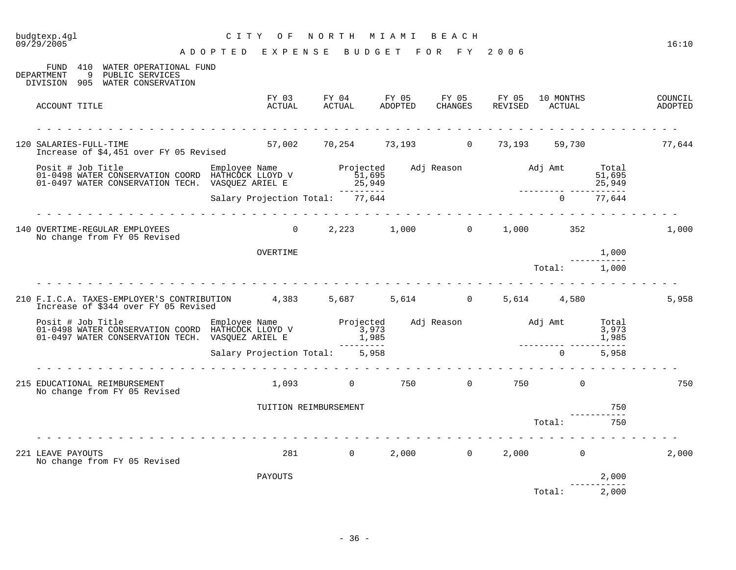| 09/29/2005                                                                                                                                                                                                                              | ADOPTED EXPENSE BUDGET FOR FY 2006 |                                                                                         |  |  |                                                                                             |                |                      | 16:10              |
|-----------------------------------------------------------------------------------------------------------------------------------------------------------------------------------------------------------------------------------------|------------------------------------|-----------------------------------------------------------------------------------------|--|--|---------------------------------------------------------------------------------------------|----------------|----------------------|--------------------|
| FUND 410 WATER OPERATIONAL FUND<br>9 PUBLIC SERVICES<br>DEPARTMENT<br>DIVISION 905 WATER CONSERVATION                                                                                                                                   |                                    |                                                                                         |  |  |                                                                                             |                |                      |                    |
| ACCOUNT TITLE                                                                                                                                                                                                                           |                                    | FY 03 FY 04 FY 05 FY 05 FY 05 10 MONTHS<br>ACTUAL ACTUAL ADOPTED CHANGES REVISED ACTUAL |  |  |                                                                                             |                |                      | COUNCIL<br>ADOPTED |
| SALARIES-FULL-TIME<br>Increase of \$4,451 over FY 05 Revised 57,002 59,254 73,193 0 73,193 59,730 59,730 77,644<br>120 SALARIES-FULL-TIME                                                                                               |                                    |                                                                                         |  |  |                                                                                             |                |                      |                    |
| Posit # Job Title Employee Name Projected Adj Reason Mdj Amt Total<br>1-0498 WATER CONSERVATION COORD HATHCOCK LLOYD V 51,695<br>1,695 51,695 51,695 51,695 51,695 51,695<br>25,949 25,949 25,949 Salary Projection Total: 77,644 6 1-0 |                                    |                                                                                         |  |  |                                                                                             |                |                      |                    |
|                                                                                                                                                                                                                                         |                                    |                                                                                         |  |  |                                                                                             |                |                      |                    |
| 140 OVERTIME-REGULAR EMPLOYEES<br>No change from FY 05 Revised                                                                                                                                                                          |                                    | 0 $2,223$ $1,000$ 0 $1,000$ $352$                                                       |  |  |                                                                                             |                |                      | 1,000              |
|                                                                                                                                                                                                                                         | OVERTIME                           |                                                                                         |  |  |                                                                                             |                | 1,000                |                    |
|                                                                                                                                                                                                                                         |                                    |                                                                                         |  |  | $\begin{tabular}{cc} - & - & - & - & - & - \\ \hline \texttt{Total:} & 1,000 \end{tabular}$ |                |                      |                    |
| 210 F.I.C.A. TAXES-EMPLOYER'S CONTRIBUTION 4,383 5,687 5,614 0 5,614 4,580<br>Increase of \$344 over FY 05 Revised                                                                                                                      |                                    |                                                                                         |  |  |                                                                                             |                |                      | 5,958              |
| Fitle Employee Name Projected Adj Reason Adj Amt Total Conservation Coord HathCock LLOYD V<br>1985, 1973 1973 1973 1985 1,985 1,985 1,985 1,985 1,985 1,998 1,998 1,998 1,998 1,998 1,998 1,998 1,998 1,998<br>201-0497 WATER CONSER    |                                    |                                                                                         |  |  |                                                                                             |                |                      |                    |
|                                                                                                                                                                                                                                         | Salary Projection Total: 5,958     |                                                                                         |  |  |                                                                                             | $\overline{0}$ | 5,958                |                    |
| 215 EDUCATIONAL REIMBURSEMENT<br>No change from FY 05 Revised                                                                                                                                                                           |                                    | $1,093$ $0$ $750$ $0$ $750$ $0$                                                         |  |  |                                                                                             |                |                      | 750                |
|                                                                                                                                                                                                                                         | TUITION REIMBURSEMENT              |                                                                                         |  |  |                                                                                             |                | 750                  |                    |
|                                                                                                                                                                                                                                         |                                    |                                                                                         |  |  |                                                                                             | Total:         | 750                  |                    |
| 221 LEAVE PAYOUTS<br>No change from FY 05 Revised                                                                                                                                                                                       |                                    | 281 0 2,000 0 2,000 0                                                                   |  |  |                                                                                             |                |                      | 2,000              |
|                                                                                                                                                                                                                                         | PAYOUTS                            |                                                                                         |  |  |                                                                                             |                | 2,000<br>___________ |                    |
|                                                                                                                                                                                                                                         |                                    |                                                                                         |  |  |                                                                                             | Total: 2,000   |                      |                    |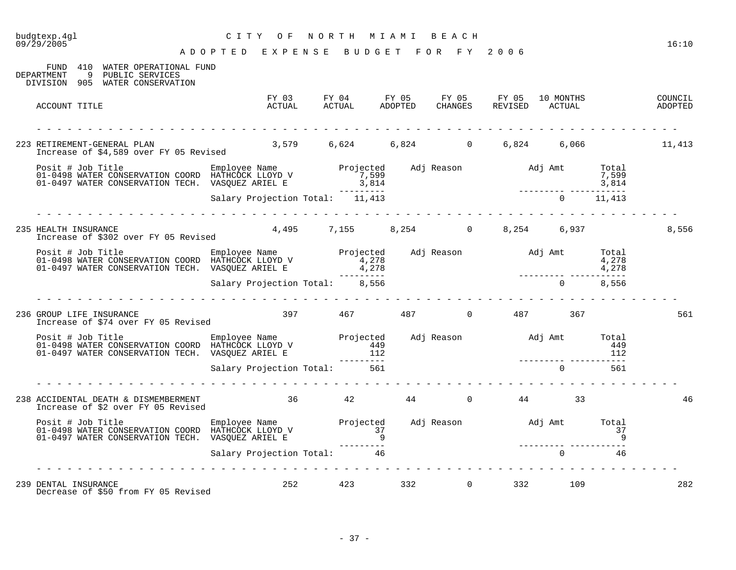| budgtexp.4gl<br>09/29/2005                                                                                                                                                                                   | CITY OF                                                                                                                                                                                                                                                                                                                                                                                                                                                                    |                |     | NORTH MIAMI BEACH |                                            |    | 16:10                                                                                                |
|--------------------------------------------------------------------------------------------------------------------------------------------------------------------------------------------------------------|----------------------------------------------------------------------------------------------------------------------------------------------------------------------------------------------------------------------------------------------------------------------------------------------------------------------------------------------------------------------------------------------------------------------------------------------------------------------------|----------------|-----|-------------------|--------------------------------------------|----|------------------------------------------------------------------------------------------------------|
| FUND 410 WATER OPERATIONAL FUND<br>9 PUBLIC SERVICES<br>DEPARTMENT<br>DIVISION 905 WATER CONSERVATION                                                                                                        | A D O P T E D E X P E N S E B U D G E T F O R F Y 2006                                                                                                                                                                                                                                                                                                                                                                                                                     |                |     |                   |                                            |    |                                                                                                      |
| ACCOUNT TITLE                                                                                                                                                                                                |                                                                                                                                                                                                                                                                                                                                                                                                                                                                            |                |     |                   |                                            |    | FY 03 FY 04 FY 05 FY 05 FY 05 10 MONTHS COUNCIL ACTUAL ACTUAL ADOPTED CHANGES REVISED ACTUAL ADOPTED |
| 223 RETIREMENT-GENERAL PLAN 3,579 6,624 6,824 0 6,824 6,066 11,413<br>Increase of \$4,589 over FY 05 Revised 3,579 6,624 6,824 0 6,824 6,066                                                                 |                                                                                                                                                                                                                                                                                                                                                                                                                                                                            |                |     |                   |                                            |    |                                                                                                      |
|                                                                                                                                                                                                              |                                                                                                                                                                                                                                                                                                                                                                                                                                                                            |                |     |                   |                                            |    |                                                                                                      |
|                                                                                                                                                                                                              |                                                                                                                                                                                                                                                                                                                                                                                                                                                                            |                |     |                   |                                            |    |                                                                                                      |
| 235 HEALTH INSURANCE<br>Increase of \$302 over FY 05 Revised                                                                                                                                                 |                                                                                                                                                                                                                                                                                                                                                                                                                                                                            |                |     |                   | 4,495 7,155 8,254 0 8,254 6,937            |    | 8,556                                                                                                |
| Posit # Job Title Employee Name Projected Adj Reason Adj Amt Total<br>1998 WATER CONSERVATION COORD HATHCOCK LLOYD V 4,278<br>1,278 4,278 4,278 4,278<br>1,278 4,278 4,278<br>Salary Projection Total: 8,556 |                                                                                                                                                                                                                                                                                                                                                                                                                                                                            |                |     |                   |                                            |    |                                                                                                      |
|                                                                                                                                                                                                              | <u> 2 2 2 2 2 2 2 2 2 2 2 2</u>                                                                                                                                                                                                                                                                                                                                                                                                                                            |                |     |                   |                                            |    |                                                                                                      |
| 236 GROUP LIFE INSURANCE<br>Increase of \$74 over FY 05 Revised                                                                                                                                              |                                                                                                                                                                                                                                                                                                                                                                                                                                                                            |                |     |                   | $397$ $467$ $487$ 0 $487$ 367              |    | 561                                                                                                  |
| Posit # Job Title Employee Name Projected Adj Reason Adj Amt Total<br>149 01-0498 WATER CONSERVATION COORD HATHCOCK LLOYD V 449<br>112 112 112 112<br>Salary Projection Total: 561 561                       |                                                                                                                                                                                                                                                                                                                                                                                                                                                                            |                |     |                   |                                            |    |                                                                                                      |
|                                                                                                                                                                                                              | $\frac{1}{2} \left( \frac{1}{2} \right) \left( \frac{1}{2} \right) \left( \frac{1}{2} \right) \left( \frac{1}{2} \right) \left( \frac{1}{2} \right) \left( \frac{1}{2} \right) \left( \frac{1}{2} \right) \left( \frac{1}{2} \right) \left( \frac{1}{2} \right) \left( \frac{1}{2} \right) \left( \frac{1}{2} \right) \left( \frac{1}{2} \right) \left( \frac{1}{2} \right) \left( \frac{1}{2} \right) \left( \frac{1}{2} \right) \left( \frac{1}{2} \right) \left( \frac$ |                |     |                   |                                            |    |                                                                                                      |
| 238 ACCIDENTAL DEATH & DISMEMBERMENT $36$ 42 44 0 44 44 533 Increase of \$2 over FY 05 Revised                                                                                                               |                                                                                                                                                                                                                                                                                                                                                                                                                                                                            |                |     |                   |                                            |    | 46                                                                                                   |
| 01-0497 WATER CONSERVATION TECH. VASQUEZ ARIEL E                                                                                                                                                             |                                                                                                                                                                                                                                                                                                                                                                                                                                                                            |                | $9$ |                   |                                            |    |                                                                                                      |
|                                                                                                                                                                                                              | Salary Projection Total: 46                                                                                                                                                                                                                                                                                                                                                                                                                                                |                |     |                   | ________________________<br>$\overline{0}$ | 46 |                                                                                                      |
| 239 DENTAL INSURANCE<br>Decrease of \$50 from FY 05 Revised                                                                                                                                                  |                                                                                                                                                                                                                                                                                                                                                                                                                                                                            | 252 and $\sim$ |     |                   | 423 332 0 332 109                          |    | 282                                                                                                  |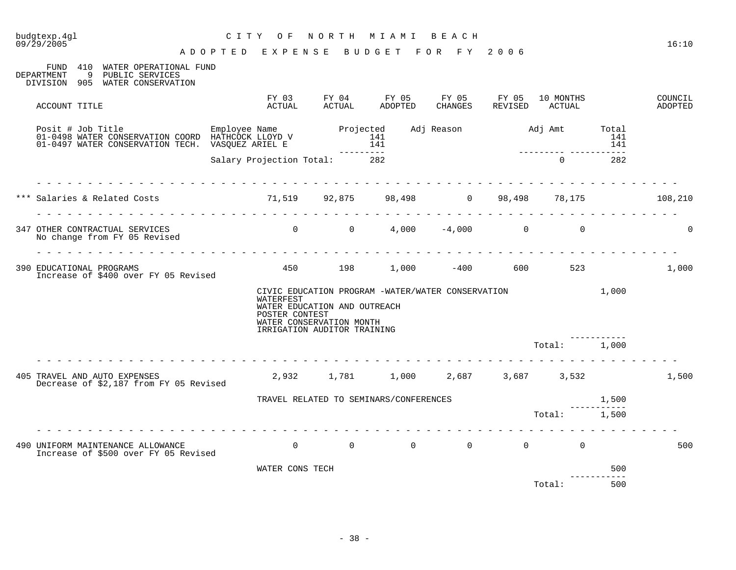| budgtexp.4gl<br>09/29/2005                                                                                                                                                                      | CITY OF<br>ADOPTED EXPENSE BUDGET FOR FY 2006 |                                                                                         | NORTH MIAMI BEACH                                                                       |  |                                      |                     | 16:10              |
|-------------------------------------------------------------------------------------------------------------------------------------------------------------------------------------------------|-----------------------------------------------|-----------------------------------------------------------------------------------------|-----------------------------------------------------------------------------------------|--|--------------------------------------|---------------------|--------------------|
| FUND 410 WATER OPERATIONAL FUND<br>DEPARTMENT<br>9 PUBLIC SERVICES<br>DIVISION 905 WATER CONSERVATION                                                                                           |                                               |                                                                                         |                                                                                         |  |                                      |                     |                    |
| ACCOUNT TITLE                                                                                                                                                                                   |                                               |                                                                                         | FY 03 FY 04 FY 05 FY 05 FY 05 10 MONTHS<br>ACTUAL ACTUAL ADOPTED CHANGES REVISED ACTUAL |  |                                      |                     | COUNCIL<br>ADOPTED |
| Posit # Job Title Final Employee Name Projected Adj Reason Adj Amt Total Conservation COORD HATHCOCK LLOYD V<br>141 141 141 141 141 141 141<br>01-0497 WATER CONSERVATION TECH. VASQUEZ ARIEL E |                                               |                                                                                         |                                                                                         |  |                                      | 141                 |                    |
|                                                                                                                                                                                                 | Salary Projection Total: 282                  |                                                                                         |                                                                                         |  | ________________________<br>$\Omega$ | 282                 |                    |
| Salaries & Related Costs                                                                                                                                                                        | 71,519 92,875 98,498 0 98,498 78,175          |                                                                                         |                                                                                         |  |                                      |                     | 108,210            |
| 347 OTHER CONTRACTUAL SERVICES<br>No change from FY 05 Revised                                                                                                                                  | .                                             |                                                                                         |                                                                                         |  |                                      |                     | $\Omega$           |
| 390 EDUCATIONAL PROGRAMS<br>Increase of \$400 over FY 05 Revised                                                                                                                                |                                               |                                                                                         | 450 198 1,000 -400 600 523                                                              |  |                                      |                     | 1,000              |
|                                                                                                                                                                                                 | WATERFEST<br>POSTER CONTEST                   | WATER EDUCATION AND OUTREACH<br>WATER CONSERVATION MONTH<br>IRRIGATION AUDITOR TRAINING | CIVIC EDUCATION PROGRAM -WATER/WATER CONSERVATION 1,000                                 |  |                                      |                     |                    |
|                                                                                                                                                                                                 |                                               |                                                                                         |                                                                                         |  | Total: 1,000                         |                     |                    |
| 405 TRAVEL AND AUTO EXPENSES<br>Decrease of \$2,187 from FY 05 Revised                                                                                                                          |                                               |                                                                                         | $2,932$ $1,781$ $1,000$ $2,687$ $3,687$ $3,532$                                         |  |                                      |                     | 1,500              |
|                                                                                                                                                                                                 |                                               |                                                                                         | TRAVEL RELATED TO SEMINARS/CONFERENCES                                                  |  | 1,500                                |                     |                    |
|                                                                                                                                                                                                 |                                               |                                                                                         |                                                                                         |  | Total: 1,500                         |                     |                    |
| 490 UNIFORM MAINTENANCE ALLOWANCE<br>Increase of \$500 over FY 05 Revised                                                                                                                       |                                               |                                                                                         | $\begin{matrix} 0 & 0 & 0 & 0 & 0 & 0 & 0 \end{matrix}$                                 |  |                                      |                     | 500                |
|                                                                                                                                                                                                 | WATER CONS TECH                               |                                                                                         |                                                                                         |  |                                      | 500<br>------------ |                    |
|                                                                                                                                                                                                 |                                               |                                                                                         |                                                                                         |  | Total:                               | 500                 |                    |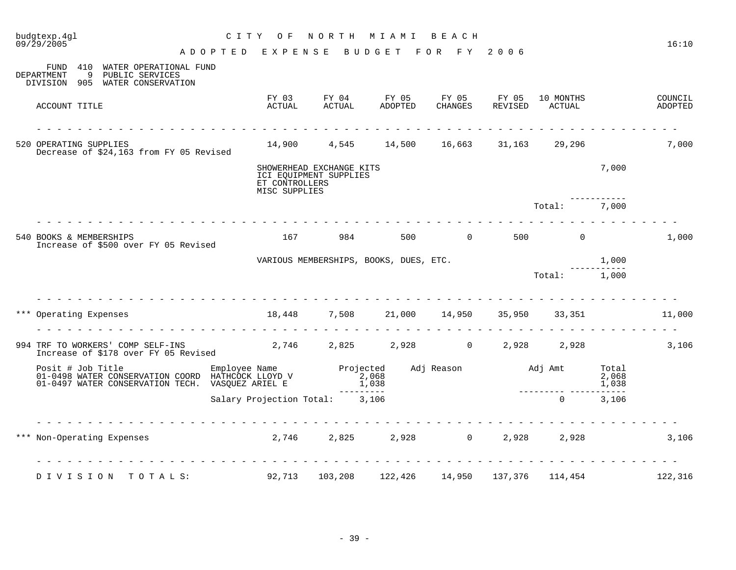|       | budgtexp.4gl<br>09/29/2005                                                                                                                                                                                                                | C I T Y<br>NORTH<br>M I A M I<br>BEACH<br>O F        |                                                    |                                                      |                |                  |                     |       |                    |  |
|-------|-------------------------------------------------------------------------------------------------------------------------------------------------------------------------------------------------------------------------------------------|------------------------------------------------------|----------------------------------------------------|------------------------------------------------------|----------------|------------------|---------------------|-------|--------------------|--|
|       |                                                                                                                                                                                                                                           | ADOPTED EXPENSE                                      |                                                    | BUDGET                                               | FOR FY         | 2006             |                     |       | 16:10              |  |
|       | 410 WATER OPERATIONAL FUND<br>FUND<br>DEPARTMENT<br>9<br>PUBLIC SERVICES<br>905 WATER CONSERVATION<br>DIVISION                                                                                                                            |                                                      |                                                    |                                                      |                |                  |                     |       |                    |  |
|       | ACCOUNT TITLE                                                                                                                                                                                                                             | FY 03<br>ACTUAL                                      | FY 04<br>ACTUAL                                    | FY 05 FY 05<br>ADOPTED                               | CHANGES        | FY 05<br>REVISED | 10 MONTHS<br>ACTUAL |       | COUNCIL<br>ADOPTED |  |
|       | .<br>520 OPERATING SUPPLIES<br>Decrease of \$24,163 from FY 05 Revised                                                                                                                                                                    |                                                      |                                                    | $14,900$ $4,545$ $14,500$ $16,663$ $31,163$ $29,296$ |                |                  |                     |       | 7,000              |  |
|       |                                                                                                                                                                                                                                           | ET CONTROLLERS<br>MISC SUPPLIES                      | SHOWERHEAD EXCHANGE KITS<br>ICI EQUIPMENT SUPPLIES |                                                      |                |                  |                     | 7,000 |                    |  |
|       |                                                                                                                                                                                                                                           |                                                      |                                                    |                                                      |                |                  | Total:              | 7,000 |                    |  |
|       | 540 BOOKS & MEMBERSHIPS<br>Increase of \$500 over FY 05 Revised                                                                                                                                                                           | 167                                                  | 984                                                | 500                                                  | $\overline{0}$ | 500              | $\Omega$            |       | 1,000              |  |
|       |                                                                                                                                                                                                                                           |                                                      |                                                    | VARIOUS MEMBERSHIPS, BOOKS, DUES, ETC.               |                |                  |                     | 1,000 |                    |  |
|       |                                                                                                                                                                                                                                           |                                                      |                                                    |                                                      |                |                  | Total: 1,000        |       |                    |  |
|       | *** Operating Expenses                                                                                                                                                                                                                    | $18,448$ $7,508$ $21,000$ $14,950$ $35,950$ $33,351$ |                                                    |                                                      |                |                  |                     |       | 11,000             |  |
|       |                                                                                                                                                                                                                                           |                                                      |                                                    |                                                      |                |                  |                     |       |                    |  |
|       | 994 TRF TO WORKERS' COMP SELF-INS<br>The Call of the Computer of the Call of the Call of the Call of the Call of the Call of the Call of the Call o<br>Increase of \$178 over FY 05 Revised                                               |                                                      |                                                    |                                                      |                |                  | 2,928 2,928         |       | 3,106              |  |
|       | Posit # Job Title <b>Employee Name</b> Projected Adj Reason and Adj Amt Total D1-0498 WATER CONSERVATION COORD HATHCOCK LLOYD V<br>1,038 1,068 1-0497 WATER CONSERVATION TECH. VASQUEZ ARIEL E 1,038<br>1,038 1,038 1,039 1-0497 WATER CO |                                                      |                                                    |                                                      |                |                  |                     |       |                    |  |
|       |                                                                                                                                                                                                                                           | Salary Projection Total: 3,106                       |                                                    |                                                      |                |                  | $\Omega$            | 3,106 |                    |  |
| * * * | .<br>Non-Operating Expenses 2,746 2,825 2,928 0 2,928 2,928                                                                                                                                                                               |                                                      |                                                    |                                                      |                |                  |                     |       | 3,106              |  |
|       | DIVISION<br>TOTALS:                                                                                                                                                                                                                       | 92,713                                               | 103,208                                            | 122,426                                              | 14,950         | 137,376          | 114,454             |       | 122,316            |  |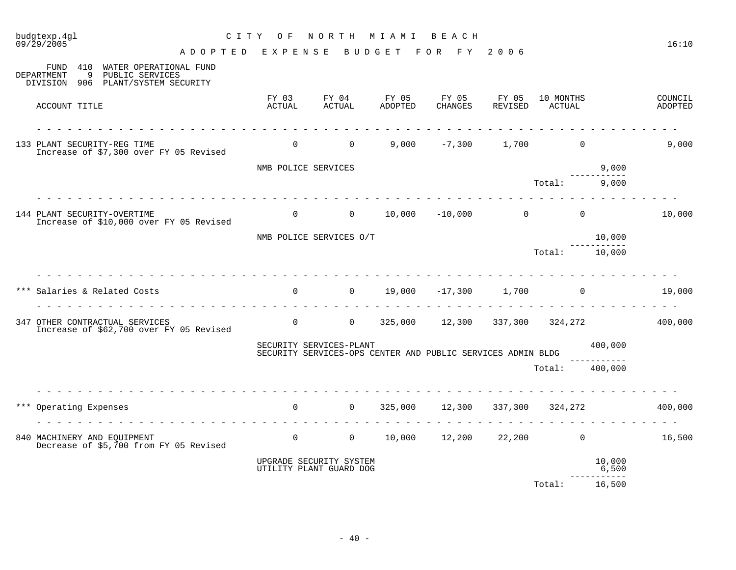| budgtexp.4gl<br>09/29/2005                                                                                                           | C I T Y<br>NORTH<br>M I A M I<br>BEACH<br>O F<br>BUDGET FOR FY |                                                                                        |                  |                                            |                  |                     |                 |                    |  |
|--------------------------------------------------------------------------------------------------------------------------------------|----------------------------------------------------------------|----------------------------------------------------------------------------------------|------------------|--------------------------------------------|------------------|---------------------|-----------------|--------------------|--|
| ADOPTED EXPENSE<br>410 WATER OPERATIONAL FUND<br>FUND<br>DEPARTMENT<br>9<br>PUBLIC SERVICES<br>DIVISION<br>906 PLANT/SYSTEM SECURITY |                                                                |                                                                                        |                  |                                            | 2006             |                     |                 |                    |  |
| ACCOUNT TITLE                                                                                                                        | FY 03<br>ACTUAL                                                | FY 04<br>ACTUAL                                                                        | FY 05<br>ADOPTED | FY 05<br>CHANGES                           | FY 05<br>REVISED | 10 MONTHS<br>ACTUAL |                 | COUNCIL<br>ADOPTED |  |
| 133 PLANT SECURITY-REG TIME<br>Increase of \$7,300 over FY 05 Revised                                                                | $\overline{0}$                                                 | $\overline{0}$                                                                         |                  | $9,000$ $-7,300$ 1,700                     |                  | $\overline{0}$      |                 | 9,000              |  |
|                                                                                                                                      | NMB POLICE SERVICES                                            |                                                                                        |                  |                                            |                  |                     | 9,000           |                    |  |
|                                                                                                                                      |                                                                |                                                                                        |                  |                                            |                  | Total:              | 9,000           |                    |  |
| 144 PLANT SECURITY-OVERTIME<br>Increase of \$10,000 over FY 05 Revised                                                               | $\overline{0}$                                                 | $0 \qquad \qquad$                                                                      |                  | $10,000$ $-10,000$ 0                       |                  | $\Omega$            |                 | 10,000             |  |
|                                                                                                                                      |                                                                | NMB POLICE SERVICES O/T                                                                |                  |                                            |                  |                     | 10,000          |                    |  |
|                                                                                                                                      |                                                                |                                                                                        |                  |                                            |                  | Total: 10,000       |                 |                    |  |
| Salaries & Related Costs<br>.                                                                                                        |                                                                | $0 \qquad \qquad$<br>$\overline{0}$                                                    |                  | 19,000 -17,300 1,700                       |                  | $\overline{0}$      |                 | 19,000             |  |
| 347 OTHER CONTRACTUAL SERVICES<br>Increase of \$62,700 over FY 05 Revised                                                            |                                                                | $\overline{0}$ 0                                                                       |                  | 325,000  12,300  337,300  324,272  400,000 |                  |                     |                 |                    |  |
|                                                                                                                                      |                                                                | SECURITY SERVICES-PLANT<br>SECURITY SERVICES-OPS CENTER AND PUBLIC SERVICES ADMIN BLDG |                  |                                            |                  |                     | 400,000         |                    |  |
|                                                                                                                                      |                                                                |                                                                                        |                  |                                            |                  | Total:              | 400,000         |                    |  |
| Operating Expenses                                                                                                                   | $\Omega$                                                       | $\overline{0}$                                                                         |                  | 325,000 12,300 337,300 324,272             |                  |                     |                 | 400,000            |  |
| 840 MACHINERY AND EQUIPMENT<br>Decrease of \$5,700 from FY 05 Revised                                                                | $\overline{0}$                                                 | $\overline{0}$                                                                         | 10,000           | 12,200                                     |                  | $22,200$ 0          |                 | 16,500             |  |
|                                                                                                                                      |                                                                | UPGRADE SECURITY SYSTEM<br>UTILITY PLANT GUARD DOG                                     |                  |                                            |                  |                     | 10,000<br>6,500 |                    |  |
|                                                                                                                                      |                                                                |                                                                                        |                  |                                            |                  | Total:              | 16,500          |                    |  |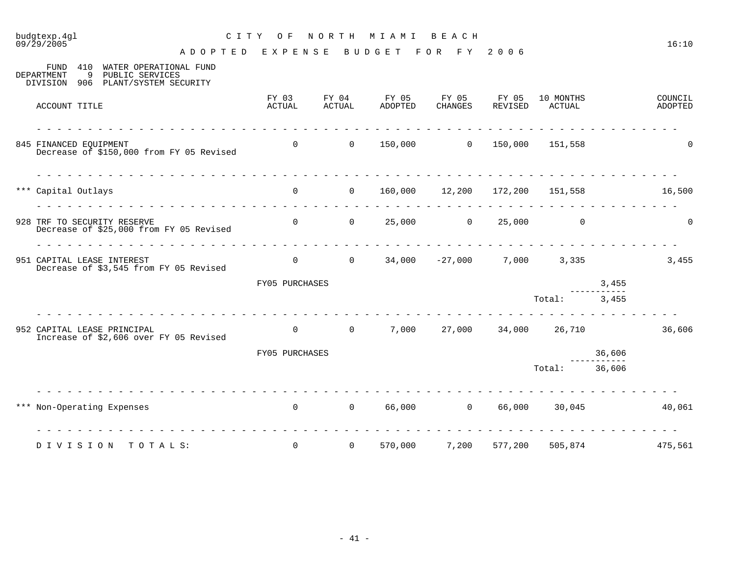| $09/\bar{2}9/2005$<br>ADOPTED EXPENSE                                                                             |                 |                 | <b>BUDGET</b>                | FOR FY 2006                    |                  |                                                     |        | 16:10              |
|-------------------------------------------------------------------------------------------------------------------|-----------------|-----------------|------------------------------|--------------------------------|------------------|-----------------------------------------------------|--------|--------------------|
| 410<br>WATER OPERATIONAL FUND<br>FUND<br>DEPARTMENT<br>9<br>PUBLIC SERVICES<br>DIVISION 906 PLANT/SYSTEM SECURITY |                 |                 |                              |                                |                  |                                                     |        |                    |
| ACCOUNT TITLE                                                                                                     | FY 03<br>ACTUAL | FY 04<br>ACTUAL | FY 05<br>ADOPTED             | FY 05<br>CHANGES               | FY 05<br>REVISED | 10 MONTHS<br>ACTUAL                                 |        | COUNCIL<br>ADOPTED |
| 845 FINANCED EOUIPMENT<br>Decrease of \$150,000 from FY 05 Revised                                                | $\overline{0}$  | $\sim$ 0        |                              |                                |                  |                                                     |        | $\Omega$           |
| *** Capital Outlays                                                                                               | $\overline{0}$  | $\overline{0}$  |                              | 160,000 12,200 172,200 151,558 |                  | <u>. La carta de la carta de la carta de la car</u> |        | 16,500             |
| 928 TRF TO SECURITY RESERVE<br>Decrease of \$25,000 from FY 05 Revised                                            | $\Omega$        |                 | $0 \t 25,000 \t 0 \t 25,000$ |                                |                  | $\Omega$                                            |        | $\Omega$           |
| dia ara-dia ara-dia ara-dia ara-d<br>951 CAPITAL LEASE INTEREST<br>Decrease of \$3,545 from FY 05 Revised         | $\overline{0}$  | $\overline{0}$  |                              |                                |                  | $34,000$ $-27,000$ $7,000$ $3,335$                  |        | 3,455              |
|                                                                                                                   | FY05 PURCHASES  |                 |                              |                                |                  |                                                     | 3,455  |                    |
| .                                                                                                                 |                 |                 |                              |                                |                  | Total: 3,455                                        |        |                    |
| 952 CAPITAL LEASE PRINCIPAL<br>Increase of \$2,606 over FY 05 Revised                                             | $\overline{0}$  | $\overline{0}$  |                              |                                |                  | 7,000 27,000 34,000 26,710                          |        | 36,606             |
|                                                                                                                   | FY05 PURCHASES  |                 |                              |                                |                  |                                                     | 36,606 |                    |
|                                                                                                                   |                 |                 |                              |                                |                  | Total:                                              | 36,606 |                    |
| *** Non-Operating Expenses                                                                                        | $\Omega$        |                 | 0 66,000 0 66,000            |                                |                  | 30,045                                              |        | 40,061             |
| DIVISION<br>ТОТА L S:                                                                                             | $\mathbf 0$     | $\overline{0}$  | 570,000                      | 7,200                          | 577,200          | 505,874                                             |        | 475,561            |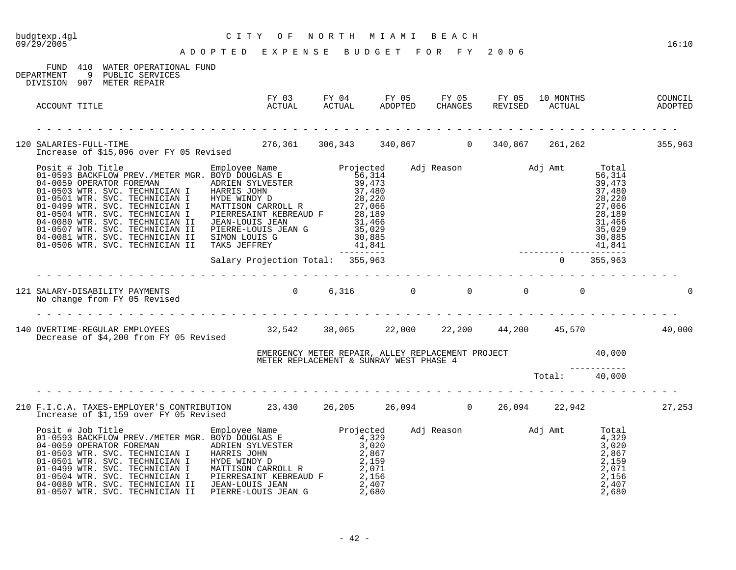| CITY OF NORTH MIAMI BEACH<br>ADOPTED EXPENSE BUDGET FOR FY 2006<br>budgtexp.4gl<br>09/29/2005                                                                                                                                |                                                                                                                      |  |          |  | 16:10 |
|------------------------------------------------------------------------------------------------------------------------------------------------------------------------------------------------------------------------------|----------------------------------------------------------------------------------------------------------------------|--|----------|--|-------|
| FUND 410 WATER OPERATIONAL FUND<br>DEPARTMENT 9 PUBLIC SERVICES<br>DIVISION 907 METER REPAIR                                                                                                                                 |                                                                                                                      |  |          |  |       |
| ACCOUNT TITLE                                                                                                                                                                                                                |                                                                                                                      |  |          |  |       |
| 120 SALARIES-FULL-TIME 120 SALARIES-FULL-TIME 1955,963<br>Increase of \$15,096 over FY 05 Revised 1976,361 1976,343 140,867 1980 1990,867 161,262                                                                            |                                                                                                                      |  |          |  |       |
| 9 11 - 16 12 - 16 12 - 16 12 - 16 12 - 16 12 - 16 12 - 16 12 - 16 12 - 16 12 - 16 12 - 16 12 - 16 12 - 16 12 - 16 12 - 16 12 - 16 12 - 16 12 - 16 12 - 16 12 - 16 12 - 16 12 - 16 12 - 16 12 - 16 12 - 16 12 - 16 12 - 16 12 |                                                                                                                      |  |          |  |       |
|                                                                                                                                                                                                                              |                                                                                                                      |  | <u>.</u> |  |       |
|                                                                                                                                                                                                                              |                                                                                                                      |  |          |  |       |
| 140 OVERTIME-REGULAR EMPLOYEES 6.1.200 32,542 38,065 22,000 22,200 44,200 45,570 45,570 40,000<br>Decrease of \$4.200 from FY 05 Revised 32,542 38,065 22,000 22,200 44,200 45,570                                           |                                                                                                                      |  |          |  |       |
|                                                                                                                                                                                                                              | EMERGENCY METER REPAIR, ALLEY REPLACEMENT PROJECT 40,000<br>METER REPLACEMENT & SUNRAY WEST PHASE 4<br>Total: 40,000 |  |          |  |       |
|                                                                                                                                                                                                                              |                                                                                                                      |  |          |  |       |
| 210 F.I.C.A. TAXES-EMPLOYER'S CONTRIBUTION 23,430 26,205 26,094 0 26,094 22,942 27,253<br>Increase of \$1,159 over FY 05 Revised                                                                                             |                                                                                                                      |  |          |  |       |
|                                                                                                                                                                                                                              |                                                                                                                      |  |          |  |       |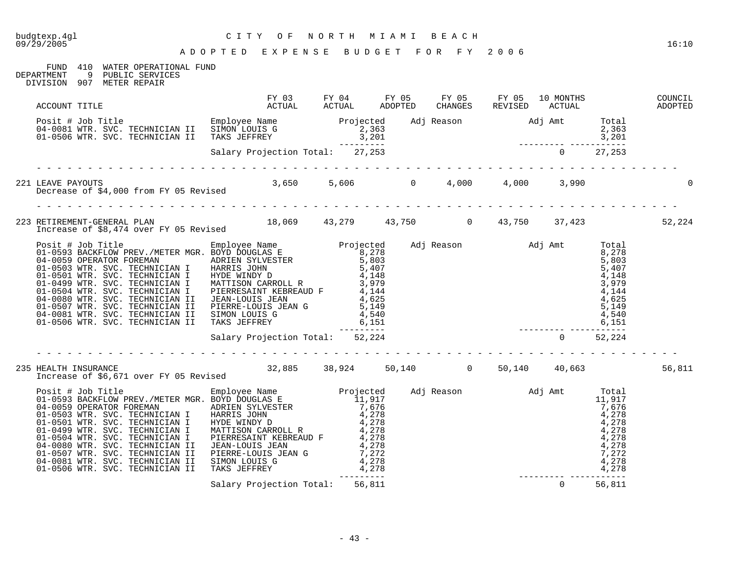# budgtexp.4gl C I T Y O F N O R T H M I A M I B E A C H

#### FUND 410 WATER OPERATIONAL FUND<br>DEPARTMENT 9 PUBLIC SERVICES DEPARTMENT 9 PUBLIC SERVICES

DIVISION 907 METER REPAIR

| ACCOUNT TITLE                                                                                                                                                                                                                               | FY 03 FY 04 FY 05 FY 05 FY 05 10 MONTHS<br>ACTUAL ACTUAL ADOPTED CHANGES REVISED ACTUAL |  |  | CHANGES REVISED ACTUAL ADOPTED | COUNCIL |
|---------------------------------------------------------------------------------------------------------------------------------------------------------------------------------------------------------------------------------------------|-----------------------------------------------------------------------------------------|--|--|--------------------------------|---------|
| Posit # Job Title<br>Desit # Job Title Employee Name Projected Adj Reason Maj Amt Total<br>04-0081 WTR. SVC. TECHNICIAN II TAKS JEFFREY 3,201<br>3,201 3,201<br>Salary Projection Total: 27,253                                             |                                                                                         |  |  |                                |         |
|                                                                                                                                                                                                                                             |                                                                                         |  |  |                                |         |
| 221 LEAVE PAYOUTS<br>Decrease of \$4,000 from FY 05 Revised 3,650 5,606 0 4,000 4,000 4,000 3,990                                                                                                                                           |                                                                                         |  |  |                                |         |
| 223 RETIREMENT-GENERAL PLAN 18,069 43,279 43,750 0 43,750 37,423 52,224                                                                                                                                                                     |                                                                                         |  |  |                                |         |
| 1ncrease of 36,474 over F1 to Reviseur<br>01–0593 BACKFLOM PREV./METER MGR. EMPLOYEE RAME<br>01–0593 DACKFLOM PREV./METER MGR. ENDYD DOUGLAS E<br>04–0050 NTR. SVC. TECHNICIAN I HARRIS JOHN 5,407<br>01–0503 NTR. SVC. TECHNICIAN I H      |                                                                                         |  |  |                                |         |
|                                                                                                                                                                                                                                             |                                                                                         |  |  |                                |         |
| 235 HEALTH INSURANCE 1 000 FY 05 Revised 32,885 38,924 50,140 0 50,140 40,663                                                                                                                                                               |                                                                                         |  |  |                                | 56,811  |
| 1ncrease of \$0,071 over ri up kevised<br>Positi # John Dioles Rame<br>01-0593 BACKFLOW PREV./METER MGR. BOXD DOUGLAS E<br>01-0593 OPERATOR FOREMAN<br>04-0059 OPERATOR FOREMAN<br>01-0503 WTR. SVC. TECHNICIAN I HARRIS JOHN PREV.<br>11,9 |                                                                                         |  |  |                                |         |
|                                                                                                                                                                                                                                             |                                                                                         |  |  |                                |         |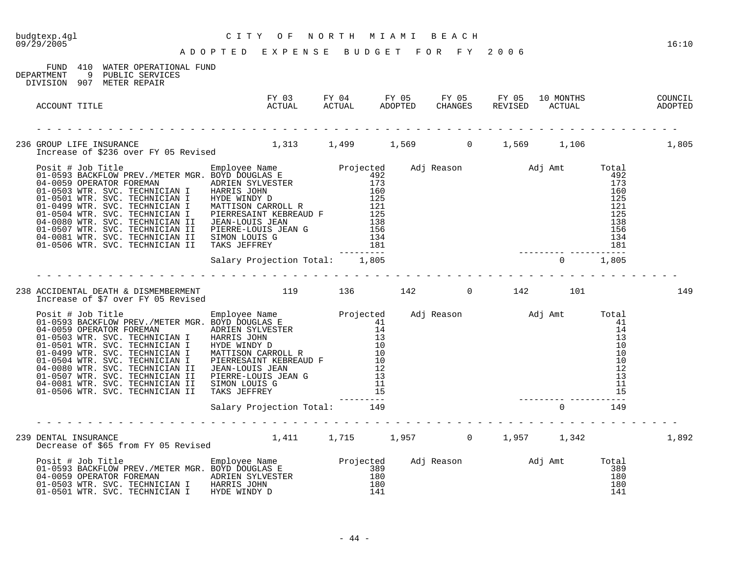| budgtexp.4gl<br>09/29/2005                                                                                                                                                                                                                                                               | C MORTH MIAMI BEACH CONTERN AND A BARAGE BUDGET FOR FY 2006 |  |  |  |                                                                                 |          |              |       |
|------------------------------------------------------------------------------------------------------------------------------------------------------------------------------------------------------------------------------------------------------------------------------------------|-------------------------------------------------------------|--|--|--|---------------------------------------------------------------------------------|----------|--------------|-------|
| FUND 410 WATER OPERATIONAL FUND<br>DEPARTMENT<br>9 PUBLIC SERVICES<br>DIVISION 907 METER REPAIR                                                                                                                                                                                          |                                                             |  |  |  |                                                                                 |          |              |       |
| ACCOUNT TITLE                                                                                                                                                                                                                                                                            |                                                             |  |  |  |                                                                                 |          |              |       |
|                                                                                                                                                                                                                                                                                          |                                                             |  |  |  |                                                                                 |          |              |       |
|                                                                                                                                                                                                                                                                                          |                                                             |  |  |  | $\begin{array}{r} 12! \\ 138 \\ 156 \\ 154 \\ 134 \\ 181 \\ \hline \end{array}$ |          | $492$<br>173 |       |
|                                                                                                                                                                                                                                                                                          | Salary Projection Total: 1,805                              |  |  |  |                                                                                 |          |              |       |
| 238 ACCIDENTAL DEATH & DISMEMBERMENT 119 136 142 0 142 101<br>Increase of \$7 over FY 05 Revised                                                                                                                                                                                         |                                                             |  |  |  |                                                                                 |          |              | 149   |
| Projected Adj Reason and Total Design and Total Projected Adj Reason and Adj Amt Total 01-0593 BACKFLOW PREV./METER MGR. BOYD DOUGLAS E<br>01-0593 BACKFLOW PREV./METER MGR. BOYD DOUGLAS E<br>01-0593 WTR. SVC. TECHNICIAN I HARR                                                       |                                                             |  |  |  |                                                                                 |          |              |       |
|                                                                                                                                                                                                                                                                                          | Salary Projection Total: 149                                |  |  |  |                                                                                 | $\Omega$ | 149          |       |
| 239 DENTAL INSURANCE<br>DENTAL INSURANCE<br>Decrease of \$65 from FY 05 Revised 1,411 1,715 1,957 0 1,957 1,342                                                                                                                                                                          |                                                             |  |  |  |                                                                                 |          |              | 1,892 |
| Posit # Job Title <b>Employee Name</b> Projected Adj Reason and Jamt Total 01-0593 BACKFLOW PREV./METER MGR. BOYD DOUGLAS E 389<br>04-0059 OPERATOR FOREMAN ADRIEN SYLVESTER 180<br>01-0503 WTR. SVC. TECHNICIAN I HARRIS JOHN 180<br>01-<br>01-0501 WTR. SVC. TECHNICIAN I HYDE WINDY D |                                                             |  |  |  |                                                                                 |          |              |       |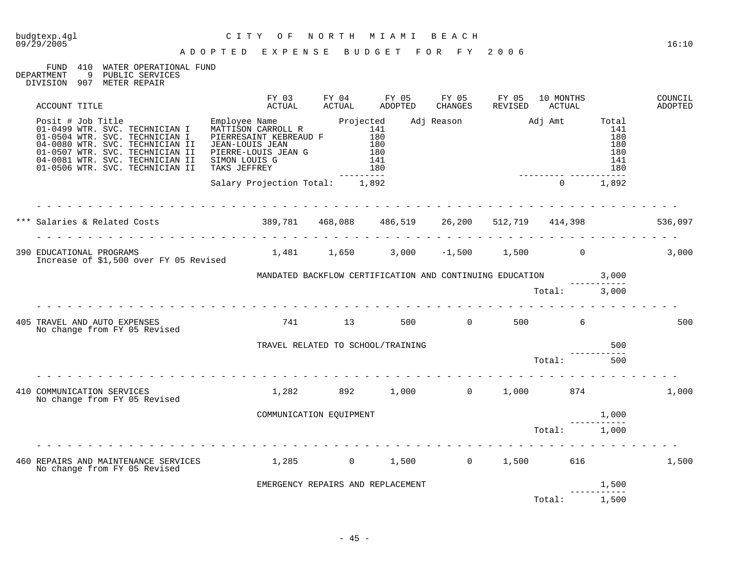# budgtexp.4gl C I T Y O F N O R T H M I A M I B E A C H

#### FUND 410 WATER OPERATIONAL FUND<br>DEPARTMENT 9 PUBLIC SERVICES DEPARTMENT 9 PUBLIC SERVICES

DIVISION 907 METER REPAIR

| ACCOUNT TITLE                                                                                                                                                                                                                                                                                                | FY 03<br>ACTUAL                                | FY 04<br>ACTUAL         | FY 05<br>ADOPTED                  | FY 05<br>CHANGES | FY 05<br>REVISED                        | 10 MONTHS<br>ACTUAL |                                        | COUNCIL<br>ADOPTED |
|--------------------------------------------------------------------------------------------------------------------------------------------------------------------------------------------------------------------------------------------------------------------------------------------------------------|------------------------------------------------|-------------------------|-----------------------------------|------------------|-----------------------------------------|---------------------|----------------------------------------|--------------------|
| Posit # Job Title<br>01-0499 WTR. SVC. TECHNICIAN I MATTISON CARROLL R 141<br>01-0504 WTR. SVC. TECHNICIAN I PIERRESAINT KEBREAUD F 180<br>04-0080 WTR. SVC. TECHNICIAN II JEAN-LOUIS JEAN 180<br>01-0507 WTR. SVC. TECHNICIAN II PIER<br>04-0081 WTR. SVC. TECHNICIAN II<br>01-0506 WTR. SVC. TECHNICIAN II | SIMON LOUIS G<br>SIMON LOULS G<br>TAKS JEFFREY | ----------              | 141<br>180                        |                  | Adj Reason Madj Amt Total               |                     | 141<br>180<br>180<br>180<br>141<br>180 |                    |
|                                                                                                                                                                                                                                                                                                              | Salary Projection Total: 1,892                 |                         |                                   |                  | $\overline{0}$                          |                     | 1,892                                  |                    |
|                                                                                                                                                                                                                                                                                                              |                                                |                         |                                   |                  |                                         |                     |                                        | 536,097            |
| 390 EDUCATIONAL PROGRAMS<br>1,481   1,650   3,000   -1,500   1,500   1,500<br>Increase of \$1,500 over FY 05 Revised                                                                                                                                                                                         |                                                |                         |                                   |                  |                                         |                     |                                        | 3,000              |
|                                                                                                                                                                                                                                                                                                              |                                                |                         |                                   |                  |                                         |                     |                                        |                    |
|                                                                                                                                                                                                                                                                                                              |                                                |                         |                                   |                  |                                         | Total: 3,000        |                                        |                    |
| 405 TRAVEL AND AUTO EXPENSES<br>No change from FY 05 Revised                                                                                                                                                                                                                                                 |                                                |                         | 741 13 500                        |                  | 0 500 6                                 |                     |                                        | 500                |
|                                                                                                                                                                                                                                                                                                              |                                                |                         | TRAVEL RELATED TO SCHOOL/TRAINING |                  |                                         |                     | 500                                    |                    |
|                                                                                                                                                                                                                                                                                                              |                                                |                         |                                   |                  | Total:                                  |                     | 500                                    |                    |
| 410 COMMUNICATION SERVICES<br>No change from FY 05 Revised                                                                                                                                                                                                                                                   |                                                |                         |                                   |                  | $1,282$ $892$ $1,000$ $0$ $1,000$ $874$ |                     |                                        | 1,000              |
|                                                                                                                                                                                                                                                                                                              |                                                | COMMUNICATION EQUIPMENT |                                   |                  |                                         | 1,000               |                                        |                    |
|                                                                                                                                                                                                                                                                                                              |                                                |                         |                                   |                  | Total: 1,000                            |                     |                                        |                    |
| 460 REPAIRS AND MAINTENANCE SERVICES $1,285$ 0 $1,500$ 0 $1,500$ 616<br>No change from FY 05 Revised                                                                                                                                                                                                         |                                                |                         |                                   |                  |                                         |                     |                                        | 1,500              |
|                                                                                                                                                                                                                                                                                                              |                                                |                         | EMERGENCY REPAIRS AND REPLACEMENT |                  |                                         |                     | 1,500                                  |                    |
|                                                                                                                                                                                                                                                                                                              |                                                |                         |                                   |                  |                                         | Total:              | 1,500                                  |                    |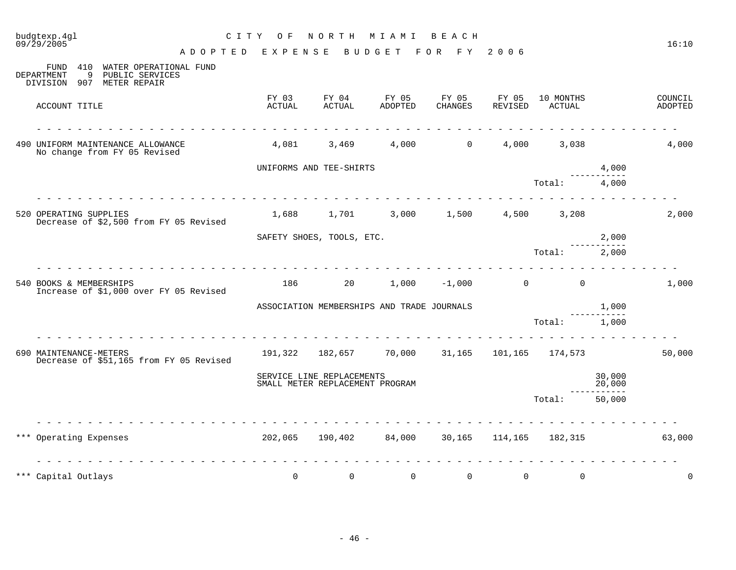| 09/29/2005                                                                                            | A D O P T E D E X P E N S E B U D G E T                       |                                                              |                                               | FOR FY           | 2006             |                     |                   | 16:10              |
|-------------------------------------------------------------------------------------------------------|---------------------------------------------------------------|--------------------------------------------------------------|-----------------------------------------------|------------------|------------------|---------------------|-------------------|--------------------|
| FUND<br>410<br>WATER OPERATIONAL FUND<br>9 PUBLIC SERVICES<br>DEPARTMENT<br>DIVISION 907 METER REPAIR |                                                               |                                                              |                                               |                  |                  |                     |                   |                    |
| ACCOUNT TITLE                                                                                         | FY 03<br>ACTUAL                                               | FY 04<br>ACTUAL                                              | FY 05<br>ADOPTED                              | FY 05<br>CHANGES | FY 05<br>REVISED | 10 MONTHS<br>ACTUAL |                   | COUNCIL<br>ADOPTED |
| 490 UNIFORM MAINTENANCE ALLOWANCE<br>No change from FY 05 Revised                                     |                                                               | 4,081 3,469                                                  | 4,000                                         | $\Omega$         |                  | 4,000 3,038         |                   | 4,000              |
|                                                                                                       |                                                               | UNIFORMS AND TEE-SHIRTS                                      |                                               |                  |                  |                     | 4,000<br>-------- |                    |
|                                                                                                       |                                                               |                                                              |                                               |                  |                  | Total:              | 4,000             |                    |
| 520 OPERATING SUPPLIES<br>Decrease of \$2,500 from FY 05 Revised                                      |                                                               |                                                              |                                               |                  |                  | 4,500 3,208         |                   | 2,000              |
|                                                                                                       |                                                               | SAFETY SHOES, TOOLS, ETC.                                    |                                               |                  |                  |                     | 2,000             |                    |
|                                                                                                       |                                                               |                                                              |                                               | .                |                  | Total:              | 2,000             |                    |
| 540 BOOKS & MEMBERSHIPS<br>Increase of \$1,000 over FY 05 Revised                                     |                                                               |                                                              | $186$ 20 $1,000$ $-1,000$ 0                   |                  |                  | $\Omega$            |                   | 1,000              |
|                                                                                                       |                                                               |                                                              | ASSOCIATION MEMBERSHIPS AND TRADE JOURNALS    |                  |                  |                     | 1,000             |                    |
|                                                                                                       |                                                               |                                                              |                                               |                  |                  | Total: 1,000        |                   |                    |
| 690 MAINTENANCE-METERS<br>Decrease of \$51,165 from FY 05 Revised                                     |                                                               |                                                              | 191,322 182,657 70,000 31,165 101,165 174,573 |                  |                  |                     |                   | 50,000             |
|                                                                                                       |                                                               | SERVICE LINE REPLACEMENTS<br>SMALL METER REPLACEMENT PROGRAM |                                               |                  |                  |                     | 30,000<br>20,000  |                    |
|                                                                                                       |                                                               |                                                              |                                               |                  |                  | Total:              | 50,000            |                    |
| *** Operating Expenses                                                                                |                                                               |                                                              | 202,065 190,402 84,000 30,165 114,165 182,315 |                  |                  |                     |                   | 63,000             |
| *** Capital Outlays                                                                                   | <u> 1969 - 1969 - 1969 - 1969 - 1969 - 19</u><br>$\mathsf{O}$ | $\overline{0}$                                               | $\mathbf 0$                                   | $\overline{0}$   | $\mathsf{O}$     | $\mathbf 0$         |                   | $\mathbf 0$        |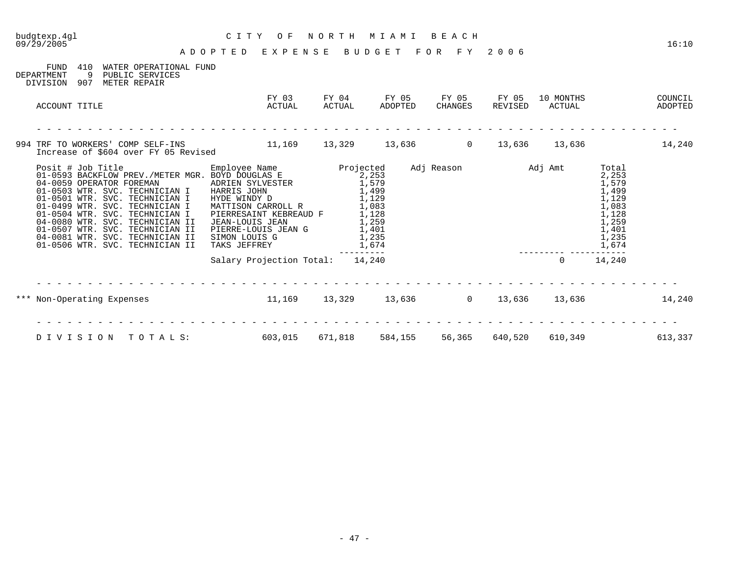| budgtexp.4ql<br>09/29/2005                                                                                                                                                                                                                                                                                                                                                                                                                                                                | C I T Y<br>O F<br>ADOPTED EXPENSE BUDGET FOR FY 2006                                                                                    | NORTH MIAMI                                                          |                  | BEACH            |                                         | 16:10                                                                                           |
|-------------------------------------------------------------------------------------------------------------------------------------------------------------------------------------------------------------------------------------------------------------------------------------------------------------------------------------------------------------------------------------------------------------------------------------------------------------------------------------------|-----------------------------------------------------------------------------------------------------------------------------------------|----------------------------------------------------------------------|------------------|------------------|-----------------------------------------|-------------------------------------------------------------------------------------------------|
| FUND<br>410<br>WATER OPERATIONAL FUND<br>DEPARTMENT<br>9<br>PUBLIC SERVICES<br>METER REPAIR<br>DIVISION<br>907                                                                                                                                                                                                                                                                                                                                                                            |                                                                                                                                         |                                                                      |                  |                  |                                         |                                                                                                 |
| ACCOUNT TITLE                                                                                                                                                                                                                                                                                                                                                                                                                                                                             | FY 03<br>ACTUAL                                                                                                                         | FY 04<br>ACTUAL                                                      | FY 05<br>ADOPTED | FY 05<br>CHANGES | FY 05<br>10 MONTHS<br>REVISED<br>ACTUAL | COUNCIL<br>ADOPTED                                                                              |
| 994 TRF TO WORKERS' COMP SELF-INS<br>Increase of \$604 over FY 05 Revised                                                                                                                                                                                                                                                                                                                                                                                                                 | $11,169$ $13,329$ $13,636$ 0 $13,636$ $13,636$                                                                                          |                                                                      |                  |                  |                                         | 14,240                                                                                          |
| Posit # Job Title<br>01-0593 BACKFLOW PREV./METER MGR. BOYD DOUGLAS E Projected<br>04-0059 OPERATOR FOREMAN ADRIEN SYLVESTER 1,579<br>01-0503 WTR SVC TECUNICIAN I MARIEN SYLVESTER 1,579<br>01-0503 WTR. SVC. TECHNICIAN I HARRIS JOHN<br>01-0501 WTR. SVC. TECHNICIAN I<br>01-0499 WTR. SVC. TECHNICIAN I<br>01-0504 WTR. SVC. TECHNICIAN I<br>04-0080 WTR. SVC. TECHNICIAN II<br>01-0507 WTR. SVC. TECHNICIAN II<br>04-0081 WTR. SVC. TECHNICIAN II<br>01-0506 WTR. SVC. TECHNICIAN II | HYDE WINDY D<br>MATTISON CARROLL R<br>PIERRESAINT KEBREAUD F<br>JEAN-LOUIS JEAN<br>PIERRE-LOUIS JEAN G<br>SIMON LOUIS G<br>TAKS JEFFREY | 1,499<br>1,129<br>1,083<br>1,128<br>1,259<br>1,401<br>1,235<br>1,674 |                  |                  | Adj Reason Madj Amt                     | Total<br>2,253<br>1,579<br>1,499<br>1,129<br>1,083<br>1,128<br>1,259<br>1,401<br>1,235<br>1,674 |
|                                                                                                                                                                                                                                                                                                                                                                                                                                                                                           | Salary Projection Total: 14,240                                                                                                         | $- - - - - - -$                                                      |                  |                  | $\overline{0}$                          | 14,240                                                                                          |
| *** Non-Operating Expenses                                                                                                                                                                                                                                                                                                                                                                                                                                                                |                                                                                                                                         |                                                                      |                  |                  |                                         | $11,169$ $13,329$ $13,636$ $13,636$ $13,636$ $13,636$ $14,240$                                  |
| DIVISION<br>TOTALS:                                                                                                                                                                                                                                                                                                                                                                                                                                                                       | 603,015                                                                                                                                 | 671,818                                                              | 584,155          | 56,365           | 640,520<br>610,349                      | 613,337                                                                                         |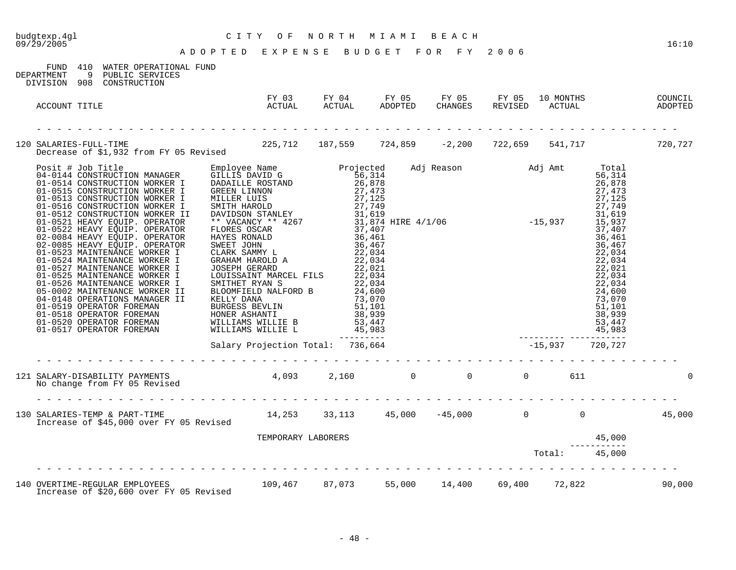| 09/29/2005                                                                                                                    | ADOPTED EXPENSE BUDGET FOR FY 2006                                                                      |  |                                                                   |  | 16:10 |
|-------------------------------------------------------------------------------------------------------------------------------|---------------------------------------------------------------------------------------------------------|--|-------------------------------------------------------------------|--|-------|
| FUND 410 WATER OPERATIONAL FUND<br>DEPARTMENT 9 PUBLIC SERVICES<br>DIVISION 908 CONSTRUCTION                                  |                                                                                                         |  |                                                                   |  |       |
| ACCOUNT TITLE                                                                                                                 | FY 03 FY 04 FY 05 FY 05 FY 05 10 MONTHS COUNCIL<br>ACTUAL ACTUAL ADOPTED CHANGES REVISED ACTUAL ADOPTED |  |                                                                   |  |       |
| 120 SALARIES-FULL-TIME<br>Decrease of \$1,932 from FY 05 Revised 225,712 187,559 724,859 -2,200 722,659 541,717 720,727       |                                                                                                         |  |                                                                   |  |       |
|                                                                                                                               |                                                                                                         |  |                                                                   |  |       |
|                                                                                                                               |                                                                                                         |  |                                                                   |  |       |
| 121 SALARY-DISABILITY PAYMENTS          4,093    2,160       0      0         611<br>No change from FY 05 Revised             |                                                                                                         |  |                                                                   |  |       |
| 130 SALARIES-TEMP & PART-TIME<br>Increase of \$45,000 over FY 05 Revised 14,253 33,113 45,000 -45,000 0 0 0 0 15,000          |                                                                                                         |  |                                                                   |  |       |
|                                                                                                                               | TEMPORARY LABORERS                                                                                      |  |                                                                   |  |       |
|                                                                                                                               |                                                                                                         |  | $\begin{array}{r} \texttt{45,000} \\ \texttt{Total:} \end{array}$ |  |       |
| 140 OVERTIME-REGULAR EMPLOYEES 109,467 87,073 55,000 14,400 69,400 72,822 1 90,000<br>Increase of \$20,600 over FY 05 Revised |                                                                                                         |  |                                                                   |  |       |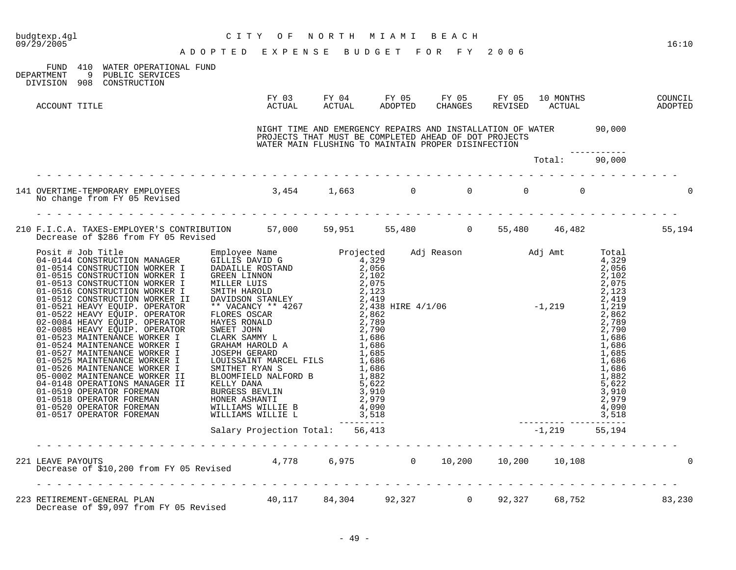| budgtexp.4gl<br>CITY OF NORTH MIAMI BEACH<br>ADOPTED EXPENSE BUDGET FOR FY 2006<br>09/29/2005                                  |  |                                                     |  |               | 16:10 |
|--------------------------------------------------------------------------------------------------------------------------------|--|-----------------------------------------------------|--|---------------|-------|
| FUND 410 WATER OPERATIONAL FUND<br>DEPARTMENT 9 PUBLIC SERVICES<br>DIVISION 908 CONSTRUCTION                                   |  |                                                     |  |               |       |
| ACCOUNT TITLE                                                                                                                  |  |                                                     |  |               |       |
|                                                                                                                                |  | WATER MAIN FLUSHING TO MAINTAIN PROPER DISINFECTION |  |               |       |
|                                                                                                                                |  |                                                     |  | Total: 90,000 |       |
| 141 OVERTIME-TEMPORARY EMPLOYEES 3,454 1,663 0 0 0 0 0 0 0<br>No change from FY 05 Revised                                     |  |                                                     |  |               |       |
| 210 F.I.C.A. TAXES-EMPLOYER'S CONTRIBUTION 57,000 59,951 55,480 0 55,480 46,482 55,194<br>Decrease of \$286 from FY 05 Revised |  |                                                     |  |               |       |
|                                                                                                                                |  |                                                     |  | 55,194        |       |
|                                                                                                                                |  |                                                     |  |               |       |
| 221 LEAVE PAYOUTS<br>Decrease of \$10,200 from FY 05 Revised 4,778 6,975 0 10,200 10,200 10,108                                |  |                                                     |  |               |       |
| 223 RETIREMENT-GENERAL PLAN 10,117 84,304 92,327 0 92,327 68,752 68,752 83,230                                                 |  |                                                     |  |               |       |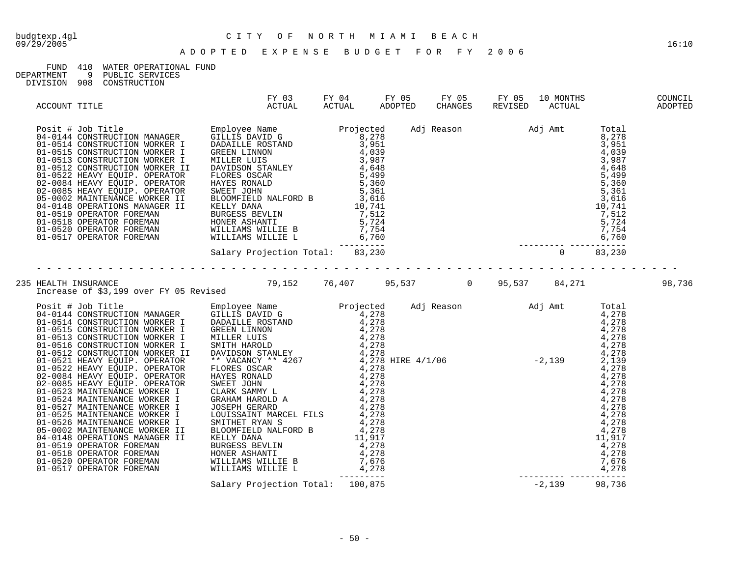#### FUND 410 WATER OPERATIONAL FUND

| DEPARTMENT |  | PUBLIC SERVICES |
|------------|--|-----------------|
|            |  |                 |

DIVISION 908 CONSTRUCTION

| ACCOUNT TITLE | ACTUAL |  | 10 MONTHS COUNCIL<br>ACTUAL ADOPTED |        |
|---------------|--------|--|-------------------------------------|--------|
|               |        |  |                                     |        |
|               |        |  |                                     |        |
|               |        |  |                                     | 98,736 |
|               |        |  |                                     |        |
|               |        |  |                                     |        |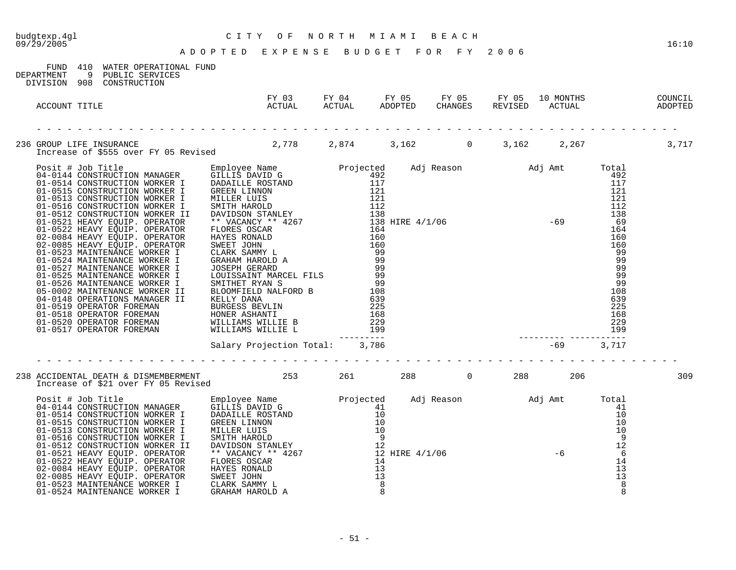| budgtexp.4gl<br>09/29/2005                                                                                                                                                                                                       | CITY OF NORTH MIAMI BEACH<br>ADOPTED EXPENSE BUDGET FOR FY 2006                                         |  |  | 16:10 |
|----------------------------------------------------------------------------------------------------------------------------------------------------------------------------------------------------------------------------------|---------------------------------------------------------------------------------------------------------|--|--|-------|
| FUND 410 WATER OPERATIONAL FUND<br>9 PUBLIC SERVICES<br>DEPARTMENT<br>DIVISION 908 CONSTRUCTION                                                                                                                                  |                                                                                                         |  |  |       |
| ACCOUNT TITLE                                                                                                                                                                                                                    | FY 03 FY 04 FY 05 FY 05 FY 05 10 MONTHS COUNCIL<br>ACTUAL ACTUAL ADOPTED CHANGES REVISED ACTUAL ADOPTED |  |  |       |
| 236 GROUP LIFE INSURANCE<br>2,778 2,874 3,162 0 3,162 2,267 2,267 3,717 172 172 172 173 174 174 175 187 188                                                                                                                      |                                                                                                         |  |  |       |
| Forces of \$555 over FY 05 Revised<br>04-0144 CMSTRCCTION MANAGER DEREVITY IN THE DAMIN PRESS SERVE AND THE SERVE ON THE SERVE ON THE SERVE ON THE SERVE ON THE SERVE ON THE SERVE ON THE SERVE ON THE SERVE ON THE SERVE ON THE |                                                                                                         |  |  |       |
|                                                                                                                                                                                                                                  |                                                                                                         |  |  | 309   |
|                                                                                                                                                                                                                                  |                                                                                                         |  |  |       |

01-0524 MAINTENANCE WORKER I GRAHAM HAROLD A 8 8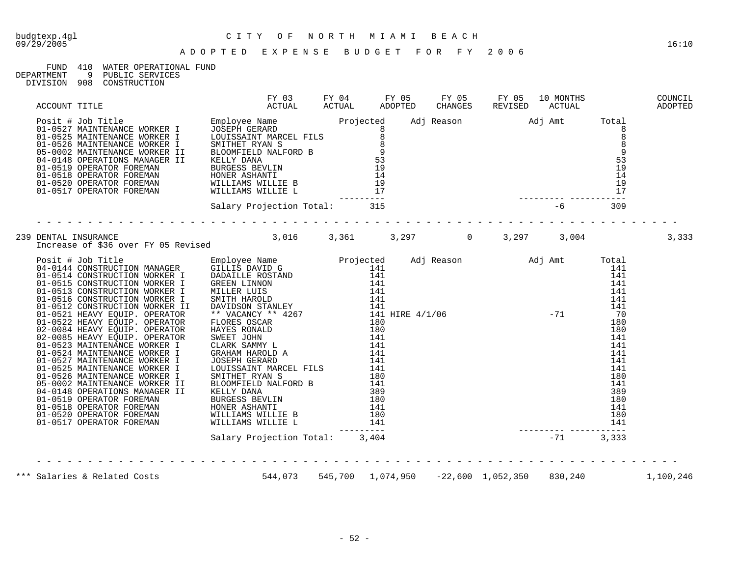# budgtexp.4gl C I T Y O F N O R T H M I A M I B E A C H

## FUND 410 WATER OPERATIONAL FUND<br>DEPARTMENT 9 PUBLIC SERVICES

DEPARTMENT 9 PUBLIC SERVICES

| ACCOUNT TITLE<br>Posit # Job Title<br>01-0527 MAINTENANCE WORKER I EMPloyee Name<br>01-0527 MAINTENANCE WORKER I LOUISBANDY MARCEL FILS<br>01-0527 MAINTENANCE WORKER I BOURSBAINT MARCEL FILS<br>02-07026 MAINTENANCE WORKER I BOURSBAI |  |  |       |
|------------------------------------------------------------------------------------------------------------------------------------------------------------------------------------------------------------------------------------------|--|--|-------|
|                                                                                                                                                                                                                                          |  |  |       |
| 239 DENTAL INSURANCE<br>Increase of \$36 over FY 05 Revised        3,016    3,361    3,297      0    3,297    3,004                                                                                                                      |  |  | 3,333 |
|                                                                                                                                                                                                                                          |  |  |       |
|                                                                                                                                                                                                                                          |  |  |       |
| *** Salaries & Related Costs 6 1,100,246                                                                                                                                                                                                 |  |  |       |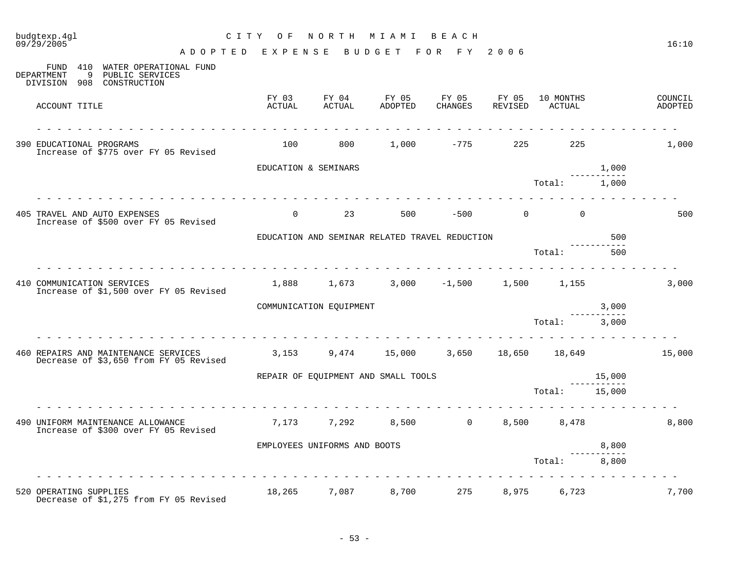| budgtexp.4ql<br>09/29/2005                                                                         | CITY OF                                                |                              | NORTH MIAMI BEACH                                  |                                  |                  |                     |        | 16:10              |
|----------------------------------------------------------------------------------------------------|--------------------------------------------------------|------------------------------|----------------------------------------------------|----------------------------------|------------------|---------------------|--------|--------------------|
| FUND 410 WATER OPERATIONAL FUND<br>DEPARTMENT<br>9<br>PUBLIC SERVICES<br>DIVISION 908 CONSTRUCTION | A D O P T E D E X P E N S E B U D G E T F O R F Y 2006 |                              |                                                    |                                  |                  |                     |        |                    |
| ACCOUNT TITLE                                                                                      | FY 03<br>ACTUAL                                        | FY 04<br>ACTUAL              | FY 05<br>ADOPTED                                   | FY 05<br>CHANGES                 | FY 05<br>REVISED | 10 MONTHS<br>ACTUAL |        | COUNCIL<br>ADOPTED |
| 390 EDUCATIONAL PROGRAMS<br>Increase of \$775 over FY 05 Revised                                   | 100                                                    | 800                          | 1,000                                              | -775                             | 225              | 225                 |        | 1,000              |
|                                                                                                    | EDUCATION & SEMINARS                                   |                              |                                                    |                                  |                  |                     | 1,000  |                    |
|                                                                                                    |                                                        |                              |                                                    |                                  |                  | Total:              | 1,000  |                    |
| 405 TRAVEL AND AUTO EXPENSES<br>Increase of \$500 over FY 05 Revised                               | $\Omega$                                               | 23                           | 500                                                |                                  | $-500$ 0         | $\Omega$            |        | 500                |
|                                                                                                    |                                                        |                              | EDUCATION AND SEMINAR RELATED TRAVEL REDUCTION     |                                  |                  |                     | 500    |                    |
|                                                                                                    |                                                        |                              |                                                    |                                  |                  | Total:              | 500    |                    |
| 410 COMMUNICATION SERVICES<br>Increase of \$1,500 over FY 05 Revised                               | 1,888                                                  | 1,673                        |                                                    | $3,000$ $-1,500$ $1,500$ $1,155$ |                  |                     |        | 3,000              |
|                                                                                                    |                                                        | COMMUNICATION EQUIPMENT      |                                                    |                                  |                  |                     | 3,000  |                    |
|                                                                                                    |                                                        |                              |                                                    |                                  |                  | Total:              | 3,000  |                    |
| 460 REPAIRS AND MAINTENANCE SERVICES<br>Decrease of \$3,650 from FY 05 Revised                     |                                                        |                              | $3,153$ $9,474$ $15,000$ $3,650$ $18,650$ $18,649$ |                                  |                  |                     |        | 15,000             |
|                                                                                                    |                                                        |                              | REPAIR OF EQUIPMENT AND SMALL TOOLS                |                                  |                  |                     | 15,000 |                    |
|                                                                                                    |                                                        |                              |                                                    |                                  |                  | Total: 15,000       |        |                    |
| 490 UNIFORM MAINTENANCE ALLOWANCE<br>Increase of \$300 over FY 05 Revised                          | 7,173                                                  | 7,292                        |                                                    | 8,500 0                          |                  | 8,500 8,478         |        | 8,800              |
|                                                                                                    |                                                        | EMPLOYEES UNIFORMS AND BOOTS |                                                    |                                  |                  |                     | 8,800  |                    |
|                                                                                                    |                                                        |                              |                                                    |                                  |                  | Total:              | 8,800  |                    |
| 520 OPERATING SUPPLIES<br>Decrease of \$1,275 from FY 05 Revised                                   |                                                        | 18,265 7,087                 | 8,700                                              | 275                              |                  | 8,975 6,723         |        | 7,700              |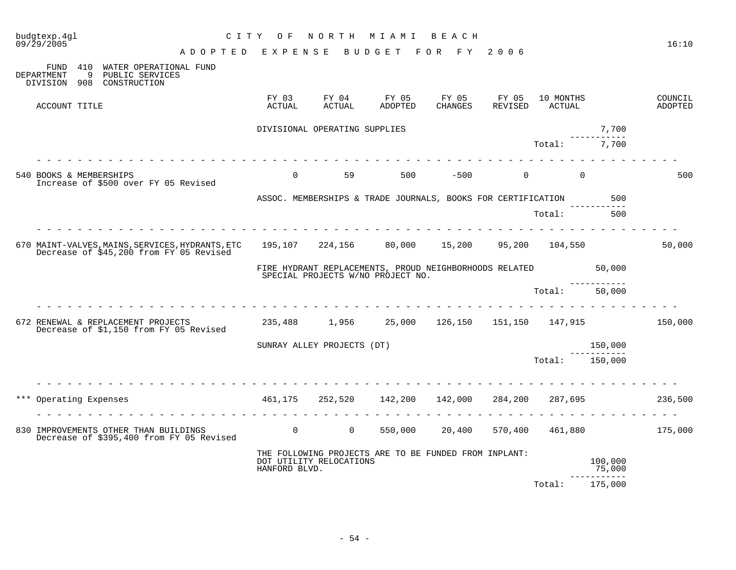|     | budgtexp.4gl<br>09/29/2005 | A D O P T E D E X P E N S E                                                                                                                                        | CITY OF                                                      |                               | NORTH MIAMI<br>BUDGET FOR FY                                                                | B E A C H              | 2006             |                     |                                 | 16:10              |
|-----|----------------------------|--------------------------------------------------------------------------------------------------------------------------------------------------------------------|--------------------------------------------------------------|-------------------------------|---------------------------------------------------------------------------------------------|------------------------|------------------|---------------------|---------------------------------|--------------------|
|     | DEPARTMENT<br>- 9          | FUND 410 WATER OPERATIONAL FUND<br>PUBLIC SERVICES<br>DIVISION 908 CONSTRUCTION                                                                                    |                                                              |                               |                                                                                             |                        |                  |                     |                                 |                    |
|     | ACCOUNT TITLE              |                                                                                                                                                                    | ACTUAL                                                       | FY 03 FY 04<br>ACTUAL         | ADOPTED                                                                                     | FY 05 FY 05<br>CHANGES | FY 05<br>REVISED | 10 MONTHS<br>ACTUAL |                                 | COUNCIL<br>ADOPTED |
|     |                            |                                                                                                                                                                    |                                                              | DIVISIONAL OPERATING SUPPLIES |                                                                                             |                        |                  |                     | 7,700                           |                    |
|     |                            |                                                                                                                                                                    |                                                              |                               |                                                                                             |                        |                  | Total:              | 7,700                           |                    |
|     | 540 BOOKS & MEMBERSHIPS    | Increase of \$500 over FY 05 Revised                                                                                                                               | $\Omega$                                                     | 59                            | 500                                                                                         | $-500$                 |                  |                     |                                 | 500                |
|     |                            |                                                                                                                                                                    | ASSOC. MEMBERSHIPS & TRADE JOURNALS, BOOKS FOR CERTIFICATION |                               |                                                                                             |                        |                  |                     | 500                             |                    |
|     |                            |                                                                                                                                                                    |                                                              |                               |                                                                                             |                        |                  | Total:              | 500                             |                    |
|     |                            | 670 MAINT-VALVES, MAINS, SERVICES, HYDRANTS, ETC 195, 107 224, 156 80, 000 15, 200 95, 200 104, 550<br>Decrease of \$45,200 from FY 05 Revised                     |                                                              |                               |                                                                                             |                        |                  |                     |                                 | 50,000             |
|     |                            |                                                                                                                                                                    |                                                              |                               | FIRE HYDRANT REPLACEMENTS, PROUD NEIGHBORHOODS RELATED<br>SPECIAL PROJECTS W/NO PROJECT NO. |                        |                  |                     | 50,000                          |                    |
|     |                            |                                                                                                                                                                    |                                                              |                               |                                                                                             |                        |                  | Total:              | 50,000                          |                    |
|     |                            | 672 RENEWAL & REPLACEMENT PROJECTS<br>Decrease of \$1,150 from FY 05 Revised                                                                                       | 235,488 1,956 25,000 126,150 151,150 147,915 150,000         |                               |                                                                                             |                        |                  |                     |                                 |                    |
|     |                            |                                                                                                                                                                    |                                                              | SUNRAY ALLEY PROJECTS (DT)    |                                                                                             |                        |                  |                     | 150,000<br>-----------          |                    |
|     |                            |                                                                                                                                                                    |                                                              |                               |                                                                                             |                        |                  | Total: 150,000      |                                 |                    |
|     |                            |                                                                                                                                                                    |                                                              |                               |                                                                                             |                        |                  |                     |                                 |                    |
| *** |                            | Operating Expenses                                                                                                                                                 |                                                              |                               | 461,175 252,520 142,200 142,000 284,200                                                     |                        |                  | 287,695             |                                 | 236,500            |
|     |                            | IMPROVEMENTS OTHER THAN BUILDINGS<br>Decrease of \$395,400 from FY 05 Revised 60 0 0 0 0 0 550,000 10,400 570,400 461,880<br>830 IMPROVEMENTS OTHER THAN BUILDINGS |                                                              |                               |                                                                                             |                        |                  |                     |                                 | 175,000            |
|     |                            |                                                                                                                                                                    | HANFORD BLVD.                                                | DOT UTILITY RELOCATIONS       | THE FOLLOWING PROJECTS ARE TO BE FUNDED FROM INPLANT:                                       |                        |                  |                     | 100,000<br>75,000<br>---------- |                    |
|     |                            |                                                                                                                                                                    |                                                              |                               |                                                                                             |                        |                  | Total:              | 175,000                         |                    |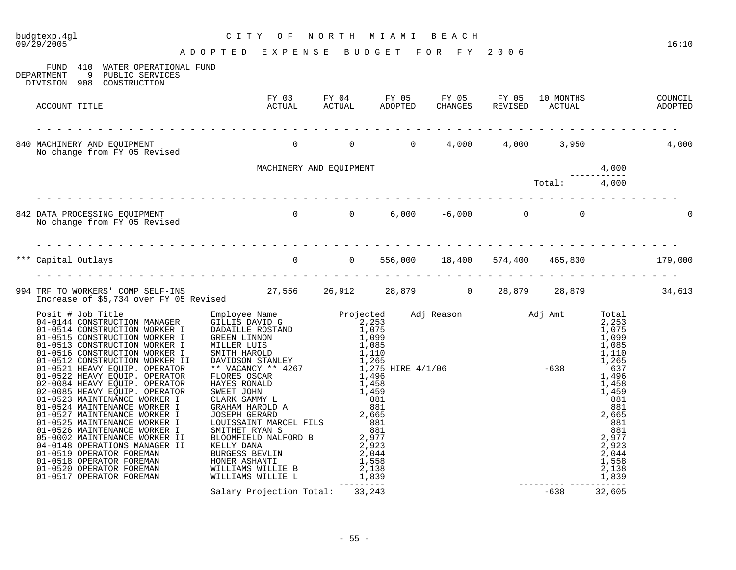| 09/29/2005<br>A D O P T E D E X P E N S E B U D G E T F O R F Y 2006                                                                                                                                                       |                                                                                                         |  |                                                                                                                  |                                                                | 16:10 |
|----------------------------------------------------------------------------------------------------------------------------------------------------------------------------------------------------------------------------|---------------------------------------------------------------------------------------------------------|--|------------------------------------------------------------------------------------------------------------------|----------------------------------------------------------------|-------|
| FUND 410 WATER OPERATIONAL FUND<br>DEPARTMENT 9 PUBLIC SERVICES<br>DIVISION 908 CONSTRUCTION                                                                                                                               |                                                                                                         |  |                                                                                                                  |                                                                |       |
| ACCOUNT TITLE                                                                                                                                                                                                              | FY 03 FY 04 FY 05 FY 05 FY 05 10 MONTHS COUNCIL<br>ACTUAL ACTUAL ADOPTED CHANGES REVISED ACTUAL ADOPTED |  |                                                                                                                  |                                                                |       |
|                                                                                                                                                                                                                            |                                                                                                         |  |                                                                                                                  |                                                                |       |
|                                                                                                                                                                                                                            | MACHINERY AND EQUIPMENT                                                                                 |  |                                                                                                                  |                                                                |       |
|                                                                                                                                                                                                                            |                                                                                                         |  |                                                                                                                  | $\begin{array}{r} 4,000 \\ \text{Total:} \\ 4,000 \end{array}$ |       |
|                                                                                                                                                                                                                            |                                                                                                         |  |                                                                                                                  |                                                                |       |
| *** Capital Outlays <b>179,000</b> 0 556,000 18,400 574,400 465,830 179,000                                                                                                                                                |                                                                                                         |  |                                                                                                                  |                                                                |       |
| 994 TRF TO WORKERS' COMP SELF-INS          27,556   26,912    28,879      0   28,879     28,879         34,613<br>Increase of \$5,734 over FY 05 Revised       27,556   26,912     28,879        28,879             34,613 |                                                                                                         |  |                                                                                                                  |                                                                |       |
|                                                                                                                                                                                                                            |                                                                                                         |  |                                                                                                                  |                                                                |       |
|                                                                                                                                                                                                                            |                                                                                                         |  | $\begin{array}{r}881 \\ -82 \\ 2,923 \\ 2,044 \\ 1,558 \\ 2,138 \\ -3.138 \\ -538 \\ -638 \\ 32,605 \end{array}$ |                                                                |       |
|                                                                                                                                                                                                                            | Salary Projection Total: 33,243                                                                         |  |                                                                                                                  |                                                                |       |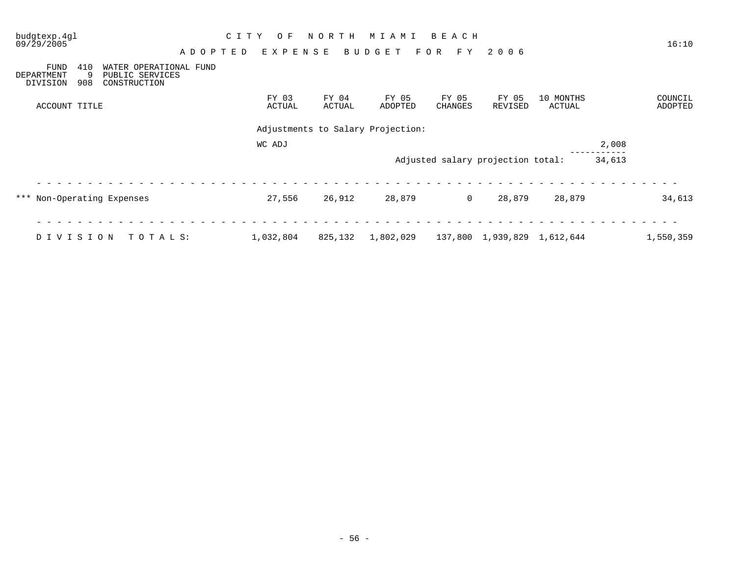| budgtexp.4gl<br>09/29/2005                                      |                                                           | A D O P T E D | C I T Y | O F<br>EXPENSE  | NORTH           | M I A M I<br>BUDGET               | BEACH<br>F Y<br>F O R | 2006                              |                     |        | 16:10              |
|-----------------------------------------------------------------|-----------------------------------------------------------|---------------|---------|-----------------|-----------------|-----------------------------------|-----------------------|-----------------------------------|---------------------|--------|--------------------|
| 410<br><b>FUND</b><br>9<br><b>DEPARTMENT</b><br>908<br>DIVISION | WATER OPERATIONAL FUND<br>PUBLIC SERVICES<br>CONSTRUCTION |               |         |                 |                 |                                   |                       |                                   |                     |        |                    |
| ACCOUNT TITLE                                                   |                                                           |               |         | FY 03<br>ACTUAL | FY 04<br>ACTUAL | FY 05<br>ADOPTED                  | FY 05<br>CHANGES      | FY 05<br>REVISED                  | 10 MONTHS<br>ACTUAL |        | COUNCIL<br>ADOPTED |
|                                                                 |                                                           |               |         |                 |                 | Adjustments to Salary Projection: |                       |                                   |                     |        |                    |
|                                                                 |                                                           |               |         |                 |                 |                                   |                       |                                   |                     |        |                    |
|                                                                 |                                                           |               |         | WC ADJ          |                 |                                   |                       |                                   |                     | 2,008  |                    |
|                                                                 |                                                           |               |         |                 |                 |                                   |                       | Adjusted salary projection total: |                     | 34,613 |                    |
| *** Non-Operating Expenses                                      |                                                           |               |         | 27,556          | 26,912          | 28,879                            | $\overline{0}$        | 28,879                            | 28,879              |        | 34,613             |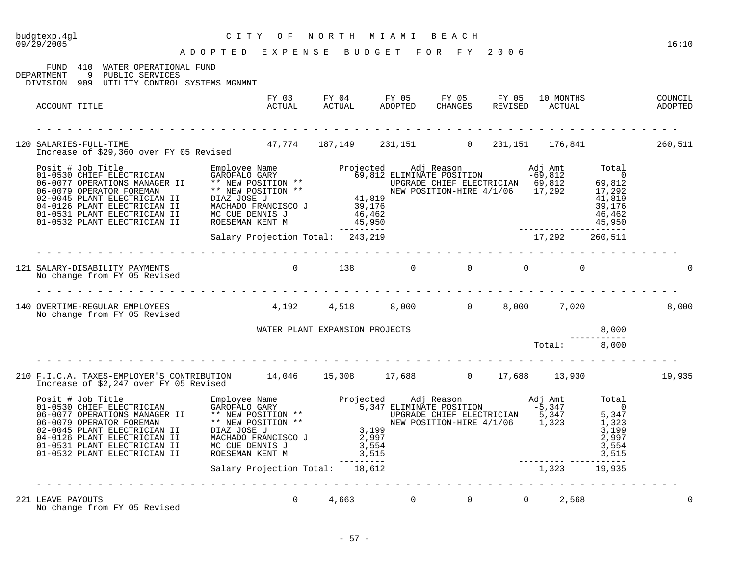| budgtexp.4gl<br>09/29/2005                                                                                                               | CITY OF<br>A D O P T E D E X P E N S E B U D G E T F O R F Y 2006 | NORTH MIAMI BEACH |  |              | 16:10    |
|------------------------------------------------------------------------------------------------------------------------------------------|-------------------------------------------------------------------|-------------------|--|--------------|----------|
| FUND 410 WATER OPERATIONAL FUND<br>DEPARTMENT 9 PUBLIC SERVICES<br>DIVISION 909 UTILITY CONTROL SYSTEMS MGNMNT                           |                                                                   |                   |  |              |          |
| ACCOUNT TITLE                                                                                                                            |                                                                   |                   |  |              |          |
| 120 SALARIES-FULL-TIME<br>SALARIES-FULL-TIME<br>Increase of \$29,360 over FY 05 Revised 47,774 187,149 231,151 0 231,151 176,841 260,511 |                                                                   |                   |  |              |          |
|                                                                                                                                          |                                                                   |                   |  |              |          |
|                                                                                                                                          | .                                                                 |                   |  |              |          |
| 121 SALARY-DISABILITY PAYMENTS<br>No change from FY 05 Revised                                                                           | $\begin{matrix} 0 & 138 & 0 & 0 & 0 & 0 \end{matrix}$             |                   |  |              | $\Omega$ |
| 140 OVERTIME-REGULAR EMPLOYEES 4,192 4,518 8,000 0 8,000 7,020<br>No change from FY 05 Revised                                           |                                                                   |                   |  |              | 8,000    |
|                                                                                                                                          | WATER PLANT EXPANSION PROJECTS                                    |                   |  | 8,000        |          |
|                                                                                                                                          |                                                                   |                   |  | Total: 8,000 |          |
| 210 F.I.C.A. TAXES-EMPLOYER'S CONTRIBUTION 14,046 15,308 17,688 0 17,688 13,930 13,930 19,935<br>Increase of \$2,247 over FY 05 Revised  |                                                                   |                   |  |              |          |
|                                                                                                                                          |                                                                   |                   |  |              |          |
|                                                                                                                                          |                                                                   |                   |  |              |          |
| 221 LEAVE PAYOUTS<br>No change from FY 05 Revised                                                                                        | 0 $4,663$ 0 0 0 2,568                                             |                   |  |              |          |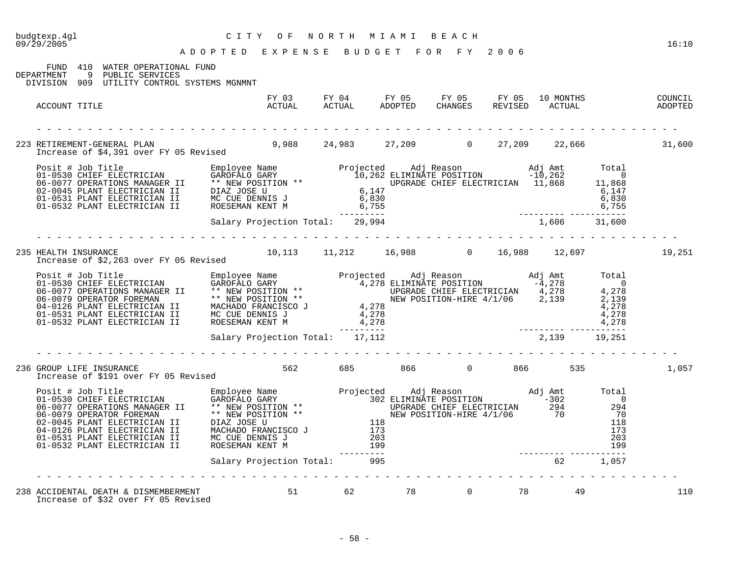| budgtexp.4gl<br>09/29/2005 |                                                                                                     | C I T Y<br>O F<br>CIII OF NORIH MIAMI BEACH<br>ADOPTED EXPENSE BUDGET FOR FY 2006                                                                                                                                                                                                                                                                                                                                                                           | NORTH MIAMI BEACH |                       |  |    | 16:10  |
|----------------------------|-----------------------------------------------------------------------------------------------------|-------------------------------------------------------------------------------------------------------------------------------------------------------------------------------------------------------------------------------------------------------------------------------------------------------------------------------------------------------------------------------------------------------------------------------------------------------------|-------------------|-----------------------|--|----|--------|
|                            |                                                                                                     |                                                                                                                                                                                                                                                                                                                                                                                                                                                             |                   |                       |  |    |        |
| DEPARTMENT                 | FUND 410 WATER OPERATIONAL FUND<br>9 PUBLIC SERVICES<br>DIVISION 909 UTILITY CONTROL SYSTEMS MGNMNT |                                                                                                                                                                                                                                                                                                                                                                                                                                                             |                   |                       |  |    |        |
| ACCOUNT TITLE              |                                                                                                     |                                                                                                                                                                                                                                                                                                                                                                                                                                                             |                   |                       |  |    |        |
|                            |                                                                                                     |                                                                                                                                                                                                                                                                                                                                                                                                                                                             |                   |                       |  |    | 31,600 |
|                            |                                                                                                     |                                                                                                                                                                                                                                                                                                                                                                                                                                                             |                   |                       |  |    |        |
|                            |                                                                                                     | $\begin{tabular}{lllllllllllllllllllll} \hline\hline\texttt{Positive} & \texttt{EIECTRICIAN} & \texttt{Employee Name} & \texttt{Projected} & \texttt{Adj Reason} & \texttt{Adj Amt} & \texttt{Total} \\ 01-0530 \texttt{CHIEF} & \texttt{ELECTRICIAN} & \texttt{GAROFALO GARY} & 10,262 \texttt{ELIMINATE POSTION} & -10,262 & 0 \\ 06-0077 \texttt{OPERATIONS MANGGER II} & * & \texttt{NEW POSTTON} & * & \texttt{U07-0531 PLANT ELECTRICIAN II} & 01-05$ |                   |                       |  |    |        |
|                            |                                                                                                     |                                                                                                                                                                                                                                                                                                                                                                                                                                                             |                   |                       |  |    |        |
|                            |                                                                                                     |                                                                                                                                                                                                                                                                                                                                                                                                                                                             |                   |                       |  |    |        |
| 235 HEALTH INSURANCE       |                                                                                                     | HEALTH INSURANCE 10,113 11,212 16,988 0 16,988 12,697<br>Increase of \$2,263 over FY 05 Revised 10,113 11,212 16,988 0 16,988 12,697                                                                                                                                                                                                                                                                                                                        |                   |                       |  |    | 19,251 |
|                            |                                                                                                     | Frojected Adj Reason<br>01-0530 CHIEF ELECTRICIAN GAROFALO GARY<br>06-0077 OPERATIONS MANAGER II ** NEW POSITION ** 4,278 ELIMINATE POSITION -4,278 0<br>06-0079 OPERATIONS MANAGER II ** NEW POSITION ** 4,278 CHIEF ELECTRICIAN 4,                                                                                                                                                                                                                        |                   |                       |  |    |        |
|                            |                                                                                                     |                                                                                                                                                                                                                                                                                                                                                                                                                                                             |                   |                       |  |    |        |
|                            |                                                                                                     |                                                                                                                                                                                                                                                                                                                                                                                                                                                             |                   |                       |  |    |        |
|                            | 236 GROUP LIFE INSURANCE<br>Increase of \$191 over FY 05 Revised                                    |                                                                                                                                                                                                                                                                                                                                                                                                                                                             |                   | 562 685 866 0 866 535 |  |    | 1,057  |
|                            |                                                                                                     | $\begin{tabular}{lllllllllllll} \hline &\multicolumn{3}{l} \textbf{D}\textbf{S} &\multicolumn{3}{l} \textbf{D}\textbf{S} &\multicolumn{3}{l} \textbf{D}\textbf{S} &\multicolumn{3}{l} \textbf{D}\textbf{S} &\multicolumn{3}{l} \textbf{D}\textbf{S} &\multicolumn{3}{l} \textbf{D}\textbf{S} &\multicolumn{3}{l} \textbf{D}\textbf{S} &\multicolumn{3}{l} \textbf{D}\textbf{S} &\multicolumn{3}{l} \textbf{D}\textbf{S} &\multicolumn{3}{l} \textbf{D$      |                   |                       |  |    |        |
|                            |                                                                                                     |                                                                                                                                                                                                                                                                                                                                                                                                                                                             |                   |                       |  |    |        |
|                            |                                                                                                     | 238 ACCIDENTAL DEATH & DISMEMBERMENT 51<br>Increase of \$32 over FY 05 Revised                                                                                                                                                                                                                                                                                                                                                                              |                   | 51 62 78 0 78         |  | 49 | 110    |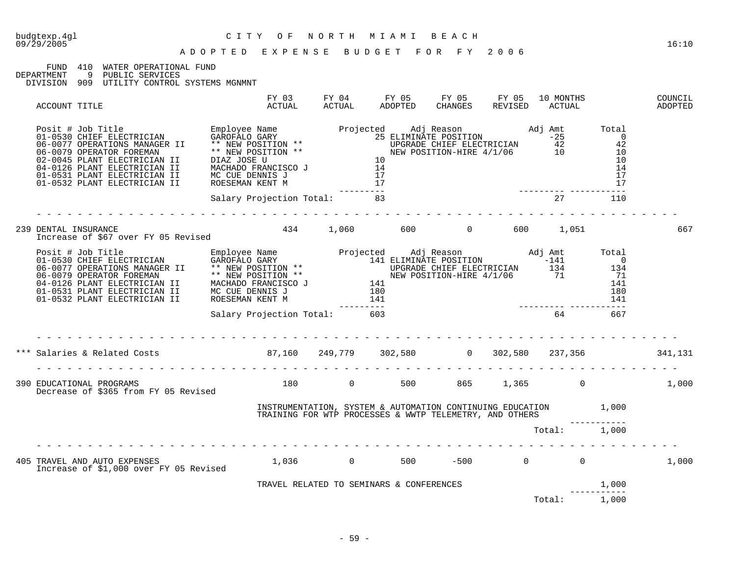## FUND 410 WATER OPERATIONAL FUND<br>DEPARTMENT 9 PUBLIC SERVICES

DEPARTMENT 9 PUBLIC SERVICES

DIVISION 909 UTILITY CONTROL SYSTEMS MGNMNT

| ACCOUNT TITLE                                                                                                                                                                                                                                                                                                                                                                                                                                                                        | FY 03<br>ACTUAL              | FY 04<br>ACTUAL | FY 05 FY 05 FY 05<br>ADOPTED                                                                                               | CHANGES | REVISED | 10 MONTHS<br>ACTUAL |       | COUNCIL<br>ADOPTED |
|--------------------------------------------------------------------------------------------------------------------------------------------------------------------------------------------------------------------------------------------------------------------------------------------------------------------------------------------------------------------------------------------------------------------------------------------------------------------------------------|------------------------------|-----------------|----------------------------------------------------------------------------------------------------------------------------|---------|---------|---------------------|-------|--------------------|
| $\begin{tabular}{lllllllllllllllllllllll} \hline\texttt{Positive} & \texttt{Emplayer Name} & \texttt{Empolve Name} & \texttt{Projected} & \texttt{Adj Reason} & \texttt{Adj Amt} & \texttt{Total} \\ 01-0530 \texttt{CHIEF} \texttt{ELECTRICIAN} & \texttt{GAROFALO GARY} & 25 & \texttt{CLIMINATE POSTITION} & -25 & 0 \\ 06-0077 \texttt{OPERATION} & \texttt{MANAGGER} & * & \texttt{NEW POSTITION} & * & \texttt{UCGRADE CHIEF} \texttt{ELECTRICIAN} & 42 & 42 \\ 06-0079 \text$ |                              |                 | ----------                                                                                                                 |         |         |                     |       |                    |
|                                                                                                                                                                                                                                                                                                                                                                                                                                                                                      | Salary Projection Total: 83  |                 |                                                                                                                            |         |         | 27 110              |       |                    |
| 239 DENTAL INSURANCE<br>Increase of \$67 over FY 05 Revised                                                                                                                                                                                                                                                                                                                                                                                                                          | 434 1,060 600 0 600 1,051    |                 |                                                                                                                            |         |         |                     |       | 667                |
| $\begin{tabular}{lllllllllllllllllll} \hline\hline\text{Positive} & \text{Euler} & \text{Employee Name} & \text{Projected} & \text{Adj} Reason & \text{Adj} & \text{R}} & \text{Adj} & \text{mmt} & \text{Total} \\ \hline 01-0530 & \text{CHIEF} & \text{ELECTRICIAN} & \text{GAROFALO GARY} & 141 & \text{ELIMINATE POSTITION} & -141 & 0 \\ 06-0077 & \text{OPERATION} & \text{MNAGER} & \text{SFRW RON POSTITION} & * & \text{NEW POSTITION} & \text{HNEW POSTITION} & 134 & 13$ |                              |                 |                                                                                                                            |         |         |                     |       |                    |
|                                                                                                                                                                                                                                                                                                                                                                                                                                                                                      | Salary Projection Total: 603 |                 |                                                                                                                            |         |         | 64                  | 667   |                    |
| .                                                                                                                                                                                                                                                                                                                                                                                                                                                                                    |                              |                 |                                                                                                                            |         |         |                     |       |                    |
| *** Salaries & Related Costs                             87,160     249,779     302,580                       302,580             237,356               341,131                                                                                                                                                                                                                                                                                                                      |                              |                 |                                                                                                                            |         |         |                     |       |                    |
| 390 EDUCATIONAL PROGRAMS<br>Decrease of \$365 from FY 05 Revised                                                                                                                                                                                                                                                                                                                                                                                                                     | 180 0 500 865 1,365 0        |                 |                                                                                                                            |         |         |                     |       | 1,000              |
|                                                                                                                                                                                                                                                                                                                                                                                                                                                                                      |                              |                 | INSTRUMENTATION, SYSTEM & AUTOMATION CONTINUING EDUCATION 1,000<br>TRAINING FOR WTP PROCESSES & WWTP TELEMETRY, AND OTHERS |         |         |                     |       |                    |
|                                                                                                                                                                                                                                                                                                                                                                                                                                                                                      |                              |                 |                                                                                                                            |         |         | Total: 1,000        |       |                    |
| 405 TRAVEL AND AUTO EXPENSES<br>Increase of \$1,000 over FY 05 Revised                                                                                                                                                                                                                                                                                                                                                                                                               |                              |                 | $1,036$ 0 500 -500 0 0                                                                                                     |         |         |                     |       | 1,000              |
|                                                                                                                                                                                                                                                                                                                                                                                                                                                                                      |                              |                 | TRAVEL RELATED TO SEMINARS & CONFERENCES                                                                                   |         |         |                     | 1,000 |                    |
|                                                                                                                                                                                                                                                                                                                                                                                                                                                                                      |                              |                 |                                                                                                                            |         |         | Total: 1,000        |       |                    |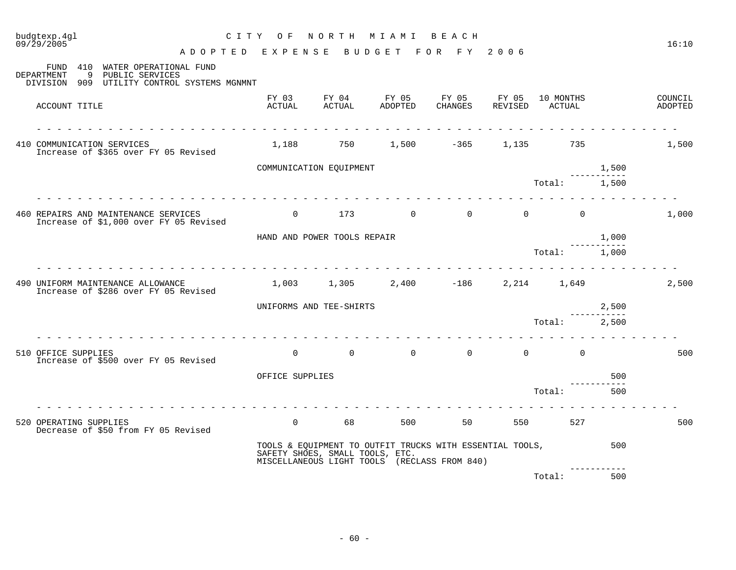| 09/29/2005<br>ADOPTED EXPENSE BUDGET FOR FY 2006                                                                  |                             |                                 |                                                                                                          |  |              |                      | 16:10 |
|-------------------------------------------------------------------------------------------------------------------|-----------------------------|---------------------------------|----------------------------------------------------------------------------------------------------------|--|--------------|----------------------|-------|
| FUND 410 WATER OPERATIONAL FUND<br>9 PUBLIC SERVICES<br>DEPARTMENT<br>DIVISION 909 UTILITY CONTROL SYSTEMS MGNMNT |                             |                                 |                                                                                                          |  |              |                      |       |
| ACCOUNT TITLE                                                                                                     |                             |                                 | FY 03 FY 04 FY 05 FY 05 FY 05 10 MONTHS COUNCIL ACTUAL ACTUAL ADOPTED CHANGES REVISED ACTUAL ADOPTED     |  |              |                      |       |
| .<br>410 COMMUNICATION SERVICES<br>Increase of \$365 over FY 05 Revised                                           |                             |                                 | $1,188$ $750$ $1,500$ $-365$ $1,135$ $735$                                                               |  |              |                      | 1,500 |
|                                                                                                                   | COMMUNICATION EOUIPMENT     |                                 |                                                                                                          |  |              | 1,500<br>----------- |       |
|                                                                                                                   |                             |                                 |                                                                                                          |  | Total: 1,500 |                      |       |
| 460 REPAIRS AND MAINTENANCE SERVICES<br>Increase of \$1,000 over FY 05 Revised                                    |                             |                                 | $0$ 173 0 0 0 0 0                                                                                        |  |              |                      | 1,000 |
|                                                                                                                   | HAND AND POWER TOOLS REPAIR |                                 |                                                                                                          |  |              | 1,000<br>----------- |       |
|                                                                                                                   |                             |                                 |                                                                                                          |  | Total: 1,000 |                      |       |
| 490 UNIFORM MAINTENANCE ALLOWANCE<br>Increase of \$286 over FY 05 Revised                                         |                             |                                 | $1,003$ $1,305$ $2,400$ $-186$ $2,214$ $1,649$                                                           |  |              |                      | 2,500 |
|                                                                                                                   | UNIFORMS AND TEE-SHIRTS     |                                 |                                                                                                          |  |              | 2,500                |       |
|                                                                                                                   |                             |                                 |                                                                                                          |  | Total: 2,500 |                      |       |
| 510 OFFICE SUPPLIES<br>Increase of \$500 over FY 05 Revised                                                       |                             |                                 |                                                                                                          |  |              |                      | 500   |
|                                                                                                                   | OFFICE SUPPLIES             |                                 |                                                                                                          |  |              | 500                  |       |
|                                                                                                                   |                             |                                 |                                                                                                          |  | Total:       | 500                  |       |
| 520 OPERATING SUPPLIES<br>Decrease of \$50 from FY 05 Revised                                                     |                             |                                 | 0 68 500 50 550 527                                                                                      |  |              |                      | 500   |
|                                                                                                                   |                             | SAFETY SHOES, SMALL TOOLS, ETC. | TOOLS & EQUIPMENT TO OUTFIT TRUCKS WITH ESSENTIAL TOOLS,<br>MISCELLANEOUS LIGHT TOOLS (RECLASS FROM 840) |  |              | 500                  |       |
|                                                                                                                   |                             |                                 |                                                                                                          |  | Total:       | 500                  |       |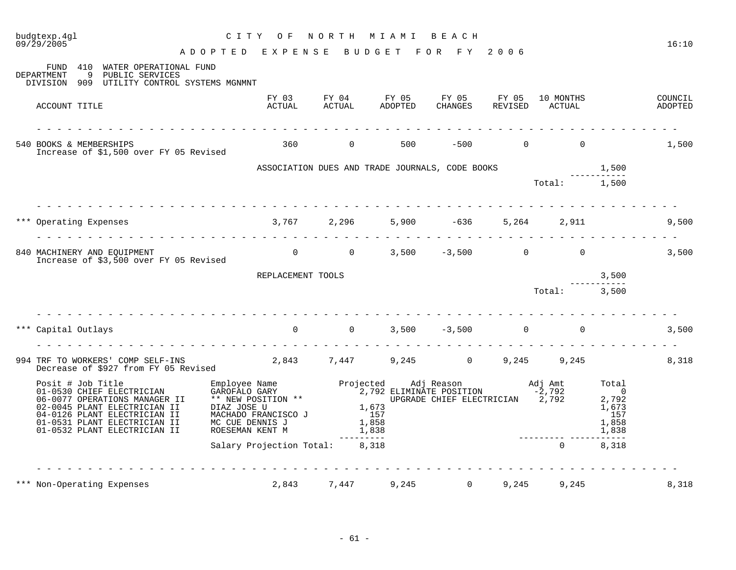| $09/\bar{2}9/\bar{2005}$                                                                                                                                                                                        | ADOPTED EXPENSE BUDGET FOR FY 2006                                                                                                                                                                                                                                                                   |       |                                                                                         |                    |       |                |       | 16:10              |
|-----------------------------------------------------------------------------------------------------------------------------------------------------------------------------------------------------------------|------------------------------------------------------------------------------------------------------------------------------------------------------------------------------------------------------------------------------------------------------------------------------------------------------|-------|-----------------------------------------------------------------------------------------|--------------------|-------|----------------|-------|--------------------|
| FUND 410 WATER OPERATIONAL FUND<br>9 PUBLIC SERVICES<br>DEPARTMENT<br>DIVISION 909 UTILITY CONTROL SYSTEMS MGNMNT                                                                                               |                                                                                                                                                                                                                                                                                                      |       |                                                                                         |                    |       |                |       |                    |
| ACCOUNT TITLE                                                                                                                                                                                                   |                                                                                                                                                                                                                                                                                                      |       | FY 03 FY 04 FY 05 FY 05 FY 05 10 MONTHS<br>ACTUAL ACTUAL ADOPTED CHANGES REVISED ACTUAL |                    |       |                |       | COUNCIL<br>ADOPTED |
| <u> 2020 - 2020 - 2020 - 2020 - 2020 - 20</u><br>540 BOOKS & MEMBERSHIPS<br>Increase of \$1,500 over FY 05 Revised                                                                                              |                                                                                                                                                                                                                                                                                                      |       | 360 0 500 -500 0 0                                                                      |                    |       |                |       | 1,500              |
|                                                                                                                                                                                                                 |                                                                                                                                                                                                                                                                                                      |       |                                                                                         |                    |       |                |       |                    |
|                                                                                                                                                                                                                 |                                                                                                                                                                                                                                                                                                      |       |                                                                                         |                    |       |                |       |                    |
| *** Operating Expenses                                                                                                                                                                                          | $3,767$ $2,296$ $5,900$ $-636$ $5,264$ $2,911$                                                                                                                                                                                                                                                       |       |                                                                                         |                    |       |                |       | 9,500              |
| 840 MACHINERY AND EQUIPMENT<br>Increase of \$3,500 over FY 05 Revised                                                                                                                                           |                                                                                                                                                                                                                                                                                                      |       | 0 0 0 3,500 -3,500 0 0 3,500                                                            |                    |       |                |       |                    |
|                                                                                                                                                                                                                 | REPLACEMENT TOOLS                                                                                                                                                                                                                                                                                    |       |                                                                                         |                    |       |                | 3,500 |                    |
|                                                                                                                                                                                                                 |                                                                                                                                                                                                                                                                                                      |       |                                                                                         |                    |       | $Total:$ 3,500 |       |                    |
| <u>. De estas estas en el estas estas estas estas estas estas estas estas estas e</u><br>Capital Outlays                                                                                                        |                                                                                                                                                                                                                                                                                                      |       |                                                                                         | $3,500 -3,500 0 0$ |       |                |       | 3,500              |
| 994 TRF TO WORKERS' COMP SELF-INS 2,843 7,447 9,245 0 9,245 9,245<br>Decrease of \$927 from FY 05 Revised 2,843 7,447 9,245 0 9,245 9,245                                                                       |                                                                                                                                                                                                                                                                                                      |       |                                                                                         |                    |       |                |       | 8,318              |
| Posit # Job Title<br>01-0530 CHIEF ELECTRICIAN<br>06-0077 OPERATIONS MANAGER II<br>02-0045 PLANT ELECTRICIAN II<br>04-0126 PLANT ELECTRICIAN II<br>01-0531 PLANT ELECTRICIAN II<br>01-0532 PLANT ELECTRICIAN II | Employee Name<br>GAROFALO GARY CORY CARY 2,792 ELIMINATE POSITION -2,792<br>THE POSITION -2,792<br>DIAZ JOSE U 1,673<br>MACHADO FRANCISCO J 157<br>MC CUE DENNIS J 1,858<br>ROESEMAN KENT M 1,838<br>ROESEMAN KENT M 1,838<br>The CUE CORE CHI<br>ENDESEMAN KENT M<br>Salary Projection Total: 8,318 |       |                                                                                         |                    |       |                |       |                    |
|                                                                                                                                                                                                                 |                                                                                                                                                                                                                                                                                                      |       |                                                                                         |                    |       | $\Omega$       | 8,318 |                    |
| *** Non-Operating Expenses                                                                                                                                                                                      | 2,843                                                                                                                                                                                                                                                                                                | 7,447 | 9,245                                                                                   | $0 \qquad \qquad$  | 9,245 | 9,245          |       | 8,318              |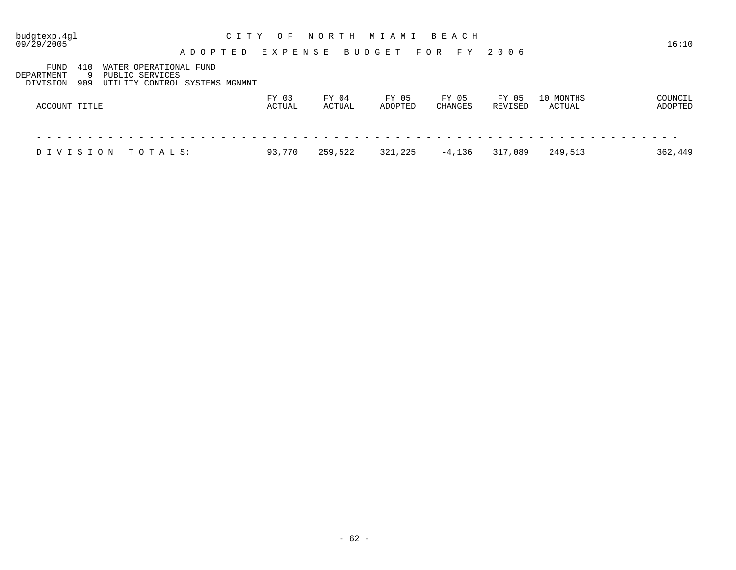| budgtexp.4gl<br>09/29/2005                         | A D O P T E D                                                               | C I T Y<br>O F<br>EXPENSE | NORTH           | MIAMI<br><b>BUDGET</b> | BEACH<br>FOR<br>F Y     | 2006             |                     | 16:10              |
|----------------------------------------------------|-----------------------------------------------------------------------------|---------------------------|-----------------|------------------------|-------------------------|------------------|---------------------|--------------------|
| FUND<br>410<br>DEPARTMENT<br>-9<br>909<br>DIVISION | WATER OPERATIONAL FUND<br>PUBLIC SERVICES<br>UTILITY CONTROL SYSTEMS MGNMNT |                           |                 |                        |                         |                  |                     |                    |
| ACCOUNT TITLE                                      |                                                                             | FY 03<br>ACTUAL           | FY 04<br>ACTUAL | FY 05<br>ADOPTED       | FY 05<br><b>CHANGES</b> | FY 05<br>REVISED | 10 MONTHS<br>ACTUAL | COUNCIL<br>ADOPTED |
| DIVISION                                           | TOTALS:                                                                     | 93,770                    | 259,522         | 321,225                | $-4,136$                | 317,089          | 249,513             | 362,449            |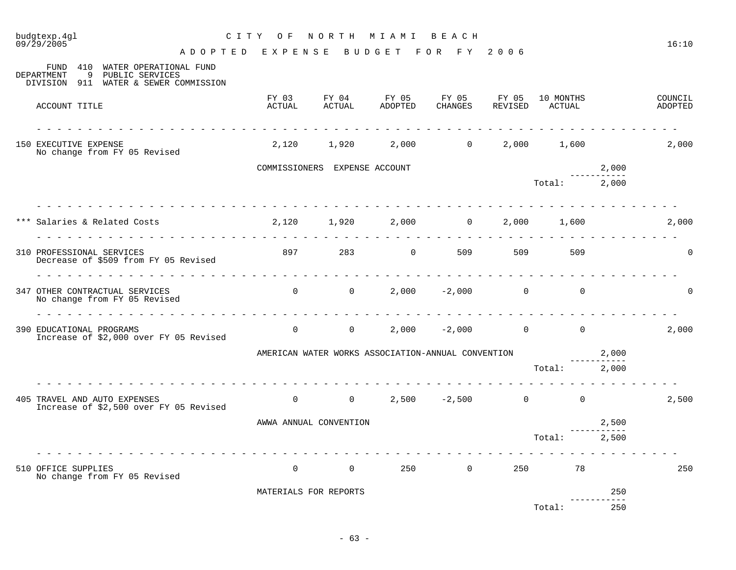| budgtexp.4gl<br>09/29/2005                                                                                                   | A D O P T E D E X P E N S E B U D G E T F O R F Y 2006 |                |                               | CITY OF NORTH MIAMI BEACH |                                                    |                                         |                    | 16:10              |
|------------------------------------------------------------------------------------------------------------------------------|--------------------------------------------------------|----------------|-------------------------------|---------------------------|----------------------------------------------------|-----------------------------------------|--------------------|--------------------|
| FUND 410 WATER OPERATIONAL FUND<br>DEPARTMENT<br>9 PUBLIC SERVICES<br>DIVISION 911 WATER & SEWER COMMISSION                  |                                                        |                |                               |                           |                                                    |                                         |                    |                    |
| ACCOUNT TITLE                                                                                                                |                                                        | ACTUAL         | ACTUAL                        | ADOPTED                   | CHANGES REVISED ACTUAL                             | FY 03 FY 04 FY 05 FY 05 FY 05 10 MONTHS |                    | COUNCIL<br>ADOPTED |
| 150 EXECUTIVE EXPENSE<br>No change from FY 05 Revised                                                                        |                                                        |                |                               |                           |                                                    | 2,120 1,920 2,000 0 2,000 1,600         |                    | 2,000              |
|                                                                                                                              |                                                        |                | COMMISSIONERS EXPENSE ACCOUNT |                           |                                                    |                                         | 2,000              |                    |
|                                                                                                                              |                                                        |                |                               |                           |                                                    | Total: 2,000                            |                    |                    |
| *** Salaries & Related Costs                                 2,120       1,920       2,000           0     2,000       1,600 |                                                        |                |                               |                           |                                                    |                                         |                    | 2,000              |
| 310 PROFESSIONAL SERVICES<br>Decrease of \$509 from FY 05 Revised                                                            |                                                        |                |                               |                           | 897 283 0 509 509 509                              | 509                                     |                    | $\Omega$           |
| 347 OTHER CONTRACTUAL SERVICES<br>No change from FY 05 Revised                                                               |                                                        |                |                               |                           | $0$ 0 2,000 -2,000 0 0                             |                                         |                    | $\Omega$           |
| 390 EDUCATIONAL PROGRAMS<br>Increase of \$2,000 over FY 05 Revised                                                           |                                                        |                |                               |                           |                                                    | $0$ 0 2,000 -2,000 0 0                  |                    | 2,000              |
|                                                                                                                              |                                                        |                |                               |                           | AMERICAN WATER WORKS ASSOCIATION-ANNUAL CONVENTION | 2,000                                   |                    |                    |
|                                                                                                                              | .                                                      |                |                               |                           |                                                    | Total: 2,000                            |                    |                    |
| 405 TRAVEL AND AUTO EXPENSES<br>Increase of \$2,500 over FY 05 Revised                                                       |                                                        |                |                               |                           |                                                    | $0$ 0 2,500 -2,500 0 0                  |                    | 2,500              |
|                                                                                                                              |                                                        |                | AWWA ANNUAL CONVENTION        |                           |                                                    |                                         | 2,500              |                    |
|                                                                                                                              |                                                        |                |                               |                           |                                                    | Total: 2,500                            |                    |                    |
| 510 OFFICE SUPPLIES<br>No change from FY 05 Revised                                                                          |                                                        | $\overline{0}$ | $\overline{0}$                |                           | $250$ 0                                            | 250<br>78                               |                    | 250                |
|                                                                                                                              |                                                        |                | MATERIALS FOR REPORTS         |                           |                                                    |                                         | 250<br>----------- |                    |
|                                                                                                                              |                                                        |                |                               |                           |                                                    | Total:                                  | 250                |                    |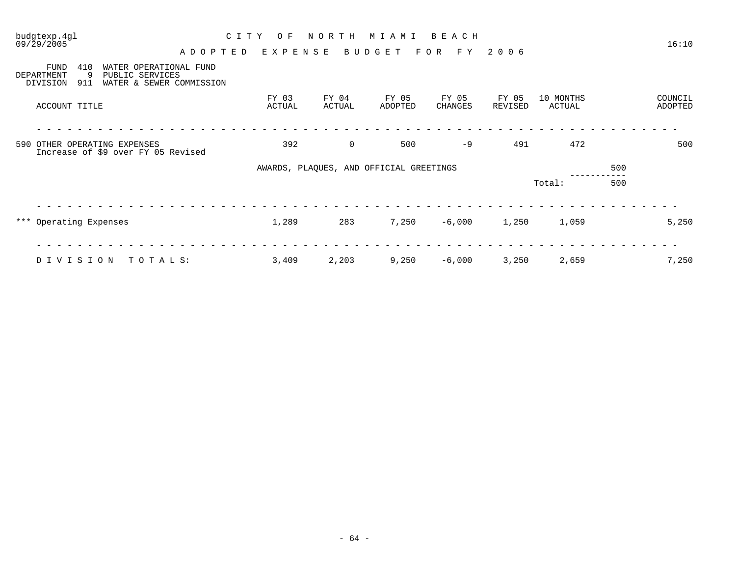| budgtexp.4gl<br>09/29/2005                                                                   | C I T Y<br>O F | NORTH<br>M I A M I<br>BEACH             |         |              |         |           |     | 16:10   |
|----------------------------------------------------------------------------------------------|----------------|-----------------------------------------|---------|--------------|---------|-----------|-----|---------|
| A D O P T E D<br>FUND<br>410<br>WATER OPERATIONAL FUND<br>9<br>PUBLIC SERVICES<br>DEPARTMENT | EXPENSE        |                                         | BUDGET  | F O R<br>F Y | 2 0 0 6 |           |     |         |
| 911<br>WATER & SEWER COMMISSION<br>DIVISION                                                  | FY 03          | FY 04                                   | FY 05   | FY 05        | FY 05   | 10 MONTHS |     | COUNCIL |
| ACCOUNT TITLE                                                                                | ACTUAL         | ACTUAL                                  | ADOPTED | CHANGES      | REVISED | ACTUAL    |     | ADOPTED |
| 590 OTHER OPERATING EXPENSES<br>Increase of \$9 over FY 05 Revised                           | 392            | $\mathbf 0$                             | 500     | $-9$         | 491     | 472       |     | 500     |
|                                                                                              |                | AWARDS, PLAQUES, AND OFFICIAL GREETINGS |         |              |         |           | 500 |         |
|                                                                                              |                |                                         |         |              |         | Total:    | 500 |         |
|                                                                                              |                |                                         |         |              |         |           |     |         |
|                                                                                              |                |                                         |         |              |         |           |     |         |
| *** Operating Expenses                                                                       | 1,289          | 283                                     | 7,250   | $-6,000$     | 1,250   | 1,059     |     | 5,250   |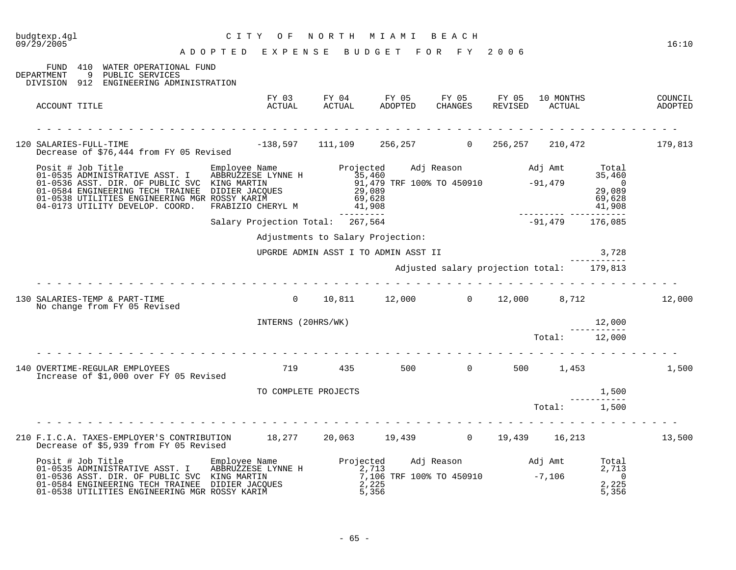| budgtexp.4gl<br>09/29/2005                                                                                                                                                                                                                                                                                                                                                     | C I T Y<br>O F<br>ADOPTED EXPENSE BUDGET FOR FY 2006 | NORTH                                                     | M I A M I                                                  | BEACH                                     |                                                     |                     |                                             | 16:10              |
|--------------------------------------------------------------------------------------------------------------------------------------------------------------------------------------------------------------------------------------------------------------------------------------------------------------------------------------------------------------------------------|------------------------------------------------------|-----------------------------------------------------------|------------------------------------------------------------|-------------------------------------------|-----------------------------------------------------|---------------------|---------------------------------------------|--------------------|
| 410 WATER OPERATIONAL FUND<br>FUND<br>DEPARTMENT<br>9 PUBLIC SERVICES<br>DIVISION 912 ENGINEERING ADMINISTRATION                                                                                                                                                                                                                                                               |                                                      |                                                           |                                                            |                                           |                                                     |                     |                                             |                    |
| ACCOUNT TITLE                                                                                                                                                                                                                                                                                                                                                                  | ACTUAL                                               | FY 03 FY 04 FY 05 FY 05 FY 05<br>ACTUAL                   | ADOPTED                                                    | CHANGES                                   | REVISED                                             | 10 MONTHS<br>ACTUAL |                                             | COUNCIL<br>ADOPTED |
| SALARIES-FULL-TIME<br>Decrease of \$76,444 from FY 05 Revised -138,597 111,109 256,257 0 256,257 210,472 179,813<br>120 SALARIES-FULL-TIME                                                                                                                                                                                                                                     |                                                      |                                                           |                                                            |                                           |                                                     |                     |                                             |                    |
| Posit # Job Title Employee Name Projected Adj Reason and J Amt<br>01-0535 ADMINISTRATIVE ASST. I ABBRUZZESE LYNNE H 35,460<br>01-0536 ASST. DIR. OF PUBLIC SVC KING MARTIN 91,479 TRF 100% TO 450910 -91,479<br>01-0528 ENGINEERING TEC<br>01-0584 ENGINEERING TECH TRAINEE DIDIER JACQUES<br>01-0538 UTILITIES ENGINEERING MGR ROSSY KARIM<br>04-0173 UTILITY DEVELOP. COORD. | FRABIZIO CHERYL M                                    | 69,628<br>41,908<br>----------                            |                                                            |                                           | دی دی<br>69,628<br>41,908 -------- ---------------- |                     | Total<br>35,460<br>$\overline{0}$<br>29,089 |                    |
|                                                                                                                                                                                                                                                                                                                                                                                | Salary Projection Total: 267,564                     |                                                           |                                                            |                                           |                                                     | $-91,479$ 176,085   |                                             |                    |
|                                                                                                                                                                                                                                                                                                                                                                                |                                                      | Adjustments to Salary Projection:                         |                                                            |                                           |                                                     |                     |                                             |                    |
|                                                                                                                                                                                                                                                                                                                                                                                |                                                      | UPGRDE ADMIN ASST I TO ADMIN ASST II                      |                                                            |                                           |                                                     | 3,728               |                                             |                    |
|                                                                                                                                                                                                                                                                                                                                                                                |                                                      |                                                           |                                                            | Adjusted salary projection total: 179,813 |                                                     |                     |                                             |                    |
| 130 SALARIES-TEMP & PART-TIME<br>No change from FY 05 Revised                                                                                                                                                                                                                                                                                                                  |                                                      | $0 \t 10,811 \t 12,000 \t 0 \t 12,000 \t 8,712 \t 12,000$ |                                                            |                                           |                                                     |                     |                                             |                    |
|                                                                                                                                                                                                                                                                                                                                                                                | INTERNS (20HRS/WK)                                   |                                                           |                                                            |                                           |                                                     |                     | 12,000<br>___________                       |                    |
|                                                                                                                                                                                                                                                                                                                                                                                |                                                      |                                                           |                                                            |                                           |                                                     | Total: 12,000       |                                             |                    |
| 140 OVERTIME-REGULAR EMPLOYEES<br>Increase of \$1,000 over FY 05 Revised                                                                                                                                                                                                                                                                                                       |                                                      | 719 435 500 0 500 1,453                                   |                                                            |                                           |                                                     |                     |                                             | 1,500              |
|                                                                                                                                                                                                                                                                                                                                                                                | TO COMPLETE PROJECTS                                 |                                                           |                                                            |                                           |                                                     |                     | 1,500<br>1,500<br>-----------               |                    |
|                                                                                                                                                                                                                                                                                                                                                                                |                                                      |                                                           |                                                            |                                           |                                                     | Total: 1,500        |                                             |                    |
| 210 F.I.C.A. TAXES-EMPLOYER'S CONTRIBUTION 18,277 20,063 19,439 0 19,439 16,213<br>Decrease of \$5,939 from FY 05 Revised                                                                                                                                                                                                                                                      |                                                      |                                                           |                                                            |                                           |                                                     |                     |                                             | 13,500             |
| Posit # Job Title Employee Name<br>01-0535 ADMINISTRATIVE ASST. I ABBRUZZESE LYNNE H<br>01-0536 ASST. DIR. OF PUBLIC SVC KING MARTIN<br>01-0536 ASST. DIR. OF PUBLIC SVC KING MARTIN<br>01-0538 UTILITIES ENGINEERING MGR ROSSY KARIM                                                                                                                                          | Employee Name Projected                              | 2,713<br>2,225                                            | 2,/13<br>7,106 TRF 100% TO 450910 -7,106<br>2,225<br>5,356 | Adj Reason Madj Amt Total                 |                                                     |                     | 2,713<br>$\overline{0}$<br>2,225<br>5,356   |                    |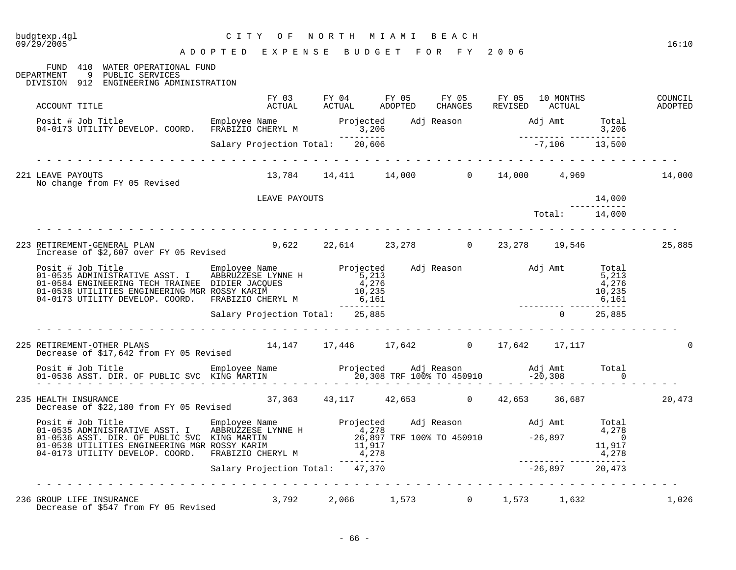| budgtexp.4ql<br>09/29/2005                                                                                                                                                                                                           | CITY OF NORTH MIAMI BEACH<br>ADOPTED EXPENSE BUDGET FOR FY 2006 |                                                                                         |                  |               |               | 16:10              |
|--------------------------------------------------------------------------------------------------------------------------------------------------------------------------------------------------------------------------------------|-----------------------------------------------------------------|-----------------------------------------------------------------------------------------|------------------|---------------|---------------|--------------------|
| FUND 410 WATER OPERATIONAL FUND<br>DEPARTMENT 9 PUBLIC SERVICES<br>DIVISION 912 ENGINEERING ADMINISTRATION                                                                                                                           |                                                                 |                                                                                         |                  |               |               |                    |
| ACCOUNT TITLE                                                                                                                                                                                                                        |                                                                 | FY 03 FY 04 FY 05 FY 05 FY 05 10 MONTHS<br>ACTUAL ACTUAL ADOPTED CHANGES REVISED ACTUAL |                  |               |               | COUNCIL<br>ADOPTED |
| Posit # Job Title Employee Name Projected Adj Reason Adj Amt Total<br>04-0173 UTILITY DEVELOP. COORD. FRABIZIO CHERYL M 3,206<br>5,206 Salary Projection Total: 20,606 7006 7,106 13,500                                             |                                                                 |                                                                                         |                  |               |               |                    |
| .                                                                                                                                                                                                                                    |                                                                 |                                                                                         |                  |               |               |                    |
| 221 LEAVE PAYOUTS<br>No change from FY 05 Revised                                                                                                                                                                                    |                                                                 | $13,784$ 14,411 14,000 0 14,000 4,969 14,000                                            |                  |               |               |                    |
|                                                                                                                                                                                                                                      | LEAVE PAYOUTS                                                   |                                                                                         |                  |               | 14,000        |                    |
|                                                                                                                                                                                                                                      |                                                                 |                                                                                         |                  | Total: 14,000 |               |                    |
| 223 RETIREMENT-GENERAL PLAN<br>Increase of \$2,607 over FY 05 Revised                                                                                                                                                                |                                                                 | 9,622 22,614 23,278 0 23,278 19,546                                                     |                  |               |               | 25,885             |
| Posit # Job Title Employee Name Projected Adj Reason Adj Amt Total<br>01-0535 ADMINISTRATIVE ASST. I ABBRUZZESE LYNNE H 5,213<br>01-0584 ENGINEERING TECH TRAINEE DIDIER JACQUES 4,276<br>01-0538 UTILITIES ENGINEERING MGR ROSSY KA |                                                                 |                                                                                         |                  |               |               |                    |
|                                                                                                                                                                                                                                      | Salary Projection Total: 25,885                                 |                                                                                         |                  |               | $0 \t 25,885$ |                    |
| RETIREMENT-OTHER PLANS 14,147 17,446 17,642 0 17,642 17,117<br>Decrease of \$17,642 from FY 05 Revised<br>225 RETIREMENT-OTHER PLANS                                                                                                 |                                                                 |                                                                                         |                  |               |               |                    |
|                                                                                                                                                                                                                                      |                                                                 |                                                                                         |                  |               |               |                    |
| 235 HEALTH INSURANCE<br>Decrease of \$22,180 from FY 05 Revised                                                                                                                                                                      | 37,363 43,117 42,653 0 42,653 36,687                            |                                                                                         |                  |               |               | 20,473             |
| Posit # Job Title Employee Name Projected Adj Reason Mdj Amt Total<br>01-0535 ADMINISTRATIVE ASST. I ABBRUZZESE LYNNE H<br>01-0536 ASST. DIR. OF PUBLIC SVC KING MARTIN 26,897 TRF 100% TO 450910 -26,897<br>01-0538 UTILITIES ENGIN |                                                                 |                                                                                         |                  |               |               |                    |
|                                                                                                                                                                                                                                      | Salary Projection Total: 47,370                                 |                                                                                         | $-26,897$ 20,473 |               |               |                    |
| 236 GROUP LIFE INSURANCE<br>GROUP LIFE INSURANCE<br>Decrease of \$547 from FY 05 Revised                                                                                                                                             |                                                                 | .<br>3,792 2,066 1,573 0 1,573 1,632                                                    |                  |               |               | 1,026              |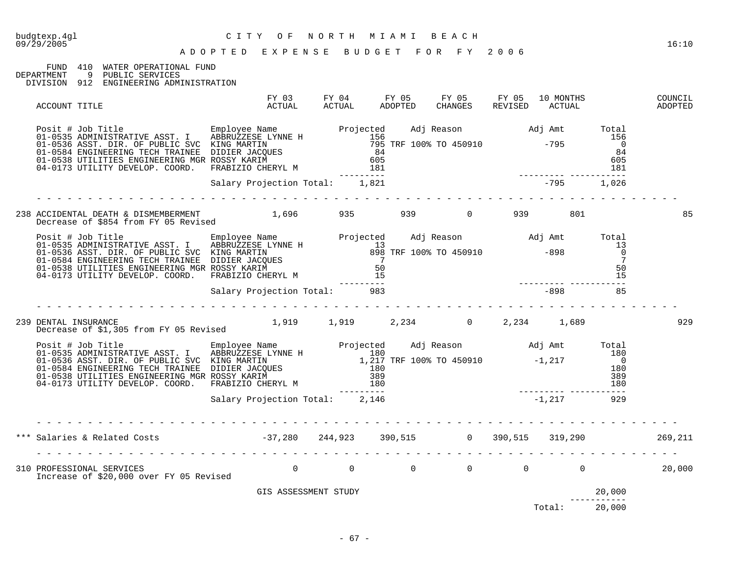#### A D O P T E D E X P E N S E B U D G E T F O R F Y 2 0 0 6

## FUND 410 WATER OPERATIONAL FUND DEPARTMENT 9 PUBLIC SERVICES

9 PUBLIC SERVICES

DIVISION 912 ENGINEERING ADMINISTRATION

| ACCOUNT TITLE                                                                                                                                                                                                                          | FY 03<br>ACTUAL                | ACTUAL     | ADOPTED | FY 04 FY 05 FY 05 FY 05<br>CHANGES | REVISED ACTUAL | 10 MONTHS     |                                 | COUNCIL<br>ADOPTED |
|----------------------------------------------------------------------------------------------------------------------------------------------------------------------------------------------------------------------------------------|--------------------------------|------------|---------|------------------------------------|----------------|---------------|---------------------------------|--------------------|
| Posit # Job Title Employee Name Projected Adj Reason Adj Amt Total C1-0535 ADMINISTRATIVE ASST. I ABBRUZZESE LYNNE H<br>01-0535 ADMINISTRATIVE ASST. I ABBRUZZESE LYNNE H<br>01-0536 ASST. DIR. OF PUBLIC SVC KING MARTIN 795 TRF      |                                | ---------- |         |                                    |                |               |                                 |                    |
|                                                                                                                                                                                                                                        | Salary Projection Total: 1,821 |            |         |                                    |                | $-795$ 1,026  |                                 |                    |
|                                                                                                                                                                                                                                        |                                |            |         |                                    |                |               |                                 | 85                 |
| Posit # Job Title Employee Name Projected Adj Reason Adj Amt Total<br>01-0535 ADMINISTRATIVE ASST. I ABBRUZZESE LYNNE H<br>01-0536 ASST. DIR. OF PUBLIC SVC KING MARTIN 898 TRF 100% TO 450910 -898 0<br>01-0584 ENGINEERING TECH TR   |                                | ---------- |         |                                    |                |               |                                 |                    |
|                                                                                                                                                                                                                                        | Salary Projection Total: 983   |            |         |                                    | $-898$ 85      |               |                                 |                    |
| DENTAL INSURANCE<br>Decrease of \$1,305 from FY 05 Revised 1,919 1,919 2,234 1,234 0 2,234 1,689<br>239 DENTAL INSURANCE                                                                                                               |                                |            |         |                                    |                |               |                                 | 929                |
| Posit # Job Title Employee Name Projected Adj Reason Adj Amt Total<br>01-0535 ADMINISTRATIVE ASST. I ABBRUZZESE LYNNE H<br>01-0536 ASST. DIR. OF PUBLIC SVC KING MARTIN 180<br>01-0536 ASST. DIR. OF PUBLIC SVC KING MARTIN 180<br>01- |                                |            |         |                                    |                |               |                                 |                    |
|                                                                                                                                                                                                                                        | Salary Projection Total: 2,146 | -------    |         |                                    |                |               |                                 |                    |
| *** Salaries & Related Costs                           -37,280     244,923     390,515               390,515     319,290               269,211                                                                                         |                                |            |         |                                    |                |               |                                 |                    |
|                                                                                                                                                                                                                                        |                                |            |         |                                    |                |               |                                 |                    |
|                                                                                                                                                                                                                                        | GIS ASSESSMENT STUDY           |            |         |                                    |                |               | 20,000<br>20,000<br>----------- |                    |
|                                                                                                                                                                                                                                        |                                |            |         |                                    |                | Total: 20,000 |                                 |                    |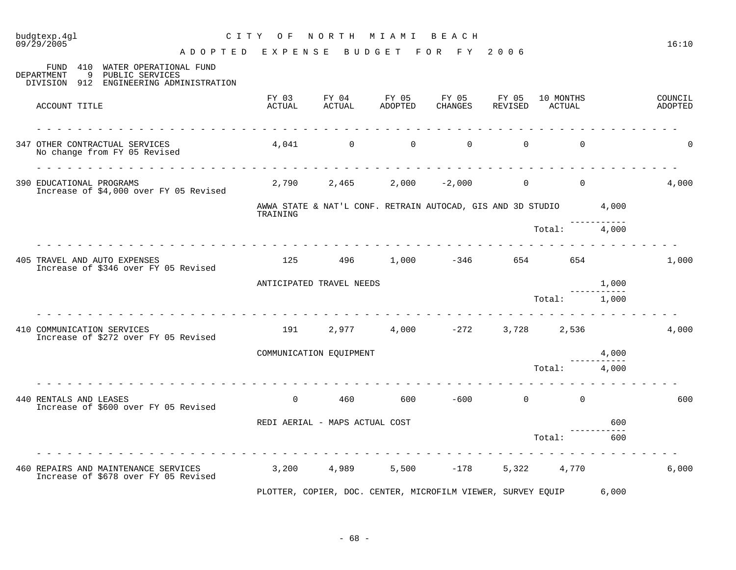# budgtexp.4gl C I T Y O F N O R T H M I A M I B E A C H

A D O P T E D E X P E N S E B U D G E T F O R F Y 2 0 0 6

| 410<br>WATER OPERATIONAL FUND<br>FUND<br>9<br>DEPARTMENT<br>PUBLIC SERVICES<br>DIVISION<br>912 ENGINEERING ADMINISTRATION |                 |                                |                  |                                                                   |                  |                     |       |                    |
|---------------------------------------------------------------------------------------------------------------------------|-----------------|--------------------------------|------------------|-------------------------------------------------------------------|------------------|---------------------|-------|--------------------|
| ACCOUNT TITLE                                                                                                             | FY 03<br>ACTUAL | FY 04<br>ACTUAL                | FY 05<br>ADOPTED | FY 05<br>CHANGES                                                  | FY 05<br>REVISED | 10 MONTHS<br>ACTUAL |       | COUNCIL<br>ADOPTED |
| 347 OTHER CONTRACTUAL SERVICES<br>No change from FY 05 Revised                                                            |                 | $4,041$ 0                      | $\Omega$         | $\Omega$                                                          | $\Omega$         | $\mathbf 0$         |       | $\Omega$           |
| 390 EDUCATIONAL PROGRAMS<br>Increase of \$4,000 over FY 05 Revised                                                        | 2,790           | 2,465                          |                  | $2,000 -2,000$                                                    | $\mathsf{O}$     | $\overline{0}$      |       | 4,000              |
|                                                                                                                           | TRAINING        |                                |                  | AWWA STATE & NAT'L CONF. RETRAIN AUTOCAD, GIS AND 3D STUDIO 4,000 |                  |                     |       |                    |
|                                                                                                                           |                 |                                |                  |                                                                   |                  | Total:              | 4,000 |                    |
| 405 TRAVEL AND AUTO EXPENSES<br>Increase of \$346 over FY 05 Revised                                                      | 125             | 496 1990                       |                  | $1,000 -346$                                                      |                  | 654                 |       | 1,000              |
|                                                                                                                           |                 | ANTICIPATED TRAVEL NEEDS       |                  |                                                                   |                  |                     | 1,000 |                    |
|                                                                                                                           |                 |                                |                  |                                                                   |                  | Total:              | 1,000 |                    |
| 410 COMMUNICATION SERVICES<br>Increase of \$272 over FY 05 Revised                                                        | 191             |                                |                  | $2,977$ 4,000 $-272$                                              | 3,728            | 2,536               |       | 4,000              |
|                                                                                                                           |                 | COMMUNICATION EQUIPMENT        |                  |                                                                   |                  |                     | 4,000 |                    |
|                                                                                                                           |                 |                                |                  |                                                                   |                  | Total:              | 4,000 |                    |
| 440 RENTALS AND LEASES<br>Increase of \$600 over FY 05 Revised                                                            | $\Omega$        | 460                            | 600              | $-600$                                                            | $\overline{0}$   | $\overline{0}$      |       | 600                |
|                                                                                                                           |                 | REDI AERIAL - MAPS ACTUAL COST |                  |                                                                   |                  |                     | 600   |                    |
|                                                                                                                           |                 |                                |                  |                                                                   |                  | Total:              | 600   |                    |
| 460 REPAIRS AND MAINTENANCE SERVICES<br>Increase of \$678 over FY 05 Revised                                              |                 | 3,200 4,989                    | 5,500            | $-178$                                                            |                  | 5,322 4,770         |       | 6,000              |
|                                                                                                                           |                 |                                |                  | PLOTTER, COPIER, DOC. CENTER, MICROFILM VIEWER, SURVEY EQUIP      |                  |                     | 6,000 |                    |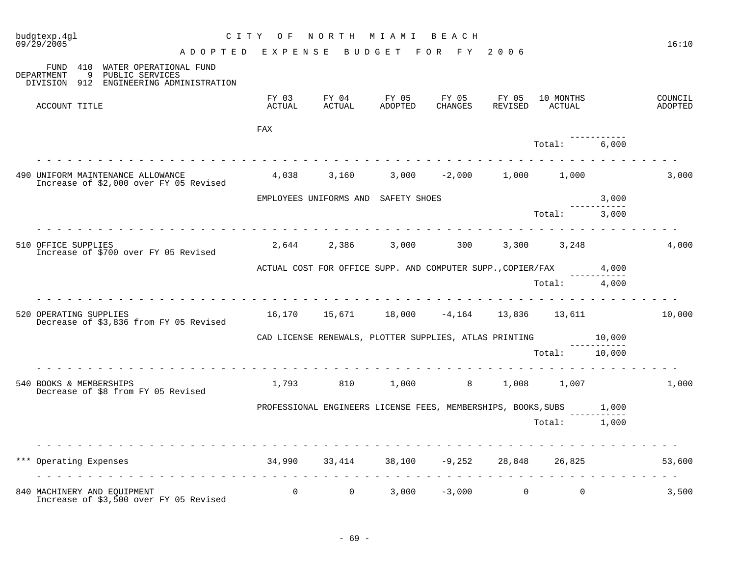| budgtexp.4gl<br>09/29/2005                                                                                       | N O R T H<br>CITY OF<br>M I A M I<br>BEACH<br>A D O P T E D E X P E N S E B U D G E T F O R F Y 2006 |                |                                                                     |                  |  |                             |       |                    |  |
|------------------------------------------------------------------------------------------------------------------|------------------------------------------------------------------------------------------------------|----------------|---------------------------------------------------------------------|------------------|--|-----------------------------|-------|--------------------|--|
| 410 WATER OPERATIONAL FUND<br>FUND<br>DEPARTMENT<br>9 PUBLIC SERVICES<br>DIVISION 912 ENGINEERING ADMINISTRATION |                                                                                                      |                |                                                                     |                  |  |                             |       |                    |  |
| ACCOUNT TITLE                                                                                                    | FY 03<br>ACTUAL                                                                                      | ACTUAL         | FY 04 FY 05 FY 05 FY 05<br>ADOPTED                                  | CHANGES          |  | 10 MONTHS<br>REVISED ACTUAL |       | COUNCIL<br>ADOPTED |  |
|                                                                                                                  | FAX                                                                                                  |                |                                                                     |                  |  |                             |       |                    |  |
|                                                                                                                  |                                                                                                      |                |                                                                     |                  |  | Total: 6,000                |       |                    |  |
| 490 UNIFORM MAINTENANCE ALLOWANCE<br>Increase of \$2,000 over FY 05 Revised                                      |                                                                                                      |                | $4,038$ $3,160$ $3,000$ $-2,000$ $1,000$ $1,000$                    |                  |  |                             |       | 3,000              |  |
|                                                                                                                  |                                                                                                      |                | EMPLOYEES UNIFORMS AND SAFETY SHOES                                 |                  |  |                             | 3,000 |                    |  |
|                                                                                                                  |                                                                                                      |                |                                                                     |                  |  | Total: 3,000                |       |                    |  |
| 510 OFFICE SUPPLIES<br>Increase of \$700 over FY 05 Revised                                                      |                                                                                                      |                | 2,644 2,386 3,000 300 3,300 3,248                                   |                  |  |                             |       | 4,000              |  |
|                                                                                                                  | ACTUAL COST FOR OFFICE SUPP. AND COMPUTER SUPP., COPIER/FAX 4,000                                    |                |                                                                     |                  |  |                             |       |                    |  |
|                                                                                                                  |                                                                                                      |                |                                                                     |                  |  | Total: 4,000                |       |                    |  |
| 520 OPERATING SUPPLIES<br>Decrease of \$3,836 from FY 05 Revised                                                 |                                                                                                      |                | 16,170  15,671  18,000  -4,164  13,836  13,611                      |                  |  |                             |       | 10,000             |  |
|                                                                                                                  |                                                                                                      |                | CAD LICENSE RENEWALS, PLOTTER SUPPLIES, ATLAS PRINTING $10,000$     |                  |  |                             |       |                    |  |
|                                                                                                                  |                                                                                                      |                |                                                                     |                  |  | Total: 10,000               |       |                    |  |
| 540 BOOKS & MEMBERSHIPS<br>Decrease of \$8 from FY 05 Revised                                                    | 1,793                                                                                                |                | 810 1,000 8 1,008 1,007                                             |                  |  |                             |       | 1,000              |  |
|                                                                                                                  |                                                                                                      |                | PROFESSIONAL ENGINEERS LICENSE FEES, MEMBERSHIPS, BOOKS, SUBS 1,000 |                  |  |                             |       |                    |  |
|                                                                                                                  |                                                                                                      |                |                                                                     |                  |  | Total: 1,000                |       |                    |  |
|                                                                                                                  |                                                                                                      |                |                                                                     |                  |  |                             |       |                    |  |
| *** Operating Expenses                                                                                           |                                                                                                      |                | $34,990$ $33,414$ $38,100$ $-9,252$ $28,848$ $26,825$               |                  |  |                             |       | 53,600             |  |
| 840 MACHINERY AND EQUIPMENT<br>Increase of \$3,500 over FY 05 Revised                                            | $\overline{0}$                                                                                       | $\overline{0}$ |                                                                     | $3,000 -3,000$ 0 |  | $\overline{0}$              |       | 3,500              |  |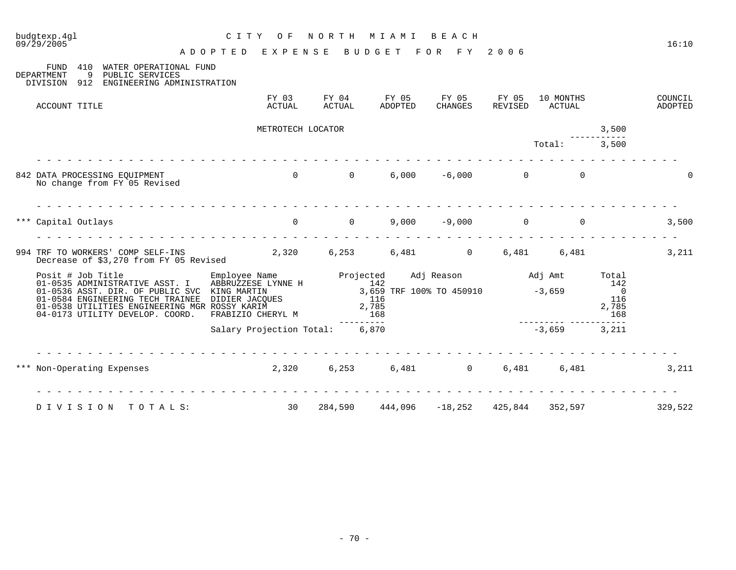| 09/29/2005                                                                                                                                                                                                      | ADOPTED EXPENSE                                                                                                        |                    | B U D G E T            | FOR FY 2006                                                          |                  |                     |                                                       | 16:10              |
|-----------------------------------------------------------------------------------------------------------------------------------------------------------------------------------------------------------------|------------------------------------------------------------------------------------------------------------------------|--------------------|------------------------|----------------------------------------------------------------------|------------------|---------------------|-------------------------------------------------------|--------------------|
| 410<br>WATER OPERATIONAL FUND<br>FUND<br>DEPARTMENT<br>9<br>PUBLIC SERVICES<br>ENGINEERING ADMINISTRATION<br>DIVISION 912                                                                                       |                                                                                                                        |                    |                        |                                                                      |                  |                     |                                                       |                    |
| ACCOUNT TITLE                                                                                                                                                                                                   | FY 03<br>ACTUAL                                                                                                        | ACTUAL             | FY 04 FY 05<br>ADOPTED | FY 05<br>CHANGES                                                     | FY 05<br>REVISED | 10 MONTHS<br>ACTUAL |                                                       | COUNCIL<br>ADOPTED |
|                                                                                                                                                                                                                 | METROTECH LOCATOR                                                                                                      |                    |                        |                                                                      |                  |                     | 3,500                                                 |                    |
|                                                                                                                                                                                                                 |                                                                                                                        |                    |                        |                                                                      |                  | Total:              | 3,500                                                 |                    |
| 842 DATA PROCESSING EQUIPMENT<br>No change from FY 05 Revised                                                                                                                                                   |                                                                                                                        |                    |                        | $0$ 0 0 6,000 -6,000 0                                               |                  | $\Omega$            |                                                       |                    |
| *** Capital Outlays                                                                                                                                                                                             |                                                                                                                        | $0\qquad \qquad 0$ |                        | $9,000 -9,000$ 0                                                     |                  |                     | $\overline{0}$                                        | 3,500              |
| 994 TRF TO WORKERS' COMP SELF-INS<br>Decrease of \$3,270 from FY 05 Revised                                                                                                                                     | $2,320$ 6,253 6,481 0                                                                                                  |                    |                        |                                                                      |                  | 6,481 6,481         |                                                       | 3,211              |
| Posit # Job Title<br>01-0535 ADMINISTRATIVE ASST. I<br>01-0536 ASST. DIR. OF PUBLIC SVC<br>01-0584 ENGINEERING TECH TRAINEE<br>01-0538 UTILITIES ENGINEERING MGR ROSSY KARIM<br>04-0173 UTILITY DEVELOP. COORD. | Employee Name Projected<br>ABBRUZZESE LYNNE H 142<br>KING MARTIN<br>DIDIER JACQUES<br>ROSSY KARIM<br>FRABIZIO CHERYL M |                    | 116<br>2,785<br>168    | Adj Reason Madj Amt<br>$\frac{142}{3,659}$ TRF 100% TO 450910 -3,659 |                  |                     | Total<br>142<br>$\overline{0}$<br>116<br>2,785<br>168 |                    |
|                                                                                                                                                                                                                 | Salary Projection Total: 6,870                                                                                         |                    | --------               |                                                                      |                  | $-3,659$            | 3,211                                                 |                    |
| *** Non-Operating Expenses                                                                                                                                                                                      | 2,320 6,253 6,481 0                                                                                                    |                    |                        |                                                                      |                  | 6,481 6,481         |                                                       | 3,211              |
| DIVISION<br>TOTALS:                                                                                                                                                                                             | 30                                                                                                                     | 284,590            |                        | $444,096$ $-18,252$                                                  | 425,844          | 352,597             |                                                       | 329,522            |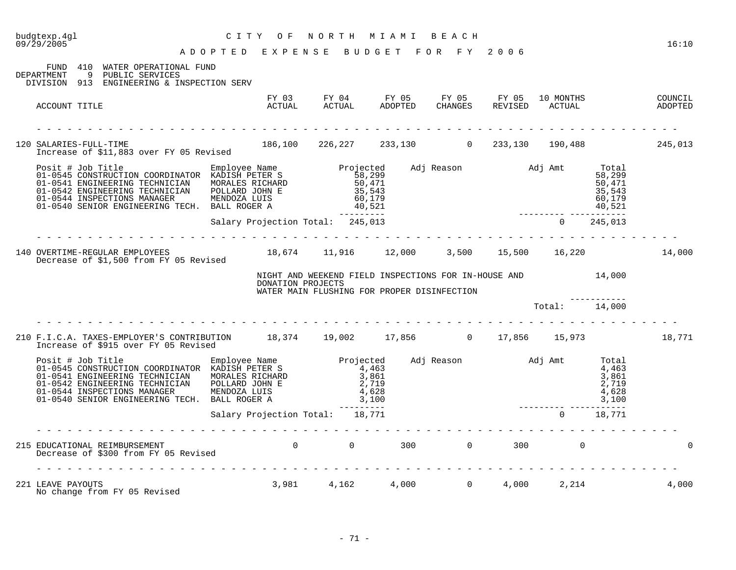| budgtexp.4gl<br>NORTH MIAMI BEACH<br>C I T Y<br>O F<br>09/29/2005<br>A D O P T E D E X P E N S E B U D G E T F O R F Y 2006 |                                                                                                    |                                                                                                                                                                                                                                                                                                                                                                                                  |                                                                                                            |  |  |  |                          |                                                         | 16:10  |
|-----------------------------------------------------------------------------------------------------------------------------|----------------------------------------------------------------------------------------------------|--------------------------------------------------------------------------------------------------------------------------------------------------------------------------------------------------------------------------------------------------------------------------------------------------------------------------------------------------------------------------------------------------|------------------------------------------------------------------------------------------------------------|--|--|--|--------------------------|---------------------------------------------------------|--------|
| DEPARTMENT                                                                                                                  | FUND 410 WATER OPERATIONAL FUND<br>9 PUBLIC SERVICES<br>DIVISION 913 ENGINEERING & INSPECTION SERV |                                                                                                                                                                                                                                                                                                                                                                                                  |                                                                                                            |  |  |  |                          |                                                         |        |
| ACCOUNT TITLE                                                                                                               |                                                                                                    |                                                                                                                                                                                                                                                                                                                                                                                                  | FY 03 FY 04 FY 05 FY 05 FY 05 10 MONTHS COUNCIL ACTUAL ACTUAL ADOPTED CHANGES REVISED ACTUAL ADOPTED       |  |  |  |                          |                                                         |        |
|                                                                                                                             |                                                                                                    | 120 SALARIES-FULL-TIME 186,100 226,227 233,130 0 233,130 190,488 245,013<br>Increase of \$11,883 over FY 05 Revised                                                                                                                                                                                                                                                                              |                                                                                                            |  |  |  |                          |                                                         |        |
|                                                                                                                             |                                                                                                    | Posit # Job Title Manployee Name Projected Adj Reason Adj Amt 01-0545 CONSTRUCTION COORDINATOR KADISH PETER S<br>01-0541 ENGINEERING TECHNICIAN MORALES RICHARD 50,471<br>01-0542 ENGINEERING TECHNICIAN POLLARD JOHN E 35,543<br>01                                                                                                                                                             |                                                                                                            |  |  |  |                          | Total<br>58,299<br>50,471<br>35,543<br>60,179<br>40,521 |        |
|                                                                                                                             |                                                                                                    | Salary Projection Total: 245,013                                                                                                                                                                                                                                                                                                                                                                 |                                                                                                            |  |  |  | ________________________ | $0\qquad 245,013$                                       |        |
| 140 OVERTIME-REGULAR EMPLOYEES 18,674 11,916 12,000 3,500 15,500 16,220 14,000<br>Decrease of \$1,500 from FY 05 Revised    |                                                                                                    |                                                                                                                                                                                                                                                                                                                                                                                                  |                                                                                                            |  |  |  |                          |                                                         |        |
|                                                                                                                             |                                                                                                    | DONATION PROJECTS                                                                                                                                                                                                                                                                                                                                                                                | NIGHT AND WEEKEND FIELD INSPECTIONS FOR IN-HOUSE AND 14,000<br>WATER MAIN FLUSHING FOR PROPER DISINFECTION |  |  |  |                          |                                                         |        |
|                                                                                                                             |                                                                                                    |                                                                                                                                                                                                                                                                                                                                                                                                  |                                                                                                            |  |  |  | Total:                   | 14,000                                                  |        |
|                                                                                                                             | Increase of \$915 over FY 05 Revised                                                               | 210 F.I.C.A. TAXES-EMPLOYER'S CONTRIBUTION 18,374 19,002 17,856 0 17,856 15,973                                                                                                                                                                                                                                                                                                                  |                                                                                                            |  |  |  |                          |                                                         | 18,771 |
|                                                                                                                             |                                                                                                    | $\begin{tabular}{lllllllllllllllllllllll} \hline\hline\text{Positive} & \text{Emplope Name} & \text{Emplope Name} & \text{Projected} & \text{Adj Reason} & \text{Adj Amt} & \text{Total} \\ 01-0545 \text{ CONSTRUCTION COORDINATOR} & \text{KADISH PETER S} & 4,463 & 4,463 & 4,463 & 4,463 & 4,463 & 4,463 & 4,463 & 4,463 & 4,463 & 4,463 & 4,463 & 4,463 & 4,463 & 4,463 & 4,463 & 4,463 & $ |                                                                                                            |  |  |  |                          |                                                         |        |
|                                                                                                                             |                                                                                                    | Salary Projection Total: 18,771                                                                                                                                                                                                                                                                                                                                                                  |                                                                                                            |  |  |  |                          | $0 \t 18,771$                                           |        |
| 215 EDUCATIONAL REIMBURSEMENT                                                                                               | Decrease of \$300 from FY 05 Revised                                                               |                                                                                                                                                                                                                                                                                                                                                                                                  | $0$ 0 300 0 300 0 300 0                                                                                    |  |  |  |                          |                                                         |        |
| 221 LEAVE PAYOUTS<br>No change from FY 05 Revised                                                                           |                                                                                                    |                                                                                                                                                                                                                                                                                                                                                                                                  | $3,981$ $4,162$ $4,000$ 0                                                                                  |  |  |  | 4,000 2,214              |                                                         | 4,000  |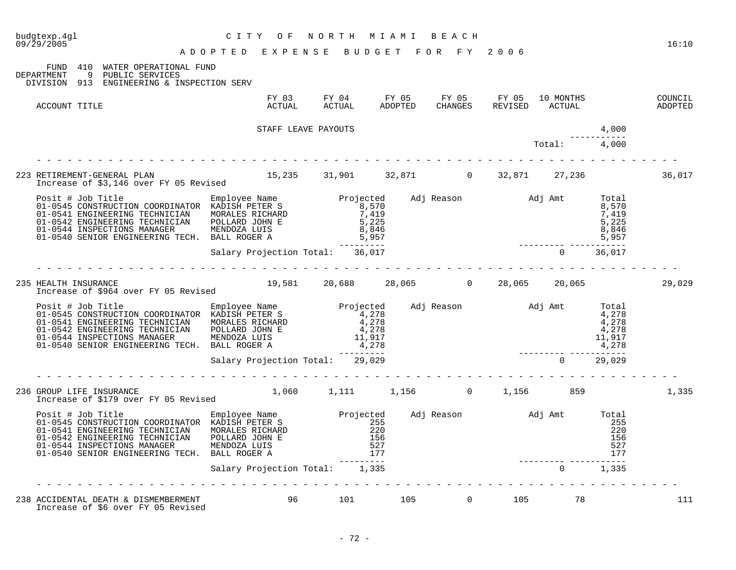| budgtexp.4gl<br>09/29/2005                                                                                                                                                                                                          | СІТҮ<br>O F<br>A D O P T E D E X P E N S E B U D G E T F O R F Y 2006 | NORTH MIAMI BEACH                    |     |                |              |        | 16:10              |
|-------------------------------------------------------------------------------------------------------------------------------------------------------------------------------------------------------------------------------------|-----------------------------------------------------------------------|--------------------------------------|-----|----------------|--------------|--------|--------------------|
| FUND 410 WATER OPERATIONAL FUND<br>DEPARTMENT 9 PUBLIC SERVICES<br>DIVISION 913 ENGINEERING & INSPECTION SERV                                                                                                                       |                                                                       |                                      |     |                |              |        |                    |
| ACCOUNT TITLE                                                                                                                                                                                                                       |                                                                       |                                      |     |                |              |        | COUNCIL<br>ADOPTED |
|                                                                                                                                                                                                                                     |                                                                       | 4,000                                |     |                |              |        |                    |
|                                                                                                                                                                                                                                     |                                                                       |                                      |     |                | Total: 4,000 |        |                    |
| 223 RETIREMENT-GENERAL PLAN 15,235 31,901 32,871 0 32,871 27,236<br>Increase of \$3,146 over FY 05 Revised 15,235 31,901 32,871 0 32,871 27,236                                                                                     |                                                                       |                                      |     |                |              |        | 36,017             |
| Posit # Job Title Employee Name Projected Adj Reason Adj Amt Total CONSTRUCTION COORDINATOR KADISH PETER S<br>01-0545 CONSTRUCTION COORDINATOR KADISH PETER S 8,570<br>01-0542 ENGINEERING TECHNICIAN POLLARD JOHN E 5,225<br>01-05 |                                                                       |                                      |     |                |              |        |                    |
|                                                                                                                                                                                                                                     | Salary Projection Total: 36,017                                       |                                      |     |                | $\Omega$     | 36,017 |                    |
|                                                                                                                                                                                                                                     |                                                                       |                                      |     |                |              |        |                    |
| 235 HEALTH INSURANCE<br>Increase of \$964 over FY 05 Revised                                                                                                                                                                        |                                                                       | 19,581 20,688 28,065 0 28,065 20,065 |     |                |              |        | 29,029             |
| Posit # Job Title Employee Name Projected Adj Reason Adj Amt Total 01-0545 CONSTRUCTION COORDINATOR KADISH PETER S<br>01-0541 ENGINEERING TECHNICIAN MORALES RICHARD 4,278 4,278 4,278 4,278<br>01-0542 ENGINEERING TECHNICIAN POL  |                                                                       |                                      |     |                |              |        |                    |
|                                                                                                                                                                                                                                     | Salary Projection Total: 29,029                                       |                                      |     |                | $\Omega$     | 29,029 |                    |
| 236 GROUP LIFE INSURANCE 1,060 1,111 1,156 0 1,156 859<br>Increase of \$179 over FY 05 Revised 1,060 1,111 1,156 0 1,156 859                                                                                                        |                                                                       |                                      |     |                |              |        | 1,335              |
| Posit # Job Title Employee Name Projected Adj Reason Adj Amt Total 01-0545 CONSTRUCTION COORDINATOR KADISH PETER S<br>01-0545 CONSTRUCTION TECHNICIAN MORALES RICHARD 255<br>01-0542 ENGINEERING TECHNICIAN POLLARD JOHN E 156 156  |                                                                       |                                      |     |                |              |        |                    |
|                                                                                                                                                                                                                                     | Salary Projection Total: 1,335                                        |                                      |     |                | $\Omega$     | 1,335  |                    |
| 238 ACCIDENTAL DEATH & DISMEMBERMENT<br>Increase of \$6 over FY 05 Revised                                                                                                                                                          |                                                                       | 96<br>101                            | 105 | $\overline{0}$ | 105 78       |        | 111                |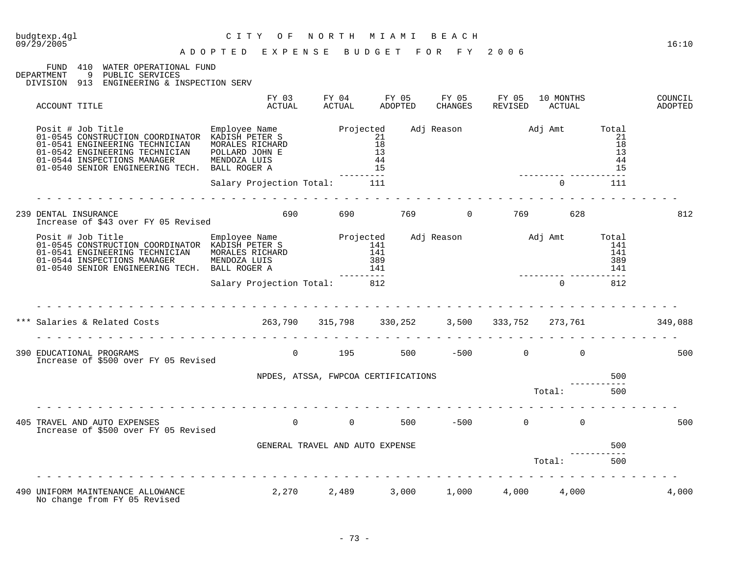FUND 410 WATER OPERATIONAL FUND<br>DEPARTMENT 9 PUBLIC SERVICES

DEPARTMENT 9 PUBLIC SERVICES

DIVISION 913 ENGINEERING & INSPECTION SERV

| ACCOUNT TITLE                                                                                                                                                                                                                                                                                | FY 03<br>ACTUAL                                                                                                      | FY 04<br>ACTUAL | FY 05<br>ADOPTED     | FY 05<br>CHANGES | FY 05<br>REVISED          | 10 MONTHS<br>ACTUAL |                             | COUNCIL<br>ADOPTED |
|----------------------------------------------------------------------------------------------------------------------------------------------------------------------------------------------------------------------------------------------------------------------------------------------|----------------------------------------------------------------------------------------------------------------------|-----------------|----------------------|------------------|---------------------------|---------------------|-----------------------------|--------------------|
| Posit # Job Title Employee Name Projected<br>01-0545 CONSTRUCTION COORDINATOR KADISH PETER S 21<br>01-0541 ENGINEERING TECHNICIAN<br>01-0542 ENGINEERING TECHNICIAN<br>01-0544 INSPECTIONS MANAGER<br>01-0540 SENIOR ENGINEERING TECH. BALL ROGER A                                          | ANALES RICHARD CAPACING CONTROLL 18<br>MORALES RICHARD 18<br>POLLARD JOHN E 13<br>MENDOZA LUIS 44<br>BALL ROGER A 15 |                 |                      |                  | Adj Reason Madj Amt Total |                     | 21<br>18<br>13<br>-44<br>15 |                    |
|                                                                                                                                                                                                                                                                                              | Salary Projection Total: 111                                                                                         |                 |                      |                  |                           | $\overline{0}$      | 111                         |                    |
| 239 DENTAL INSURANCE<br>Increase of \$43 over FY 05 Revised                                                                                                                                                                                                                                  |                                                                                                                      | 690 7           | 690 769 0 769 628    |                  |                           |                     |                             | 812                |
| Posit # Job Title Employee Name Projected<br>01-0545 CONSTRUCTION COORDINATOR KADISH PETER S 141<br>01-0541 ENGINEERING TECHNICIAN MORALES RICHARD 141<br>01-0544 INSPECTIONS MANAGER MENDOZA LUIS 389<br>01-0540 SENTOR ENGINEERING T<br>01-0544 INSERVITIONS MANUSCRIPT TECH. BALL ROGER A |                                                                                                                      | ---------       |                      |                  | Adj Reason Madj Amt Total |                     | 141<br>141<br>389<br>141    |                    |
|                                                                                                                                                                                                                                                                                              | Salary Projection Total: 812                                                                                         |                 |                      |                  |                           | $\Omega$            | 812                         |                    |
| *** Salaries & Related Costs                                                                                                                                                                                                                                                                 | $263,790$ $315,798$ $330,252$ $3,500$ $333,752$ $273,761$ $349,088$<br>.                                             |                 |                      |                  |                           |                     |                             |                    |
| 390 EDUCATIONAL PROGRAMS<br>Increase of \$500 over FY 05 Revised                                                                                                                                                                                                                             |                                                                                                                      |                 | 0 195 500 -500 0 0   |                  |                           |                     |                             | 500                |
|                                                                                                                                                                                                                                                                                              | NPDES, ATSSA, FWPCOA CERTIFICATIONS                                                                                  |                 |                      |                  |                           | Total:              | 500<br>500                  |                    |
| 405 TRAVEL AND AUTO EXPENSES<br>Increase of \$500 over FY 05 Revised                                                                                                                                                                                                                         |                                                                                                                      |                 | $0$ 0 0 500 –500 0 0 |                  |                           |                     |                             | 500                |
|                                                                                                                                                                                                                                                                                              | GENERAL TRAVEL AND AUTO EXPENSE                                                                                      |                 |                      |                  |                           | Total:              | 500<br>500                  |                    |
| 490 UNIFORM MAINTENANCE ALLOWANCE<br>No change from FY 05 Revised                                                                                                                                                                                                                            | $2,270$ $2,489$ $3,000$ $1,000$ $4,000$ $4,000$                                                                      |                 |                      |                  |                           |                     |                             | 4,000              |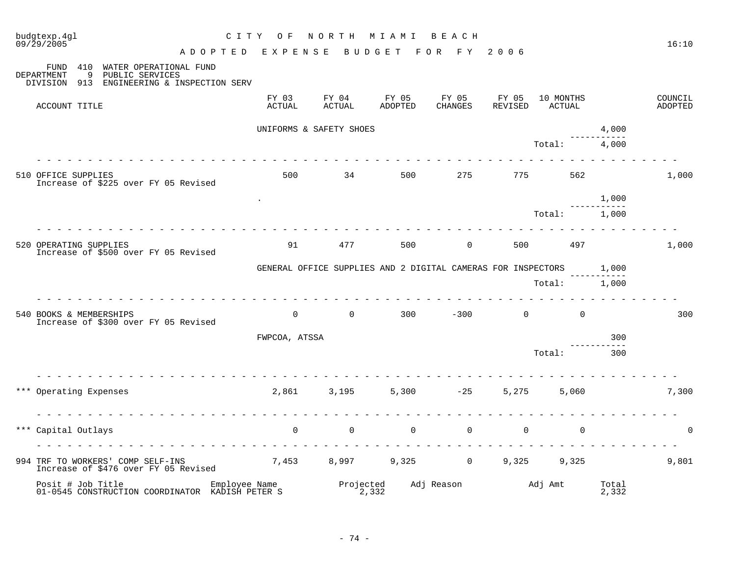| budgtexp.4gl<br>09/29/2005 |                    |                                                                                             | C I T Y<br>O F                  | NORTH                   | M I A M I                                                          | BEACH               |                  |                     |                | 16:10              |
|----------------------------|--------------------|---------------------------------------------------------------------------------------------|---------------------------------|-------------------------|--------------------------------------------------------------------|---------------------|------------------|---------------------|----------------|--------------------|
|                            |                    |                                                                                             | ADOPTED EXPENSE                 |                         | BUDGET                                                             | F O R<br>F Y        | 2006             |                     |                |                    |
| FUND<br>DEPARTMENT         | 9                  | 410 WATER OPERATIONAL FUND<br>PUBLIC SERVICES<br>DIVISION 913 ENGINEERING & INSPECTION SERV |                                 |                         |                                                                    |                     |                  |                     |                |                    |
|                            | ACCOUNT TITLE      |                                                                                             | FY 03<br>ACTUAL                 | FY 04<br>ACTUAL         | FY 05<br>ADOPTED                                                   | FY 05<br>CHANGES    | FY 05<br>REVISED | 10 MONTHS<br>ACTUAL |                | COUNCIL<br>ADOPTED |
|                            |                    |                                                                                             |                                 | UNIFORMS & SAFETY SHOES |                                                                    |                     |                  |                     | 4,000          |                    |
|                            |                    |                                                                                             |                                 |                         |                                                                    |                     |                  | Total:              | 4,000          |                    |
| 510 OFFICE SUPPLIES        |                    | Increase of \$225 over FY 05 Revised                                                        | 500                             | 34                      | 500                                                                | 275                 | 775              | 562                 |                | 1,000              |
|                            |                    |                                                                                             |                                 |                         |                                                                    |                     |                  |                     | 1,000          |                    |
|                            |                    |                                                                                             |                                 |                         |                                                                    |                     |                  | Total:              | 1,000          |                    |
| 520 OPERATING SUPPLIES     |                    | Increase of \$500 over FY 05 Revised                                                        | 91                              | 477                     | 500                                                                | $\overline{0}$      | 500              | 497                 |                | 1,000              |
|                            |                    |                                                                                             |                                 |                         | GENERAL OFFICE SUPPLIES AND 2 DIGITAL CAMERAS FOR INSPECTORS 1,000 |                     |                  |                     |                |                    |
|                            |                    |                                                                                             |                                 |                         |                                                                    |                     |                  | Total:              | 1,000          |                    |
| 540 BOOKS & MEMBERSHIPS    |                    | Increase of \$300 over FY 05 Revised                                                        | $\mathbf 0$                     | $\overline{0}$          | 300                                                                | $-300$              | $\mathbf 0$      | $\overline{0}$      |                | 300                |
|                            |                    |                                                                                             | FWPCOA, ATSSA                   |                         |                                                                    |                     |                  |                     | 300            |                    |
|                            |                    |                                                                                             |                                 |                         |                                                                    |                     |                  | Total:              | 300            |                    |
| ***                        | Operating Expenses |                                                                                             | 2,861                           | 3,195                   |                                                                    | $5,300 -25$         | 5,275            | 5,060               |                | 7,300              |
|                            |                    |                                                                                             | .                               |                         |                                                                    |                     |                  |                     |                |                    |
| ***                        | Capital Outlays    |                                                                                             | $\mathbf 0$                     | $\mathbf 0$             | $\mathbf 0$                                                        | $\mathbf 0$         | $\mathbf 0$      | $\mathbf 0$         |                | $\Omega$           |
|                            |                    | 994 TRF TO WORKERS' COMP SELF-INS<br>Increase of \$476 over FY 05 Revised                   |                                 |                         | 7,453 8,997 9,325                                                  | $\overline{0}$      | 9,325            | 9,325               |                | 9,801              |
|                            | Posit # Job Title  | 01-0545 CONSTRUCTION COORDINATOR KADISH PETER S                                             | Employee Name<br>ĸanısı prter s | Projected               | 2,332                                                              | Adj Reason Madj Amt |                  |                     | Total<br>2,332 |                    |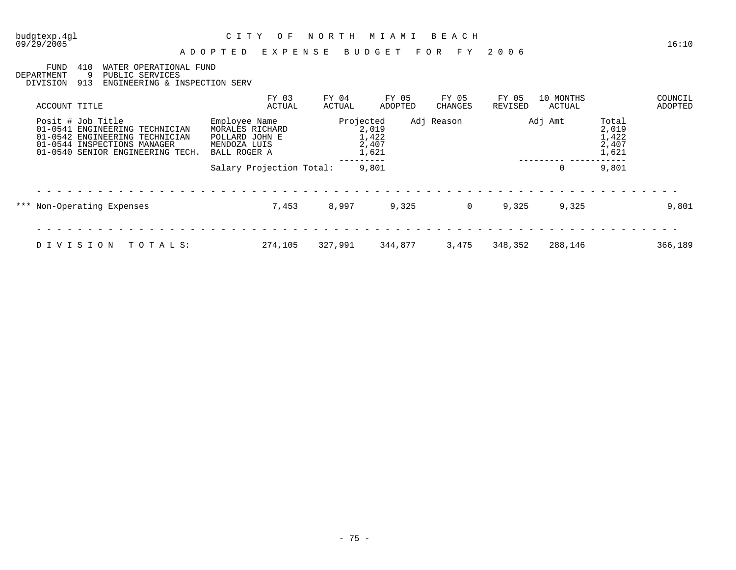09/29/2005 16:10

#### A D O P T E D E X P E N S E B U D G E T F O R F Y 2 0 0 6

FUND 410 WATER OPERATIONAL FUND<br>DEPARTMENT 9 PUBLIC SERVICES

DEPARTMENT 9 PUBLIC SERVICES

DIVISION 913 ENGINEERING & INSPECTION SERV

| ACCOUNT TITLE                                                                                                                                                  | FY 03<br>ACTUAL                                                                    | FY 04<br>ACTUAL | FY 05<br>ADOPTED                 | FY 05<br>CHANGES | FY 05<br>REVISED | 10 MONTHS<br>ACTUAL |                                           | COUNCIL<br>ADOPTED |
|----------------------------------------------------------------------------------------------------------------------------------------------------------------|------------------------------------------------------------------------------------|-----------------|----------------------------------|------------------|------------------|---------------------|-------------------------------------------|--------------------|
| Posit # Job Title<br>$01 - 0541$<br>ENGINEERING TECHNICIAN<br>01-0542 ENGINEERING TECHNICIAN<br>01-0544 INSPECTIONS MANAGER<br>01-0540 SENIOR ENGINEERING TECH | Employee Name<br>MORALES RICHARD<br>POLLARD JOHN E<br>MENDOZA LUIS<br>BALL ROGER A | Projected       | 2,019<br>1,422<br>2,407<br>1,621 | Adj Reason       |                  | Adj Amt             | Total<br>2,019<br>1,422<br>2,407<br>1,621 |                    |
|                                                                                                                                                                | Salary Projection Total:                                                           |                 | 9,801                            |                  |                  | 0                   | 9,801                                     |                    |
| *** Non-Operating Expenses                                                                                                                                     | 7,453                                                                              | 8,997           | 9,325                            | 0                | 9,325            | 9,325               |                                           | 9,801              |
|                                                                                                                                                                |                                                                                    |                 |                                  |                  |                  |                     |                                           |                    |
| TOTALS:<br>DIVISION                                                                                                                                            | 274,105                                                                            | 327,991         | 344,877                          | 3,475            | 348,352          | 288,146             |                                           | 366,189            |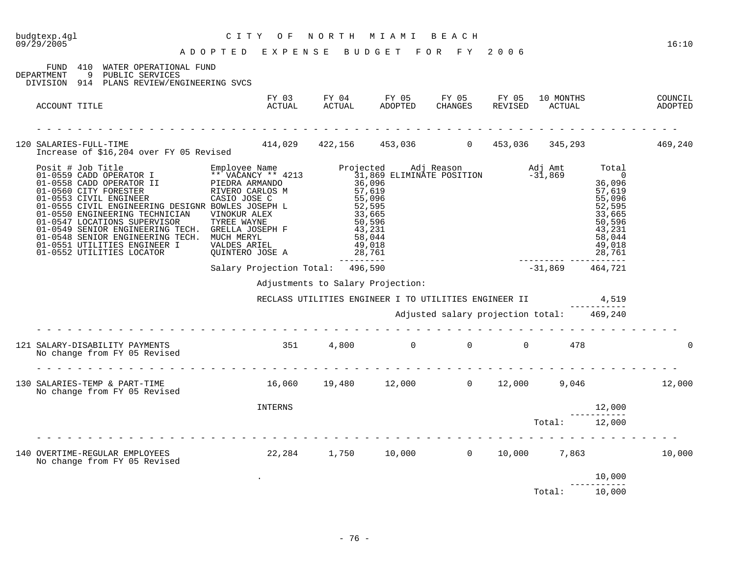| budgtexp.4gl<br>09/29/2005 | CITY OF NORTH MIAMI BEACH<br>ADOPTED EXPENSE BUDGET FOR FY 2006                                                                                                                                                                                                                                                                                                                                | CITY OF NORTH MIAMI BEACH                                                                   |                                                             |                                           |                                 |                  | 16:10 |
|----------------------------|------------------------------------------------------------------------------------------------------------------------------------------------------------------------------------------------------------------------------------------------------------------------------------------------------------------------------------------------------------------------------------------------|---------------------------------------------------------------------------------------------|-------------------------------------------------------------|-------------------------------------------|---------------------------------|------------------|-------|
| DEPARTMENT                 | FUND 410 WATER OPERATIONAL FUND<br>9 PUBLIC SERVICES<br>DIVISION 914 PLANS REVIEW/ENGINEERING SVCS                                                                                                                                                                                                                                                                                             |                                                                                             |                                                             |                                           |                                 |                  |       |
| ACCOUNT TITLE              |                                                                                                                                                                                                                                                                                                                                                                                                |                                                                                             |                                                             |                                           |                                 |                  |       |
|                            | 120 SALARIES-FULL-TIME 459,240<br>Increase of \$16,204 over FY 05 Revised 414,029 422,156 453,036 1453,036 453,036 345,293                                                                                                                                                                                                                                                                     |                                                                                             |                                                             |                                           |                                 |                  |       |
|                            | Posit # Job Title Funployee Name Projected Adj Reason Adj Amt Total<br>01-0559 CADD OPERATOR I PIEDRA ARMANDO<br>01-0558 CADD OPERATOR II PIEDRA ARMANDO<br>01-0558 CIVIY FORESTER RIVERO CARLOS M<br>01-0550 CITY FORESTER RIVER CAR<br>01-0548 SENIOR ENGINEERING TECH. MUCH MERYL<br>01-0551 UTILITIES ENGINEER I VALDES ARIEL<br>01-0551 UTILITIES ENGINEER I<br>01-0552 UTILITIES LOCATOR | 58,044<br>VALDES ARIEL 49,018<br>QUINTERO JOSE A 28,761<br>Salary Projection Total: 496,590 |                                                             |                                           | 28,761<br>--------- ----------- | 49,018<br>28,761 |       |
|                            |                                                                                                                                                                                                                                                                                                                                                                                                |                                                                                             |                                                             |                                           | $-31,869$ $464,721$             |                  |       |
|                            |                                                                                                                                                                                                                                                                                                                                                                                                |                                                                                             | Adjustments to Salary Projection:                           |                                           |                                 |                  |       |
|                            |                                                                                                                                                                                                                                                                                                                                                                                                |                                                                                             | RECLASS UTILITIES ENGINEER I TO UTILITIES ENGINEER II 4,519 |                                           |                                 |                  |       |
|                            |                                                                                                                                                                                                                                                                                                                                                                                                |                                                                                             |                                                             | Adjusted salary projection total: 469,240 |                                 |                  |       |
|                            | 121 SALARY-DISABILITY PAYMENTS<br>No change from FY 05 Revised                                                                                                                                                                                                                                                                                                                                 | $351$ 4,800 0 0 0 478                                                                       |                                                             |                                           |                                 |                  |       |
|                            | 130 SALARIES-TEMP & PART-TIME<br>No change from FY 05 Revised                                                                                                                                                                                                                                                                                                                                  | $16,060$ $19,480$ $12,000$ 0 $12,000$ 9,046 12,000                                          |                                                             |                                           |                                 |                  |       |
|                            |                                                                                                                                                                                                                                                                                                                                                                                                | INTERNS                                                                                     |                                                             |                                           |                                 | 12,000           |       |
|                            |                                                                                                                                                                                                                                                                                                                                                                                                |                                                                                             |                                                             |                                           | Total: 12,000                   |                  |       |
|                            | 140 OVERTIME-REGULAR EMPLOYEES 10,000 22,284 1,750 10,000 0 10,000 7,863 10,000 10,000<br>No change from FY 05 Revised                                                                                                                                                                                                                                                                         |                                                                                             |                                                             |                                           |                                 |                  |       |
|                            |                                                                                                                                                                                                                                                                                                                                                                                                |                                                                                             |                                                             |                                           |                                 | 10,000           |       |
|                            |                                                                                                                                                                                                                                                                                                                                                                                                |                                                                                             |                                                             |                                           | Total: 10,000                   |                  |       |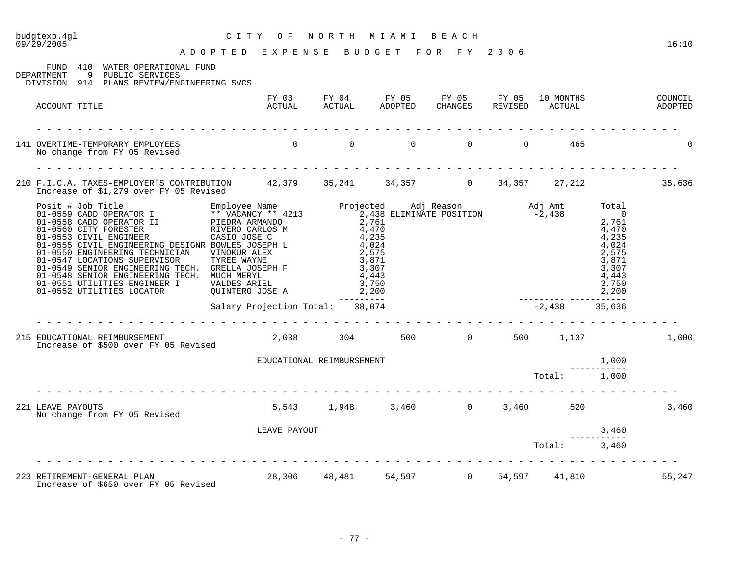# budgtexp.4gl C I T Y O F N O R T H M I A M I B E A C H

A D O P T E D E X P E N S E B U D G E T F O R F Y 2 0 0 6

| ACCOUNT TITLE<br>$\begin{matrix} 0 & 0 & 0 & 0 & 0 & 0 \end{matrix}$<br>465<br>141 OVERTIME-TEMPORARY EMPLOYEES<br>No change from FY 05 Revised<br>210 F.I.C.A. TAXES-EMPLOYER'S CONTRIBUTION 42,379 35,241 34,357 0 34,357 27,212<br>Increase of \$1,279 over FY 05 Revised<br>--------<br>$-2,438$ 35,636<br>Salary Projection Total: 38,074<br>215 EDUCATIONAL REIMBURSEMENT<br>$2,038$ $304$ $500$ 0 $500$ $1,137$ 1,000<br>Increase of \$500 over FY 05 Revised<br>1,000<br>EDUCATIONAL REIMBURSEMENT<br>Total:<br>1,000<br>5,543 1,948 3,460 0 3,460 520<br>221 LEAVE PAYOUTS<br>No change from FY 05 Revised<br>LEAVE PAYOUT<br>3,460<br>Total:<br>3,460<br>223 RETIREMENT-GENERAL PLAN 28,306 48,481 54,597 0 54,597 41,810 | 410<br>FUND<br>WATER OPERATIONAL FUND<br>9 PUBLIC SERVICES<br>DEPARTMENT<br>DIVISION 914 PLANS REVIEW/ENGINEERING SVCS |  |  |  |  |        |
|-------------------------------------------------------------------------------------------------------------------------------------------------------------------------------------------------------------------------------------------------------------------------------------------------------------------------------------------------------------------------------------------------------------------------------------------------------------------------------------------------------------------------------------------------------------------------------------------------------------------------------------------------------------------------------------------------------------------------------------|------------------------------------------------------------------------------------------------------------------------|--|--|--|--|--------|
|                                                                                                                                                                                                                                                                                                                                                                                                                                                                                                                                                                                                                                                                                                                                     |                                                                                                                        |  |  |  |  |        |
|                                                                                                                                                                                                                                                                                                                                                                                                                                                                                                                                                                                                                                                                                                                                     |                                                                                                                        |  |  |  |  |        |
|                                                                                                                                                                                                                                                                                                                                                                                                                                                                                                                                                                                                                                                                                                                                     |                                                                                                                        |  |  |  |  | 35,636 |
|                                                                                                                                                                                                                                                                                                                                                                                                                                                                                                                                                                                                                                                                                                                                     |                                                                                                                        |  |  |  |  |        |
|                                                                                                                                                                                                                                                                                                                                                                                                                                                                                                                                                                                                                                                                                                                                     |                                                                                                                        |  |  |  |  |        |
|                                                                                                                                                                                                                                                                                                                                                                                                                                                                                                                                                                                                                                                                                                                                     |                                                                                                                        |  |  |  |  |        |
|                                                                                                                                                                                                                                                                                                                                                                                                                                                                                                                                                                                                                                                                                                                                     |                                                                                                                        |  |  |  |  |        |
|                                                                                                                                                                                                                                                                                                                                                                                                                                                                                                                                                                                                                                                                                                                                     |                                                                                                                        |  |  |  |  |        |
|                                                                                                                                                                                                                                                                                                                                                                                                                                                                                                                                                                                                                                                                                                                                     |                                                                                                                        |  |  |  |  | 3,460  |
|                                                                                                                                                                                                                                                                                                                                                                                                                                                                                                                                                                                                                                                                                                                                     |                                                                                                                        |  |  |  |  |        |
|                                                                                                                                                                                                                                                                                                                                                                                                                                                                                                                                                                                                                                                                                                                                     |                                                                                                                        |  |  |  |  |        |
|                                                                                                                                                                                                                                                                                                                                                                                                                                                                                                                                                                                                                                                                                                                                     |                                                                                                                        |  |  |  |  | 55,247 |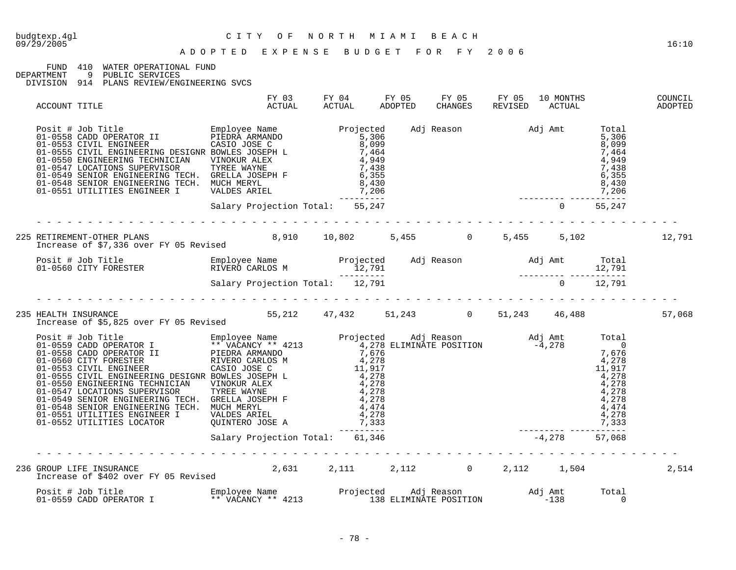FUND 410 WATER OPERATIONAL FUND<br>DEPARTMENT 9 PUBLIC SERVICES

DEPARTMENT 9 PUBLIC SERVICES

| ACCOUNT TITLE                                                                                                                                                                                                                         | FY 03<br>ACTUAL                                                                                                                                                                                                                                      | FY 04 | ACTUAL | FY 05<br>ADOPTED | FY 05<br>CHANGES          | FY 05<br>REVISED | 10 MONTHS<br>ACTUAL |            | COUNCIL<br>ADOPTED |
|---------------------------------------------------------------------------------------------------------------------------------------------------------------------------------------------------------------------------------------|------------------------------------------------------------------------------------------------------------------------------------------------------------------------------------------------------------------------------------------------------|-------|--------|------------------|---------------------------|------------------|---------------------|------------|--------------------|
| Posit # Job Title<br>01-0558 CADD OPERATOR II PIEDRA ARMANDO<br>01-0553 CIVIL ENGINEER CASIO JOSE CASIO 305 CASIO 10555 CIVIL ENGINEER<br>01-0555 CIVIL ENGINEERING DESIGNR BOWLES JOSEPH L<br>01-0550 ENGINEERING TECHNICIAN VINOKUR | DD OPERATOR II PIÈDRÀ ARMANDO<br>VIL ENGINEER IN CASIO JOSE C<br>CASIO JOSE C<br>CASIO JOSE C<br>CASIO JOSE C<br>S, 099<br>CINEERING TECHNICIAN VINOKUR ALEX<br>CATIONS SUPERVISOR<br>TREE WAYNE<br>CATIONS SUPERVISOR TYREE WAYNE<br>TREE WAYNE<br> |       |        |                  | Adj Reason Madj Amt Total |                  |                     |            |                    |
|                                                                                                                                                                                                                                       |                                                                                                                                                                                                                                                      |       |        |                  |                           |                  |                     |            |                    |
| 225 RETIREMENT-OTHER PLANS               8,910   10,802    5,455     0    5,455    5,102<br>Increase of \$7,336 over FY 05 Revised        8,910   10,802     5,455      0    5,455     5,102                                          |                                                                                                                                                                                                                                                      |       |        |                  |                           |                  |                     |            | 12,791             |
|                                                                                                                                                                                                                                       |                                                                                                                                                                                                                                                      |       |        |                  |                           |                  |                     |            |                    |
| Posit # Job Title Employee Name Projected Adj Reason Adj Amt Total<br>01-0560 CITY FORESTER RIVERO CARLOS M<br>Salary Projection Total: 12,791<br>2,791<br>2,791<br>2,791<br>2,791<br>2,791<br>2,791<br>2,791                         |                                                                                                                                                                                                                                                      |       |        |                  |                           |                  |                     |            |                    |
| HEALTH INSURANCE<br>Increase of \$5,825 over FY 05 Revised 55,212 47,432 51,243 10 51,243 46,488<br>235 HEALTH INSURANCE                                                                                                              |                                                                                                                                                                                                                                                      |       |        |                  |                           |                  |                     |            | 57,068             |
|                                                                                                                                                                                                                                       |                                                                                                                                                                                                                                                      |       |        |                  |                           |                  |                     |            |                    |
|                                                                                                                                                                                                                                       |                                                                                                                                                                                                                                                      |       |        |                  |                           |                  |                     |            |                    |
| 236 GROUP LIFE INSURANCE<br>1,504 Increase of \$402 over FY 05 Revised 2,631 2,111 2,112 2,112 1,504                                                                                                                                  |                                                                                                                                                                                                                                                      |       |        |                  |                           |                  |                     |            | 2,514              |
|                                                                                                                                                                                                                                       |                                                                                                                                                                                                                                                      |       |        |                  |                           |                  |                     | Total<br>0 |                    |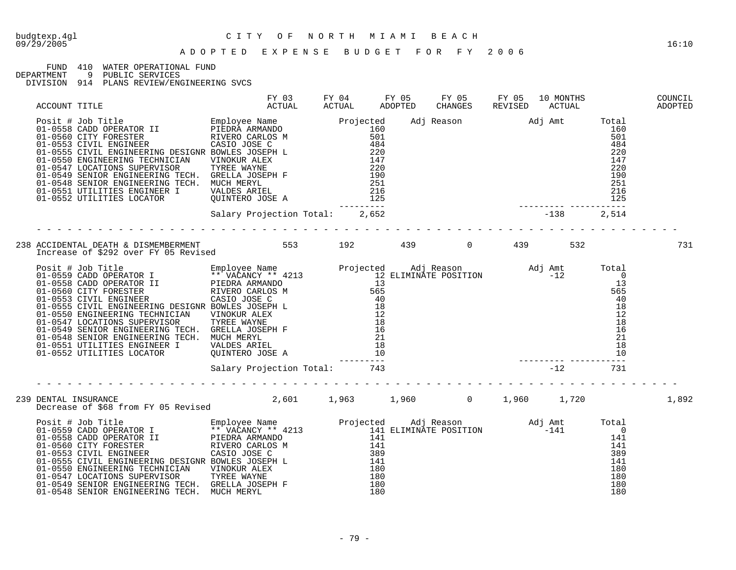# budgtexp.4gl C I T Y O F N O R T H M I A M I B E A C H

#### A D O P T E D E X P E N S E B U D G E T F O R F Y 2 0 0 6

### FUND 410 WATER OPERATIONAL FUND<br>DEPARTMENT 9 PUBLIC SERVICES

DEPARTMENT 9 PUBLIC SERVICES

|  |                                                                                                                                                                                                                                                                                                                                                                                                                                                                     |                                                                                                                                                                                                                                            |  |  |  | COUNCIL<br>ADOPTED |
|--|---------------------------------------------------------------------------------------------------------------------------------------------------------------------------------------------------------------------------------------------------------------------------------------------------------------------------------------------------------------------------------------------------------------------------------------------------------------------|--------------------------------------------------------------------------------------------------------------------------------------------------------------------------------------------------------------------------------------------|--|--|--|--------------------|
|  | $\begin{tabular}{l c c c c c} \multicolumn{1}{c}{ACCOUT TITLE} & $\begin{array}{c}{RTU3L} & $\begin{array}{c}{RTU4L} & $\begin{array}{c}{\rm PCV\,031} & $\begin{array}{c}{\rm PCV\,031} & $\begin{array}{c}{\rm PCV\,031} & $\begin{array}{c}{\rm PCV\,031} \end{array}$ & $\begin{array}{c}{\rm ACTUL1} & $\begin{array}{c}{\rm PCV\,031} \end{array}$ & $\begin{array}{c}{\rm ACTUL1} \end{array}$ & $\begin{array}{c}{\rm ACTUL1} \end{array}$ & $\begin{array$ | RESINEER CASTOSE CONSECTE (NOTE CAST ON A 1894<br>ERRING TECHNICIAN VINOKUR ALEX<br>IERRING TECHNICIAN VINOKUR ALEX<br>IERRING TECHNICIAN VINOKUR ALEX<br>TERRING TECHNICIAN CONSERVER P<br>PRESING TECHNICIAN CONSERVER 220<br>PRESING TE |  |  |  |                    |
|  |                                                                                                                                                                                                                                                                                                                                                                                                                                                                     |                                                                                                                                                                                                                                            |  |  |  |                    |
|  | 238 ACCIDENTAL DEATH & DISMEMBERMENT<br>1920 - 1390 - 1390 - 1390 - 1390 - 1390 - 1390 - 1390 - 1390 - 1390 - 1390 - 1390 - 1390 - 1390 - 1390 - 1390<br>1000 - 1390 - 1390 - 1390 - 1390 - 1390 - 1390 - 1390 - 1390 - 1390 - 1390                                                                                                                                                                                                                                 |                                                                                                                                                                                                                                            |  |  |  | 731                |
|  | Andrease of 9292 OVer fried Newsley Rame<br>Projected Adj Reason and Amit Total<br>01-0559 CADD OPERATOR I PEEDRA ARMANDO<br>01-0558 CADD OPERATOR II PEEDRA ARMANDO<br>01-0558 CIVIL ENGINEER RAMANDO 13<br>01-0558 CIVIL ENGINEER REAS                                                                                                                                                                                                                            |                                                                                                                                                                                                                                            |  |  |  |                    |
|  |                                                                                                                                                                                                                                                                                                                                                                                                                                                                     | Salary Projection Total: 743                                                                                                                                                                                                               |  |  |  |                    |
|  | 239 DENTAL INSURANCE<br>Decrease of \$68 from FY 05 Revised        2,601    1,963     1,960      0    1,960    1,720                                                                                                                                                                                                                                                                                                                                                |                                                                                                                                                                                                                                            |  |  |  | 1,892              |
|  |                                                                                                                                                                                                                                                                                                                                                                                                                                                                     |                                                                                                                                                                                                                                            |  |  |  |                    |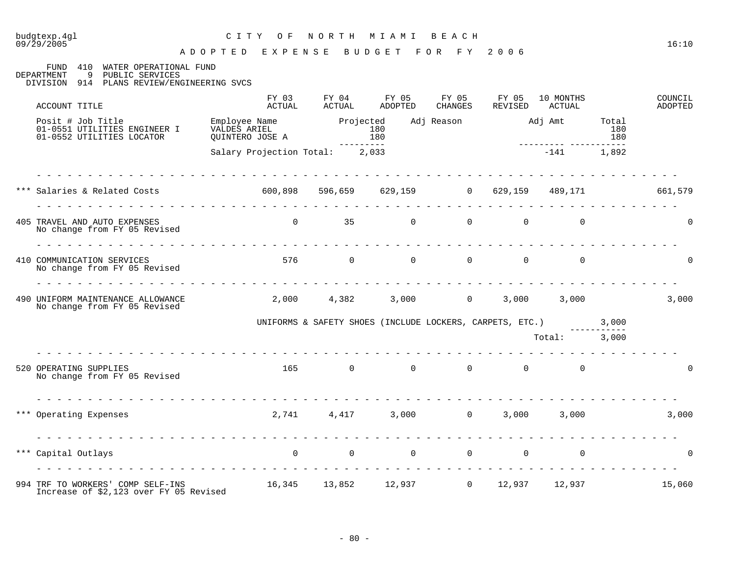09/29/2005 16:10

#### A D O P T E D E X P E N S E B U D G E T F O R F Y 2 0 0 6

FUND 410 WATER OPERATIONAL FUND DEPARTMENT 9 PUBLIC SERVICES

DEPARTMENT 9 PUBLIC SERVICES

| ACCOUNT TITLE                                                                  | FY 03<br>ACTUAL                                                    | FY 04<br>ACTUAL                                                | FY 05<br>ADOPTED | FY 05<br><b>CHANGES</b>    | FY 05<br>REVISED | 10 MONTHS<br>ACTUAL        |                               | COUNCIL<br>ADOPTED |
|--------------------------------------------------------------------------------|--------------------------------------------------------------------|----------------------------------------------------------------|------------------|----------------------------|------------------|----------------------------|-------------------------------|--------------------|
| Posit # Job Title<br>01-0551 UTILITIES ENGINEER I<br>01-0552 UTILITIES LOCATOR | mmproyee Name Projected<br>VALDES ARIEL 180<br>QUINTERO JOSE A 180 |                                                                |                  | Adj Reason Madj Amt        |                  | ---------- ----            | Total<br>180<br>180<br>------ |                    |
|                                                                                | Salary Projection Total: 2,033                                     |                                                                |                  |                            |                  | $-141$                     | 1,892                         |                    |
| *** Salaries & Related Costs                                                   | $600,898$ 596,659 629,159 0 629,159 489,171                        |                                                                |                  |                            |                  |                            |                               | 661,579            |
| 405 TRAVEL AND AUTO EXPENSES<br>No change from FY 05 Revised                   |                                                                    | $\overline{0}$                                                 | $35$ 0           |                            | $\overline{0}$   | $\overline{0}$<br>$\Omega$ |                               | $\Omega$           |
| 410 COMMUNICATION SERVICES<br>No change from FY 05 Revised                     |                                                                    | 576 0                                                          |                  | $\Omega$<br>$\overline{0}$ | $\Omega$         | $\Omega$                   |                               | $\Omega$           |
| 490 UNIFORM MAINTENANCE ALLOWANCE<br>No change from FY 05 Revised              |                                                                    | $2,000$ $4,382$ $3,000$ 0                                      |                  |                            | 3,000            | 3,000                      |                               | 3,000              |
|                                                                                |                                                                    | UNIFORMS & SAFETY SHOES (INCLUDE LOCKERS, CARPETS, ETC.) 3,000 |                  |                            |                  |                            |                               |                    |
|                                                                                |                                                                    |                                                                |                  |                            |                  | Total: 3,000               |                               |                    |
| 520 OPERATING SUPPLIES<br>No change from FY 05 Revised                         |                                                                    | $165$ 0                                                        |                  | $\Omega$<br>$\Omega$       | $\Omega$         | $\Omega$                   |                               | $\Omega$           |
| *** Operating Expenses                                                         |                                                                    | 2,741 4,417 3,000 0                                            |                  |                            | 3,000            | 3,000                      |                               | 3,000              |
| *** Capital Outlays                                                            |                                                                    | $\begin{matrix} 0 & 0 & 0 & 0 \end{matrix}$                    |                  |                            |                  | $\overline{0}$<br>$\Omega$ |                               | $\Omega$           |
| 994 TRF TO WORKERS' COMP SELF-INS<br>Increase of \$2,123 over FY 05 Revised    | $16,345$ $13,852$ $12,937$ 0 $12,937$ $12,937$                     |                                                                |                  |                            |                  |                            |                               | 15,060             |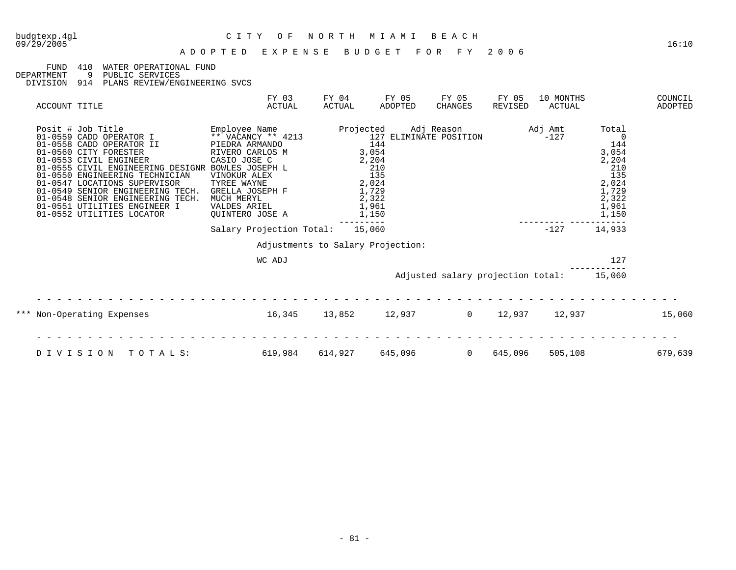### FUND 410 WATER OPERATIONAL FUND DEPARTMENT 9 PUBLIC SERVICES

DEPARTMENT 9 PUBLIC SERVICES

| ACCOUNT TITLE                                                                                                                                                                                                                                                                                                                      |                                                   | FY 03<br>ACTUAL                                                                                                                                                                             | FY 04<br>ACTUAL                   | FY 05<br>ADOPTED                                                                                           | FY 05<br>CHANGES                  | FY 05<br>REVISED | 10 MONTHS<br>ACTUAL |                                                                                           | COUNCIL<br>ADOPTED |
|------------------------------------------------------------------------------------------------------------------------------------------------------------------------------------------------------------------------------------------------------------------------------------------------------------------------------------|---------------------------------------------------|---------------------------------------------------------------------------------------------------------------------------------------------------------------------------------------------|-----------------------------------|------------------------------------------------------------------------------------------------------------|-----------------------------------|------------------|---------------------|-------------------------------------------------------------------------------------------|--------------------|
| Posit # Job Title<br>01-0559 CADD OPERATOR I<br>01-0558 CADD OPERATOR II<br>01-0560 CITY FORESTER<br>01-0553 CIVIL ENGINEER<br>01-0550 ENGINEERING TECHNICIAN<br>01-0547 LOCATIONS SUPERVISOR<br>01-0549 SENIOR ENGINEERING TECH.<br>01-0548 SENIOR ENGINEERING TECH.<br>01-0551 UTILITIES ENGINEER I<br>01-0552 UTILITIES LOCATOR | 01-0555 CIVIL ENGINEERING DESIGNR BOWLES JOSEPH L | Employee Name<br>** VACANCY ** 4213<br>PIEDRA ARMANDO<br>RIVERO CARLOS M<br>CASIO JOSE C<br>VINOKUR ALEX<br>TYREE WAYNE<br>GRELLA JOSEPH F<br>MUCH MERYL<br>VALDES ARIEL<br>QUINTERO JOSE A | Projected                         | 127 ELIMINATE POSITION<br>144<br>3,054<br>2,204<br>210<br>135<br>2,024<br>1,729<br>2,322<br>1,961<br>1,150 | Adj Reason                        |                  | Adj Amt<br>$-127$   | Total<br>144<br>3,054<br>2,204<br>210<br>135<br>2,024<br>1,729<br>2,322<br>1,961<br>1,150 |                    |
|                                                                                                                                                                                                                                                                                                                                    |                                                   | Salary Projection Total:                                                                                                                                                                    |                                   | 15,060                                                                                                     |                                   |                  | $-127$              | 14,933                                                                                    |                    |
|                                                                                                                                                                                                                                                                                                                                    |                                                   |                                                                                                                                                                                             | Adjustments to Salary Projection: |                                                                                                            |                                   |                  |                     |                                                                                           |                    |
|                                                                                                                                                                                                                                                                                                                                    |                                                   | WC ADJ                                                                                                                                                                                      |                                   |                                                                                                            |                                   |                  |                     | 127                                                                                       |                    |
|                                                                                                                                                                                                                                                                                                                                    |                                                   |                                                                                                                                                                                             |                                   |                                                                                                            | Adjusted salary projection total: |                  |                     | 15,060                                                                                    |                    |
| *** Non-Operating Expenses                                                                                                                                                                                                                                                                                                         |                                                   | 16,345                                                                                                                                                                                      | 13,852                            | 12,937                                                                                                     | $\Omega$                          | 12,937           | 12,937              |                                                                                           | 15,060             |
| DIVISION                                                                                                                                                                                                                                                                                                                           | TOTALS:                                           | 619,984                                                                                                                                                                                     | 614,927                           | 645,096                                                                                                    | $\Omega$                          | 645,096          | 505,108             |                                                                                           | 679,639            |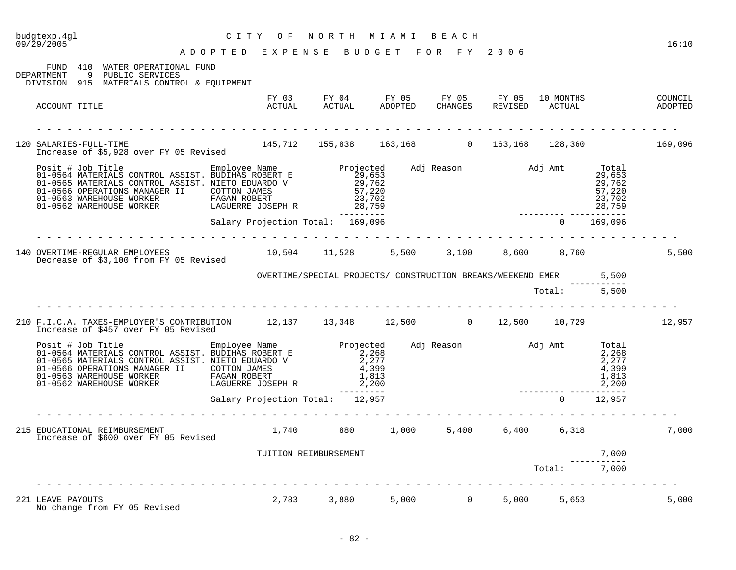| budgtexp.4gl<br>09/29/2005<br>A D O P T E D E X P E N S E B U D G E T F O R F Y 2006                                                                                                                                               | C I T Y<br>O F                   |                                                                   | NORTH MIAMI BEACH |              |                |               | 16:10 |
|------------------------------------------------------------------------------------------------------------------------------------------------------------------------------------------------------------------------------------|----------------------------------|-------------------------------------------------------------------|-------------------|--------------|----------------|---------------|-------|
| FUND 410 WATER OPERATIONAL FUND<br>DEPARTMENT 9 PUBLIC SERVICES<br>DIVISION 915 MATERIALS CONTROL & EQUIPMENT                                                                                                                      |                                  |                                                                   |                   |              |                |               |       |
| ACCOUNT TITLE                                                                                                                                                                                                                      |                                  |                                                                   |                   |              |                |               |       |
| 120 SALARIES-FULL-TIME<br>Increase of \$5,928 over FY 05 Revised                                                                                                                                                                   |                                  | 145,712 155,838 163,168 0 163,168 128,360 169,096                 |                   |              |                |               |       |
| Posit # Job Title Employee Name Projected Adj Reason Adj Amt Total 01-0564 MATERIALS CONTROL ASSIST. BUDIHAS ROBERT E<br>01-0566 MATERIALS CONTROL ASSIST. NIETO EDUARDO V 29,653<br>01-0566 OPERATIONS MANAGER II COTTON JAMES 57 |                                  |                                                                   |                   |              |                |               |       |
|                                                                                                                                                                                                                                    | Salary Projection Total: 169,096 |                                                                   | ---------         |              | $0 \t 169,096$ | . <u>.</u>    |       |
| 140 OVERTIME-REGULAR EMPLOYEES 10,504 11,528 5,500 3,100 8,600 8,760<br>Decrease of \$3,100 from FY 05 Revised                                                                                                                     |                                  |                                                                   |                   |              |                |               | 5,500 |
|                                                                                                                                                                                                                                    |                                  | OVERTIME/SPECIAL PROJECTS/ CONSTRUCTION BREAKS/WEEKEND EMER 5,500 |                   |              |                |               |       |
|                                                                                                                                                                                                                                    |                                  |                                                                   |                   | Total: 5,500 |                |               |       |
| 210 F.I.C.A. TAXES-EMPLOYER'S CONTRIBUTION 12,137 13,348 12,500 0 12,500 10,729 12,957<br>Increase of \$457 over FY 05 Revised                                                                                                     |                                  |                                                                   |                   |              |                |               |       |
|                                                                                                                                                                                                                                    |                                  |                                                                   |                   |              |                |               |       |
|                                                                                                                                                                                                                                    | Salary Projection Total: 12,957  |                                                                   |                   |              |                | $0 \t 12,957$ |       |
| 215 EDUCATIONAL REIMBURSEMENT<br>Increase of \$600 over FY 05 Revised                                                                                                                                                              |                                  | 1,740 880 1,000 5,400 6,400 6,318                                 |                   |              |                |               | 7,000 |
|                                                                                                                                                                                                                                    |                                  | TUITION REIMBURSEMENT                                             |                   |              |                | 7,000         |       |
|                                                                                                                                                                                                                                    |                                  |                                                                   |                   |              | Total: 7,000   |               |       |
| 221 LEAVE PAYOUTS<br>No change from FY 05 Revised                                                                                                                                                                                  |                                  | 2,783 3,880 5,000 0                                               |                   |              | 5,000 5,653    |               | 5,000 |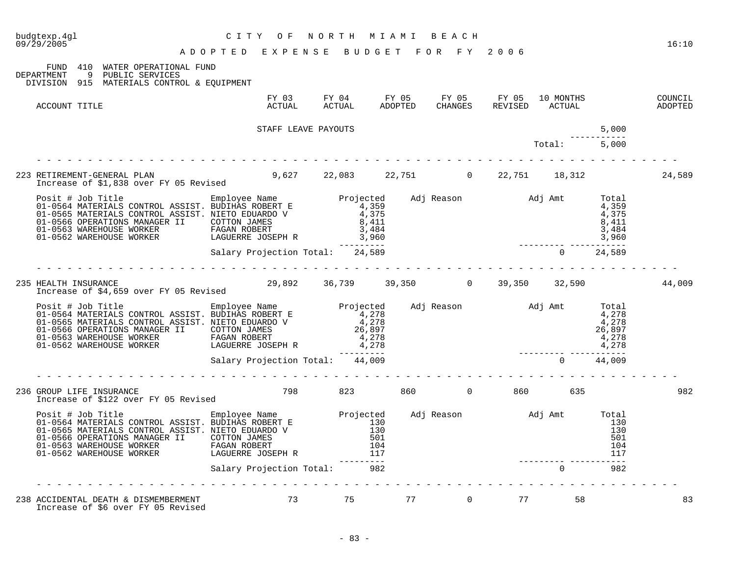| budgtexp.4ql<br>CITY OF NORTH MIAMI BEACH<br>ADOPTED EXPENSE BUDGET FOR FY 2006<br>09/29/2005                                                                                                                                           | C I T Y<br>O F                                                              | NORTH MIAMI BEACH     |       |              |    |                |       | 16:10              |
|-----------------------------------------------------------------------------------------------------------------------------------------------------------------------------------------------------------------------------------------|-----------------------------------------------------------------------------|-----------------------|-------|--------------|----|----------------|-------|--------------------|
| FUND 410 WATER OPERATIONAL FUND<br>DEPARTMENT 9 PUBLIC SERVICES<br>DIVISION 915 MATERIALS CONTROL & EQUIPMENT                                                                                                                           |                                                                             |                       |       |              |    |                |       |                    |
| ACCOUNT TITLE                                                                                                                                                                                                                           |                                                                             |                       |       |              |    |                |       | COUNCIL<br>ADOPTED |
|                                                                                                                                                                                                                                         | STAFF LEAVE PAYOUTS                                                         |                       |       |              |    |                | 5,000 |                    |
|                                                                                                                                                                                                                                         |                                                                             |                       |       |              |    | $Total: 5,000$ |       |                    |
| 223 RETIREMENT-GENERAL PLAN 9,627 22,083 22,751 0 22,751 18,312 24,589<br>Increase of \$1,838 over FY 05 Revised 9,627 22,083 22,751 0 22,751 18,312                                                                                    |                                                                             |                       |       |              |    |                |       |                    |
|                                                                                                                                                                                                                                         |                                                                             |                       |       |              |    |                |       |                    |
|                                                                                                                                                                                                                                         |                                                                             |                       |       |              |    |                |       |                    |
| 235 HEALTH INSURANCE<br>Increase of \$4,659 over FY 05 Revised 29,892 36,739 39,350 0 39,350 32,590 32,590 44,009                                                                                                                       |                                                                             |                       |       |              |    |                |       |                    |
| Posit # Job Title<br>01-0564 MATERIALS CONTROL ASSIST. BUDIHAS ROBERT E<br>01-0565 MATERIALS CONTROL ASSIST. NIETO EDUARDO V<br>01-0566 OPERATIONS MANAGER II COTTON JAMES<br>01-0566 OPERATIONS MANAGER FAGAN ROBERT PAGES (1997<br>26 |                                                                             |                       |       |              |    |                |       |                    |
|                                                                                                                                                                                                                                         |                                                                             |                       |       |              |    |                |       |                    |
| 236 GROUP LIFE INSURANCE<br>Increase of \$122 over FY 05 Revised                                                                                                                                                                        |                                                                             | 798 823 860 0 860 635 |       |              |    |                |       | 982                |
|                                                                                                                                                                                                                                         | FAGAN ROBERT 104<br>LAGUERRE JOSEPH R 117<br>Salary Projection Total: 982 0 |                       |       |              |    |                |       |                    |
|                                                                                                                                                                                                                                         |                                                                             |                       |       |              |    | $\Omega$       | 982   |                    |
| 238 ACCIDENTAL DEATH & DISMEMBERMENT<br>Increase of \$6 over FY 05 Revised                                                                                                                                                              | 73                                                                          |                       | 75 77 | $\mathbf{0}$ | 77 | 58             |       | 83                 |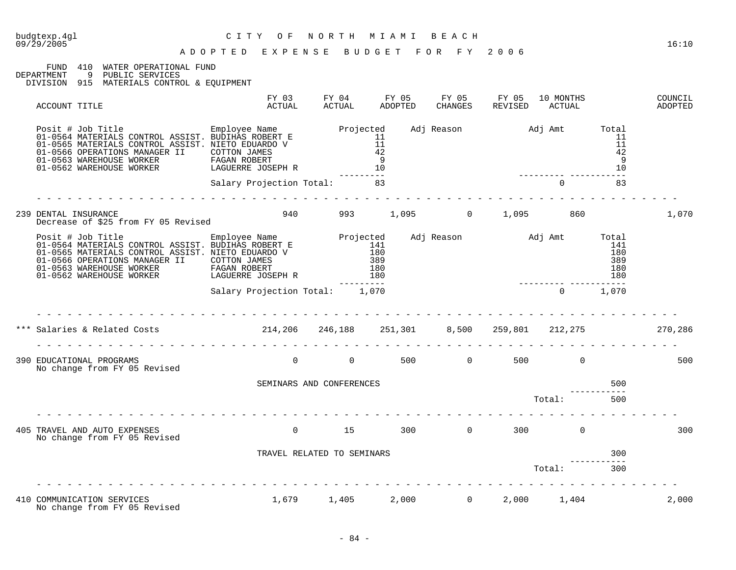C I T Y O F N O R T H M I A M I B E A C H

#### A D O P T E D E X P E N S E B U D G E T F O R F Y 2 0 0 6

FUND 410 WATER OPERATIONAL FUND

DEPARTMENT 9 PUBLIC SERVICES

DIVISION 915 MATERIALS CONTROL & EQUIPMENT

| ACCOUNT TITLE                                                                                                                                                                                                                                                                                                                                                                                                                     | FY 03<br>ACTUAL                | FY 04<br>ACTUAL            | FY 05<br>ADOPTED | FY 05<br>CHANGES          | FY 05<br>REVISED | 10 MONTHS<br>ACTUAL      |                                          | COUNCIL<br>ADOPTED |
|-----------------------------------------------------------------------------------------------------------------------------------------------------------------------------------------------------------------------------------------------------------------------------------------------------------------------------------------------------------------------------------------------------------------------------------|--------------------------------|----------------------------|------------------|---------------------------|------------------|--------------------------|------------------------------------------|--------------------|
| Posit # Job Title The Employee Name Projected<br>01-0564 MATERIALS CONTROL ASSIST. BUDIHAS ROBERT E<br>01-0565 MATERIALS CONTROL ASSIST. NIETO EDUARDO V<br>01-0566 OPERATIONS MANAGER II COTTON JAMES<br>$\begin{tabular}{lllllllllllllllllllll} \hline 01-0563 & \text{WAREHOUSE} & \text{WORKER} & \text{FAGAN ROBERT} \\ \hline 01-0562 & \text{WAREHOUSE} & \text{WORKER} & \text{LAGUERRE JOSEPH} & \text{R} \end{tabular}$ |                                | 11<br>11<br>42<br>9<br>10  |                  |                           |                  | Adj Reason Maj Amt Total | 11<br>11<br>42<br>- 9<br>10              |                    |
| .                                                                                                                                                                                                                                                                                                                                                                                                                                 | Salary Projection Total:       | 83                         |                  |                           |                  | $\Omega$                 | 83                                       |                    |
| 239 DENTAL INSURANCE<br>Decrease of \$25 from FY 05 Revised                                                                                                                                                                                                                                                                                                                                                                       | 940                            |                            |                  |                           |                  | 993 1,095 0 1,095 860    |                                          | 1,070              |
| Decrease of yes from<br>Posit # Job Title Employee Name Projected<br>01-0564 MATERIALS CONTROL ASSIST. BUDIHAS ROBERT E 141<br>21 OFFE MATERIALS CONTROL ASSIST. NIETO EDUARDO V 180<br>01-0566 OPERATIONS MANAGER II<br>01-0566 OPERATIONS MANAGER II COTTON JAMES<br>01-0563 WAREHOUSE WORKER FAGAN ROBERT<br>01-0562 WAREHOUSE WORKER LAGUERRE JOSEPH R                                                                        |                                | 389<br>180<br>180          |                  |                           |                  | Adj Reason Madj Amt      | Total<br>141<br>180<br>389<br>180<br>180 |                    |
|                                                                                                                                                                                                                                                                                                                                                                                                                                   | Salary Projection Total: 1,070 |                            |                  |                           |                  | $\Omega$                 | -----<br>1,070                           |                    |
|                                                                                                                                                                                                                                                                                                                                                                                                                                   |                                |                            |                  |                           |                  |                          |                                          | 270,286            |
| 390 EDUCATIONAL PROGRAMS<br>No change from FY 05 Revised                                                                                                                                                                                                                                                                                                                                                                          | .<br>$\Omega$                  | $\Omega$                   |                  | $500$ 0                   |                  | 500 000<br>$\Omega$      |                                          | 500                |
|                                                                                                                                                                                                                                                                                                                                                                                                                                   | SEMINARS AND CONFERENCES       |                            |                  |                           |                  |                          | 500                                      |                    |
|                                                                                                                                                                                                                                                                                                                                                                                                                                   |                                |                            |                  |                           |                  | Total:                   | 500                                      |                    |
| 405 TRAVEL AND AUTO EXPENSES<br>No change from FY 05 Revised                                                                                                                                                                                                                                                                                                                                                                      | $\Omega$                       | 15                         | 300              | $\overline{0}$            | 300              | $\Omega$                 |                                          | 300                |
|                                                                                                                                                                                                                                                                                                                                                                                                                                   |                                | TRAVEL RELATED TO SEMINARS |                  |                           |                  |                          | 300                                      |                    |
|                                                                                                                                                                                                                                                                                                                                                                                                                                   |                                |                            |                  |                           | Total:           |                          | 300                                      |                    |
| 410 COMMUNICATION SERVICES<br>No change from FY 05 Revised                                                                                                                                                                                                                                                                                                                                                                        |                                |                            |                  | $1,679$ $1,405$ $2,000$ 0 | 2,000            | 1,404                    |                                          | 2,000              |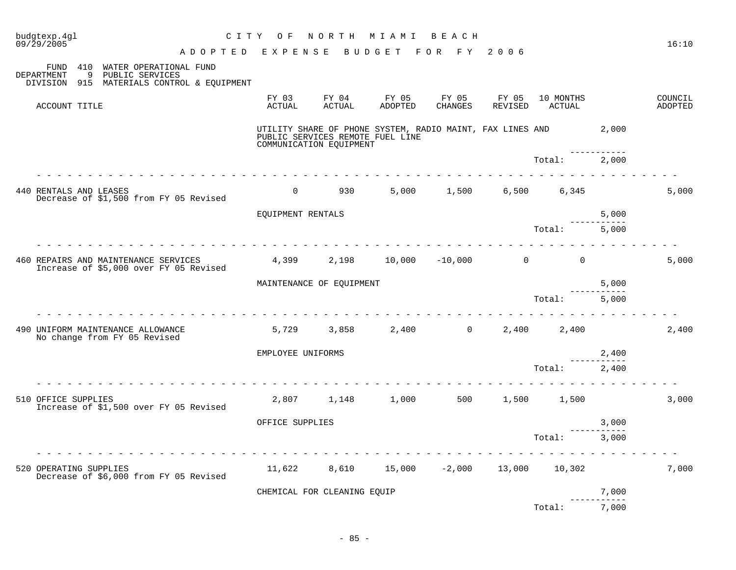| budgtexp.4ql<br>09/29/2005                                                       | CITY OF                                                | NORTH           | M I A M I                                                                                           | BEACH                      |       |                             |                               | 16:10              |
|----------------------------------------------------------------------------------|--------------------------------------------------------|-----------------|-----------------------------------------------------------------------------------------------------|----------------------------|-------|-----------------------------|-------------------------------|--------------------|
| 410 WATER OPERATIONAL FUND<br>FUND                                               | A D O P T E D E X P E N S E B U D G E T F O R F Y 2006 |                 |                                                                                                     |                            |       |                             |                               |                    |
| 9<br>PUBLIC SERVICES<br>DEPARTMENT<br>DIVISION 915 MATERIALS CONTROL & EQUIPMENT |                                                        |                 |                                                                                                     |                            |       |                             |                               |                    |
| ACCOUNT TITLE                                                                    | FY 03<br>ACTUAL                                        | FY 04<br>ACTUAL | FY 05<br>ADOPTED                                                                                    | FY 05<br>CHANGES           | FY 05 | 10 MONTHS<br>REVISED ACTUAL |                               | COUNCIL<br>ADOPTED |
|                                                                                  | COMMUNICATION EQUIPMENT                                |                 | UTILITY SHARE OF PHONE SYSTEM, RADIO MAINT, FAX LINES AND 2,000<br>PUBLIC SERVICES REMOTE FUEL LINE |                            |       |                             | <u> - - - - - - - - - - -</u> |                    |
|                                                                                  |                                                        |                 |                                                                                                     |                            |       | Total: 2,000                |                               |                    |
| 440 RENTALS AND LEASES<br>Decrease of \$1,500 from FY 05 Revised                 | $\overline{0}$                                         | 930 000         |                                                                                                     | 5,000 1,500                |       | 6,500 6,345                 |                               | 5,000              |
|                                                                                  | EQUIPMENT RENTALS                                      |                 |                                                                                                     |                            |       |                             | 5,000                         |                    |
|                                                                                  |                                                        |                 |                                                                                                     |                            |       | Total:                      | 5,000                         |                    |
| 460 REPAIRS AND MAINTENANCE SERVICES<br>Increase of \$5,000 over FY 05 Revised   |                                                        |                 | $4,399$ $2,198$ $10,000$ $-10,000$ $0$ $0$                                                          |                            |       |                             |                               | 5,000              |
|                                                                                  | MAINTENANCE OF EQUIPMENT                               |                 |                                                                                                     |                            |       |                             | 5,000                         |                    |
|                                                                                  |                                                        |                 |                                                                                                     |                            |       | Total:                      | 5,000                         |                    |
| 490 UNIFORM MAINTENANCE ALLOWANCE<br>No change from FY 05 Revised                | 5,729                                                  | 3,858           |                                                                                                     | $2,400$ 0                  |       | 2,400 2,400                 |                               | 2,400              |
|                                                                                  | EMPLOYEE UNIFORMS                                      |                 |                                                                                                     |                            |       |                             | 2,400                         |                    |
|                                                                                  |                                                        |                 |                                                                                                     |                            |       | Total:                      | 2,400                         |                    |
| 510 OFFICE SUPPLIES<br>Increase of \$1,500 over FY 05 Revised                    |                                                        |                 | 2,807 1,148 1,000 500                                                                               |                            |       | 1,500 1,500                 |                               | 3,000              |
|                                                                                  | OFFICE SUPPLIES                                        |                 |                                                                                                     |                            |       |                             | 3,000                         |                    |
|                                                                                  |                                                        |                 |                                                                                                     |                            |       | Total:                      | 3,000                         |                    |
| 520 OPERATING SUPPLIES<br>Decrease of \$6,000 from FY 05 Revised                 | 11,622                                                 | 8,610           |                                                                                                     | $15,000$ $-2,000$ $13,000$ |       | 10,302                      |                               | 7,000              |
|                                                                                  | CHEMICAL FOR CLEANING EQUIP                            |                 |                                                                                                     |                            |       |                             | 7,000<br>--------             |                    |
|                                                                                  |                                                        |                 |                                                                                                     |                            |       | Total:                      | 7,000                         |                    |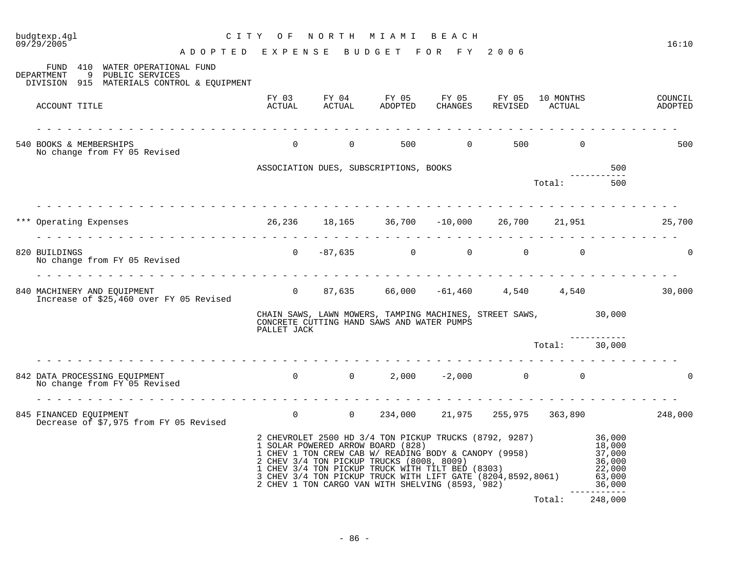| 09/29/2005<br>ADOPTED EXPENSE BUDGET FOR FY 2006                                                                             |             |                                                                                                                                                                                                                                                                                                                                              |        |               |         | 16:10              |
|------------------------------------------------------------------------------------------------------------------------------|-------------|----------------------------------------------------------------------------------------------------------------------------------------------------------------------------------------------------------------------------------------------------------------------------------------------------------------------------------------------|--------|---------------|---------|--------------------|
| FUND 410 WATER OPERATIONAL FUND<br>9 PUBLIC SERVICES<br>DEPARTMENT<br>DIVISION 915 MATERIALS CONTROL & EQUIPMENT             |             |                                                                                                                                                                                                                                                                                                                                              |        |               |         |                    |
| ACCOUNT TITLE                                                                                                                |             | FY 03 FY 04 FY 05 FY 05 FY 05 10 MONTHS<br>ACTUAL ACTUAL ADOPTED CHANGES REVISED ACTUAL                                                                                                                                                                                                                                                      |        |               |         | COUNCIL<br>ADOPTED |
| 540 BOOKS & MEMBERSHIPS                                                                                                      |             | 0 0 500 0 500 0 500 0                                                                                                                                                                                                                                                                                                                        |        |               |         | 500                |
| No change from FY 05 Revised                                                                                                 |             |                                                                                                                                                                                                                                                                                                                                              |        |               |         |                    |
|                                                                                                                              |             | ASSOCIATION DUES, SUBSCRIPTIONS, BOOKS                                                                                                                                                                                                                                                                                                       |        |               | 500     |                    |
|                                                                                                                              |             |                                                                                                                                                                                                                                                                                                                                              | Total: |               | 500     |                    |
| *** Operating Expenses                                                                                                       |             | 26,236 18,165 36,700 -10,000 26,700 21,951 25,700                                                                                                                                                                                                                                                                                            |        |               |         |                    |
|                                                                                                                              |             |                                                                                                                                                                                                                                                                                                                                              |        |               |         |                    |
| 820 BUILDINGS<br>No change from FY 05 Revised                                                                                |             | $0 \t -87,635 \t 0 \t 0 \t 0 \t 0$                                                                                                                                                                                                                                                                                                           |        |               |         | $\Omega$           |
| Increase of \$25,460 over FY 05 Revised                                                                                      |             |                                                                                                                                                                                                                                                                                                                                              |        |               |         |                    |
|                                                                                                                              | PALLET JACK | CHAIN SAWS, LAWN MOWERS, TAMPING MACHINES, STREET SAWS, 30,000<br>CONCRETE CUTTING HAND SAWS AND WATER PUMPS                                                                                                                                                                                                                                 |        |               |         |                    |
|                                                                                                                              |             |                                                                                                                                                                                                                                                                                                                                              |        | Total: 30,000 |         |                    |
| 842 DATA PROCESSING EQUIPMENT<br>No change from FY 05 Revised                                                                |             | $0 \t 0 \t 2,000 \t -2,000 \t 0 \t 0$                                                                                                                                                                                                                                                                                                        |        |               |         |                    |
| $0$ $0$ $234,000$ $21,975$ $255,975$ $363,890$ $248,000$<br>845 FINANCED EQUIPMENT<br>Decrease of \$7,975 from FY 05 Revised |             |                                                                                                                                                                                                                                                                                                                                              |        |               |         |                    |
|                                                                                                                              |             | 2 CHEVROLET 2500 HD 3/4 TON PICKUP TRUCKS (8792, 9287) 36,000<br>1 SOLAR POWERED ARROW BOARD (828)<br>1 SULAR PUWERED ARROW BOARD (828)<br>1 CHEV 1 TON CREW CAB W/ READING BODY & CANOPY (9958)<br>2 CHEV 3/4 TON PICKUP TRUCKS (8008, 8009)<br>1 CHEV 3/4 TON PICKUP TRUCK WITH TILT BED (8303)<br>3 CHEV 3/4 TON PICKUP TRUCK WITH LIFT G |        |               |         |                    |
|                                                                                                                              |             |                                                                                                                                                                                                                                                                                                                                              |        | Total:        | 248,000 |                    |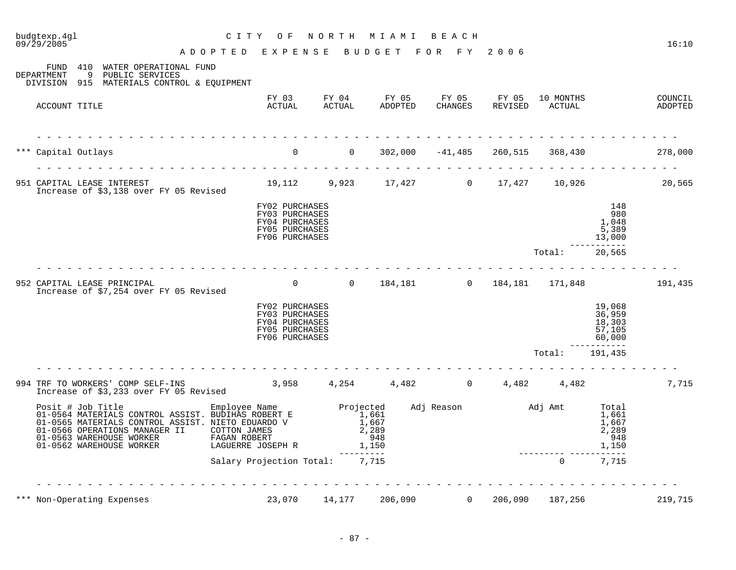# budgtexp.4gl C I T Y O F N O R T H M I A M I B E A C H

A D O P T E D E X P E N S E B U D G E T F O R F Y 2 0 0 6

FUND 410 WATER OPERATIONAL FUND<br>DEPARTMENT 9 PUBLIC SERVICES 9 PUBLIC SERVICES

DIVISION 915 MATERIALS CONTROL & EQUIPMENT

| ACCOUNT TITLE       |                                                                                                                                                                                                                       | FY 03<br>ACTUAL                                                                        |                | FY 04<br>ACTUAL                                      | FY 05<br>ADOPTED | FY 05<br><b>CHANGES</b> | FY 05<br>REVISED             |       | 10 MONTHS<br>ACTUAL                     |                                                  | COUNCIL<br>ADOPTED |
|---------------------|-----------------------------------------------------------------------------------------------------------------------------------------------------------------------------------------------------------------------|----------------------------------------------------------------------------------------|----------------|------------------------------------------------------|------------------|-------------------------|------------------------------|-------|-----------------------------------------|--------------------------------------------------|--------------------|
| *** Capital Outlays |                                                                                                                                                                                                                       | $\overline{0}$                                                                         | $\overline{0}$ |                                                      |                  |                         |                              |       | $302,000$ $-41,485$ $260,515$ $368,430$ |                                                  | 278,000            |
|                     | 951 CAPITAL LEASE INTEREST<br>Increase of \$3,138 over FY 05 Revised                                                                                                                                                  | 19,112                                                                                 |                | 9,923 17,427 0 17,427                                |                  |                         |                              |       | 10,926                                  |                                                  | 20,565             |
|                     |                                                                                                                                                                                                                       | FY02 PURCHASES<br>FY03 PURCHASES<br>FY04 PURCHASES<br>FY05 PURCHASES<br>FY06 PURCHASES |                |                                                      |                  |                         |                              |       |                                         | 148<br>980<br>1,048<br>5,389<br>13,000           |                    |
|                     |                                                                                                                                                                                                                       |                                                                                        |                |                                                      |                  |                         |                              |       | Total:                                  | 20,565                                           |                    |
|                     | 952 CAPITAL LEASE PRINCIPAL<br>Increase of \$7,254 over FY 05 Revised                                                                                                                                                 | $\overline{0}$                                                                         |                | $\mathsf{O}$                                         | 184,181          |                         | $0 \qquad \qquad$<br>184,181 |       | 171,848                                 |                                                  | 191,435            |
|                     |                                                                                                                                                                                                                       | FY02 PURCHASES<br>FY03 PURCHASES<br>FY04 PURCHASES<br>FY05 PURCHASES<br>FY06 PURCHASES |                |                                                      |                  |                         |                              |       |                                         | 19,068<br>36,959<br>18,303<br>57,105<br>60,000   |                    |
|                     |                                                                                                                                                                                                                       |                                                                                        |                |                                                      |                  |                         |                              |       | Total:                                  | 191,435                                          |                    |
|                     | 994 TRF TO WORKERS' COMP SELF-INS<br>Increase of \$3,233 over FY 05 Revised                                                                                                                                           | 3,958                                                                                  |                | 4,254                                                | 4,482            | $\overline{0}$          |                              | 4,482 | 4,482                                   |                                                  | 7,715              |
|                     | Posit # Job Title<br>01-0564 MATERIALS CONTROL ASSIST. BUDIHAS ROBERT E<br>01-0565 MATERIALS CONTROL ASSIST. NIETO EDUARDO V<br>01-0566 OPERATIONS MANAGER II<br>01-0563 WAREHOUSE WORKER<br>01-0562 WAREHOUSE WORKER | Employee Name<br>COTTON JAMES<br>FAGAN ROBERT<br>LAGUERRE JOSEPH R                     |                | Projected<br>1,661<br>1,667<br>2,289<br>948<br>1,150 |                  | Adj Reason              | Adj Amt                      |       |                                         | Total<br>1,661<br>1,667<br>2,289<br>948<br>1,150 |                    |
|                     |                                                                                                                                                                                                                       | Salary Projection Total:                                                               |                | 7,715                                                |                  |                         |                              |       | $\mathbf 0$                             | 7,715                                            |                    |
|                     | *** Non-Operating Expenses                                                                                                                                                                                            | 23,070                                                                                 |                | 14,177                                               | 206,090          |                         | $\overline{0}$<br>206,090    |       | 187,256                                 |                                                  | 219,715            |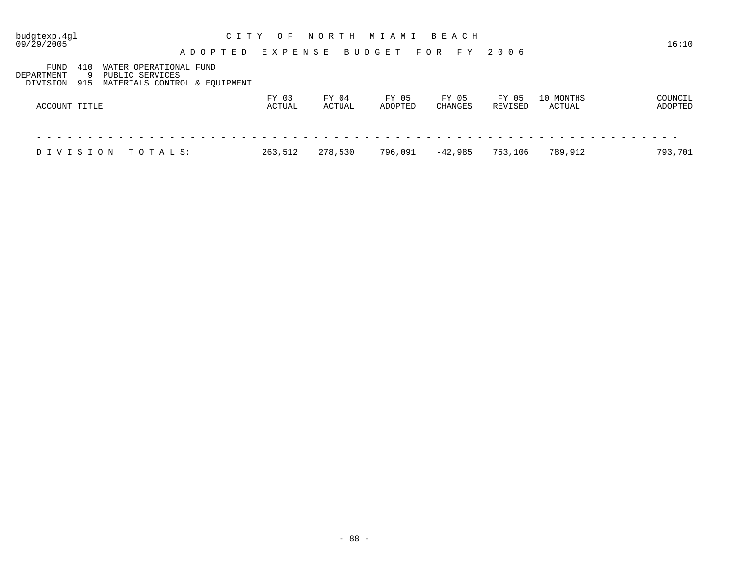| budgtexp.4gl<br>09/29/2005                         | ADOPTED                                                                    | C I T Y<br>O F<br>EXPENSE | NORTH           | MIAMI BEACH<br><b>BUDGET</b> | FOR FY           | 2006             |                     | 16:10              |
|----------------------------------------------------|----------------------------------------------------------------------------|---------------------------|-----------------|------------------------------|------------------|------------------|---------------------|--------------------|
| FUND<br>410<br>DEPARTMENT<br>O,<br>DIVISION<br>915 | WATER OPERATIONAL FUND<br>PUBLIC SERVICES<br>MATERIALS CONTROL & EOUIPMENT |                           |                 |                              |                  |                  |                     |                    |
| ACCOUNT TITLE                                      |                                                                            | FY 03<br>ACTUAL           | FY 04<br>ACTUAL | FY 05<br>ADOPTED             | FY 05<br>CHANGES | FY 05<br>REVISED | 10 MONTHS<br>ACTUAL | COUNCIL<br>ADOPTED |
|                                                    |                                                                            |                           |                 |                              |                  |                  |                     |                    |
| DIVISION                                           | TOTALS:                                                                    | 263,512                   | 278,530         | 796,091                      | $-42,985$        | 753,106          | 789,912             | 793,701            |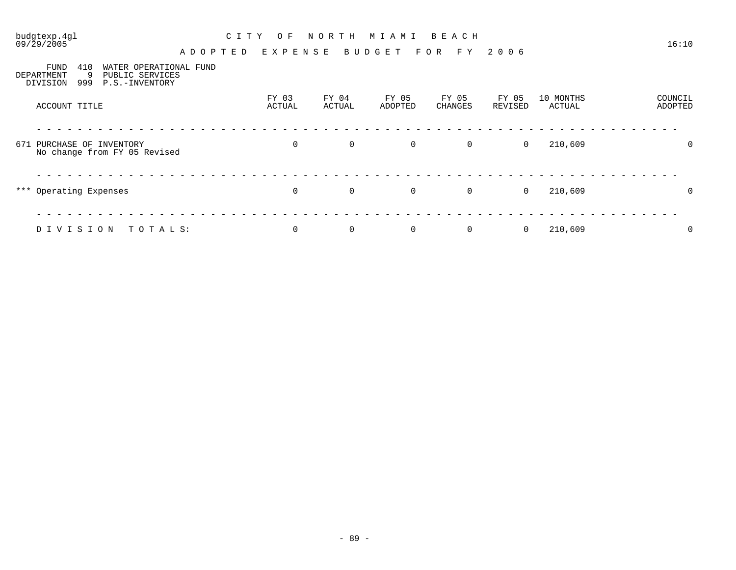# budgtexp.4gl C I T Y O F N O R T H M I A M I B E A C H

A D O P T E D E X P E N S E B U D G E T F O R F Y 2 0 0 6

| <b>FUND</b><br>DEPARTMENT<br>DIVISION | 410<br>9<br>999 | WATER OPERATIONAL FUND<br>PUBLIC SERVICES<br>P.S.-INVENTORY |                 |                 |                  |                  |                  |                     |                    |
|---------------------------------------|-----------------|-------------------------------------------------------------|-----------------|-----------------|------------------|------------------|------------------|---------------------|--------------------|
| ACCOUNT TITLE                         |                 |                                                             | FY 03<br>ACTUAL | FY 04<br>ACTUAL | FY 05<br>ADOPTED | FY 05<br>CHANGES | FY 05<br>REVISED | 10 MONTHS<br>ACTUAL | COUNCIL<br>ADOPTED |
| 671 PURCHASE OF INVENTORY             |                 | No change from FY 05 Revised                                | $\mathbf 0$     | $\overline{0}$  | $\mathbf 0$      | $\overline{0}$   | $\mathbf 0$      | 210,609             | $\mathbf 0$        |
| *** Operating Expenses                |                 |                                                             | $\mathbf 0$     | 0               | $\overline{0}$   | $\overline{0}$   | 0                | 210,609             | 0                  |
| DIVISION                              |                 | TOTALS:                                                     | $\mathbf 0$     | 0               | $\mathbf 0$      | 0                | 0                | 210,609             | 0                  |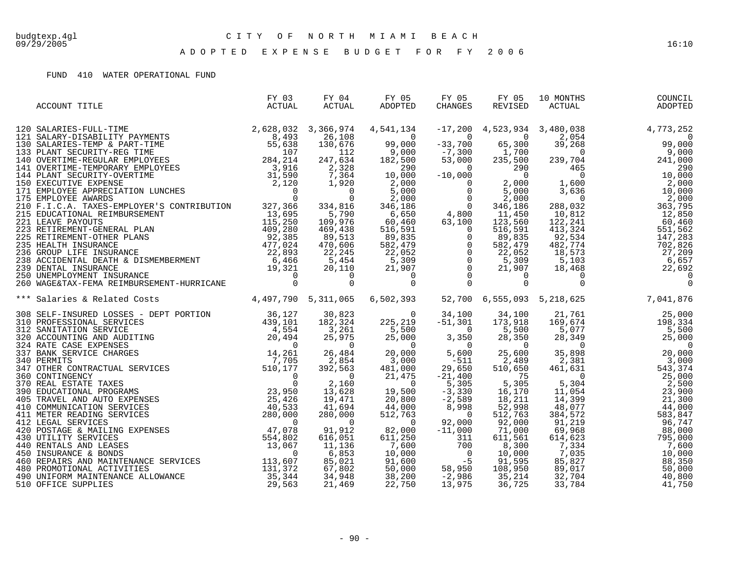A D O P T E D E X P E N S E B U D G E T F O R F Y 2 0 0 6

#### FUND 410 WATER OPERATIONAL FUND

| ACCOUNT TITLE                                                                          | FY 03<br>ACTUAL | FY 04<br>ACTUAL | FY 05<br>FY 05<br>ADOPTED | FY 05<br>CHANGES |  |  |
|----------------------------------------------------------------------------------------|-----------------|-----------------|---------------------------|------------------|--|--|
|                                                                                        |                 |                 |                           |                  |  |  |
|                                                                                        |                 |                 |                           |                  |  |  |
|                                                                                        |                 |                 |                           |                  |  |  |
|                                                                                        |                 |                 |                           |                  |  |  |
|                                                                                        |                 |                 |                           |                  |  |  |
|                                                                                        |                 |                 |                           |                  |  |  |
|                                                                                        |                 |                 |                           |                  |  |  |
|                                                                                        |                 |                 |                           |                  |  |  |
|                                                                                        |                 |                 |                           |                  |  |  |
|                                                                                        |                 |                 |                           |                  |  |  |
|                                                                                        |                 |                 |                           |                  |  |  |
|                                                                                        |                 |                 |                           |                  |  |  |
|                                                                                        |                 |                 |                           |                  |  |  |
|                                                                                        |                 |                 |                           |                  |  |  |
|                                                                                        |                 |                 |                           |                  |  |  |
|                                                                                        |                 |                 |                           |                  |  |  |
|                                                                                        |                 |                 |                           |                  |  |  |
|                                                                                        |                 |                 |                           |                  |  |  |
|                                                                                        |                 |                 |                           |                  |  |  |
| *** Salaries & Related Costs (1,497,790 5,311,065 6,502,393 52,700 6,555,093 5,218,625 |                 |                 |                           |                  |  |  |
|                                                                                        |                 |                 |                           |                  |  |  |
|                                                                                        |                 |                 |                           |                  |  |  |
|                                                                                        |                 |                 |                           |                  |  |  |
|                                                                                        |                 |                 |                           |                  |  |  |
|                                                                                        |                 |                 |                           |                  |  |  |
|                                                                                        |                 |                 |                           |                  |  |  |
|                                                                                        |                 |                 |                           |                  |  |  |
|                                                                                        |                 |                 |                           |                  |  |  |
|                                                                                        |                 |                 |                           |                  |  |  |
|                                                                                        |                 |                 |                           |                  |  |  |
|                                                                                        |                 |                 |                           |                  |  |  |
|                                                                                        |                 |                 |                           |                  |  |  |
|                                                                                        |                 |                 |                           |                  |  |  |
|                                                                                        |                 |                 |                           |                  |  |  |
|                                                                                        |                 |                 |                           |                  |  |  |
|                                                                                        |                 |                 |                           |                  |  |  |
|                                                                                        |                 |                 |                           |                  |  |  |
|                                                                                        |                 |                 |                           |                  |  |  |
|                                                                                        |                 |                 |                           |                  |  |  |
|                                                                                        |                 |                 |                           |                  |  |  |
|                                                                                        |                 |                 |                           |                  |  |  |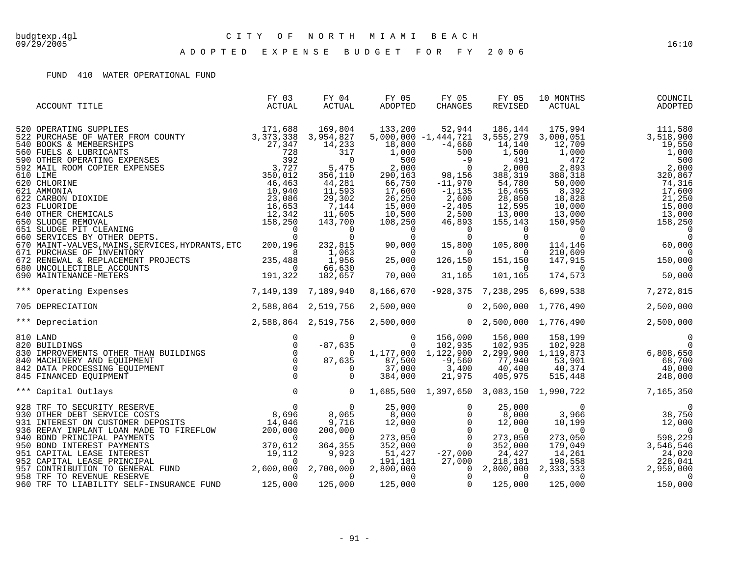A D O P T E D E X P E N S E B U D G E T F O R F Y 2 0 0 6

#### FUND 410 WATER OPERATIONAL FUND

| ACCOUNT TITLE                                                                                                                                                                                                       | FY 03<br>ACTUAL     | FY 04<br>ACTUAL                                                                                                                                                                                         | FY 05<br>ADOPTED                                                                                                                                                                      | FY 05<br>CHANGES                                                                                                                                             | FY 05<br>REVISED                                                                                                                                                                                                                                 | 10 MONTHS<br>ACTUAL                                                          | COUNCIL<br>ADOPTED                                                                                                                                                                                                                                                                        |
|---------------------------------------------------------------------------------------------------------------------------------------------------------------------------------------------------------------------|---------------------|---------------------------------------------------------------------------------------------------------------------------------------------------------------------------------------------------------|---------------------------------------------------------------------------------------------------------------------------------------------------------------------------------------|--------------------------------------------------------------------------------------------------------------------------------------------------------------|--------------------------------------------------------------------------------------------------------------------------------------------------------------------------------------------------------------------------------------------------|------------------------------------------------------------------------------|-------------------------------------------------------------------------------------------------------------------------------------------------------------------------------------------------------------------------------------------------------------------------------------------|
|                                                                                                                                                                                                                     |                     | 169,804<br>3,954,827<br>14,233<br>317<br>$\overline{0}$<br>5,475<br>356,110<br>44,281<br>11,593<br>29,302<br>7,144<br>11,605<br>143,700<br>$\overline{0}$<br>$\overline{0}$<br>1,063<br>1,956<br>66,630 | 133,200<br>18,800<br>1,000<br>500<br>2,000<br>290,163<br>66,750<br>17,600<br>26, 250<br>15,000<br>10,500<br>108,250<br>$232,815$ $90,000$ $15,800$<br>$0,000$<br>25<br>$\overline{0}$ | 52,944<br>$-4,660$<br>$\frac{1}{28,15}$<br>$-11,970$<br>$-1, 135$<br>2,600<br>$-2,405$<br>2,500<br>46,893<br>$\sim$ 0<br>126,150<br>$\overline{\phantom{0}}$ | 186,144<br>$5,000,000 -1,444,721$ 3,555,279<br>14,140<br>1,500<br>491<br>2,000<br>388,319<br>54,780<br>16,465<br>28,850<br>12,595<br>$\frac{12}{13}$ , 000<br>155,143<br>$\overline{0}$<br>0<br>105,800<br>$\sim$ 0<br>151,150<br>$\overline{0}$ | 175,994<br>3,000,051<br>12,709<br>1,000<br>472<br>2,893<br>388,318<br>50,000 | 111,580<br>3,518,900<br>19,550<br>1,000<br>500<br>2,000<br>320,867<br>74,316<br>$\begin{array}{c} 8,392 \\ 8,392 \\ 18,828 \\ 10,000 \\ 13,000 \\ 150,950 \end{array}$<br>17,600<br>21,250<br>15,000<br>13,000<br>158,250<br>$110,609$<br>$147,915$<br>$150,000$<br>$174,573$<br>$50,000$ |
| *** Operating Expenses                                                                                                                                                                                              | 7,149,139 7,189,940 | 182,657                                                                                                                                                                                                 | 70,000<br>8,166,670                                                                                                                                                                   | 31,165                                                                                                                                                       | 101,165                                                                                                                                                                                                                                          | $-928,375$ 7,238,295 6,699,538                                               | 7,272,815                                                                                                                                                                                                                                                                                 |
| 705 DEPRECIATION                                                                                                                                                                                                    | 2,588,864 2,519,756 |                                                                                                                                                                                                         | 2,500,000                                                                                                                                                                             |                                                                                                                                                              | $0\quad 2,500,000\quad 1,776,490$                                                                                                                                                                                                                |                                                                              | 2,500,000                                                                                                                                                                                                                                                                                 |
| *** Depreciation                                                                                                                                                                                                    | 2,588,864 2,519,756 |                                                                                                                                                                                                         | 2,500,000                                                                                                                                                                             |                                                                                                                                                              |                                                                                                                                                                                                                                                  | $0\quad 2,500,000\quad 1,776,490$                                            | 2,500,000                                                                                                                                                                                                                                                                                 |
| 820 BUILDINGS<br>830 IMPROVEMENTS OTHER THAN BUILDINGS<br>840 MACHINERY AND EQUIPMENT<br>942 DATA PROCESSING EQUIPMENT<br>945 FINANCED EQUIPMENT<br>** Capital Outlays<br>28 TRF TO SECURITY RESERVE<br>30 OTUER IT |                     | $-87,635$<br>87,635                                                                                                                                                                                     |                                                                                                                                                                                       |                                                                                                                                                              |                                                                                                                                                                                                                                                  |                                                                              | 0 102,935 102,935 102,935 102,928 0<br>0 1,177,000 1,122,900 2,299,900 1,19,873 6,808,650<br>35 87,500 -9,560 77,940 53,901 68,700<br>384,000 3,400 40,400 40,374 40,000<br>1,685,500 1,397 650 200 17,440 515,448 248,000<br>1,685,500                                                   |
|                                                                                                                                                                                                                     |                     |                                                                                                                                                                                                         |                                                                                                                                                                                       |                                                                                                                                                              |                                                                                                                                                                                                                                                  |                                                                              |                                                                                                                                                                                                                                                                                           |
|                                                                                                                                                                                                                     |                     |                                                                                                                                                                                                         | 25,000<br>8,000                                                                                                                                                                       | $\mathbf 0$<br>$\Omega$                                                                                                                                      | 25,000<br>8,000<br>$\begin{array}{cccc} 8,000 & 0 & 0 & 0,000 \ 12,000 & 0 & 12,000 \ 0 & 0 & 0 & 0 \ 273,050 & 0 & 273,050 \ 352,000 & 0 & 352,000 \end{array}$                                                                                 | $\overline{0}$                                                               | $\mathbf 0$                                                                                                                                                                                                                                                                               |
|                                                                                                                                                                                                                     |                     |                                                                                                                                                                                                         | 352,000<br>51,427<br>191,181<br>2,800,000<br>$\overline{0}$<br>125,000                                                                                                                | $-27,000$<br>27,000<br>$\begin{matrix} 0 \\ 0 \end{matrix}$<br>$\overline{0}$                                                                                | 24,427<br>218,181<br>2,800,000<br>$\overline{0}$<br>125,000                                                                                                                                                                                      |                                                                              | $\begin{array}{ccc} 273\,,\,050\,\\ 179\,,\,049\,\\ 14\,,\,261\,\\ 198\,,\,558\,\\ 2\,,\,333\,,\,333\,\\ 0\,\\ 125\,,\,000\, \end{array} \qquad\qquad \begin{array}{ccc} 3 \end{array}$<br>24,020<br>228,041<br>2,950,000<br>$\overline{0}$<br>150,000                                    |